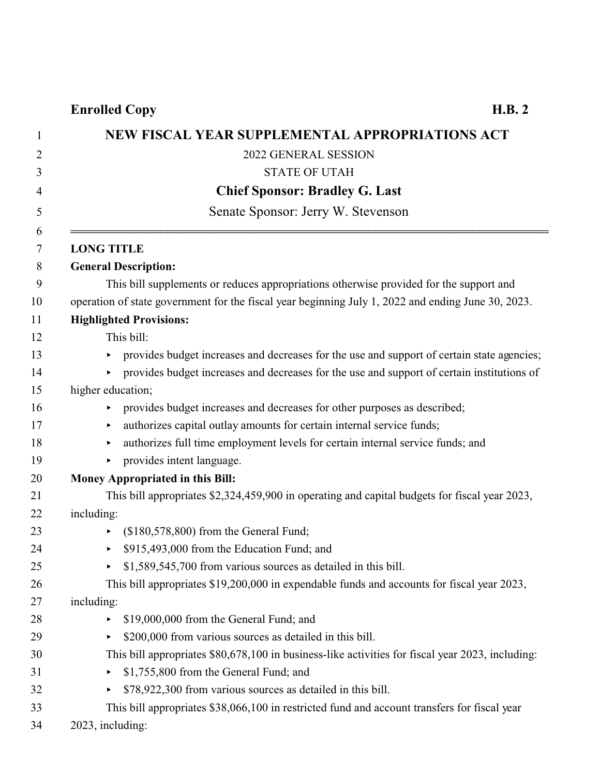| 1      | NEW FISCAL YEAR SUPPLEMENTAL APPROPRIATIONS ACT                                                    |
|--------|----------------------------------------------------------------------------------------------------|
| 2      | 2022 GENERAL SESSION                                                                               |
| 3      | <b>STATE OF UTAH</b>                                                                               |
| 4      | <b>Chief Sponsor: Bradley G. Last</b>                                                              |
| 5      | Senate Sponsor: Jerry W. Stevenson                                                                 |
| 6<br>7 | <b>LONG TITLE</b>                                                                                  |
| 8      | <b>General Description:</b>                                                                        |
| 9      | This bill supplements or reduces appropriations otherwise provided for the support and             |
| 10     | operation of state government for the fiscal year beginning July 1, 2022 and ending June 30, 2023. |
| 11     | <b>Highlighted Provisions:</b>                                                                     |
| 12     | This bill:                                                                                         |
| 13     | provides budget increases and decreases for the use and support of certain state agencies;<br>▶    |
| 14     | provides budget increases and decreases for the use and support of certain institutions of<br>▶.   |
| 15     | higher education;                                                                                  |
| 16     | provides budget increases and decreases for other purposes as described;<br>▶                      |
| 17     | authorizes capital outlay amounts for certain internal service funds;<br>▶                         |
| 18     | authorizes full time employment levels for certain internal service funds; and<br>▶                |
| 19     | provides intent language.<br>▶                                                                     |
| 20     | <b>Money Appropriated in this Bill:</b>                                                            |
| 21     | This bill appropriates \$2,324,459,900 in operating and capital budgets for fiscal year 2023,      |
| 22     | including:                                                                                         |
| 23     | $($180,578,800)$ from the General Fund;<br>▶                                                       |
| 24     | \$915,493,000 from the Education Fund; and<br>▶                                                    |
| 25     | \$1,589,545,700 from various sources as detailed in this bill.                                     |
| 26     | This bill appropriates \$19,200,000 in expendable funds and accounts for fiscal year 2023,         |
| 27     | including:                                                                                         |
| 28     | \$19,000,000 from the General Fund; and<br>▶                                                       |
| 29     | \$200,000 from various sources as detailed in this bill.<br>▶                                      |
| 30     | This bill appropriates \$80,678,100 in business-like activities for fiscal year 2023, including:   |
| 31     | \$1,755,800 from the General Fund; and<br>▶                                                        |
| 32     | \$78,922,300 from various sources as detailed in this bill.<br>▶                                   |
| 33     | This bill appropriates \$38,066,100 in restricted fund and account transfers for fiscal year       |
| 34     | 2023, including:                                                                                   |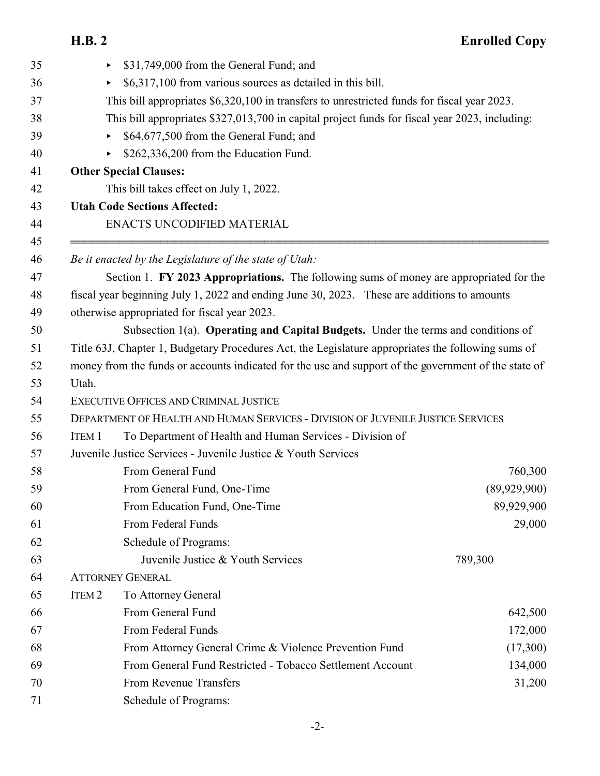| 35       | \$31,749,000 from the General Fund; and<br>Þ.                                                        |              |  |  |  |
|----------|------------------------------------------------------------------------------------------------------|--------------|--|--|--|
| 36       | \$6,317,100 from various sources as detailed in this bill.<br>Þ.                                     |              |  |  |  |
| 37       | This bill appropriates \$6,320,100 in transfers to unrestricted funds for fiscal year 2023.          |              |  |  |  |
| 38       | This bill appropriates \$327,013,700 in capital project funds for fiscal year 2023, including:       |              |  |  |  |
| 39       | \$64,677,500 from the General Fund; and<br>▶                                                         |              |  |  |  |
| 40       | \$262,336,200 from the Education Fund.<br>Þ.                                                         |              |  |  |  |
| 41       | <b>Other Special Clauses:</b>                                                                        |              |  |  |  |
| 42       | This bill takes effect on July 1, 2022.                                                              |              |  |  |  |
| 43       | <b>Utah Code Sections Affected:</b>                                                                  |              |  |  |  |
| 44       | ENACTS UNCODIFIED MATERIAL                                                                           |              |  |  |  |
| 45<br>46 | Be it enacted by the Legislature of the state of Utah:                                               |              |  |  |  |
| 47       | Section 1. FY 2023 Appropriations. The following sums of money are appropriated for the              |              |  |  |  |
| 48       | fiscal year beginning July 1, 2022 and ending June 30, 2023. These are additions to amounts          |              |  |  |  |
| 49       | otherwise appropriated for fiscal year 2023.                                                         |              |  |  |  |
| 50       | Subsection 1(a). Operating and Capital Budgets. Under the terms and conditions of                    |              |  |  |  |
| 51       | Title 63J, Chapter 1, Budgetary Procedures Act, the Legislature appropriates the following sums of   |              |  |  |  |
| 52       | money from the funds or accounts indicated for the use and support of the government of the state of |              |  |  |  |
| 53       | Utah.                                                                                                |              |  |  |  |
| 54       | EXECUTIVE OFFICES AND CRIMINAL JUSTICE                                                               |              |  |  |  |
| 55       | DEPARTMENT OF HEALTH AND HUMAN SERVICES - DIVISION OF JUVENILE JUSTICE SERVICES                      |              |  |  |  |
| 56       | To Department of Health and Human Services - Division of<br><b>ITEM 1</b>                            |              |  |  |  |
| 57       | Juvenile Justice Services - Juvenile Justice & Youth Services                                        |              |  |  |  |
| 58       | From General Fund                                                                                    | 760,300      |  |  |  |
| 59       | From General Fund, One-Time                                                                          | (89,929,900) |  |  |  |
| 60       | From Education Fund, One-Time                                                                        | 89,929,900   |  |  |  |
| 61       | From Federal Funds                                                                                   | 29,000       |  |  |  |
| 62       | Schedule of Programs:                                                                                |              |  |  |  |
| 63       | Juvenile Justice & Youth Services                                                                    | 789,300      |  |  |  |
| 64       | <b>ATTORNEY GENERAL</b>                                                                              |              |  |  |  |
| 65       | ITEM <sub>2</sub><br>To Attorney General                                                             |              |  |  |  |
| 66       | From General Fund                                                                                    | 642,500      |  |  |  |
| 67       | From Federal Funds                                                                                   | 172,000      |  |  |  |
| 68       | From Attorney General Crime & Violence Prevention Fund                                               | (17,300)     |  |  |  |
| 69       | From General Fund Restricted - Tobacco Settlement Account                                            | 134,000      |  |  |  |
| 70       | <b>From Revenue Transfers</b>                                                                        | 31,200       |  |  |  |
| 71       | Schedule of Programs:                                                                                |              |  |  |  |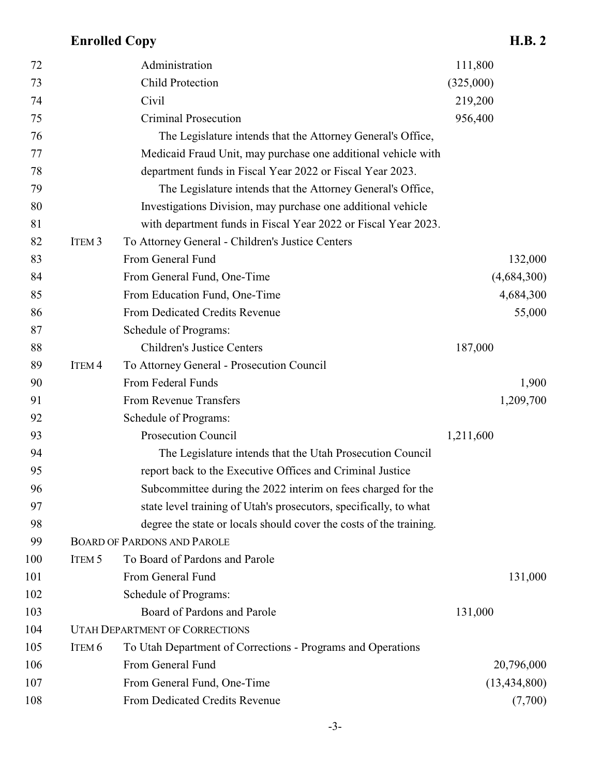| 72  |                   | Administration                                                     | 111,800        |
|-----|-------------------|--------------------------------------------------------------------|----------------|
| 73  |                   | <b>Child Protection</b>                                            | (325,000)      |
| 74  |                   | Civil                                                              | 219,200        |
| 75  |                   | <b>Criminal Prosecution</b>                                        | 956,400        |
| 76  |                   | The Legislature intends that the Attorney General's Office,        |                |
| 77  |                   | Medicaid Fraud Unit, may purchase one additional vehicle with      |                |
| 78  |                   | department funds in Fiscal Year 2022 or Fiscal Year 2023.          |                |
| 79  |                   | The Legislature intends that the Attorney General's Office,        |                |
| 80  |                   | Investigations Division, may purchase one additional vehicle       |                |
| 81  |                   | with department funds in Fiscal Year 2022 or Fiscal Year 2023.     |                |
| 82  | ITEM <sub>3</sub> | To Attorney General - Children's Justice Centers                   |                |
| 83  |                   | From General Fund                                                  | 132,000        |
| 84  |                   | From General Fund, One-Time                                        | (4,684,300)    |
| 85  |                   | From Education Fund, One-Time                                      | 4,684,300      |
| 86  |                   | From Dedicated Credits Revenue                                     | 55,000         |
| 87  |                   | Schedule of Programs:                                              |                |
| 88  |                   | <b>Children's Justice Centers</b>                                  | 187,000        |
| 89  | ITEM <sub>4</sub> | To Attorney General - Prosecution Council                          |                |
| 90  |                   | From Federal Funds                                                 | 1,900          |
| 91  |                   | From Revenue Transfers                                             | 1,209,700      |
| 92  |                   | Schedule of Programs:                                              |                |
| 93  |                   | Prosecution Council                                                | 1,211,600      |
| 94  |                   | The Legislature intends that the Utah Prosecution Council          |                |
| 95  |                   | report back to the Executive Offices and Criminal Justice          |                |
| 96  |                   | Subcommittee during the 2022 interim on fees charged for the       |                |
| 97  |                   | state level training of Utah's prosecutors, specifically, to what  |                |
| 98  |                   | degree the state or locals should cover the costs of the training. |                |
| 99  |                   | <b>BOARD OF PARDONS AND PAROLE</b>                                 |                |
| 100 | ITEM <sub>5</sub> | To Board of Pardons and Parole                                     |                |
| 101 |                   | From General Fund                                                  | 131,000        |
| 102 |                   | Schedule of Programs:                                              |                |
| 103 |                   | Board of Pardons and Parole                                        | 131,000        |
| 104 |                   | <b>UTAH DEPARTMENT OF CORRECTIONS</b>                              |                |
| 105 | ITEM <sub>6</sub> | To Utah Department of Corrections - Programs and Operations        |                |
| 106 |                   | From General Fund                                                  | 20,796,000     |
| 107 |                   | From General Fund, One-Time                                        | (13, 434, 800) |
| 108 |                   | From Dedicated Credits Revenue                                     | (7,700)        |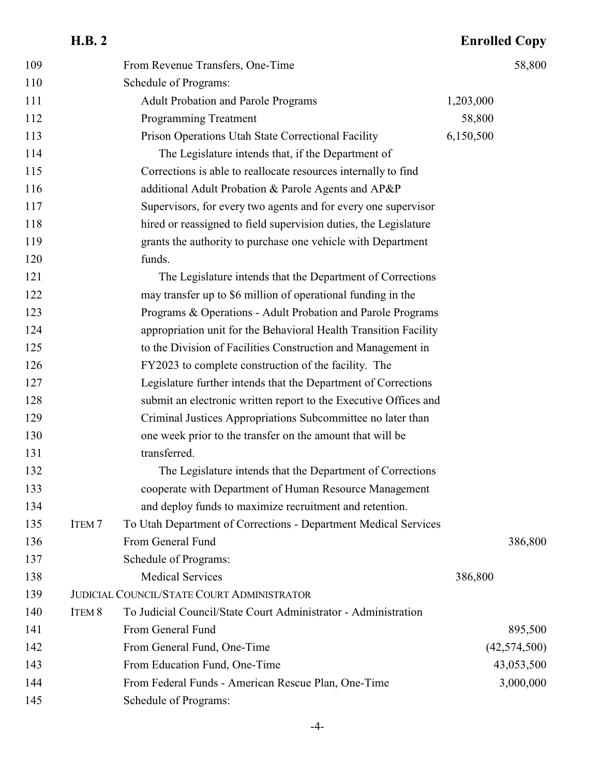| 109 |                   | From Revenue Transfers, One-Time                                 |           | 58,800         |
|-----|-------------------|------------------------------------------------------------------|-----------|----------------|
| 110 |                   | Schedule of Programs:                                            |           |                |
| 111 |                   | <b>Adult Probation and Parole Programs</b>                       | 1,203,000 |                |
| 112 |                   | <b>Programming Treatment</b>                                     | 58,800    |                |
| 113 |                   | Prison Operations Utah State Correctional Facility               | 6,150,500 |                |
| 114 |                   | The Legislature intends that, if the Department of               |           |                |
| 115 |                   | Corrections is able to reallocate resources internally to find   |           |                |
| 116 |                   | additional Adult Probation & Parole Agents and AP&P              |           |                |
| 117 |                   | Supervisors, for every two agents and for every one supervisor   |           |                |
| 118 |                   | hired or reassigned to field supervision duties, the Legislature |           |                |
| 119 |                   | grants the authority to purchase one vehicle with Department     |           |                |
| 120 |                   | funds.                                                           |           |                |
| 121 |                   | The Legislature intends that the Department of Corrections       |           |                |
| 122 |                   | may transfer up to \$6 million of operational funding in the     |           |                |
| 123 |                   | Programs & Operations - Adult Probation and Parole Programs      |           |                |
| 124 |                   | appropriation unit for the Behavioral Health Transition Facility |           |                |
| 125 |                   | to the Division of Facilities Construction and Management in     |           |                |
| 126 |                   | FY2023 to complete construction of the facility. The             |           |                |
| 127 |                   | Legislature further intends that the Department of Corrections   |           |                |
| 128 |                   | submit an electronic written report to the Executive Offices and |           |                |
| 129 |                   | Criminal Justices Appropriations Subcommittee no later than      |           |                |
| 130 |                   | one week prior to the transfer on the amount that will be        |           |                |
| 131 |                   | transferred.                                                     |           |                |
| 132 |                   | The Legislature intends that the Department of Corrections       |           |                |
| 133 |                   | cooperate with Department of Human Resource Management           |           |                |
| 134 |                   | and deploy funds to maximize recruitment and retention.          |           |                |
| 135 | ITEM <sub>7</sub> | To Utah Department of Corrections - Department Medical Services  |           |                |
| 136 |                   | From General Fund                                                |           | 386,800        |
| 137 |                   | Schedule of Programs:                                            |           |                |
| 138 |                   | <b>Medical Services</b>                                          | 386,800   |                |
| 139 |                   | <b>JUDICIAL COUNCIL/STATE COURT ADMINISTRATOR</b>                |           |                |
| 140 | ITEM 8            | To Judicial Council/State Court Administrator - Administration   |           |                |
| 141 |                   | From General Fund                                                |           | 895,500        |
| 142 |                   | From General Fund, One-Time                                      |           | (42, 574, 500) |
| 143 |                   | From Education Fund, One-Time                                    |           | 43,053,500     |
| 144 |                   | From Federal Funds - American Rescue Plan, One-Time              |           | 3,000,000      |
| 145 |                   | Schedule of Programs:                                            |           |                |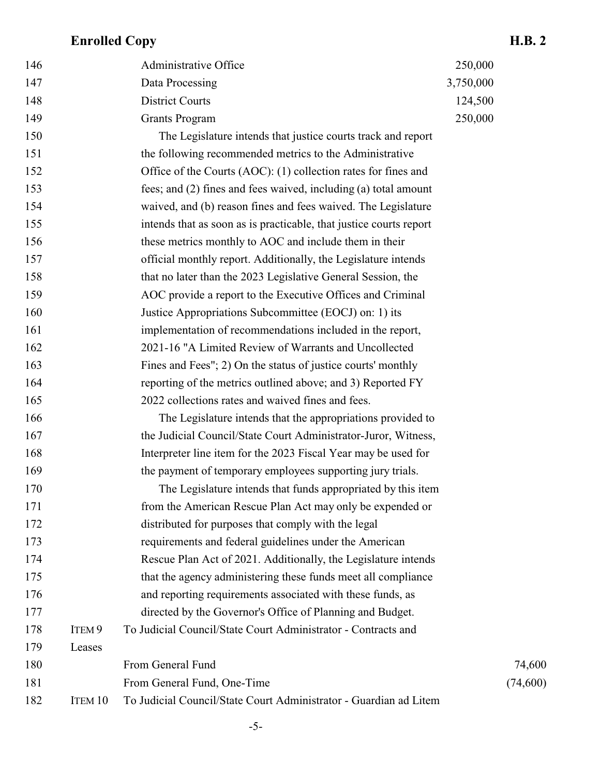| 146 |                   | Administrative Office                                              | 250,000   |           |
|-----|-------------------|--------------------------------------------------------------------|-----------|-----------|
| 147 |                   | Data Processing                                                    | 3,750,000 |           |
| 148 |                   | <b>District Courts</b>                                             | 124,500   |           |
| 149 |                   | <b>Grants Program</b>                                              | 250,000   |           |
| 150 |                   | The Legislature intends that justice courts track and report       |           |           |
| 151 |                   | the following recommended metrics to the Administrative            |           |           |
| 152 |                   | Office of the Courts (AOC): (1) collection rates for fines and     |           |           |
| 153 |                   | fees; and (2) fines and fees waived, including (a) total amount    |           |           |
| 154 |                   | waived, and (b) reason fines and fees waived. The Legislature      |           |           |
| 155 |                   | intends that as soon as is practicable, that justice courts report |           |           |
| 156 |                   | these metrics monthly to AOC and include them in their             |           |           |
| 157 |                   | official monthly report. Additionally, the Legislature intends     |           |           |
| 158 |                   | that no later than the 2023 Legislative General Session, the       |           |           |
| 159 |                   | AOC provide a report to the Executive Offices and Criminal         |           |           |
| 160 |                   | Justice Appropriations Subcommittee (EOCJ) on: 1) its              |           |           |
| 161 |                   | implementation of recommendations included in the report,          |           |           |
| 162 |                   | 2021-16 "A Limited Review of Warrants and Uncollected              |           |           |
| 163 |                   | Fines and Fees"; 2) On the status of justice courts' monthly       |           |           |
| 164 |                   | reporting of the metrics outlined above; and 3) Reported FY        |           |           |
| 165 |                   | 2022 collections rates and waived fines and fees.                  |           |           |
| 166 |                   | The Legislature intends that the appropriations provided to        |           |           |
| 167 |                   | the Judicial Council/State Court Administrator-Juror, Witness,     |           |           |
| 168 |                   | Interpreter line item for the 2023 Fiscal Year may be used for     |           |           |
| 169 |                   | the payment of temporary employees supporting jury trials.         |           |           |
| 170 |                   | The Legislature intends that funds appropriated by this item       |           |           |
| 171 |                   | from the American Rescue Plan Act may only be expended or          |           |           |
| 172 |                   | distributed for purposes that comply with the legal                |           |           |
| 173 |                   | requirements and federal guidelines under the American             |           |           |
| 174 |                   | Rescue Plan Act of 2021. Additionally, the Legislature intends     |           |           |
| 175 |                   | that the agency administering these funds meet all compliance      |           |           |
| 176 |                   | and reporting requirements associated with these funds, as         |           |           |
| 177 |                   | directed by the Governor's Office of Planning and Budget.          |           |           |
| 178 | ITEM <sub>9</sub> | To Judicial Council/State Court Administrator - Contracts and      |           |           |
| 179 | Leases            |                                                                    |           |           |
| 180 |                   | From General Fund                                                  |           | 74,600    |
| 181 |                   | From General Fund, One-Time                                        |           | (74, 600) |
| 182 | ITEM 10           | To Judicial Council/State Court Administrator - Guardian ad Litem  |           |           |
|     |                   |                                                                    |           |           |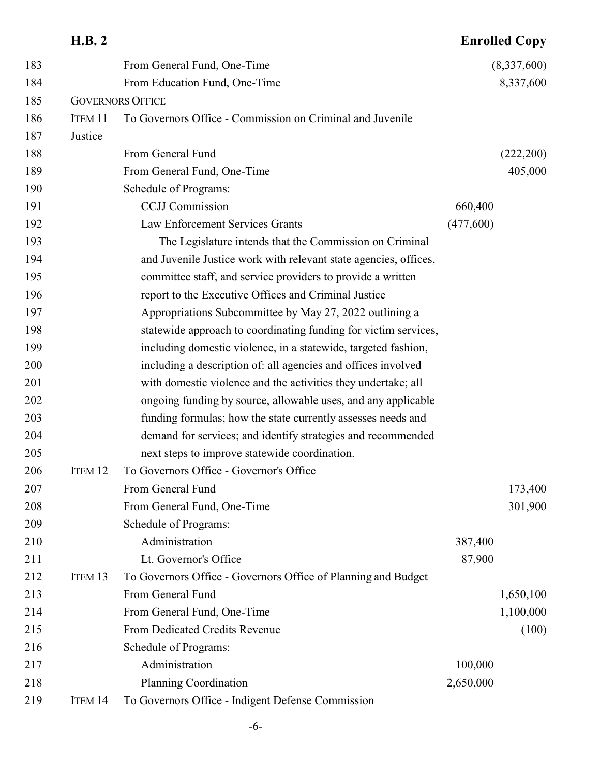|     | <b>H.B. 2</b>      |                                                                  |           | <b>Enrolled Copy</b> |
|-----|--------------------|------------------------------------------------------------------|-----------|----------------------|
| 183 |                    | From General Fund, One-Time                                      |           | (8,337,600)          |
| 184 |                    | From Education Fund, One-Time                                    |           | 8,337,600            |
| 185 |                    | <b>GOVERNORS OFFICE</b>                                          |           |                      |
| 186 | ITEM 11            | To Governors Office - Commission on Criminal and Juvenile        |           |                      |
| 187 | Justice            |                                                                  |           |                      |
| 188 |                    | From General Fund                                                |           | (222,200)            |
| 189 |                    | From General Fund, One-Time                                      |           | 405,000              |
| 190 |                    | Schedule of Programs:                                            |           |                      |
| 191 |                    | <b>CCJJ</b> Commission                                           | 660,400   |                      |
| 192 |                    | Law Enforcement Services Grants                                  | (477,600) |                      |
| 193 |                    | The Legislature intends that the Commission on Criminal          |           |                      |
| 194 |                    | and Juvenile Justice work with relevant state agencies, offices, |           |                      |
| 195 |                    | committee staff, and service providers to provide a written      |           |                      |
| 196 |                    | report to the Executive Offices and Criminal Justice             |           |                      |
| 197 |                    | Appropriations Subcommittee by May 27, 2022 outlining a          |           |                      |
| 198 |                    | statewide approach to coordinating funding for victim services,  |           |                      |
| 199 |                    | including domestic violence, in a statewide, targeted fashion,   |           |                      |
| 200 |                    | including a description of: all agencies and offices involved    |           |                      |
| 201 |                    | with domestic violence and the activities they undertake; all    |           |                      |
| 202 |                    | ongoing funding by source, allowable uses, and any applicable    |           |                      |
| 203 |                    | funding formulas; how the state currently assesses needs and     |           |                      |
| 204 |                    | demand for services; and identify strategies and recommended     |           |                      |
| 205 |                    | next steps to improve statewide coordination.                    |           |                      |
| 206 | ITEM <sub>12</sub> | To Governors Office - Governor's Office                          |           |                      |
| 207 |                    | From General Fund                                                |           | 173,400              |
| 208 |                    | From General Fund, One-Time                                      |           | 301,900              |
| 209 |                    | Schedule of Programs:                                            |           |                      |
| 210 |                    | Administration                                                   | 387,400   |                      |
| 211 |                    | Lt. Governor's Office                                            | 87,900    |                      |
| 212 | ITEM <sub>13</sub> | To Governors Office - Governors Office of Planning and Budget    |           |                      |
| 213 |                    | From General Fund                                                |           | 1,650,100            |
| 214 |                    | From General Fund, One-Time                                      |           | 1,100,000            |
| 215 |                    | From Dedicated Credits Revenue                                   |           | (100)                |
| 216 |                    | Schedule of Programs:                                            |           |                      |
| 217 |                    | Administration                                                   | 100,000   |                      |
| 218 |                    | <b>Planning Coordination</b>                                     | 2,650,000 |                      |
| 219 | ITEM 14            | To Governors Office - Indigent Defense Commission                |           |                      |

#### -6-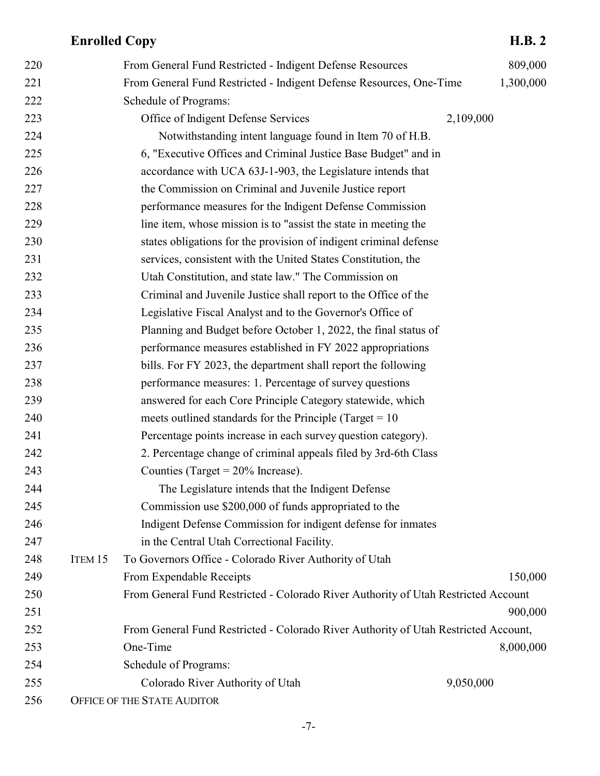| 220 |         | From General Fund Restricted - Indigent Defense Resources                           |           | 809,000   |
|-----|---------|-------------------------------------------------------------------------------------|-----------|-----------|
| 221 |         | From General Fund Restricted - Indigent Defense Resources, One-Time                 |           | 1,300,000 |
| 222 |         | Schedule of Programs:                                                               |           |           |
| 223 |         | Office of Indigent Defense Services                                                 | 2,109,000 |           |
| 224 |         | Notwithstanding intent language found in Item 70 of H.B.                            |           |           |
| 225 |         | 6, "Executive Offices and Criminal Justice Base Budget" and in                      |           |           |
| 226 |         | accordance with UCA 63J-1-903, the Legislature intends that                         |           |           |
| 227 |         | the Commission on Criminal and Juvenile Justice report                              |           |           |
| 228 |         | performance measures for the Indigent Defense Commission                            |           |           |
| 229 |         | line item, whose mission is to "assist the state in meeting the                     |           |           |
| 230 |         | states obligations for the provision of indigent criminal defense                   |           |           |
| 231 |         | services, consistent with the United States Constitution, the                       |           |           |
| 232 |         | Utah Constitution, and state law." The Commission on                                |           |           |
| 233 |         | Criminal and Juvenile Justice shall report to the Office of the                     |           |           |
| 234 |         | Legislative Fiscal Analyst and to the Governor's Office of                          |           |           |
| 235 |         | Planning and Budget before October 1, 2022, the final status of                     |           |           |
| 236 |         | performance measures established in FY 2022 appropriations                          |           |           |
| 237 |         | bills. For FY 2023, the department shall report the following                       |           |           |
| 238 |         | performance measures: 1. Percentage of survey questions                             |           |           |
| 239 |         | answered for each Core Principle Category statewide, which                          |           |           |
| 240 |         | meets outlined standards for the Principle (Target $= 10$                           |           |           |
| 241 |         | Percentage points increase in each survey question category).                       |           |           |
| 242 |         | 2. Percentage change of criminal appeals filed by 3rd-6th Class                     |           |           |
| 243 |         | Counties (Target = $20\%$ Increase).                                                |           |           |
| 244 |         | The Legislature intends that the Indigent Defense                                   |           |           |
| 245 |         | Commission use \$200,000 of funds appropriated to the                               |           |           |
| 246 |         | Indigent Defense Commission for indigent defense for inmates                        |           |           |
| 247 |         | in the Central Utah Correctional Facility.                                          |           |           |
| 248 | ITEM 15 | To Governors Office - Colorado River Authority of Utah                              |           |           |
| 249 |         | From Expendable Receipts                                                            |           | 150,000   |
| 250 |         | From General Fund Restricted - Colorado River Authority of Utah Restricted Account  |           |           |
| 251 |         |                                                                                     |           | 900,000   |
| 252 |         | From General Fund Restricted - Colorado River Authority of Utah Restricted Account, |           |           |
| 253 |         | One-Time                                                                            |           | 8,000,000 |
| 254 |         | Schedule of Programs:                                                               |           |           |
| 255 |         | Colorado River Authority of Utah                                                    | 9,050,000 |           |
| 256 |         | OFFICE OF THE STATE AUDITOR                                                         |           |           |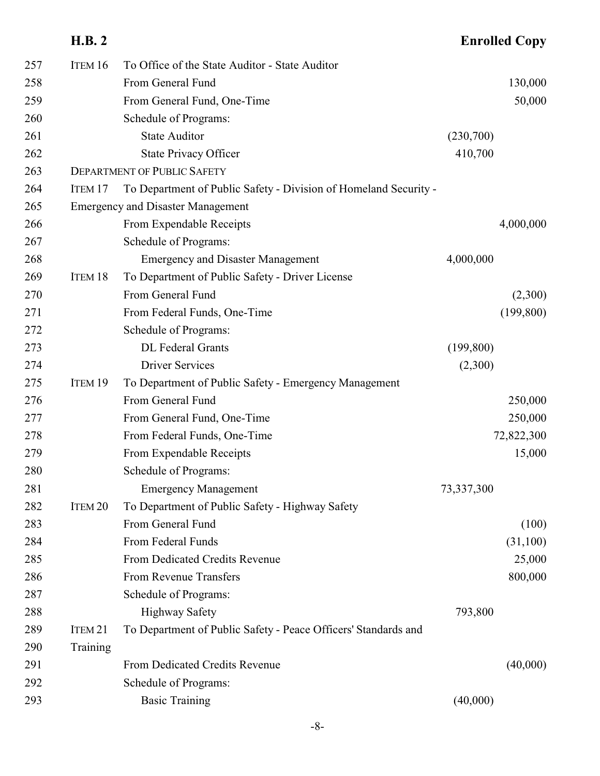|     | <b>H.B. 2</b>      |                                                                  |            | <b>Enrolled Copy</b> |
|-----|--------------------|------------------------------------------------------------------|------------|----------------------|
| 257 | ITEM 16            | To Office of the State Auditor - State Auditor                   |            |                      |
| 258 |                    | From General Fund                                                |            | 130,000              |
| 259 |                    | From General Fund, One-Time                                      |            | 50,000               |
| 260 |                    | Schedule of Programs:                                            |            |                      |
| 261 |                    | <b>State Auditor</b>                                             | (230,700)  |                      |
| 262 |                    | <b>State Privacy Officer</b>                                     | 410,700    |                      |
| 263 |                    | <b>DEPARTMENT OF PUBLIC SAFETY</b>                               |            |                      |
| 264 | ITEM <sub>17</sub> | To Department of Public Safety - Division of Homeland Security - |            |                      |
| 265 |                    | <b>Emergency and Disaster Management</b>                         |            |                      |
| 266 |                    | From Expendable Receipts                                         |            | 4,000,000            |
| 267 |                    | Schedule of Programs:                                            |            |                      |
| 268 |                    | <b>Emergency and Disaster Management</b>                         | 4,000,000  |                      |
| 269 | ITEM 18            | To Department of Public Safety - Driver License                  |            |                      |
| 270 |                    | From General Fund                                                |            | (2,300)              |
| 271 |                    | From Federal Funds, One-Time                                     |            | (199, 800)           |
| 272 |                    | Schedule of Programs:                                            |            |                      |
| 273 |                    | DL Federal Grants                                                | (199, 800) |                      |
| 274 |                    | <b>Driver Services</b>                                           | (2,300)    |                      |
| 275 | ITEM 19            | To Department of Public Safety - Emergency Management            |            |                      |
| 276 |                    | From General Fund                                                |            | 250,000              |
| 277 |                    | From General Fund, One-Time                                      |            | 250,000              |
| 278 |                    | From Federal Funds, One-Time                                     |            | 72,822,300           |
| 279 |                    | From Expendable Receipts                                         |            | 15,000               |
| 280 |                    | Schedule of Programs:                                            |            |                      |
| 281 |                    | <b>Emergency Management</b>                                      | 73,337,300 |                      |
| 282 | ITEM <sub>20</sub> | To Department of Public Safety - Highway Safety                  |            |                      |
| 283 |                    | From General Fund                                                |            | (100)                |
| 284 |                    | From Federal Funds                                               |            | (31,100)             |
| 285 |                    | From Dedicated Credits Revenue                                   |            | 25,000               |
| 286 |                    | From Revenue Transfers                                           |            | 800,000              |
| 287 |                    | Schedule of Programs:                                            |            |                      |
| 288 |                    | <b>Highway Safety</b>                                            | 793,800    |                      |
| 289 | ITEM <sub>21</sub> | To Department of Public Safety - Peace Officers' Standards and   |            |                      |
| 290 | Training           |                                                                  |            |                      |
| 291 |                    | From Dedicated Credits Revenue                                   |            | (40,000)             |
| 292 |                    | Schedule of Programs:                                            |            |                      |
| 293 |                    | <b>Basic Training</b>                                            | (40,000)   |                      |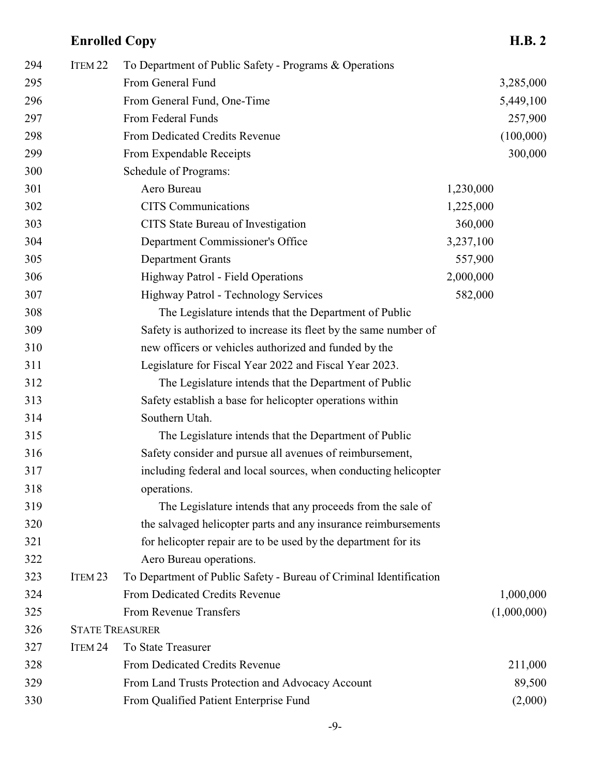| 294 | ITEM <sub>22</sub> | To Department of Public Safety - Programs & Operations             |           |             |
|-----|--------------------|--------------------------------------------------------------------|-----------|-------------|
| 295 |                    | From General Fund                                                  |           | 3,285,000   |
| 296 |                    | From General Fund, One-Time                                        |           | 5,449,100   |
| 297 |                    | From Federal Funds                                                 |           | 257,900     |
| 298 |                    | From Dedicated Credits Revenue                                     |           | (100,000)   |
| 299 |                    | From Expendable Receipts                                           |           | 300,000     |
| 300 |                    | Schedule of Programs:                                              |           |             |
| 301 |                    | Aero Bureau                                                        | 1,230,000 |             |
| 302 |                    | <b>CITS</b> Communications                                         | 1,225,000 |             |
| 303 |                    | CITS State Bureau of Investigation                                 | 360,000   |             |
| 304 |                    | Department Commissioner's Office                                   | 3,237,100 |             |
| 305 |                    | <b>Department Grants</b>                                           | 557,900   |             |
| 306 |                    | Highway Patrol - Field Operations                                  | 2,000,000 |             |
| 307 |                    | Highway Patrol - Technology Services                               | 582,000   |             |
| 308 |                    | The Legislature intends that the Department of Public              |           |             |
| 309 |                    | Safety is authorized to increase its fleet by the same number of   |           |             |
| 310 |                    | new officers or vehicles authorized and funded by the              |           |             |
| 311 |                    | Legislature for Fiscal Year 2022 and Fiscal Year 2023.             |           |             |
| 312 |                    | The Legislature intends that the Department of Public              |           |             |
| 313 |                    | Safety establish a base for helicopter operations within           |           |             |
| 314 |                    | Southern Utah.                                                     |           |             |
| 315 |                    | The Legislature intends that the Department of Public              |           |             |
| 316 |                    | Safety consider and pursue all avenues of reimbursement,           |           |             |
| 317 |                    | including federal and local sources, when conducting helicopter    |           |             |
| 318 |                    | operations.                                                        |           |             |
| 319 |                    | The Legislature intends that any proceeds from the sale of         |           |             |
| 320 |                    | the salvaged helicopter parts and any insurance reimbursements     |           |             |
| 321 |                    | for helicopter repair are to be used by the department for its     |           |             |
| 322 |                    | Aero Bureau operations.                                            |           |             |
| 323 | ITEM <sub>23</sub> | To Department of Public Safety - Bureau of Criminal Identification |           |             |
| 324 |                    | From Dedicated Credits Revenue                                     |           | 1,000,000   |
| 325 |                    | From Revenue Transfers                                             |           | (1,000,000) |
| 326 |                    | <b>STATE TREASURER</b>                                             |           |             |
| 327 | ITEM 24            | To State Treasurer                                                 |           |             |
| 328 |                    | From Dedicated Credits Revenue                                     |           | 211,000     |
| 329 |                    | From Land Trusts Protection and Advocacy Account                   |           | 89,500      |
| 330 |                    | From Qualified Patient Enterprise Fund                             |           | (2,000)     |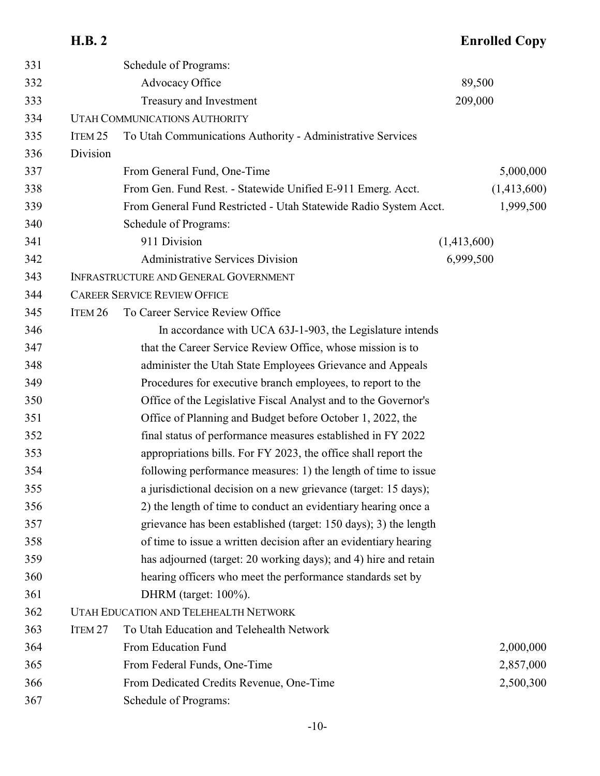|     | H.B. 2             |                                                                  |             | <b>Enrolled Copy</b> |
|-----|--------------------|------------------------------------------------------------------|-------------|----------------------|
| 331 |                    | Schedule of Programs:                                            |             |                      |
| 332 |                    | Advocacy Office                                                  | 89,500      |                      |
| 333 |                    | Treasury and Investment                                          | 209,000     |                      |
| 334 |                    | <b>UTAH COMMUNICATIONS AUTHORITY</b>                             |             |                      |
| 335 | ITEM <sub>25</sub> | To Utah Communications Authority - Administrative Services       |             |                      |
| 336 | Division           |                                                                  |             |                      |
| 337 |                    | From General Fund, One-Time                                      |             | 5,000,000            |
| 338 |                    | From Gen. Fund Rest. - Statewide Unified E-911 Emerg. Acct.      |             | (1,413,600)          |
| 339 |                    | From General Fund Restricted - Utah Statewide Radio System Acct. |             | 1,999,500            |
| 340 |                    | Schedule of Programs:                                            |             |                      |
| 341 |                    | 911 Division                                                     | (1,413,600) |                      |
| 342 |                    | <b>Administrative Services Division</b>                          | 6,999,500   |                      |
| 343 |                    | <b>INFRASTRUCTURE AND GENERAL GOVERNMENT</b>                     |             |                      |
| 344 |                    | <b>CAREER SERVICE REVIEW OFFICE</b>                              |             |                      |
| 345 | ITEM <sub>26</sub> | To Career Service Review Office                                  |             |                      |
| 346 |                    | In accordance with UCA 63J-1-903, the Legislature intends        |             |                      |
| 347 |                    | that the Career Service Review Office, whose mission is to       |             |                      |
| 348 |                    | administer the Utah State Employees Grievance and Appeals        |             |                      |
| 349 |                    | Procedures for executive branch employees, to report to the      |             |                      |
| 350 |                    | Office of the Legislative Fiscal Analyst and to the Governor's   |             |                      |
| 351 |                    | Office of Planning and Budget before October 1, 2022, the        |             |                      |
| 352 |                    | final status of performance measures established in FY 2022      |             |                      |
| 353 |                    | appropriations bills. For FY 2023, the office shall report the   |             |                      |
| 354 |                    | following performance measures: 1) the length of time to issue   |             |                      |
| 355 |                    | a jurisdictional decision on a new grievance (target: 15 days);  |             |                      |
| 356 |                    | 2) the length of time to conduct an evidentiary hearing once a   |             |                      |
| 357 |                    | grievance has been established (target: 150 days); 3) the length |             |                      |
| 358 |                    | of time to issue a written decision after an evidentiary hearing |             |                      |
| 359 |                    | has adjourned (target: 20 working days); and 4) hire and retain  |             |                      |
| 360 |                    | hearing officers who meet the performance standards set by       |             |                      |
| 361 |                    | DHRM (target: $100\%$ ).                                         |             |                      |
| 362 |                    | UTAH EDUCATION AND TELEHEALTH NETWORK                            |             |                      |
| 363 | ITEM <sub>27</sub> | To Utah Education and Telehealth Network                         |             |                      |
| 364 |                    | From Education Fund                                              |             | 2,000,000            |
| 365 |                    | From Federal Funds, One-Time                                     |             | 2,857,000            |
| 366 |                    | From Dedicated Credits Revenue, One-Time                         |             | 2,500,300            |
| 367 |                    | Schedule of Programs:                                            |             |                      |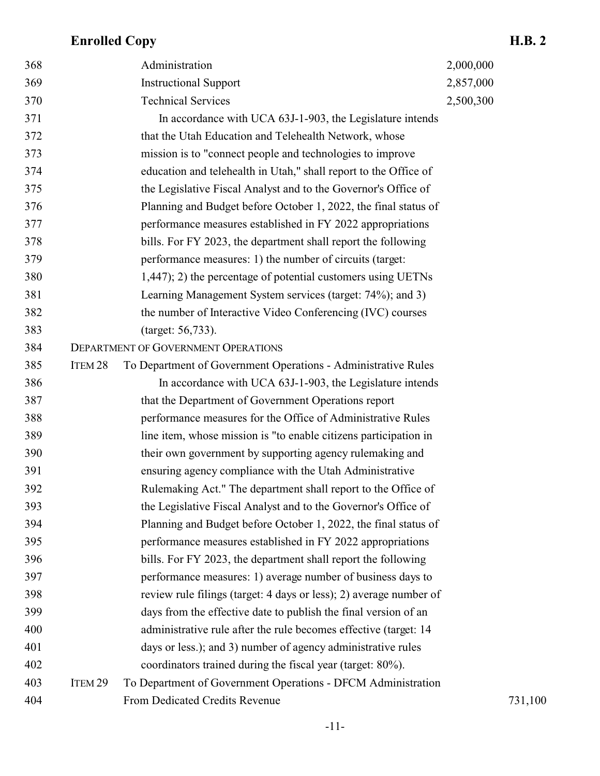| 368 |                    | Administration                                                     | 2,000,000 |
|-----|--------------------|--------------------------------------------------------------------|-----------|
| 369 |                    | <b>Instructional Support</b>                                       | 2,857,000 |
| 370 |                    | <b>Technical Services</b>                                          | 2,500,300 |
| 371 |                    | In accordance with UCA 63J-1-903, the Legislature intends          |           |
| 372 |                    | that the Utah Education and Telehealth Network, whose              |           |
| 373 |                    | mission is to "connect people and technologies to improve"         |           |
| 374 |                    | education and telehealth in Utah," shall report to the Office of   |           |
| 375 |                    | the Legislative Fiscal Analyst and to the Governor's Office of     |           |
| 376 |                    | Planning and Budget before October 1, 2022, the final status of    |           |
| 377 |                    | performance measures established in FY 2022 appropriations         |           |
| 378 |                    | bills. For FY 2023, the department shall report the following      |           |
| 379 |                    | performance measures: 1) the number of circuits (target:           |           |
| 380 |                    | 1,447); 2) the percentage of potential customers using UETNs       |           |
| 381 |                    | Learning Management System services (target: 74%); and 3)          |           |
| 382 |                    | the number of Interactive Video Conferencing (IVC) courses         |           |
| 383 |                    | (target: 56,733).                                                  |           |
| 384 |                    | <b>DEPARTMENT OF GOVERNMENT OPERATIONS</b>                         |           |
| 385 | ITEM 28            | To Department of Government Operations - Administrative Rules      |           |
| 386 |                    | In accordance with UCA 63J-1-903, the Legislature intends          |           |
| 387 |                    | that the Department of Government Operations report                |           |
| 388 |                    | performance measures for the Office of Administrative Rules        |           |
| 389 |                    | line item, whose mission is "to enable citizens participation in   |           |
| 390 |                    | their own government by supporting agency rulemaking and           |           |
| 391 |                    | ensuring agency compliance with the Utah Administrative            |           |
| 392 |                    | Rulemaking Act." The department shall report to the Office of      |           |
| 393 |                    | the Legislative Fiscal Analyst and to the Governor's Office of     |           |
| 394 |                    | Planning and Budget before October 1, 2022, the final status of    |           |
| 395 |                    | performance measures established in FY 2022 appropriations         |           |
| 396 |                    | bills. For FY 2023, the department shall report the following      |           |
| 397 |                    | performance measures: 1) average number of business days to        |           |
| 398 |                    | review rule filings (target: 4 days or less); 2) average number of |           |
| 399 |                    | days from the effective date to publish the final version of an    |           |
| 400 |                    | administrative rule after the rule becomes effective (target: 14   |           |
| 401 |                    | days or less.); and 3) number of agency administrative rules       |           |
| 402 |                    | coordinators trained during the fiscal year (target: 80%).         |           |
| 403 | ITEM <sub>29</sub> | To Department of Government Operations - DFCM Administration       |           |
| 404 |                    | From Dedicated Credits Revenue                                     | 731,100   |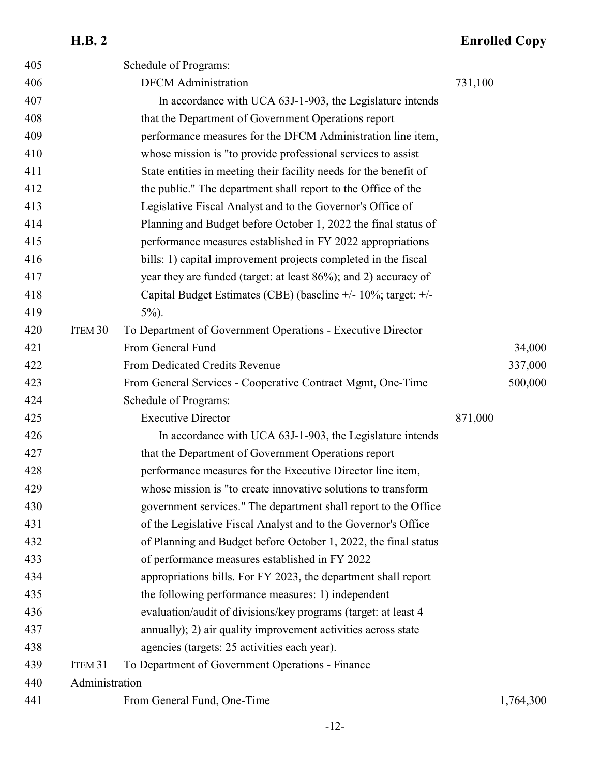| 405 |                    | Schedule of Programs:                                             |         |           |
|-----|--------------------|-------------------------------------------------------------------|---------|-----------|
| 406 |                    | <b>DFCM</b> Administration                                        | 731,100 |           |
| 407 |                    | In accordance with UCA 63J-1-903, the Legislature intends         |         |           |
| 408 |                    | that the Department of Government Operations report               |         |           |
| 409 |                    | performance measures for the DFCM Administration line item,       |         |           |
| 410 |                    | whose mission is "to provide professional services to assist      |         |           |
| 411 |                    | State entities in meeting their facility needs for the benefit of |         |           |
| 412 |                    | the public." The department shall report to the Office of the     |         |           |
| 413 |                    | Legislative Fiscal Analyst and to the Governor's Office of        |         |           |
| 414 |                    | Planning and Budget before October 1, 2022 the final status of    |         |           |
| 415 |                    | performance measures established in FY 2022 appropriations        |         |           |
| 416 |                    | bills: 1) capital improvement projects completed in the fiscal    |         |           |
| 417 |                    | year they are funded (target: at least 86%); and 2) accuracy of   |         |           |
| 418 |                    | Capital Budget Estimates (CBE) (baseline +/- 10%; target: +/-     |         |           |
| 419 |                    | $5\%$ ).                                                          |         |           |
| 420 | ITEM <sub>30</sub> | To Department of Government Operations - Executive Director       |         |           |
| 421 |                    | From General Fund                                                 |         | 34,000    |
| 422 |                    | From Dedicated Credits Revenue                                    |         | 337,000   |
| 423 |                    | From General Services - Cooperative Contract Mgmt, One-Time       |         | 500,000   |
| 424 |                    | Schedule of Programs:                                             |         |           |
| 425 |                    | <b>Executive Director</b>                                         | 871,000 |           |
| 426 |                    | In accordance with UCA 63J-1-903, the Legislature intends         |         |           |
| 427 |                    | that the Department of Government Operations report               |         |           |
| 428 |                    | performance measures for the Executive Director line item,        |         |           |
| 429 |                    | whose mission is "to create innovative solutions to transform     |         |           |
| 430 |                    | government services." The department shall report to the Office   |         |           |
| 431 |                    | of the Legislative Fiscal Analyst and to the Governor's Office    |         |           |
| 432 |                    | of Planning and Budget before October 1, 2022, the final status   |         |           |
| 433 |                    | of performance measures established in FY 2022                    |         |           |
| 434 |                    | appropriations bills. For FY 2023, the department shall report    |         |           |
| 435 |                    | the following performance measures: 1) independent                |         |           |
| 436 |                    | evaluation/audit of divisions/key programs (target: at least 4    |         |           |
| 437 |                    | annually); 2) air quality improvement activities across state     |         |           |
| 438 |                    | agencies (targets: 25 activities each year).                      |         |           |
| 439 | ITEM <sub>31</sub> | To Department of Government Operations - Finance                  |         |           |
| 440 | Administration     |                                                                   |         |           |
| 441 |                    | From General Fund, One-Time                                       |         | 1,764,300 |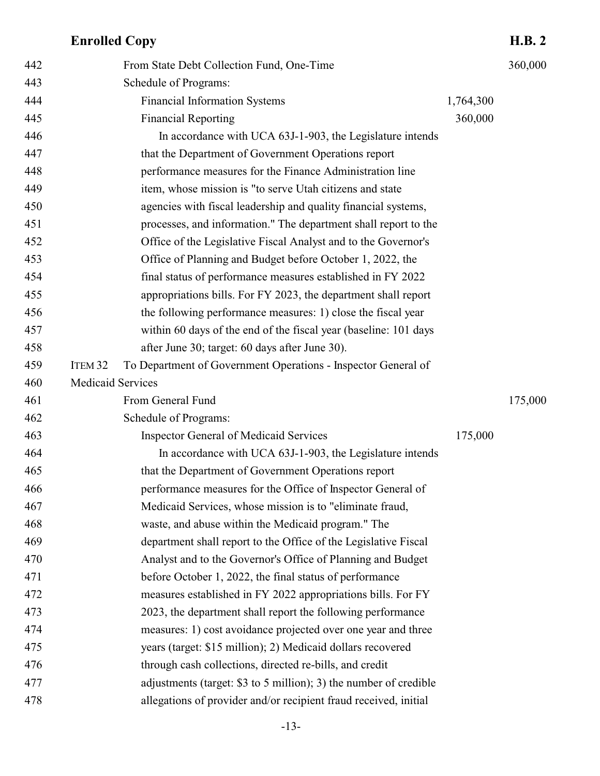# **Enrolled Copy**

| 442 | From State Debt Collection Fund, One-Time                                           |           | 360,000 |
|-----|-------------------------------------------------------------------------------------|-----------|---------|
| 443 | Schedule of Programs:                                                               |           |         |
| 444 | <b>Financial Information Systems</b>                                                | 1,764,300 |         |
| 445 | <b>Financial Reporting</b>                                                          | 360,000   |         |
| 446 | In accordance with UCA 63J-1-903, the Legislature intends                           |           |         |
| 447 | that the Department of Government Operations report                                 |           |         |
| 448 | performance measures for the Finance Administration line                            |           |         |
| 449 | item, whose mission is "to serve Utah citizens and state                            |           |         |
| 450 | agencies with fiscal leadership and quality financial systems,                      |           |         |
| 451 | processes, and information." The department shall report to the                     |           |         |
| 452 | Office of the Legislative Fiscal Analyst and to the Governor's                      |           |         |
| 453 | Office of Planning and Budget before October 1, 2022, the                           |           |         |
| 454 | final status of performance measures established in FY 2022                         |           |         |
| 455 | appropriations bills. For FY 2023, the department shall report                      |           |         |
| 456 | the following performance measures: 1) close the fiscal year                        |           |         |
| 457 | within 60 days of the end of the fiscal year (baseline: 101 days                    |           |         |
| 458 | after June 30; target: 60 days after June 30).                                      |           |         |
| 459 | ITEM <sub>32</sub><br>To Department of Government Operations - Inspector General of |           |         |
| 460 | <b>Medicaid Services</b>                                                            |           |         |
| 461 | From General Fund                                                                   |           | 175,000 |
| 462 | Schedule of Programs:                                                               |           |         |
| 463 | <b>Inspector General of Medicaid Services</b>                                       | 175,000   |         |
| 464 | In accordance with UCA 63J-1-903, the Legislature intends                           |           |         |
| 465 | that the Department of Government Operations report                                 |           |         |
| 466 | performance measures for the Office of Inspector General of                         |           |         |
| 467 | Medicaid Services, whose mission is to "eliminate fraud,                            |           |         |
| 468 | waste, and abuse within the Medicaid program." The                                  |           |         |
| 469 | department shall report to the Office of the Legislative Fiscal                     |           |         |
| 470 | Analyst and to the Governor's Office of Planning and Budget                         |           |         |
| 471 | before October 1, 2022, the final status of performance                             |           |         |
| 472 | measures established in FY 2022 appropriations bills. For FY                        |           |         |
| 473 | 2023, the department shall report the following performance                         |           |         |
| 474 | measures: 1) cost avoidance projected over one year and three                       |           |         |
| 475 | years (target: \$15 million); 2) Medicaid dollars recovered                         |           |         |
| 476 | through cash collections, directed re-bills, and credit                             |           |         |
| 477 | adjustments (target: \$3 to 5 million); 3) the number of credible                   |           |         |
| 478 | allegations of provider and/or recipient fraud received, initial                    |           |         |
|     |                                                                                     |           |         |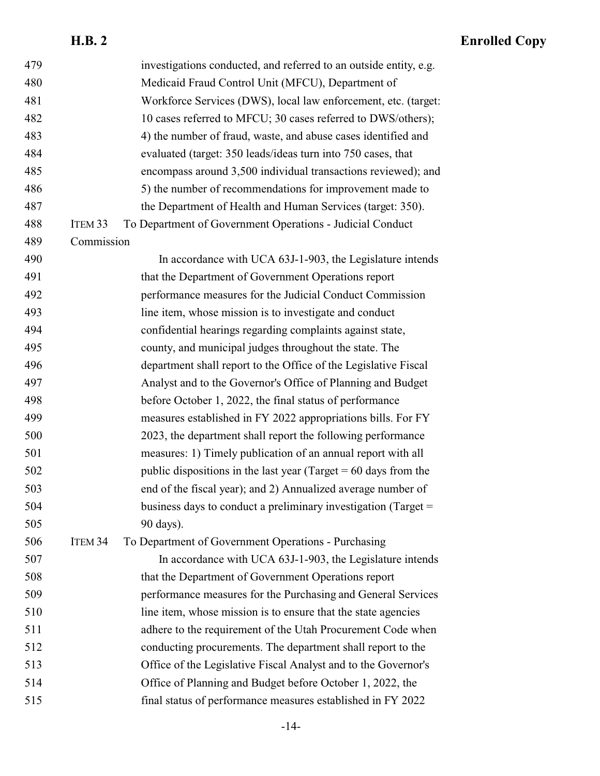| 479 |                    | investigations conducted, and referred to an outside entity, e.g. |
|-----|--------------------|-------------------------------------------------------------------|
| 480 |                    | Medicaid Fraud Control Unit (MFCU), Department of                 |
| 481 |                    | Workforce Services (DWS), local law enforcement, etc. (target:    |
| 482 |                    | 10 cases referred to MFCU; 30 cases referred to DWS/others);      |
| 483 |                    | 4) the number of fraud, waste, and abuse cases identified and     |
| 484 |                    | evaluated (target: 350 leads/ideas turn into 750 cases, that      |
| 485 |                    | encompass around 3,500 individual transactions reviewed); and     |
| 486 |                    | 5) the number of recommendations for improvement made to          |
| 487 |                    | the Department of Health and Human Services (target: 350).        |
| 488 | ITEM <sub>33</sub> | To Department of Government Operations - Judicial Conduct         |
| 489 | Commission         |                                                                   |
| 490 |                    | In accordance with UCA 63J-1-903, the Legislature intends         |
| 491 |                    | that the Department of Government Operations report               |
| 492 |                    | performance measures for the Judicial Conduct Commission          |
| 493 |                    | line item, whose mission is to investigate and conduct            |
| 494 |                    | confidential hearings regarding complaints against state,         |
| 495 |                    | county, and municipal judges throughout the state. The            |
| 496 |                    | department shall report to the Office of the Legislative Fiscal   |
| 497 |                    | Analyst and to the Governor's Office of Planning and Budget       |
| 498 |                    | before October 1, 2022, the final status of performance           |
| 499 |                    | measures established in FY 2022 appropriations bills. For FY      |
| 500 |                    | 2023, the department shall report the following performance       |
| 501 |                    | measures: 1) Timely publication of an annual report with all      |
| 502 |                    | public dispositions in the last year (Target $= 60$ days from the |
| 503 |                    | end of the fiscal year); and 2) Annualized average number of      |
| 504 |                    | business days to conduct a preliminary investigation (Target =    |
| 505 |                    | 90 days).                                                         |
| 506 | ITEM <sub>34</sub> | To Department of Government Operations - Purchasing               |
| 507 |                    | In accordance with UCA 63J-1-903, the Legislature intends         |
| 508 |                    | that the Department of Government Operations report               |
| 509 |                    | performance measures for the Purchasing and General Services      |
| 510 |                    | line item, whose mission is to ensure that the state agencies     |
| 511 |                    | adhere to the requirement of the Utah Procurement Code when       |
| 512 |                    | conducting procurements. The department shall report to the       |
| 513 |                    | Office of the Legislative Fiscal Analyst and to the Governor's    |
| 514 |                    | Office of Planning and Budget before October 1, 2022, the         |
| 515 |                    | final status of performance measures established in FY 2022       |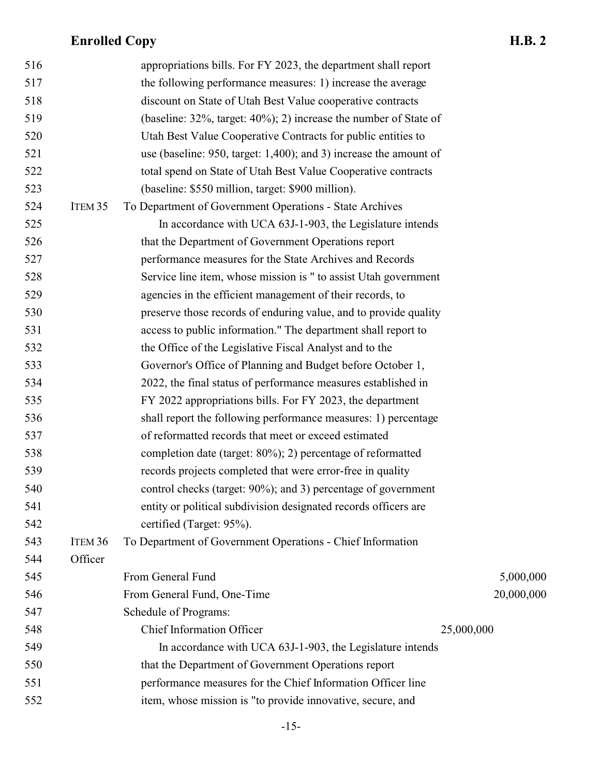| 516 |                    | appropriations bills. For FY 2023, the department shall report           |            |
|-----|--------------------|--------------------------------------------------------------------------|------------|
| 517 |                    | the following performance measures: 1) increase the average              |            |
| 518 |                    | discount on State of Utah Best Value cooperative contracts               |            |
| 519 |                    | (baseline: $32\%$ , target: $40\%$ ); 2) increase the number of State of |            |
| 520 |                    | Utah Best Value Cooperative Contracts for public entities to             |            |
| 521 |                    | use (baseline: 950, target: $1,400$ ); and 3) increase the amount of     |            |
| 522 |                    | total spend on State of Utah Best Value Cooperative contracts            |            |
| 523 |                    | (baseline: \$550 million, target: \$900 million).                        |            |
| 524 | ITEM <sub>35</sub> | To Department of Government Operations - State Archives                  |            |
| 525 |                    | In accordance with UCA 63J-1-903, the Legislature intends                |            |
| 526 |                    | that the Department of Government Operations report                      |            |
| 527 |                    | performance measures for the State Archives and Records                  |            |
| 528 |                    | Service line item, whose mission is " to assist Utah government          |            |
| 529 |                    | agencies in the efficient management of their records, to                |            |
| 530 |                    | preserve those records of enduring value, and to provide quality         |            |
| 531 |                    | access to public information." The department shall report to            |            |
| 532 |                    | the Office of the Legislative Fiscal Analyst and to the                  |            |
| 533 |                    | Governor's Office of Planning and Budget before October 1,               |            |
| 534 |                    | 2022, the final status of performance measures established in            |            |
| 535 |                    | FY 2022 appropriations bills. For FY 2023, the department                |            |
| 536 |                    | shall report the following performance measures: 1) percentage           |            |
| 537 |                    | of reformatted records that meet or exceed estimated                     |            |
| 538 |                    | completion date (target: 80%); 2) percentage of reformatted              |            |
| 539 |                    | records projects completed that were error-free in quality               |            |
| 540 |                    | control checks (target: 90%); and 3) percentage of government            |            |
| 541 |                    | entity or political subdivision designated records officers are          |            |
| 542 |                    | certified (Target: 95%).                                                 |            |
| 543 | ITEM <sub>36</sub> | To Department of Government Operations - Chief Information               |            |
| 544 | Officer            |                                                                          |            |
| 545 |                    | From General Fund                                                        | 5,000,000  |
| 546 |                    | From General Fund, One-Time                                              | 20,000,000 |
| 547 |                    | Schedule of Programs:                                                    |            |
| 548 |                    | <b>Chief Information Officer</b>                                         | 25,000,000 |
| 549 |                    | In accordance with UCA 63J-1-903, the Legislature intends                |            |
| 550 |                    | that the Department of Government Operations report                      |            |
| 551 |                    | performance measures for the Chief Information Officer line              |            |
| 552 |                    | item, whose mission is "to provide innovative, secure, and               |            |
|     |                    |                                                                          |            |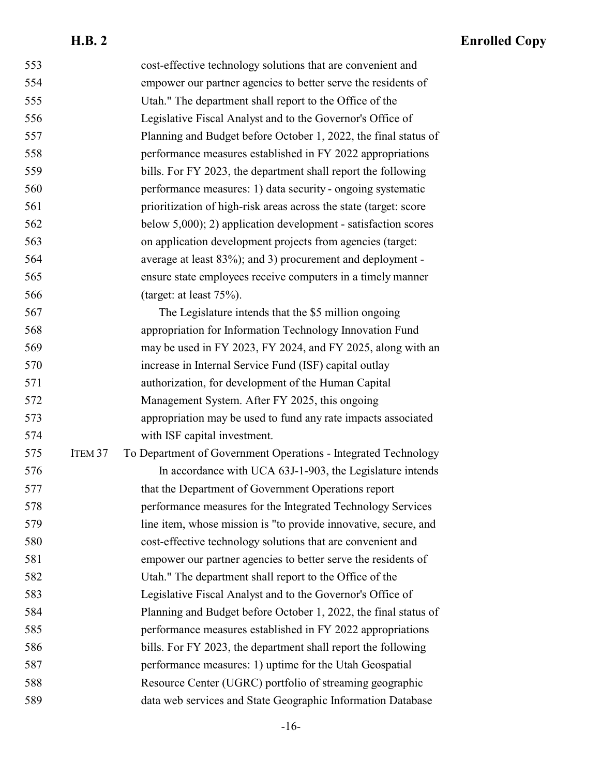| 553 |                    | cost-effective technology solutions that are convenient and       |
|-----|--------------------|-------------------------------------------------------------------|
| 554 |                    | empower our partner agencies to better serve the residents of     |
| 555 |                    | Utah." The department shall report to the Office of the           |
| 556 |                    | Legislative Fiscal Analyst and to the Governor's Office of        |
| 557 |                    | Planning and Budget before October 1, 2022, the final status of   |
| 558 |                    | performance measures established in FY 2022 appropriations        |
| 559 |                    | bills. For FY 2023, the department shall report the following     |
| 560 |                    | performance measures: 1) data security - ongoing systematic       |
| 561 |                    | prioritization of high-risk areas across the state (target: score |
| 562 |                    | below $5,000$ ; 2) application development - satisfaction scores  |
| 563 |                    | on application development projects from agencies (target:        |
| 564 |                    | average at least 83%); and 3) procurement and deployment -        |
| 565 |                    | ensure state employees receive computers in a timely manner       |
| 566 |                    | (target: at least $75\%$ ).                                       |
| 567 |                    | The Legislature intends that the \$5 million ongoing              |
| 568 |                    | appropriation for Information Technology Innovation Fund          |
| 569 |                    | may be used in FY 2023, FY 2024, and FY 2025, along with an       |
| 570 |                    | increase in Internal Service Fund (ISF) capital outlay            |
| 571 |                    | authorization, for development of the Human Capital               |
| 572 |                    | Management System. After FY 2025, this ongoing                    |
| 573 |                    | appropriation may be used to fund any rate impacts associated     |
| 574 |                    | with ISF capital investment.                                      |
| 575 | ITEM <sub>37</sub> | To Department of Government Operations - Integrated Technology    |
| 576 |                    | In accordance with UCA 63J-1-903, the Legislature intends         |
| 577 |                    | that the Department of Government Operations report               |
| 578 |                    | performance measures for the Integrated Technology Services       |
| 579 |                    | line item, whose mission is "to provide innovative, secure, and   |
| 580 |                    | cost-effective technology solutions that are convenient and       |
| 581 |                    | empower our partner agencies to better serve the residents of     |
| 582 |                    | Utah." The department shall report to the Office of the           |
| 583 |                    | Legislative Fiscal Analyst and to the Governor's Office of        |
| 584 |                    | Planning and Budget before October 1, 2022, the final status of   |
| 585 |                    | performance measures established in FY 2022 appropriations        |
| 586 |                    | bills. For FY 2023, the department shall report the following     |
| 587 |                    | performance measures: 1) uptime for the Utah Geospatial           |
| 588 |                    | Resource Center (UGRC) portfolio of streaming geographic          |
| 589 |                    | data web services and State Geographic Information Database       |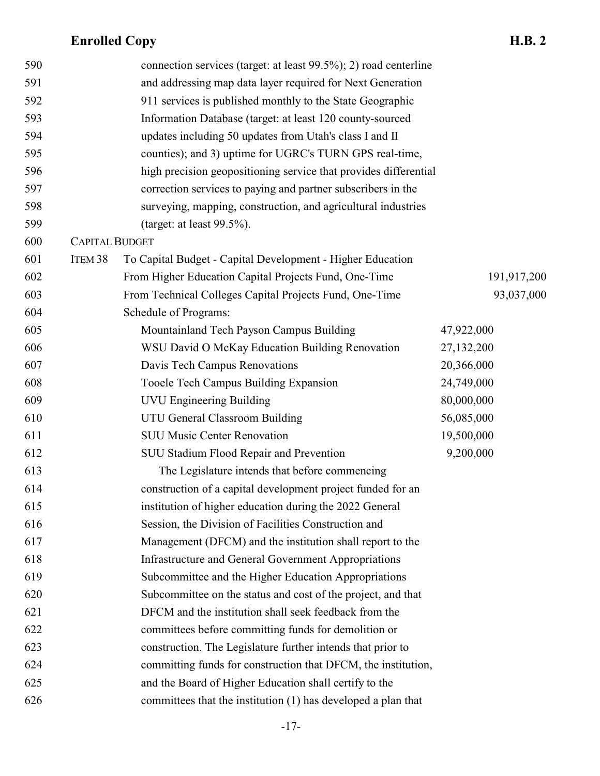| 590 |                       | connection services (target: at least 99.5%); 2) road centerline |             |
|-----|-----------------------|------------------------------------------------------------------|-------------|
| 591 |                       | and addressing map data layer required for Next Generation       |             |
| 592 |                       | 911 services is published monthly to the State Geographic        |             |
| 593 |                       | Information Database (target: at least 120 county-sourced        |             |
| 594 |                       | updates including 50 updates from Utah's class I and II          |             |
| 595 |                       | counties); and 3) uptime for UGRC's TURN GPS real-time,          |             |
| 596 |                       | high precision geopositioning service that provides differential |             |
| 597 |                       | correction services to paying and partner subscribers in the     |             |
| 598 |                       | surveying, mapping, construction, and agricultural industries    |             |
| 599 |                       | (target: at least $99.5\%$ ).                                    |             |
| 600 | <b>CAPITAL BUDGET</b> |                                                                  |             |
| 601 | ITEM <sub>38</sub>    | To Capital Budget - Capital Development - Higher Education       |             |
| 602 |                       | From Higher Education Capital Projects Fund, One-Time            | 191,917,200 |
| 603 |                       | From Technical Colleges Capital Projects Fund, One-Time          | 93,037,000  |
| 604 |                       | Schedule of Programs:                                            |             |
| 605 |                       | Mountainland Tech Payson Campus Building                         | 47,922,000  |
| 606 |                       | WSU David O McKay Education Building Renovation                  | 27,132,200  |
| 607 |                       | Davis Tech Campus Renovations                                    | 20,366,000  |
| 608 |                       | Tooele Tech Campus Building Expansion                            | 24,749,000  |
| 609 |                       | <b>UVU Engineering Building</b>                                  | 80,000,000  |
| 610 |                       | UTU General Classroom Building                                   | 56,085,000  |
| 611 |                       | <b>SUU Music Center Renovation</b>                               | 19,500,000  |
| 612 |                       | SUU Stadium Flood Repair and Prevention                          | 9,200,000   |
| 613 |                       | The Legislature intends that before commencing                   |             |
| 614 |                       | construction of a capital development project funded for an      |             |
| 615 |                       | institution of higher education during the 2022 General          |             |
| 616 |                       | Session, the Division of Facilities Construction and             |             |
| 617 |                       | Management (DFCM) and the institution shall report to the        |             |
| 618 |                       | Infrastructure and General Government Appropriations             |             |
| 619 |                       | Subcommittee and the Higher Education Appropriations             |             |
| 620 |                       | Subcommittee on the status and cost of the project, and that     |             |
| 621 |                       | DFCM and the institution shall seek feedback from the            |             |
| 622 |                       | committees before committing funds for demolition or             |             |
| 623 |                       | construction. The Legislature further intends that prior to      |             |
| 624 |                       | committing funds for construction that DFCM, the institution,    |             |
| 625 |                       | and the Board of Higher Education shall certify to the           |             |
| 626 |                       | committees that the institution (1) has developed a plan that    |             |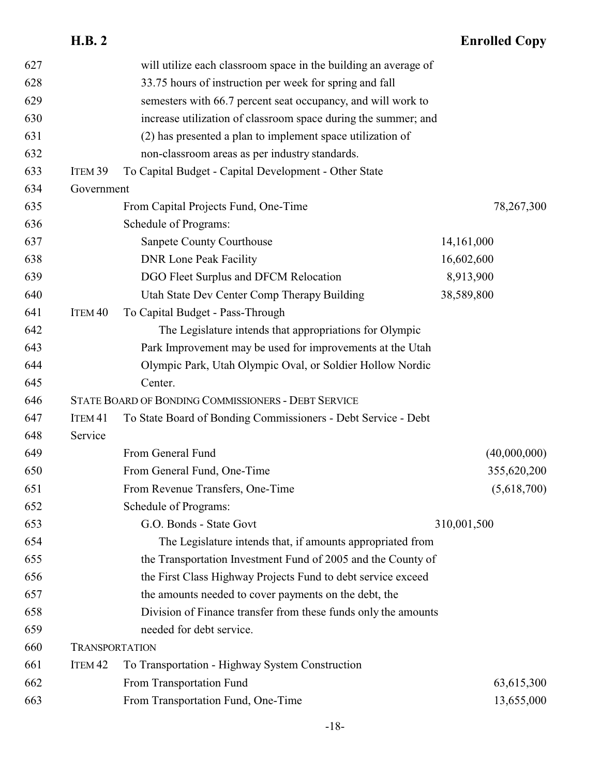|     | <b>H.B. 2</b>         |                                                                 | <b>Enrolled Copy</b> |
|-----|-----------------------|-----------------------------------------------------------------|----------------------|
| 627 |                       | will utilize each classroom space in the building an average of |                      |
| 628 |                       | 33.75 hours of instruction per week for spring and fall         |                      |
| 629 |                       | semesters with 66.7 percent seat occupancy, and will work to    |                      |
| 630 |                       | increase utilization of classroom space during the summer; and  |                      |
| 631 |                       | (2) has presented a plan to implement space utilization of      |                      |
| 632 |                       | non-classroom areas as per industry standards.                  |                      |
| 633 | ITEM <sub>39</sub>    | To Capital Budget - Capital Development - Other State           |                      |
| 634 | Government            |                                                                 |                      |
| 635 |                       | From Capital Projects Fund, One-Time                            | 78,267,300           |
| 636 |                       | Schedule of Programs:                                           |                      |
| 637 |                       | Sanpete County Courthouse                                       | 14,161,000           |
| 638 |                       | <b>DNR Lone Peak Facility</b>                                   | 16,602,600           |
| 639 |                       | DGO Fleet Surplus and DFCM Relocation                           | 8,913,900            |
| 640 |                       | Utah State Dev Center Comp Therapy Building                     | 38,589,800           |
| 641 | ITEM <sub>40</sub>    | To Capital Budget - Pass-Through                                |                      |
| 642 |                       | The Legislature intends that appropriations for Olympic         |                      |
| 643 |                       | Park Improvement may be used for improvements at the Utah       |                      |
| 644 |                       | Olympic Park, Utah Olympic Oval, or Soldier Hollow Nordic       |                      |
| 645 |                       | Center.                                                         |                      |
| 646 |                       | STATE BOARD OF BONDING COMMISSIONERS - DEBT SERVICE             |                      |
| 647 | ITEM <sub>41</sub>    | To State Board of Bonding Commissioners - Debt Service - Debt   |                      |
| 648 | Service               |                                                                 |                      |
| 649 |                       | From General Fund                                               | (40,000,000)         |
| 650 |                       | From General Fund, One-Time                                     | 355,620,200          |
| 651 |                       | From Revenue Transfers, One-Time                                | (5,618,700)          |
| 652 |                       | Schedule of Programs:                                           |                      |
| 653 |                       | G.O. Bonds - State Govt                                         | 310,001,500          |
| 654 |                       | The Legislature intends that, if amounts appropriated from      |                      |
| 655 |                       | the Transportation Investment Fund of 2005 and the County of    |                      |
| 656 |                       | the First Class Highway Projects Fund to debt service exceed    |                      |
| 657 |                       | the amounts needed to cover payments on the debt, the           |                      |
| 658 |                       | Division of Finance transfer from these funds only the amounts  |                      |
| 659 |                       | needed for debt service.                                        |                      |
| 660 | <b>TRANSPORTATION</b> |                                                                 |                      |
| 661 | ITEM <sub>42</sub>    | To Transportation - Highway System Construction                 |                      |
| 662 |                       | From Transportation Fund                                        | 63,615,300           |
| 663 |                       | From Transportation Fund, One-Time                              | 13,655,000           |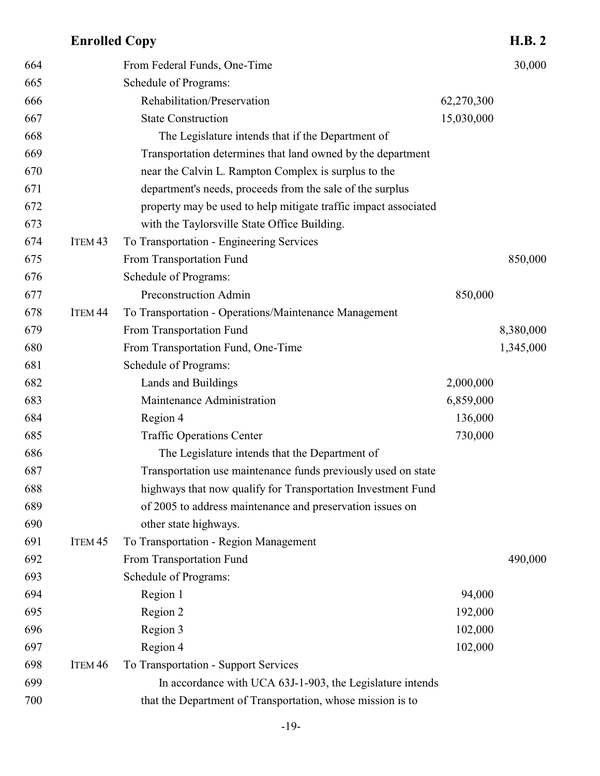| 664 |                    | From Federal Funds, One-Time                                    |            | 30,000    |
|-----|--------------------|-----------------------------------------------------------------|------------|-----------|
| 665 |                    | Schedule of Programs:                                           |            |           |
| 666 |                    | Rehabilitation/Preservation                                     | 62,270,300 |           |
| 667 |                    | <b>State Construction</b>                                       | 15,030,000 |           |
| 668 |                    | The Legislature intends that if the Department of               |            |           |
| 669 |                    | Transportation determines that land owned by the department     |            |           |
| 670 |                    | near the Calvin L. Rampton Complex is surplus to the            |            |           |
| 671 |                    | department's needs, proceeds from the sale of the surplus       |            |           |
| 672 |                    | property may be used to help mitigate traffic impact associated |            |           |
| 673 |                    | with the Taylorsville State Office Building.                    |            |           |
| 674 | ITEM <sub>43</sub> | To Transportation - Engineering Services                        |            |           |
| 675 |                    | From Transportation Fund                                        |            | 850,000   |
| 676 |                    | Schedule of Programs:                                           |            |           |
| 677 |                    | Preconstruction Admin                                           | 850,000    |           |
| 678 | ITEM <sub>44</sub> | To Transportation - Operations/Maintenance Management           |            |           |
| 679 |                    | From Transportation Fund                                        |            | 8,380,000 |
| 680 |                    | From Transportation Fund, One-Time                              |            | 1,345,000 |
| 681 |                    | Schedule of Programs:                                           |            |           |
| 682 |                    | Lands and Buildings                                             | 2,000,000  |           |
| 683 |                    | Maintenance Administration                                      | 6,859,000  |           |
| 684 |                    | Region 4                                                        | 136,000    |           |
| 685 |                    | <b>Traffic Operations Center</b>                                | 730,000    |           |
| 686 |                    | The Legislature intends that the Department of                  |            |           |
| 687 |                    | Transportation use maintenance funds previously used on state   |            |           |
| 688 |                    | highways that now qualify for Transportation Investment Fund    |            |           |
| 689 |                    | of 2005 to address maintenance and preservation issues on       |            |           |
| 690 |                    | other state highways.                                           |            |           |
| 691 | ITEM <sub>45</sub> | To Transportation - Region Management                           |            |           |
| 692 |                    | From Transportation Fund                                        |            | 490,000   |
| 693 |                    | Schedule of Programs:                                           |            |           |
| 694 |                    | Region 1                                                        | 94,000     |           |
| 695 |                    | Region 2                                                        | 192,000    |           |
| 696 |                    | Region 3                                                        | 102,000    |           |
| 697 |                    | Region 4                                                        | 102,000    |           |
| 698 | ITEM <sub>46</sub> | To Transportation - Support Services                            |            |           |
| 699 |                    | In accordance with UCA 63J-1-903, the Legislature intends       |            |           |
| 700 |                    | that the Department of Transportation, whose mission is to      |            |           |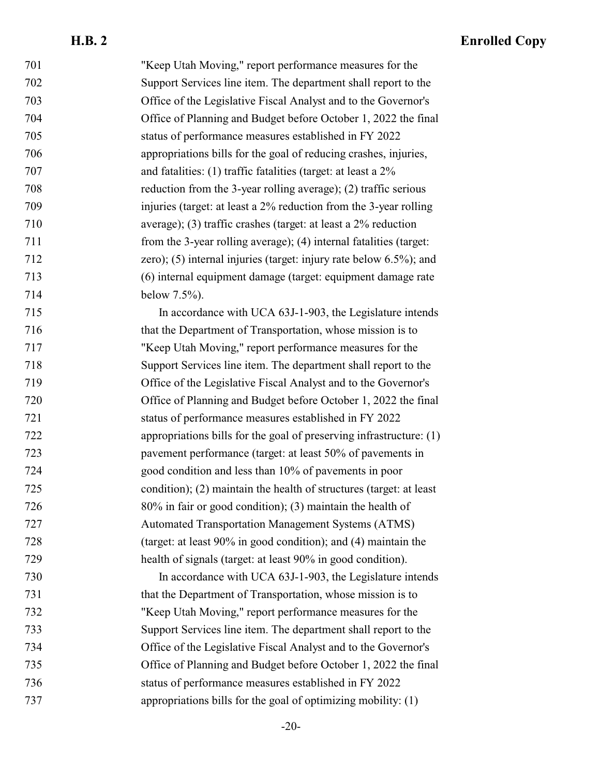| 701 | "Keep Utah Moving," report performance measures for the              |
|-----|----------------------------------------------------------------------|
| 702 | Support Services line item. The department shall report to the       |
| 703 | Office of the Legislative Fiscal Analyst and to the Governor's       |
| 704 | Office of Planning and Budget before October 1, 2022 the final       |
| 705 | status of performance measures established in FY 2022                |
| 706 | appropriations bills for the goal of reducing crashes, injuries,     |
| 707 | and fatalities: $(1)$ traffic fatalities (target: at least a $2\%$   |
| 708 | reduction from the 3-year rolling average); (2) traffic serious      |
| 709 | injuries (target: at least a 2% reduction from the 3-year rolling    |
| 710 | average); (3) traffic crashes (target: at least a $2\%$ reduction    |
| 711 | from the 3-year rolling average); (4) internal fatalities (target:   |
| 712 | zero); $(5)$ internal injuries (target: injury rate below 6.5%); and |
| 713 | (6) internal equipment damage (target: equipment damage rate         |
| 714 | below $7.5%$ ).                                                      |
| 715 | In accordance with UCA 63J-1-903, the Legislature intends            |
| 716 | that the Department of Transportation, whose mission is to           |
| 717 | "Keep Utah Moving," report performance measures for the              |
| 718 | Support Services line item. The department shall report to the       |
| 719 | Office of the Legislative Fiscal Analyst and to the Governor's       |
| 720 | Office of Planning and Budget before October 1, 2022 the final       |
| 721 | status of performance measures established in FY 2022                |
| 722 | appropriations bills for the goal of preserving infrastructure: (1)  |
| 723 | pavement performance (target: at least 50% of pavements in           |
| 724 | good condition and less than 10% of pavements in poor                |
| 725 | condition); (2) maintain the health of structures (target: at least  |
| 726 | 80% in fair or good condition); (3) maintain the health of           |
| 727 | <b>Automated Transportation Management Systems (ATMS)</b>            |
| 728 | (target: at least 90% in good condition); and (4) maintain the       |
| 729 | health of signals (target: at least 90% in good condition).          |
| 730 | In accordance with UCA 63J-1-903, the Legislature intends            |
| 731 | that the Department of Transportation, whose mission is to           |
| 732 | "Keep Utah Moving," report performance measures for the              |
| 733 | Support Services line item. The department shall report to the       |
| 734 | Office of the Legislative Fiscal Analyst and to the Governor's       |
| 735 | Office of Planning and Budget before October 1, 2022 the final       |
| 736 | status of performance measures established in FY 2022                |
| 737 | appropriations bills for the goal of optimizing mobility: $(1)$      |
|     |                                                                      |

-20-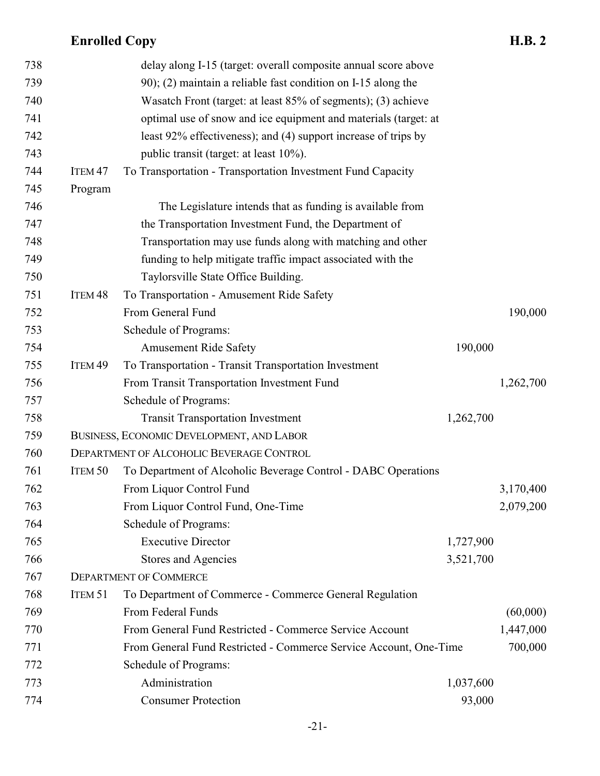| 738 |                    | delay along I-15 (target: overall composite annual score above    |           |           |
|-----|--------------------|-------------------------------------------------------------------|-----------|-----------|
| 739 |                    | 90); (2) maintain a reliable fast condition on I-15 along the     |           |           |
| 740 |                    | Wasatch Front (target: at least 85% of segments); (3) achieve     |           |           |
| 741 |                    | optimal use of snow and ice equipment and materials (target: at   |           |           |
| 742 |                    | least 92% effectiveness); and (4) support increase of trips by    |           |           |
| 743 |                    | public transit (target: at least 10%).                            |           |           |
| 744 | ITEM <sub>47</sub> | To Transportation - Transportation Investment Fund Capacity       |           |           |
| 745 | Program            |                                                                   |           |           |
| 746 |                    | The Legislature intends that as funding is available from         |           |           |
| 747 |                    | the Transportation Investment Fund, the Department of             |           |           |
| 748 |                    | Transportation may use funds along with matching and other        |           |           |
| 749 |                    | funding to help mitigate traffic impact associated with the       |           |           |
| 750 |                    | Taylorsville State Office Building.                               |           |           |
| 751 | ITEM <sub>48</sub> | To Transportation - Amusement Ride Safety                         |           |           |
| 752 |                    | From General Fund                                                 |           | 190,000   |
| 753 |                    | Schedule of Programs:                                             |           |           |
| 754 |                    | <b>Amusement Ride Safety</b>                                      | 190,000   |           |
| 755 | ITEM <sub>49</sub> | To Transportation - Transit Transportation Investment             |           |           |
| 756 |                    | From Transit Transportation Investment Fund                       |           | 1,262,700 |
| 757 |                    | Schedule of Programs:                                             |           |           |
| 758 |                    | <b>Transit Transportation Investment</b>                          | 1,262,700 |           |
| 759 |                    | BUSINESS, ECONOMIC DEVELOPMENT, AND LABOR                         |           |           |
| 760 |                    | DEPARTMENT OF ALCOHOLIC BEVERAGE CONTROL                          |           |           |
| 761 | ITEM <sub>50</sub> | To Department of Alcoholic Beverage Control - DABC Operations     |           |           |
| 762 |                    | From Liquor Control Fund                                          |           | 3,170,400 |
| 763 |                    | From Liquor Control Fund, One-Time                                |           | 2,079,200 |
| 764 |                    | Schedule of Programs:                                             |           |           |
| 765 |                    | <b>Executive Director</b>                                         | 1,727,900 |           |
| 766 |                    | <b>Stores and Agencies</b>                                        | 3,521,700 |           |
| 767 |                    | <b>DEPARTMENT OF COMMERCE</b>                                     |           |           |
| 768 | ITEM <sub>51</sub> | To Department of Commerce - Commerce General Regulation           |           |           |
| 769 |                    | From Federal Funds                                                |           | (60,000)  |
| 770 |                    | From General Fund Restricted - Commerce Service Account           |           | 1,447,000 |
| 771 |                    | From General Fund Restricted - Commerce Service Account, One-Time |           | 700,000   |
| 772 |                    | Schedule of Programs:                                             |           |           |
| 773 |                    | Administration                                                    | 1,037,600 |           |
| 774 |                    | <b>Consumer Protection</b>                                        | 93,000    |           |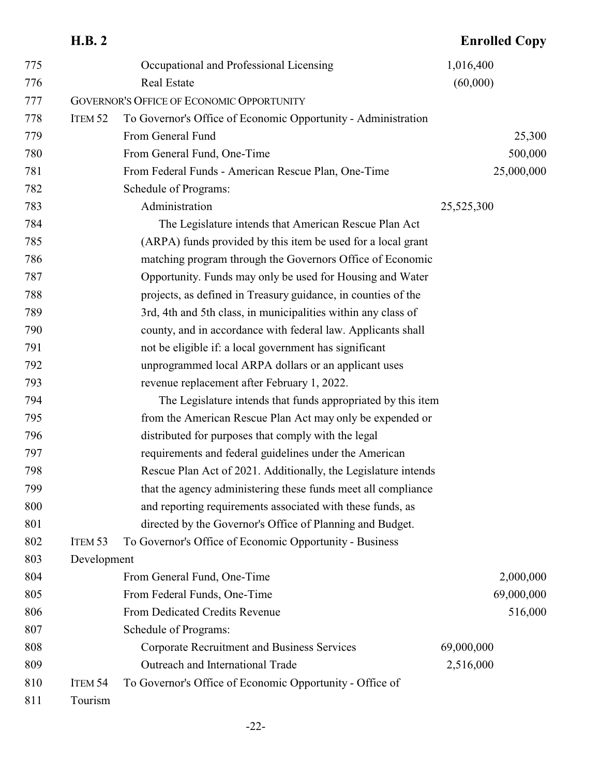|     | <b>H.B. 2</b>      |                                                                | <b>Enrolled Copy</b> |
|-----|--------------------|----------------------------------------------------------------|----------------------|
| 775 |                    | Occupational and Professional Licensing                        | 1,016,400            |
| 776 |                    | <b>Real Estate</b>                                             | (60,000)             |
| 777 |                    | <b>GOVERNOR'S OFFICE OF ECONOMIC OPPORTUNITY</b>               |                      |
| 778 | ITEM <sub>52</sub> | To Governor's Office of Economic Opportunity - Administration  |                      |
| 779 |                    | From General Fund                                              | 25,300               |
| 780 |                    | From General Fund, One-Time                                    | 500,000              |
| 781 |                    | From Federal Funds - American Rescue Plan, One-Time            | 25,000,000           |
| 782 |                    | Schedule of Programs:                                          |                      |
| 783 |                    | Administration                                                 | 25,525,300           |
| 784 |                    | The Legislature intends that American Rescue Plan Act          |                      |
| 785 |                    | (ARPA) funds provided by this item be used for a local grant   |                      |
| 786 |                    | matching program through the Governors Office of Economic      |                      |
| 787 |                    | Opportunity. Funds may only be used for Housing and Water      |                      |
| 788 |                    | projects, as defined in Treasury guidance, in counties of the  |                      |
| 789 |                    | 3rd, 4th and 5th class, in municipalities within any class of  |                      |
| 790 |                    | county, and in accordance with federal law. Applicants shall   |                      |
| 791 |                    | not be eligible if: a local government has significant         |                      |
| 792 |                    | unprogrammed local ARPA dollars or an applicant uses           |                      |
| 793 |                    | revenue replacement after February 1, 2022.                    |                      |
| 794 |                    | The Legislature intends that funds appropriated by this item   |                      |
| 795 |                    | from the American Rescue Plan Act may only be expended or      |                      |
| 796 |                    | distributed for purposes that comply with the legal            |                      |
| 797 |                    | requirements and federal guidelines under the American         |                      |
| 798 |                    | Rescue Plan Act of 2021. Additionally, the Legislature intends |                      |
| 799 |                    | that the agency administering these funds meet all compliance  |                      |
| 800 |                    | and reporting requirements associated with these funds, as     |                      |
| 801 |                    | directed by the Governor's Office of Planning and Budget.      |                      |
| 802 | ITEM <sub>53</sub> | To Governor's Office of Economic Opportunity - Business        |                      |
| 803 | Development        |                                                                |                      |
| 804 |                    | From General Fund, One-Time                                    | 2,000,000            |
| 805 |                    | From Federal Funds, One-Time                                   | 69,000,000           |
| 806 |                    | From Dedicated Credits Revenue                                 | 516,000              |
| 807 |                    | Schedule of Programs:                                          |                      |
| 808 |                    | <b>Corporate Recruitment and Business Services</b>             | 69,000,000           |
| 809 |                    | Outreach and International Trade                               | 2,516,000            |
| 810 | ITEM <sub>54</sub> | To Governor's Office of Economic Opportunity - Office of       |                      |
| 811 | Tourism            |                                                                |                      |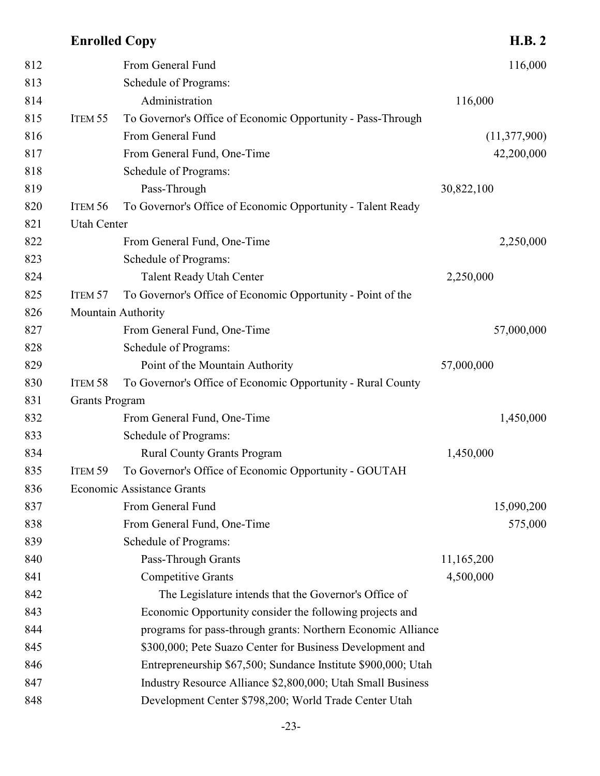| 812 |                       | From General Fund                                             | 116,000        |
|-----|-----------------------|---------------------------------------------------------------|----------------|
| 813 |                       | Schedule of Programs:                                         |                |
| 814 |                       | Administration                                                | 116,000        |
| 815 | ITEM 55               | To Governor's Office of Economic Opportunity - Pass-Through   |                |
| 816 |                       | From General Fund                                             | (11, 377, 900) |
| 817 |                       | From General Fund, One-Time                                   | 42,200,000     |
| 818 |                       | Schedule of Programs:                                         |                |
| 819 |                       | Pass-Through                                                  | 30,822,100     |
| 820 | ITEM 56               | To Governor's Office of Economic Opportunity - Talent Ready   |                |
| 821 | <b>Utah Center</b>    |                                                               |                |
| 822 |                       | From General Fund, One-Time                                   | 2,250,000      |
| 823 |                       | Schedule of Programs:                                         |                |
| 824 |                       | <b>Talent Ready Utah Center</b>                               | 2,250,000      |
| 825 | ITEM 57               | To Governor's Office of Economic Opportunity - Point of the   |                |
| 826 |                       | Mountain Authority                                            |                |
| 827 |                       | From General Fund, One-Time                                   | 57,000,000     |
| 828 |                       | Schedule of Programs:                                         |                |
| 829 |                       | Point of the Mountain Authority                               | 57,000,000     |
| 830 | ITEM 58               | To Governor's Office of Economic Opportunity - Rural County   |                |
| 831 | <b>Grants Program</b> |                                                               |                |
| 832 |                       | From General Fund, One-Time                                   | 1,450,000      |
| 833 |                       | Schedule of Programs:                                         |                |
| 834 |                       | <b>Rural County Grants Program</b>                            | 1,450,000      |
| 835 | ITEM 59               | To Governor's Office of Economic Opportunity - GOUTAH         |                |
| 836 |                       | <b>Economic Assistance Grants</b>                             |                |
| 837 |                       | From General Fund                                             | 15,090,200     |
| 838 |                       | From General Fund, One-Time                                   | 575,000        |
| 839 |                       | Schedule of Programs:                                         |                |
| 840 |                       | Pass-Through Grants                                           | 11,165,200     |
| 841 |                       | <b>Competitive Grants</b>                                     | 4,500,000      |
| 842 |                       | The Legislature intends that the Governor's Office of         |                |
| 843 |                       | Economic Opportunity consider the following projects and      |                |
| 844 |                       | programs for pass-through grants: Northern Economic Alliance  |                |
| 845 |                       | \$300,000; Pete Suazo Center for Business Development and     |                |
| 846 |                       | Entrepreneurship \$67,500; Sundance Institute \$900,000; Utah |                |
| 847 |                       | Industry Resource Alliance \$2,800,000; Utah Small Business   |                |
| 848 |                       | Development Center \$798,200; World Trade Center Utah         |                |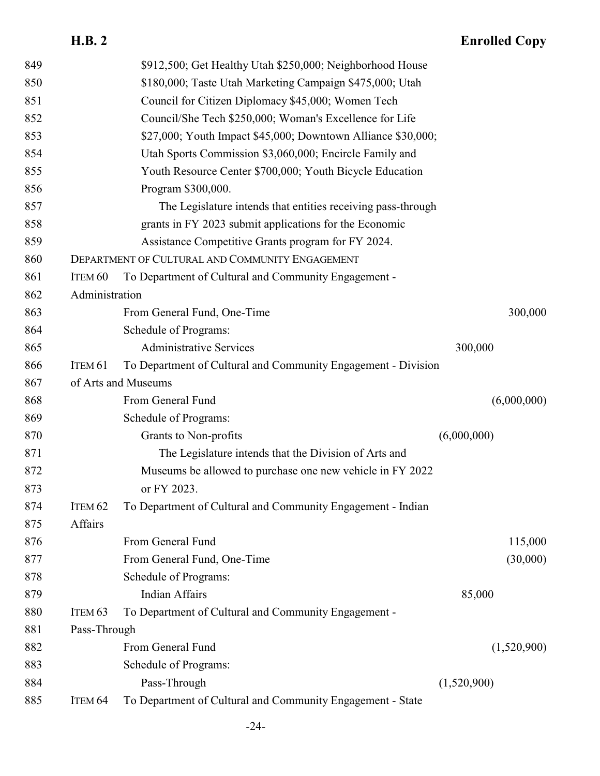| 849 |                                                          | \$912,500; Get Healthy Utah \$250,000; Neighborhood House     |             |             |  |
|-----|----------------------------------------------------------|---------------------------------------------------------------|-------------|-------------|--|
| 850 | \$180,000; Taste Utah Marketing Campaign \$475,000; Utah |                                                               |             |             |  |
| 851 | Council for Citizen Diplomacy \$45,000; Women Tech       |                                                               |             |             |  |
| 852 | Council/She Tech \$250,000; Woman's Excellence for Life  |                                                               |             |             |  |
| 853 |                                                          | \$27,000; Youth Impact \$45,000; Downtown Alliance \$30,000;  |             |             |  |
| 854 |                                                          | Utah Sports Commission \$3,060,000; Encircle Family and       |             |             |  |
| 855 |                                                          | Youth Resource Center \$700,000; Youth Bicycle Education      |             |             |  |
| 856 |                                                          | Program \$300,000.                                            |             |             |  |
| 857 |                                                          | The Legislature intends that entities receiving pass-through  |             |             |  |
| 858 |                                                          | grants in FY 2023 submit applications for the Economic        |             |             |  |
| 859 |                                                          | Assistance Competitive Grants program for FY 2024.            |             |             |  |
| 860 |                                                          | DEPARTMENT OF CULTURAL AND COMMUNITY ENGAGEMENT               |             |             |  |
| 861 | ITEM <sub>60</sub>                                       | To Department of Cultural and Community Engagement -          |             |             |  |
| 862 | Administration                                           |                                                               |             |             |  |
| 863 |                                                          | From General Fund, One-Time                                   |             | 300,000     |  |
| 864 |                                                          | Schedule of Programs:                                         |             |             |  |
| 865 |                                                          | <b>Administrative Services</b>                                | 300,000     |             |  |
| 866 | ITEM 61                                                  | To Department of Cultural and Community Engagement - Division |             |             |  |
| 867 |                                                          | of Arts and Museums                                           |             |             |  |
|     |                                                          |                                                               |             |             |  |
| 868 |                                                          | From General Fund                                             |             | (6,000,000) |  |
| 869 |                                                          | Schedule of Programs:                                         |             |             |  |
| 870 |                                                          | Grants to Non-profits                                         | (6,000,000) |             |  |
| 871 |                                                          | The Legislature intends that the Division of Arts and         |             |             |  |
| 872 |                                                          | Museums be allowed to purchase one new vehicle in FY 2022     |             |             |  |
| 873 |                                                          | or FY 2023.                                                   |             |             |  |
| 874 | ITEM 62                                                  | To Department of Cultural and Community Engagement - Indian   |             |             |  |
| 875 | Affairs                                                  |                                                               |             |             |  |
| 876 |                                                          | From General Fund                                             |             | 115,000     |  |
| 877 |                                                          | From General Fund, One-Time                                   |             | (30,000)    |  |
| 878 |                                                          | Schedule of Programs:                                         |             |             |  |
| 879 |                                                          | <b>Indian Affairs</b>                                         | 85,000      |             |  |
| 880 | ITEM <sub>63</sub>                                       | To Department of Cultural and Community Engagement -          |             |             |  |
| 881 | Pass-Through                                             |                                                               |             |             |  |
| 882 |                                                          | From General Fund                                             |             | (1,520,900) |  |
| 883 |                                                          | Schedule of Programs:                                         |             |             |  |
| 884 |                                                          | Pass-Through                                                  | (1,520,900) |             |  |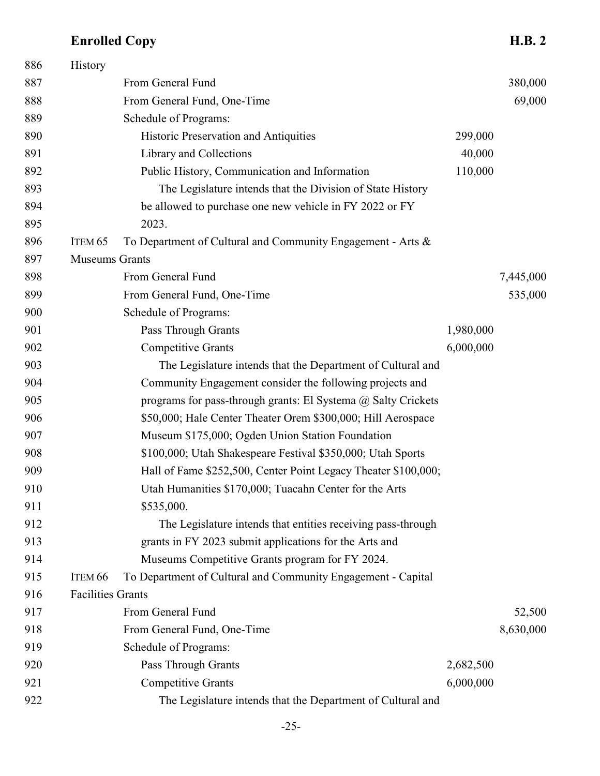| 886 | History                  |                                                                |           |           |
|-----|--------------------------|----------------------------------------------------------------|-----------|-----------|
| 887 |                          | From General Fund                                              |           | 380,000   |
| 888 |                          | From General Fund, One-Time                                    |           | 69,000    |
| 889 |                          | Schedule of Programs:                                          |           |           |
| 890 |                          | Historic Preservation and Antiquities                          | 299,000   |           |
| 891 |                          | Library and Collections                                        | 40,000    |           |
| 892 |                          | Public History, Communication and Information                  | 110,000   |           |
| 893 |                          | The Legislature intends that the Division of State History     |           |           |
| 894 |                          | be allowed to purchase one new vehicle in FY 2022 or FY        |           |           |
| 895 |                          | 2023.                                                          |           |           |
| 896 | ITEM <sub>65</sub>       | To Department of Cultural and Community Engagement - Arts &    |           |           |
| 897 | <b>Museums Grants</b>    |                                                                |           |           |
| 898 |                          | From General Fund                                              |           | 7,445,000 |
| 899 |                          | From General Fund, One-Time                                    |           | 535,000   |
| 900 |                          | Schedule of Programs:                                          |           |           |
| 901 |                          | <b>Pass Through Grants</b>                                     | 1,980,000 |           |
| 902 |                          | <b>Competitive Grants</b>                                      | 6,000,000 |           |
| 903 |                          | The Legislature intends that the Department of Cultural and    |           |           |
| 904 |                          | Community Engagement consider the following projects and       |           |           |
| 905 |                          | programs for pass-through grants: El Systema @ Salty Crickets  |           |           |
| 906 |                          | \$50,000; Hale Center Theater Orem \$300,000; Hill Aerospace   |           |           |
| 907 |                          | Museum \$175,000; Ogden Union Station Foundation               |           |           |
| 908 |                          | \$100,000; Utah Shakespeare Festival \$350,000; Utah Sports    |           |           |
| 909 |                          | Hall of Fame \$252,500, Center Point Legacy Theater \$100,000; |           |           |
| 910 |                          | Utah Humanities \$170,000; Tuacahn Center for the Arts         |           |           |
| 911 |                          | \$535,000.                                                     |           |           |
| 912 |                          | The Legislature intends that entities receiving pass-through   |           |           |
| 913 |                          | grants in FY 2023 submit applications for the Arts and         |           |           |
| 914 |                          | Museums Competitive Grants program for FY 2024.                |           |           |
| 915 | ITEM <sub>66</sub>       | To Department of Cultural and Community Engagement - Capital   |           |           |
| 916 | <b>Facilities Grants</b> |                                                                |           |           |
| 917 |                          | From General Fund                                              |           | 52,500    |
| 918 |                          | From General Fund, One-Time                                    |           | 8,630,000 |
| 919 |                          | Schedule of Programs:                                          |           |           |
| 920 |                          | Pass Through Grants                                            | 2,682,500 |           |
| 921 |                          | <b>Competitive Grants</b>                                      | 6,000,000 |           |
| 922 |                          | The Legislature intends that the Department of Cultural and    |           |           |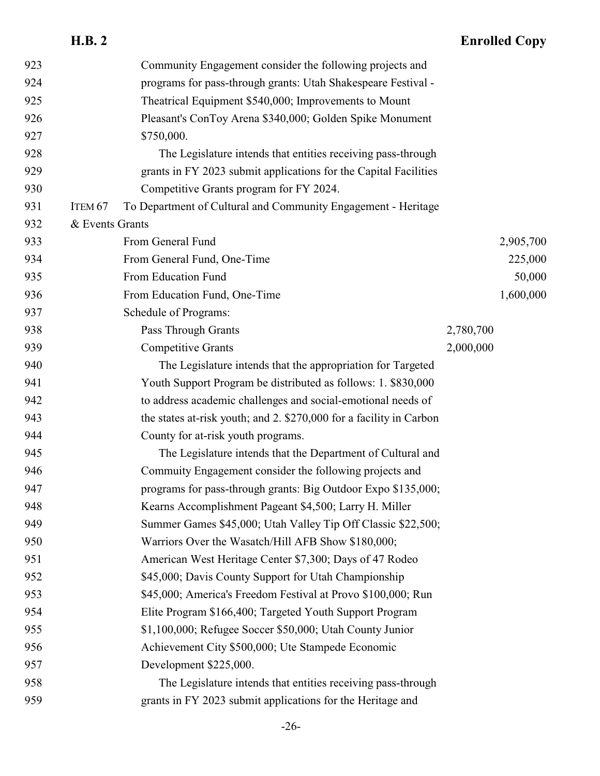| 923 |                    | Community Engagement consider the following projects and            |           |           |
|-----|--------------------|---------------------------------------------------------------------|-----------|-----------|
| 924 |                    | programs for pass-through grants: Utah Shakespeare Festival -       |           |           |
| 925 |                    | Theatrical Equipment \$540,000; Improvements to Mount               |           |           |
| 926 |                    | Pleasant's ConToy Arena \$340,000; Golden Spike Monument            |           |           |
| 927 |                    | \$750,000.                                                          |           |           |
| 928 |                    | The Legislature intends that entities receiving pass-through        |           |           |
| 929 |                    | grants in FY 2023 submit applications for the Capital Facilities    |           |           |
| 930 |                    | Competitive Grants program for FY 2024.                             |           |           |
| 931 | ITEM <sub>67</sub> | To Department of Cultural and Community Engagement - Heritage       |           |           |
| 932 | & Events Grants    |                                                                     |           |           |
| 933 |                    | From General Fund                                                   |           | 2,905,700 |
| 934 |                    | From General Fund, One-Time                                         |           | 225,000   |
| 935 |                    | From Education Fund                                                 |           | 50,000    |
| 936 |                    | From Education Fund, One-Time                                       |           | 1,600,000 |
| 937 |                    | Schedule of Programs:                                               |           |           |
| 938 |                    | Pass Through Grants                                                 | 2,780,700 |           |
| 939 |                    | <b>Competitive Grants</b>                                           | 2,000,000 |           |
| 940 |                    | The Legislature intends that the appropriation for Targeted         |           |           |
| 941 |                    | Youth Support Program be distributed as follows: 1. \$830,000       |           |           |
| 942 |                    | to address academic challenges and social-emotional needs of        |           |           |
| 943 |                    | the states at-risk youth; and 2. \$270,000 for a facility in Carbon |           |           |
| 944 |                    | County for at-risk youth programs.                                  |           |           |
| 945 |                    | The Legislature intends that the Department of Cultural and         |           |           |
| 946 |                    | Commuity Engagement consider the following projects and             |           |           |
| 947 |                    | programs for pass-through grants: Big Outdoor Expo \$135,000;       |           |           |
| 948 |                    | Kearns Accomplishment Pageant \$4,500; Larry H. Miller              |           |           |
| 949 |                    | Summer Games \$45,000; Utah Valley Tip Off Classic \$22,500;        |           |           |
| 950 |                    | Warriors Over the Wasatch/Hill AFB Show \$180,000;                  |           |           |
| 951 |                    | American West Heritage Center \$7,300; Days of 47 Rodeo             |           |           |
| 952 |                    | \$45,000; Davis County Support for Utah Championship                |           |           |
| 953 |                    | \$45,000; America's Freedom Festival at Provo \$100,000; Run        |           |           |
| 954 |                    | Elite Program \$166,400; Targeted Youth Support Program             |           |           |
| 955 |                    | \$1,100,000; Refugee Soccer \$50,000; Utah County Junior            |           |           |
| 956 |                    | Achievement City \$500,000; Ute Stampede Economic                   |           |           |
| 957 |                    | Development \$225,000.                                              |           |           |
| 958 |                    | The Legislature intends that entities receiving pass-through        |           |           |
| 959 |                    | grants in FY 2023 submit applications for the Heritage and          |           |           |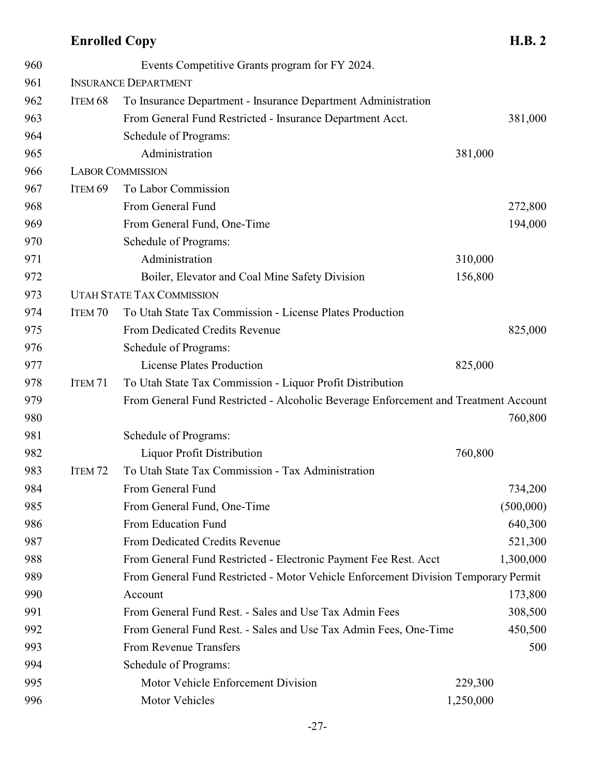# **Enrolled Copy**

| ۸<br>×.<br>. .<br>٠ |  |
|---------------------|--|
|---------------------|--|

| 960 |                    | Events Competitive Grants program for FY 2024.                                      |           |           |
|-----|--------------------|-------------------------------------------------------------------------------------|-----------|-----------|
| 961 |                    | <b>INSURANCE DEPARTMENT</b>                                                         |           |           |
| 962 | ITEM <sub>68</sub> | To Insurance Department - Insurance Department Administration                       |           |           |
| 963 |                    | From General Fund Restricted - Insurance Department Acct.                           |           | 381,000   |
| 964 |                    | Schedule of Programs:                                                               |           |           |
| 965 |                    | Administration                                                                      | 381,000   |           |
| 966 |                    | <b>LABOR COMMISSION</b>                                                             |           |           |
| 967 | ITEM <sub>69</sub> | To Labor Commission                                                                 |           |           |
| 968 |                    | From General Fund                                                                   |           | 272,800   |
| 969 |                    | From General Fund, One-Time                                                         |           | 194,000   |
| 970 |                    | Schedule of Programs:                                                               |           |           |
| 971 |                    | Administration                                                                      | 310,000   |           |
| 972 |                    | Boiler, Elevator and Coal Mine Safety Division                                      | 156,800   |           |
| 973 |                    | <b>UTAH STATE TAX COMMISSION</b>                                                    |           |           |
| 974 | ITEM 70            | To Utah State Tax Commission - License Plates Production                            |           |           |
| 975 |                    | From Dedicated Credits Revenue                                                      |           | 825,000   |
| 976 |                    | Schedule of Programs:                                                               |           |           |
| 977 |                    | <b>License Plates Production</b>                                                    | 825,000   |           |
| 978 | ITEM <sub>71</sub> | To Utah State Tax Commission - Liquor Profit Distribution                           |           |           |
| 979 |                    | From General Fund Restricted - Alcoholic Beverage Enforcement and Treatment Account |           |           |
| 980 |                    |                                                                                     |           | 760,800   |
| 981 |                    | Schedule of Programs:                                                               |           |           |
| 982 |                    | Liquor Profit Distribution                                                          | 760,800   |           |
| 983 | ITEM <sub>72</sub> | To Utah State Tax Commission - Tax Administration                                   |           |           |
| 984 |                    | From General Fund                                                                   |           | 734,200   |
| 985 |                    | From General Fund, One-Time                                                         |           | (500,000) |
| 986 |                    | From Education Fund                                                                 |           | 640,300   |
| 987 |                    | From Dedicated Credits Revenue                                                      |           | 521,300   |
| 988 |                    | From General Fund Restricted - Electronic Payment Fee Rest. Acct                    |           | 1,300,000 |
| 989 |                    | From General Fund Restricted - Motor Vehicle Enforcement Division Temporary Permit  |           |           |
| 990 |                    | Account                                                                             |           | 173,800   |
| 991 |                    | From General Fund Rest. - Sales and Use Tax Admin Fees                              |           | 308,500   |
| 992 |                    | From General Fund Rest. - Sales and Use Tax Admin Fees, One-Time                    |           | 450,500   |
| 993 |                    | From Revenue Transfers                                                              |           | 500       |
| 994 |                    | Schedule of Programs:                                                               |           |           |
| 995 |                    | Motor Vehicle Enforcement Division                                                  | 229,300   |           |
| 996 |                    | Motor Vehicles                                                                      | 1,250,000 |           |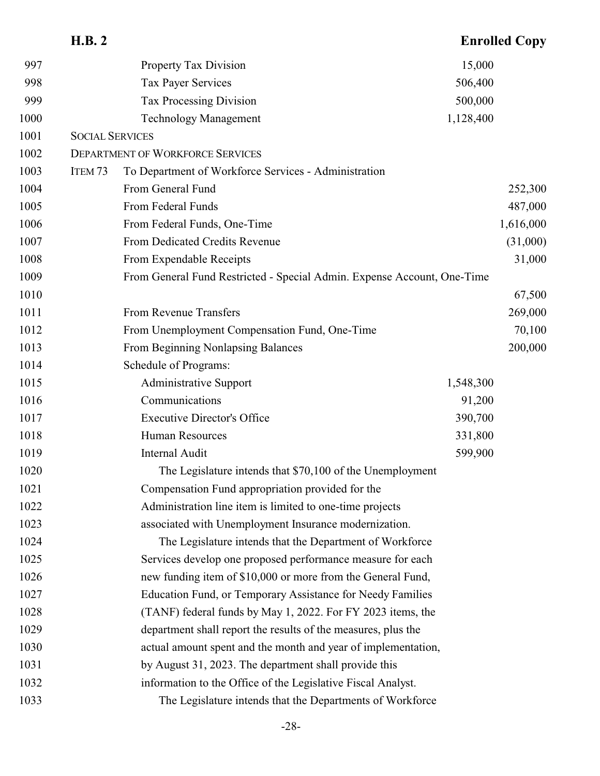|      | <b>H.B. 2</b>          |                                                                         |           | <b>Enrolled Copy</b> |
|------|------------------------|-------------------------------------------------------------------------|-----------|----------------------|
| 997  |                        | <b>Property Tax Division</b>                                            | 15,000    |                      |
| 998  |                        | Tax Payer Services                                                      | 506,400   |                      |
| 999  |                        | Tax Processing Division                                                 | 500,000   |                      |
| 1000 |                        | <b>Technology Management</b>                                            | 1,128,400 |                      |
| 1001 | <b>SOCIAL SERVICES</b> |                                                                         |           |                      |
| 1002 |                        | <b>DEPARTMENT OF WORKFORCE SERVICES</b>                                 |           |                      |
| 1003 | ITEM <sub>73</sub>     | To Department of Workforce Services - Administration                    |           |                      |
| 1004 |                        | From General Fund                                                       |           | 252,300              |
| 1005 |                        | From Federal Funds                                                      |           | 487,000              |
| 1006 |                        | From Federal Funds, One-Time                                            |           | 1,616,000            |
| 1007 |                        | From Dedicated Credits Revenue                                          |           | (31,000)             |
| 1008 |                        | From Expendable Receipts                                                |           | 31,000               |
| 1009 |                        | From General Fund Restricted - Special Admin. Expense Account, One-Time |           |                      |
| 1010 |                        |                                                                         |           | 67,500               |
| 1011 |                        | From Revenue Transfers                                                  |           | 269,000              |
| 1012 |                        | From Unemployment Compensation Fund, One-Time                           |           | 70,100               |
| 1013 |                        | From Beginning Nonlapsing Balances                                      |           | 200,000              |
| 1014 |                        | Schedule of Programs:                                                   |           |                      |
| 1015 |                        | <b>Administrative Support</b>                                           | 1,548,300 |                      |
| 1016 |                        | Communications                                                          | 91,200    |                      |
| 1017 |                        | <b>Executive Director's Office</b>                                      | 390,700   |                      |
| 1018 |                        | <b>Human Resources</b>                                                  | 331,800   |                      |
| 1019 |                        | <b>Internal Audit</b>                                                   | 599,900   |                      |
| 1020 |                        | The Legislature intends that \$70,100 of the Unemployment               |           |                      |
| 1021 |                        | Compensation Fund appropriation provided for the                        |           |                      |
| 1022 |                        | Administration line item is limited to one-time projects                |           |                      |
| 1023 |                        | associated with Unemployment Insurance modernization.                   |           |                      |
| 1024 |                        | The Legislature intends that the Department of Workforce                |           |                      |
| 1025 |                        | Services develop one proposed performance measure for each              |           |                      |
| 1026 |                        | new funding item of \$10,000 or more from the General Fund,             |           |                      |
| 1027 |                        | Education Fund, or Temporary Assistance for Needy Families              |           |                      |
| 1028 |                        | (TANF) federal funds by May 1, 2022. For FY 2023 items, the             |           |                      |
| 1029 |                        | department shall report the results of the measures, plus the           |           |                      |
| 1030 |                        | actual amount spent and the month and year of implementation,           |           |                      |
| 1031 |                        | by August 31, 2023. The department shall provide this                   |           |                      |
| 1032 |                        | information to the Office of the Legislative Fiscal Analyst.            |           |                      |
| 1033 |                        | The Legislature intends that the Departments of Workforce               |           |                      |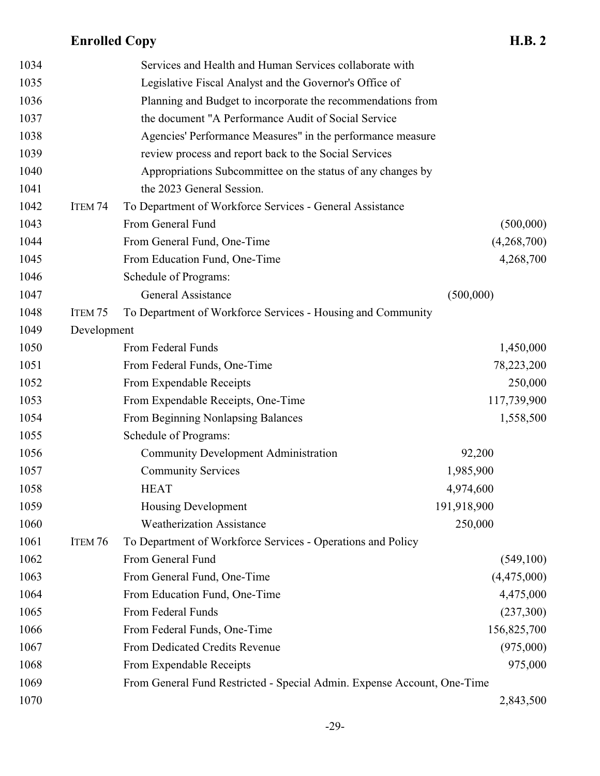| 1034 |                    | Services and Health and Human Services collaborate with                 |             |
|------|--------------------|-------------------------------------------------------------------------|-------------|
| 1035 |                    | Legislative Fiscal Analyst and the Governor's Office of                 |             |
| 1036 |                    | Planning and Budget to incorporate the recommendations from             |             |
| 1037 |                    | the document "A Performance Audit of Social Service                     |             |
| 1038 |                    | Agencies' Performance Measures" in the performance measure              |             |
| 1039 |                    | review process and report back to the Social Services                   |             |
| 1040 |                    | Appropriations Subcommittee on the status of any changes by             |             |
| 1041 |                    | the 2023 General Session.                                               |             |
| 1042 | ITEM <sub>74</sub> | To Department of Workforce Services - General Assistance                |             |
| 1043 |                    | From General Fund                                                       | (500,000)   |
| 1044 |                    | From General Fund, One-Time                                             | (4,268,700) |
| 1045 |                    | From Education Fund, One-Time                                           | 4,268,700   |
| 1046 |                    | Schedule of Programs:                                                   |             |
| 1047 |                    | General Assistance                                                      | (500,000)   |
| 1048 | ITEM <sub>75</sub> | To Department of Workforce Services - Housing and Community             |             |
| 1049 | Development        |                                                                         |             |
| 1050 |                    | From Federal Funds                                                      | 1,450,000   |
| 1051 |                    | From Federal Funds, One-Time                                            | 78,223,200  |
| 1052 |                    | From Expendable Receipts                                                | 250,000     |
| 1053 |                    | From Expendable Receipts, One-Time                                      | 117,739,900 |
| 1054 |                    | From Beginning Nonlapsing Balances                                      | 1,558,500   |
| 1055 |                    | Schedule of Programs:                                                   |             |
| 1056 |                    | <b>Community Development Administration</b>                             | 92,200      |
| 1057 |                    | <b>Community Services</b>                                               | 1,985,900   |
| 1058 |                    | <b>HEAT</b>                                                             | 4,974,600   |
| 1059 |                    | Housing Development                                                     | 191,918,900 |
| 1060 |                    | <b>Weatherization Assistance</b>                                        | 250,000     |
| 1061 | ITEM 76            | To Department of Workforce Services - Operations and Policy             |             |
| 1062 |                    | From General Fund                                                       | (549,100)   |
| 1063 |                    | From General Fund, One-Time                                             | (4,475,000) |
| 1064 |                    | From Education Fund, One-Time                                           | 4,475,000   |
| 1065 |                    | From Federal Funds                                                      | (237,300)   |
| 1066 |                    | From Federal Funds, One-Time                                            | 156,825,700 |
| 1067 |                    | From Dedicated Credits Revenue                                          | (975,000)   |
| 1068 |                    | From Expendable Receipts                                                | 975,000     |
| 1069 |                    | From General Fund Restricted - Special Admin. Expense Account, One-Time |             |
| 1070 |                    |                                                                         | 2,843,500   |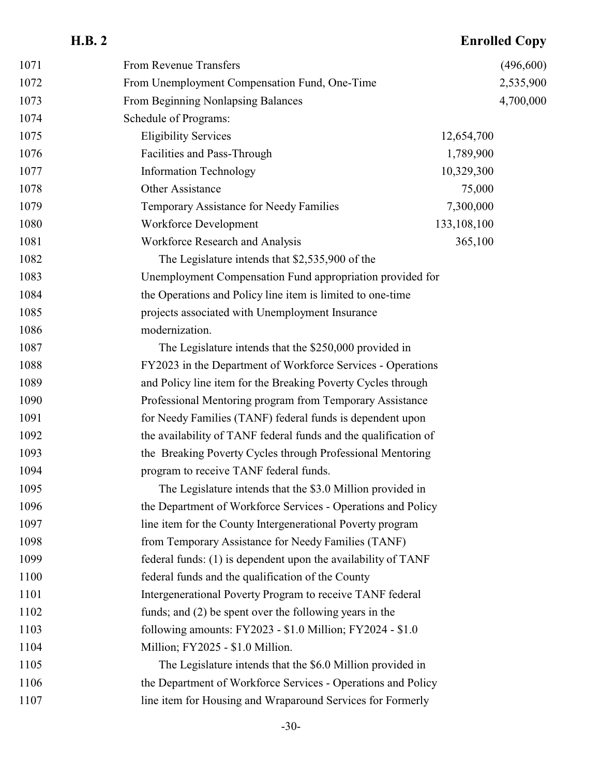| 1071 | From Revenue Transfers                                          |             | (496,600) |
|------|-----------------------------------------------------------------|-------------|-----------|
| 1072 | From Unemployment Compensation Fund, One-Time                   |             | 2,535,900 |
| 1073 | From Beginning Nonlapsing Balances                              |             | 4,700,000 |
| 1074 | Schedule of Programs:                                           |             |           |
| 1075 | <b>Eligibility Services</b>                                     | 12,654,700  |           |
| 1076 | Facilities and Pass-Through                                     | 1,789,900   |           |
| 1077 | <b>Information Technology</b>                                   | 10,329,300  |           |
| 1078 | Other Assistance                                                | 75,000      |           |
| 1079 | Temporary Assistance for Needy Families                         | 7,300,000   |           |
| 1080 | Workforce Development                                           | 133,108,100 |           |
| 1081 | Workforce Research and Analysis                                 | 365,100     |           |
| 1082 | The Legislature intends that \$2,535,900 of the                 |             |           |
| 1083 | Unemployment Compensation Fund appropriation provided for       |             |           |
| 1084 | the Operations and Policy line item is limited to one-time      |             |           |
| 1085 | projects associated with Unemployment Insurance                 |             |           |
| 1086 | modernization.                                                  |             |           |
| 1087 | The Legislature intends that the \$250,000 provided in          |             |           |
| 1088 | FY2023 in the Department of Workforce Services - Operations     |             |           |
| 1089 | and Policy line item for the Breaking Poverty Cycles through    |             |           |
| 1090 | Professional Mentoring program from Temporary Assistance        |             |           |
| 1091 | for Needy Families (TANF) federal funds is dependent upon       |             |           |
| 1092 | the availability of TANF federal funds and the qualification of |             |           |
| 1093 | the Breaking Poverty Cycles through Professional Mentoring      |             |           |
| 1094 | program to receive TANF federal funds.                          |             |           |
| 1095 | The Legislature intends that the \$3.0 Million provided in      |             |           |
| 1096 | the Department of Workforce Services - Operations and Policy    |             |           |
| 1097 | line item for the County Intergenerational Poverty program      |             |           |
| 1098 | from Temporary Assistance for Needy Families (TANF)             |             |           |
| 1099 | federal funds: (1) is dependent upon the availability of TANF   |             |           |
| 1100 | federal funds and the qualification of the County               |             |           |
| 1101 | Intergenerational Poverty Program to receive TANF federal       |             |           |
| 1102 | funds; and (2) be spent over the following years in the         |             |           |
| 1103 | following amounts: FY2023 - \$1.0 Million; FY2024 - \$1.0       |             |           |
| 1104 | Million; FY2025 - \$1.0 Million.                                |             |           |
| 1105 | The Legislature intends that the \$6.0 Million provided in      |             |           |
| 1106 | the Department of Workforce Services - Operations and Policy    |             |           |
| 1107 | line item for Housing and Wraparound Services for Formerly      |             |           |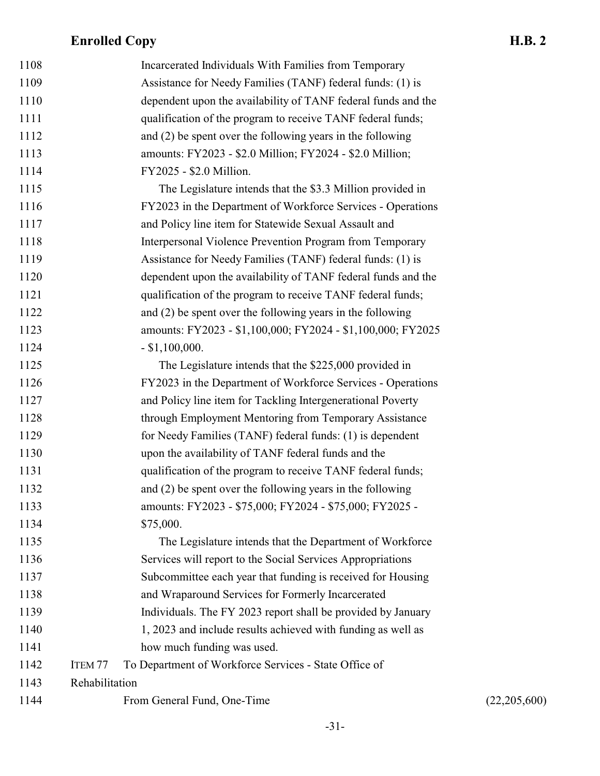| 1108 |                    | Incarcerated Individuals With Families from Temporary         |              |
|------|--------------------|---------------------------------------------------------------|--------------|
| 1109 |                    | Assistance for Needy Families (TANF) federal funds: (1) is    |              |
| 1110 |                    | dependent upon the availability of TANF federal funds and the |              |
| 1111 |                    | qualification of the program to receive TANF federal funds;   |              |
| 1112 |                    | and $(2)$ be spent over the following years in the following  |              |
| 1113 |                    | amounts: FY2023 - \$2.0 Million; FY2024 - \$2.0 Million;      |              |
| 1114 |                    | FY2025 - \$2.0 Million.                                       |              |
| 1115 |                    | The Legislature intends that the \$3.3 Million provided in    |              |
| 1116 |                    | FY2023 in the Department of Workforce Services - Operations   |              |
| 1117 |                    | and Policy line item for Statewide Sexual Assault and         |              |
| 1118 |                    | Interpersonal Violence Prevention Program from Temporary      |              |
| 1119 |                    | Assistance for Needy Families (TANF) federal funds: (1) is    |              |
| 1120 |                    | dependent upon the availability of TANF federal funds and the |              |
| 1121 |                    | qualification of the program to receive TANF federal funds;   |              |
| 1122 |                    | and (2) be spent over the following years in the following    |              |
| 1123 |                    | amounts: FY2023 - \$1,100,000; FY2024 - \$1,100,000; FY2025   |              |
| 1124 |                    | $-$ \$1,100,000.                                              |              |
| 1125 |                    | The Legislature intends that the \$225,000 provided in        |              |
| 1126 |                    | FY2023 in the Department of Workforce Services - Operations   |              |
| 1127 |                    | and Policy line item for Tackling Intergenerational Poverty   |              |
| 1128 |                    | through Employment Mentoring from Temporary Assistance        |              |
| 1129 |                    | for Needy Families (TANF) federal funds: (1) is dependent     |              |
| 1130 |                    | upon the availability of TANF federal funds and the           |              |
| 1131 |                    | qualification of the program to receive TANF federal funds;   |              |
| 1132 |                    | and $(2)$ be spent over the following years in the following  |              |
| 1133 |                    | amounts: FY2023 - \$75,000; FY2024 - \$75,000; FY2025 -       |              |
| 1134 |                    | \$75,000.                                                     |              |
| 1135 |                    | The Legislature intends that the Department of Workforce      |              |
| 1136 |                    | Services will report to the Social Services Appropriations    |              |
| 1137 |                    | Subcommittee each year that funding is received for Housing   |              |
| 1138 |                    | and Wraparound Services for Formerly Incarcerated             |              |
| 1139 |                    | Individuals. The FY 2023 report shall be provided by January  |              |
| 1140 |                    | 1, 2023 and include results achieved with funding as well as  |              |
| 1141 |                    | how much funding was used.                                    |              |
| 1142 | ITEM <sub>77</sub> | To Department of Workforce Services - State Office of         |              |
| 1143 | Rehabilitation     |                                                               |              |
| 1144 |                    | From General Fund, One-Time                                   | (22,205,600) |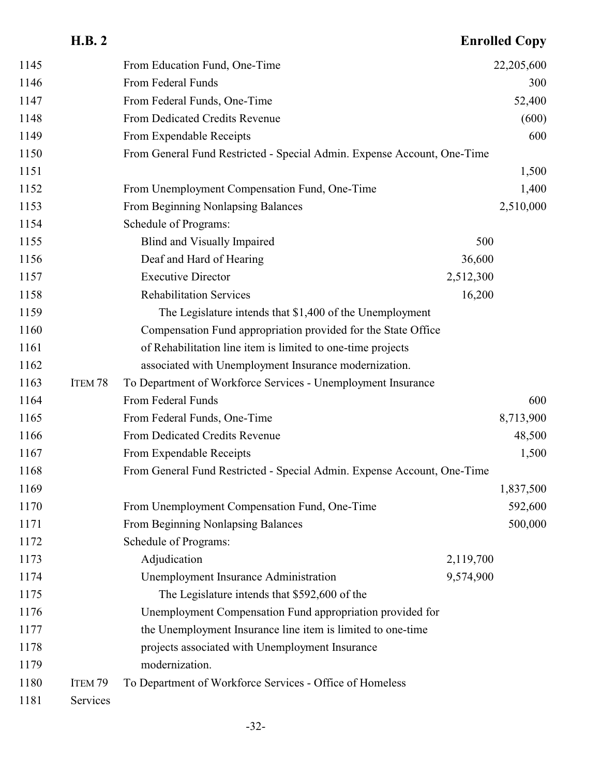|      | <b>H.B. 2</b>      |                                                                         |           | <b>Enrolled Copy</b> |
|------|--------------------|-------------------------------------------------------------------------|-----------|----------------------|
| 1145 |                    | From Education Fund, One-Time                                           |           | 22,205,600           |
| 1146 |                    | From Federal Funds                                                      |           | 300                  |
| 1147 |                    | From Federal Funds, One-Time                                            |           | 52,400               |
| 1148 |                    | From Dedicated Credits Revenue                                          |           | (600)                |
| 1149 |                    | From Expendable Receipts                                                |           | 600                  |
| 1150 |                    | From General Fund Restricted - Special Admin. Expense Account, One-Time |           |                      |
| 1151 |                    |                                                                         |           | 1,500                |
| 1152 |                    | From Unemployment Compensation Fund, One-Time                           |           | 1,400                |
| 1153 |                    | From Beginning Nonlapsing Balances                                      |           | 2,510,000            |
| 1154 |                    | Schedule of Programs:                                                   |           |                      |
| 1155 |                    | Blind and Visually Impaired                                             | 500       |                      |
| 1156 |                    | Deaf and Hard of Hearing                                                | 36,600    |                      |
| 1157 |                    | <b>Executive Director</b>                                               | 2,512,300 |                      |
| 1158 |                    | <b>Rehabilitation Services</b>                                          | 16,200    |                      |
| 1159 |                    | The Legislature intends that \$1,400 of the Unemployment                |           |                      |
| 1160 |                    | Compensation Fund appropriation provided for the State Office           |           |                      |
| 1161 |                    | of Rehabilitation line item is limited to one-time projects             |           |                      |
| 1162 |                    | associated with Unemployment Insurance modernization.                   |           |                      |
| 1163 | ITEM <sub>78</sub> | To Department of Workforce Services - Unemployment Insurance            |           |                      |
| 1164 |                    | From Federal Funds                                                      |           | 600                  |
| 1165 |                    | From Federal Funds, One-Time                                            |           | 8,713,900            |
| 1166 |                    | From Dedicated Credits Revenue                                          |           | 48,500               |
| 1167 |                    | From Expendable Receipts                                                |           | 1,500                |
| 1168 |                    | From General Fund Restricted - Special Admin. Expense Account, One-Time |           |                      |
| 1169 |                    |                                                                         |           | 1,837,500            |
| 1170 |                    | From Unemployment Compensation Fund, One-Time                           |           | 592,600              |
| 1171 |                    | From Beginning Nonlapsing Balances                                      |           | 500,000              |
| 1172 |                    | Schedule of Programs:                                                   |           |                      |
| 1173 |                    | Adjudication                                                            | 2,119,700 |                      |
| 1174 |                    | Unemployment Insurance Administration                                   | 9,574,900 |                      |
| 1175 |                    | The Legislature intends that \$592,600 of the                           |           |                      |
| 1176 |                    | Unemployment Compensation Fund appropriation provided for               |           |                      |
| 1177 |                    | the Unemployment Insurance line item is limited to one-time             |           |                      |
| 1178 |                    | projects associated with Unemployment Insurance                         |           |                      |
| 1179 |                    | modernization.                                                          |           |                      |
| 1180 | ITEM 79            | To Department of Workforce Services - Office of Homeless                |           |                      |
| 1181 | Services           |                                                                         |           |                      |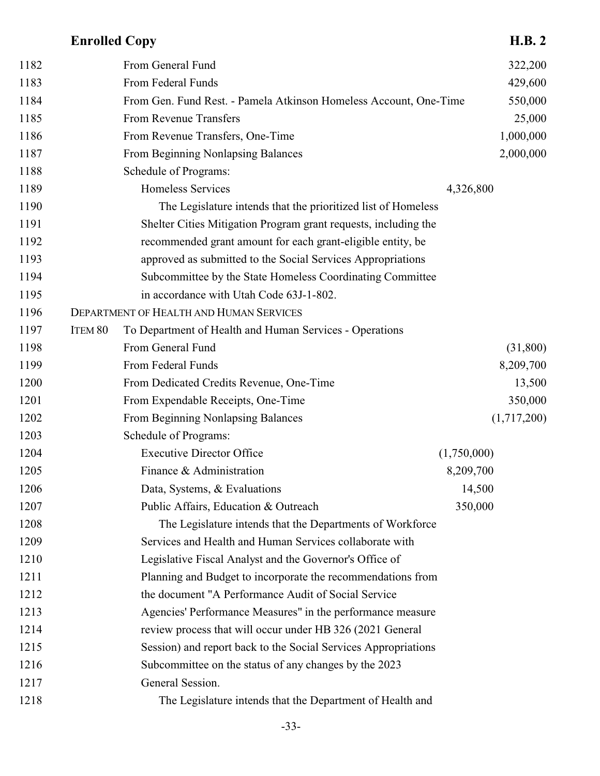| 1182 |         | From General Fund                                                 | 322,200     |
|------|---------|-------------------------------------------------------------------|-------------|
| 1183 |         | From Federal Funds                                                | 429,600     |
| 1184 |         | From Gen. Fund Rest. - Pamela Atkinson Homeless Account, One-Time | 550,000     |
| 1185 |         | From Revenue Transfers                                            | 25,000      |
| 1186 |         | From Revenue Transfers, One-Time                                  | 1,000,000   |
| 1187 |         | From Beginning Nonlapsing Balances                                | 2,000,000   |
| 1188 |         | Schedule of Programs:                                             |             |
| 1189 |         | Homeless Services                                                 | 4,326,800   |
| 1190 |         | The Legislature intends that the prioritized list of Homeless     |             |
| 1191 |         | Shelter Cities Mitigation Program grant requests, including the   |             |
| 1192 |         | recommended grant amount for each grant-eligible entity, be       |             |
| 1193 |         | approved as submitted to the Social Services Appropriations       |             |
| 1194 |         | Subcommittee by the State Homeless Coordinating Committee         |             |
| 1195 |         | in accordance with Utah Code 63J-1-802.                           |             |
| 1196 |         | DEPARTMENT OF HEALTH AND HUMAN SERVICES                           |             |
| 1197 | ITEM 80 | To Department of Health and Human Services - Operations           |             |
| 1198 |         | From General Fund                                                 | (31,800)    |
| 1199 |         | From Federal Funds                                                | 8,209,700   |
| 1200 |         | From Dedicated Credits Revenue, One-Time                          | 13,500      |
| 1201 |         | From Expendable Receipts, One-Time                                | 350,000     |
| 1202 |         | From Beginning Nonlapsing Balances                                | (1,717,200) |
| 1203 |         | Schedule of Programs:                                             |             |
| 1204 |         | <b>Executive Director Office</b>                                  | (1,750,000) |
| 1205 |         | Finance & Administration                                          | 8,209,700   |
| 1206 |         | Data, Systems, & Evaluations                                      | 14,500      |
| 1207 |         | Public Affairs, Education & Outreach                              | 350,000     |
| 1208 |         | The Legislature intends that the Departments of Workforce         |             |
| 1209 |         | Services and Health and Human Services collaborate with           |             |
| 1210 |         | Legislative Fiscal Analyst and the Governor's Office of           |             |
| 1211 |         | Planning and Budget to incorporate the recommendations from       |             |
| 1212 |         | the document "A Performance Audit of Social Service               |             |
| 1213 |         | Agencies' Performance Measures" in the performance measure        |             |
| 1214 |         | review process that will occur under HB 326 (2021 General         |             |
| 1215 |         | Session) and report back to the Social Services Appropriations    |             |
| 1216 |         | Subcommittee on the status of any changes by the 2023             |             |
| 1217 |         | General Session.                                                  |             |
| 1218 |         | The Legislature intends that the Department of Health and         |             |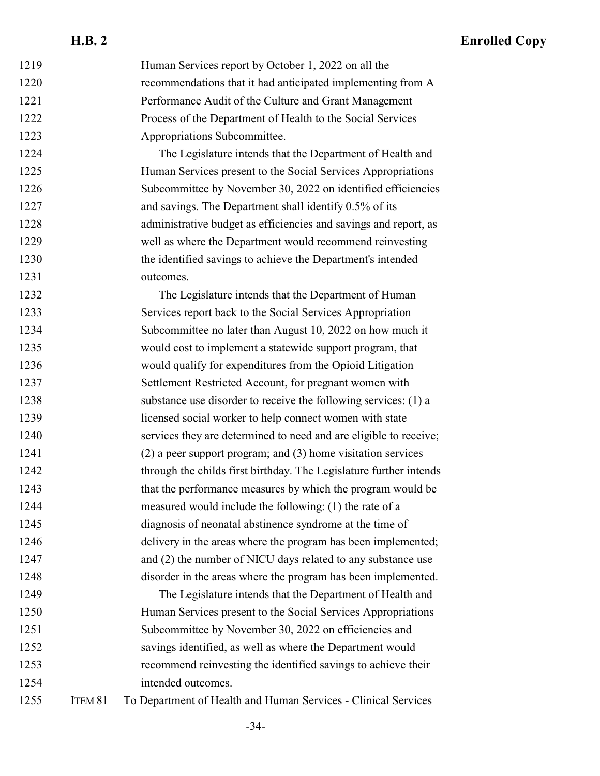| 1219 |         | Human Services report by October 1, 2022 on all the                |
|------|---------|--------------------------------------------------------------------|
| 1220 |         | recommendations that it had anticipated implementing from A        |
| 1221 |         | Performance Audit of the Culture and Grant Management              |
| 1222 |         | Process of the Department of Health to the Social Services         |
| 1223 |         | Appropriations Subcommittee.                                       |
| 1224 |         | The Legislature intends that the Department of Health and          |
| 1225 |         | Human Services present to the Social Services Appropriations       |
| 1226 |         | Subcommittee by November 30, 2022 on identified efficiencies       |
| 1227 |         | and savings. The Department shall identify 0.5% of its             |
| 1228 |         | administrative budget as efficiencies and savings and report, as   |
| 1229 |         | well as where the Department would recommend reinvesting           |
| 1230 |         | the identified savings to achieve the Department's intended        |
| 1231 |         | outcomes.                                                          |
| 1232 |         | The Legislature intends that the Department of Human               |
| 1233 |         | Services report back to the Social Services Appropriation          |
| 1234 |         | Subcommittee no later than August 10, 2022 on how much it          |
| 1235 |         | would cost to implement a statewide support program, that          |
| 1236 |         | would qualify for expenditures from the Opioid Litigation          |
| 1237 |         | Settlement Restricted Account, for pregnant women with             |
| 1238 |         | substance use disorder to receive the following services: (1) a    |
| 1239 |         | licensed social worker to help connect women with state            |
| 1240 |         | services they are determined to need and are eligible to receive;  |
| 1241 |         | $(2)$ a peer support program; and $(3)$ home visitation services   |
| 1242 |         | through the childs first birthday. The Legislature further intends |
| 1243 |         | that the performance measures by which the program would be        |
| 1244 |         | measured would include the following: (1) the rate of a            |
| 1245 |         | diagnosis of neonatal abstinence syndrome at the time of           |
| 1246 |         | delivery in the areas where the program has been implemented;      |
| 1247 |         | and (2) the number of NICU days related to any substance use       |
| 1248 |         | disorder in the areas where the program has been implemented.      |
| 1249 |         | The Legislature intends that the Department of Health and          |
| 1250 |         | Human Services present to the Social Services Appropriations       |
| 1251 |         | Subcommittee by November 30, 2022 on efficiencies and              |
| 1252 |         | savings identified, as well as where the Department would          |
| 1253 |         | recommend reinvesting the identified savings to achieve their      |
| 1254 |         | intended outcomes.                                                 |
| 1255 | ITEM 81 | To Department of Health and Human Services - Clinical Services     |

-34-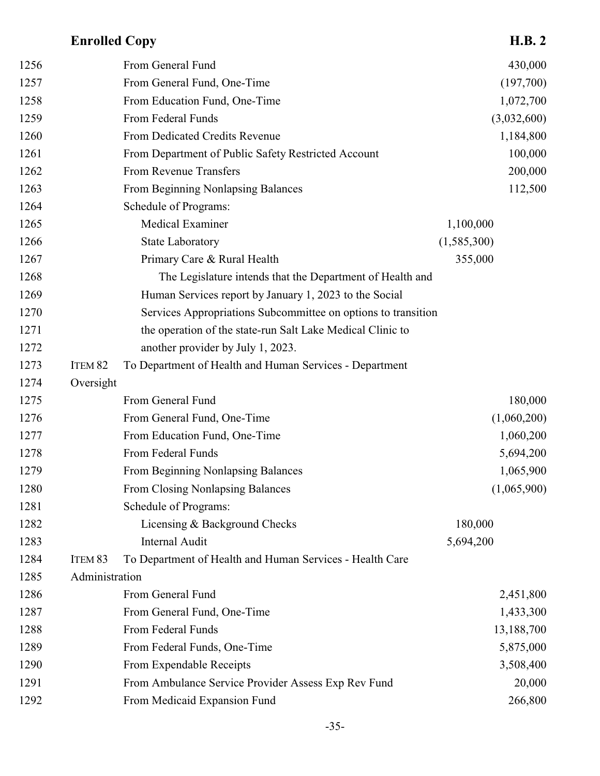| 1256 |                    | From General Fund                                             | 430,000     |
|------|--------------------|---------------------------------------------------------------|-------------|
| 1257 |                    | From General Fund, One-Time                                   | (197,700)   |
| 1258 |                    | From Education Fund, One-Time                                 | 1,072,700   |
| 1259 |                    | From Federal Funds                                            | (3,032,600) |
| 1260 |                    | From Dedicated Credits Revenue                                | 1,184,800   |
| 1261 |                    | From Department of Public Safety Restricted Account           | 100,000     |
| 1262 |                    | From Revenue Transfers                                        | 200,000     |
| 1263 |                    | From Beginning Nonlapsing Balances                            | 112,500     |
| 1264 |                    | Schedule of Programs:                                         |             |
| 1265 |                    | <b>Medical Examiner</b>                                       | 1,100,000   |
| 1266 |                    | <b>State Laboratory</b>                                       | (1,585,300) |
| 1267 |                    | Primary Care & Rural Health                                   | 355,000     |
| 1268 |                    | The Legislature intends that the Department of Health and     |             |
| 1269 |                    | Human Services report by January 1, 2023 to the Social        |             |
| 1270 |                    | Services Appropriations Subcommittee on options to transition |             |
| 1271 |                    | the operation of the state-run Salt Lake Medical Clinic to    |             |
| 1272 |                    | another provider by July 1, 2023.                             |             |
| 1273 | ITEM <sub>82</sub> | To Department of Health and Human Services - Department       |             |
| 1274 | Oversight          |                                                               |             |
| 1275 |                    | From General Fund                                             | 180,000     |
| 1276 |                    | From General Fund, One-Time                                   | (1,060,200) |
| 1277 |                    | From Education Fund, One-Time                                 | 1,060,200   |
| 1278 |                    | From Federal Funds                                            | 5,694,200   |
| 1279 |                    | From Beginning Nonlapsing Balances                            | 1,065,900   |
| 1280 |                    | From Closing Nonlapsing Balances                              | (1,065,900) |
| 1281 |                    | Schedule of Programs:                                         |             |
| 1282 |                    | Licensing & Background Checks                                 | 180,000     |
| 1283 |                    | Internal Audit                                                | 5,694,200   |
| 1284 | ITEM <sub>83</sub> | To Department of Health and Human Services - Health Care      |             |
| 1285 | Administration     |                                                               |             |
| 1286 |                    | From General Fund                                             | 2,451,800   |
| 1287 |                    | From General Fund, One-Time                                   | 1,433,300   |
| 1288 |                    | From Federal Funds                                            | 13,188,700  |
| 1289 |                    | From Federal Funds, One-Time                                  | 5,875,000   |
| 1290 |                    | From Expendable Receipts                                      | 3,508,400   |
| 1291 |                    | From Ambulance Service Provider Assess Exp Rev Fund           | 20,000      |
| 1292 |                    | From Medicaid Expansion Fund                                  | 266,800     |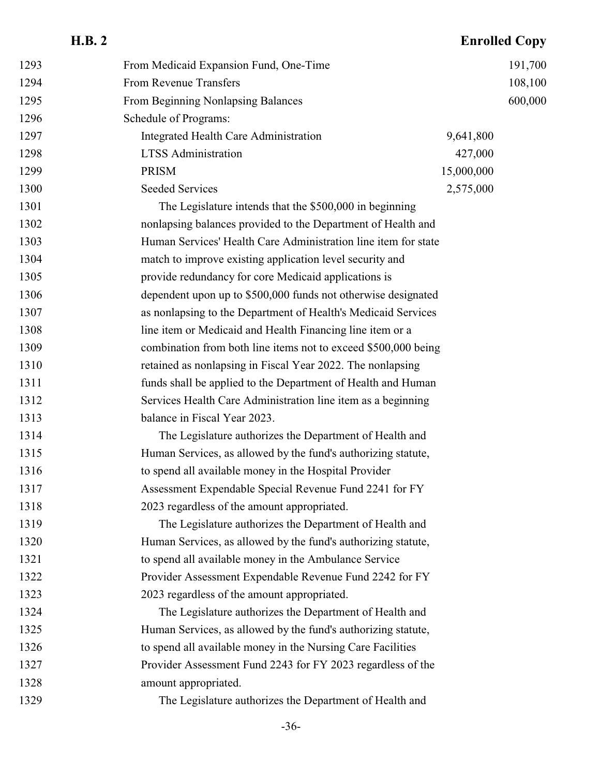#### 1293 From Medicaid Expansion Fund, One-Time 191,700 1294 From Revenue Transfers 108,100 From Beginning Nonlapsing Balances 600,000 Schedule of Programs: 1297 Integrated Health Care Administration 9,641,800 LTSS Administration 427,000 **PRISM** 15,000,000 1300 Seeded Services 2,575,000 The Legislature intends that the \$500,000 in beginning nonlapsing balances provided to the Department of Health and Human Services' Health Care Administration line item for state match to improve existing application level security and provide redundancy for core Medicaid applications is dependent upon up to \$500,000 funds not otherwise designated as nonlapsing to the Department of Health's Medicaid Services line item or Medicaid and Health Financing line item or a combination from both line items not to exceed \$500,000 being retained as nonlapsing in Fiscal Year 2022. The nonlapsing funds shall be applied to the Department of Health and Human Services Health Care Administration line item as a beginning balance in Fiscal Year 2023. The Legislature authorizes the Department of Health and Human Services, as allowed by the fund's authorizing statute, to spend all available money in the Hospital Provider Assessment Expendable Special Revenue Fund 2241 for FY 2023 regardless of the amount appropriated. The Legislature authorizes the Department of Health and Human Services, as allowed by the fund's authorizing statute, to spend all available money in the Ambulance Service Provider Assessment Expendable Revenue Fund 2242 for FY 2023 regardless of the amount appropriated. The Legislature authorizes the Department of Health and Human Services, as allowed by the fund's authorizing statute, to spend all available money in the Nursing Care Facilities Provider Assessment Fund 2243 for FY 2023 regardless of the amount appropriated. The Legislature authorizes the Department of Health and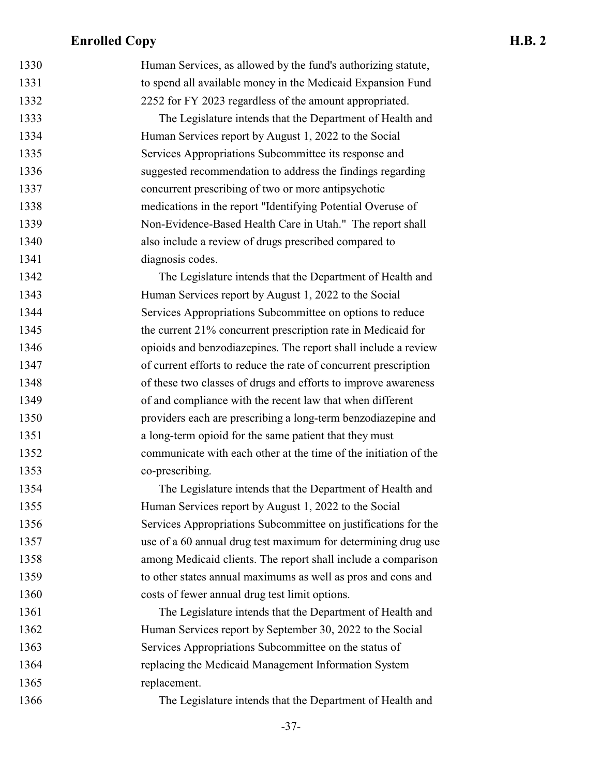| 1330 | Human Services, as allowed by the fund's authorizing statute,    |
|------|------------------------------------------------------------------|
| 1331 | to spend all available money in the Medicaid Expansion Fund      |
| 1332 | 2252 for FY 2023 regardless of the amount appropriated.          |
| 1333 | The Legislature intends that the Department of Health and        |
| 1334 | Human Services report by August 1, 2022 to the Social            |
| 1335 | Services Appropriations Subcommittee its response and            |
| 1336 | suggested recommendation to address the findings regarding       |
| 1337 | concurrent prescribing of two or more antipsychotic              |
| 1338 | medications in the report "Identifying Potential Overuse of      |
| 1339 | Non-Evidence-Based Health Care in Utah." The report shall        |
| 1340 | also include a review of drugs prescribed compared to            |
| 1341 | diagnosis codes.                                                 |
| 1342 | The Legislature intends that the Department of Health and        |
| 1343 | Human Services report by August 1, 2022 to the Social            |
| 1344 | Services Appropriations Subcommittee on options to reduce        |
| 1345 | the current 21% concurrent prescription rate in Medicaid for     |
| 1346 | opioids and benzodiazepines. The report shall include a review   |
| 1347 | of current efforts to reduce the rate of concurrent prescription |
| 1348 | of these two classes of drugs and efforts to improve awareness   |
| 1349 | of and compliance with the recent law that when different        |
| 1350 | providers each are prescribing a long-term benzodiazepine and    |
| 1351 | a long-term opioid for the same patient that they must           |
| 1352 | communicate with each other at the time of the initiation of the |
| 1353 | co-prescribing.                                                  |
| 1354 | The Legislature intends that the Department of Health and        |
| 1355 | Human Services report by August 1, 2022 to the Social            |
| 1356 | Services Appropriations Subcommittee on justifications for the   |
| 1357 | use of a 60 annual drug test maximum for determining drug use    |
| 1358 | among Medicaid clients. The report shall include a comparison    |
| 1359 | to other states annual maximums as well as pros and cons and     |
| 1360 | costs of fewer annual drug test limit options.                   |
| 1361 | The Legislature intends that the Department of Health and        |
| 1362 | Human Services report by September 30, 2022 to the Social        |
| 1363 | Services Appropriations Subcommittee on the status of            |
| 1364 | replacing the Medicaid Management Information System             |
| 1365 | replacement.                                                     |
| 1366 | The Legislature intends that the Department of Health and        |
|      |                                                                  |

-37-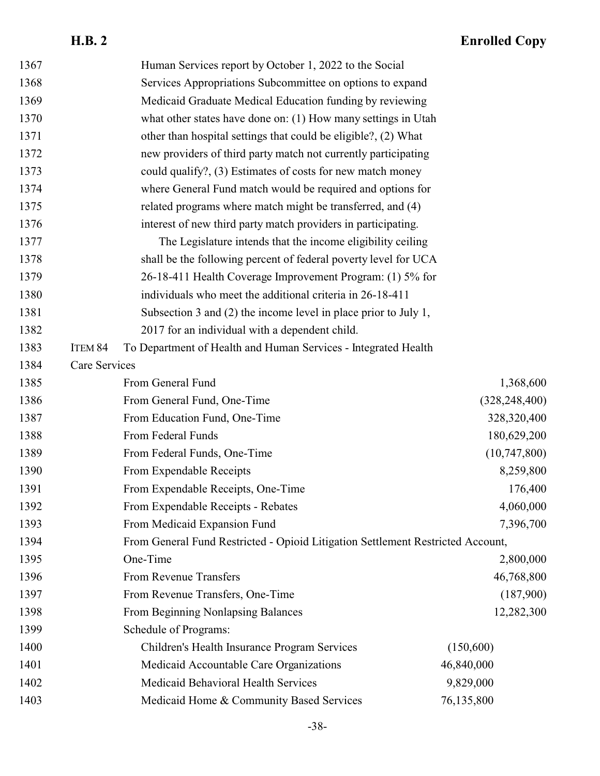| 1367 |               | Human Services report by October 1, 2022 to the Social                          |                 |
|------|---------------|---------------------------------------------------------------------------------|-----------------|
| 1368 |               | Services Appropriations Subcommittee on options to expand                       |                 |
| 1369 |               | Medicaid Graduate Medical Education funding by reviewing                        |                 |
| 1370 |               | what other states have done on: (1) How many settings in Utah                   |                 |
| 1371 |               | other than hospital settings that could be eligible?, (2) What                  |                 |
| 1372 |               | new providers of third party match not currently participating                  |                 |
| 1373 |               | could qualify?, (3) Estimates of costs for new match money                      |                 |
| 1374 |               | where General Fund match would be required and options for                      |                 |
| 1375 |               | related programs where match might be transferred, and (4)                      |                 |
| 1376 |               | interest of new third party match providers in participating.                   |                 |
| 1377 |               | The Legislature intends that the income eligibility ceiling                     |                 |
| 1378 |               | shall be the following percent of federal poverty level for UCA                 |                 |
| 1379 |               | 26-18-411 Health Coverage Improvement Program: (1) 5% for                       |                 |
| 1380 |               | individuals who meet the additional criteria in 26-18-411                       |                 |
| 1381 |               | Subsection 3 and $(2)$ the income level in place prior to July 1,               |                 |
| 1382 |               | 2017 for an individual with a dependent child.                                  |                 |
| 1383 | ITEM 84       | To Department of Health and Human Services - Integrated Health                  |                 |
| 1384 | Care Services |                                                                                 |                 |
| 1385 |               | From General Fund                                                               | 1,368,600       |
| 1386 |               | From General Fund, One-Time                                                     | (328, 248, 400) |
| 1387 |               | From Education Fund, One-Time                                                   | 328,320,400     |
| 1388 |               | From Federal Funds                                                              | 180,629,200     |
| 1389 |               | From Federal Funds, One-Time                                                    | (10,747,800)    |
| 1390 |               | From Expendable Receipts                                                        | 8,259,800       |
| 1391 |               | From Expendable Receipts, One-Time                                              | 176,400         |
| 1392 |               | From Expendable Receipts - Rebates                                              | 4,060,000       |
| 1393 |               | From Medicaid Expansion Fund                                                    | 7,396,700       |
| 1394 |               | From General Fund Restricted - Opioid Litigation Settlement Restricted Account, |                 |
| 1395 |               | One-Time                                                                        | 2,800,000       |
| 1396 |               | From Revenue Transfers                                                          | 46,768,800      |
| 1397 |               | From Revenue Transfers, One-Time                                                | (187,900)       |
| 1398 |               | From Beginning Nonlapsing Balances                                              | 12,282,300      |
| 1399 |               | Schedule of Programs:                                                           |                 |
| 1400 |               | Children's Health Insurance Program Services                                    | (150,600)       |
| 1401 |               | Medicaid Accountable Care Organizations                                         | 46,840,000      |
| 1402 |               | Medicaid Behavioral Health Services                                             | 9,829,000       |
| 1403 |               | Medicaid Home & Community Based Services                                        | 76,135,800      |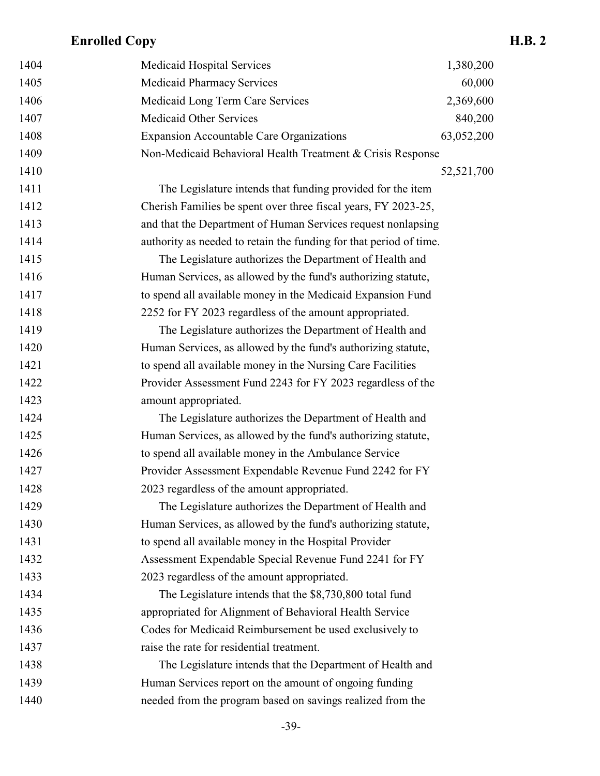| 1404 | Medicaid Hospital Services                                         | 1,380,200  |
|------|--------------------------------------------------------------------|------------|
| 1405 | <b>Medicaid Pharmacy Services</b>                                  | 60,000     |
| 1406 | Medicaid Long Term Care Services                                   | 2,369,600  |
| 1407 | <b>Medicaid Other Services</b>                                     | 840,200    |
| 1408 | <b>Expansion Accountable Care Organizations</b>                    | 63,052,200 |
| 1409 | Non-Medicaid Behavioral Health Treatment & Crisis Response         |            |
| 1410 |                                                                    | 52,521,700 |
| 1411 | The Legislature intends that funding provided for the item         |            |
| 1412 | Cherish Families be spent over three fiscal years, FY 2023-25,     |            |
| 1413 | and that the Department of Human Services request nonlapsing       |            |
| 1414 | authority as needed to retain the funding for that period of time. |            |
| 1415 | The Legislature authorizes the Department of Health and            |            |
| 1416 | Human Services, as allowed by the fund's authorizing statute,      |            |
| 1417 | to spend all available money in the Medicaid Expansion Fund        |            |
| 1418 | 2252 for FY 2023 regardless of the amount appropriated.            |            |
| 1419 | The Legislature authorizes the Department of Health and            |            |
| 1420 | Human Services, as allowed by the fund's authorizing statute,      |            |
| 1421 | to spend all available money in the Nursing Care Facilities        |            |
| 1422 | Provider Assessment Fund 2243 for FY 2023 regardless of the        |            |
| 1423 | amount appropriated.                                               |            |
| 1424 | The Legislature authorizes the Department of Health and            |            |
| 1425 | Human Services, as allowed by the fund's authorizing statute,      |            |
| 1426 | to spend all available money in the Ambulance Service              |            |
| 1427 | Provider Assessment Expendable Revenue Fund 2242 for FY            |            |
| 1428 | 2023 regardless of the amount appropriated.                        |            |
| 1429 | The Legislature authorizes the Department of Health and            |            |
| 1430 | Human Services, as allowed by the fund's authorizing statute,      |            |
| 1431 | to spend all available money in the Hospital Provider              |            |
| 1432 | Assessment Expendable Special Revenue Fund 2241 for FY             |            |
| 1433 | 2023 regardless of the amount appropriated.                        |            |
| 1434 | The Legislature intends that the \$8,730,800 total fund            |            |
| 1435 | appropriated for Alignment of Behavioral Health Service            |            |
| 1436 | Codes for Medicaid Reimbursement be used exclusively to            |            |
| 1437 | raise the rate for residential treatment.                          |            |
| 1438 | The Legislature intends that the Department of Health and          |            |
| 1439 | Human Services report on the amount of ongoing funding             |            |
| 1440 | needed from the program based on savings realized from the         |            |
|      |                                                                    |            |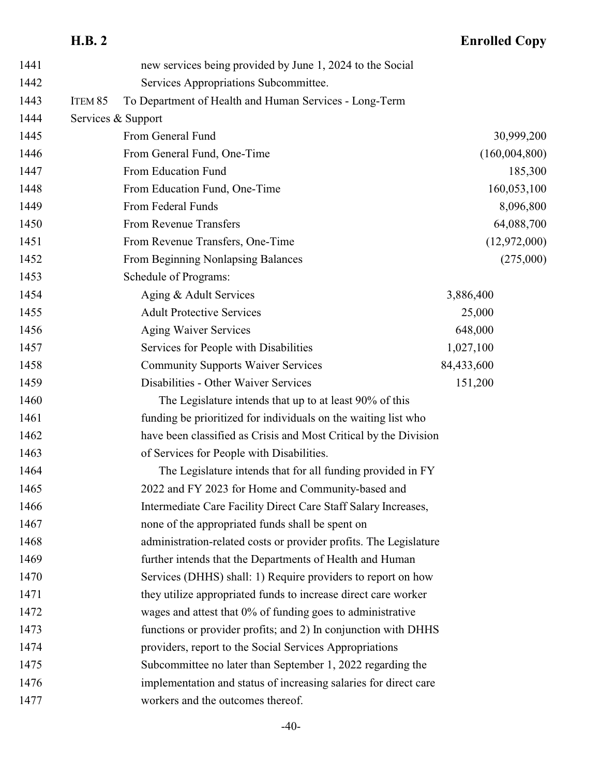# **H.B. 2 Enrolled Copy**

| 1441 |                    | new services being provided by June 1, 2024 to the Social         |                |
|------|--------------------|-------------------------------------------------------------------|----------------|
| 1442 |                    | Services Appropriations Subcommittee.                             |                |
| 1443 | ITEM <sub>85</sub> | To Department of Health and Human Services - Long-Term            |                |
| 1444 |                    | Services & Support                                                |                |
| 1445 |                    | From General Fund                                                 | 30,999,200     |
| 1446 |                    | From General Fund, One-Time                                       | (160,004,800)  |
| 1447 |                    | From Education Fund                                               | 185,300        |
| 1448 |                    | From Education Fund, One-Time                                     | 160,053,100    |
| 1449 |                    | From Federal Funds                                                | 8,096,800      |
| 1450 |                    | From Revenue Transfers                                            | 64,088,700     |
| 1451 |                    | From Revenue Transfers, One-Time                                  | (12, 972, 000) |
| 1452 |                    | From Beginning Nonlapsing Balances                                | (275,000)      |
| 1453 |                    | Schedule of Programs:                                             |                |
| 1454 |                    | Aging & Adult Services                                            | 3,886,400      |
| 1455 |                    | <b>Adult Protective Services</b>                                  | 25,000         |
| 1456 |                    | <b>Aging Waiver Services</b>                                      | 648,000        |
| 1457 |                    | Services for People with Disabilities                             | 1,027,100      |
| 1458 |                    | <b>Community Supports Waiver Services</b>                         | 84,433,600     |
| 1459 |                    | Disabilities - Other Waiver Services                              | 151,200        |
| 1460 |                    | The Legislature intends that up to at least 90% of this           |                |
| 1461 |                    | funding be prioritized for individuals on the waiting list who    |                |
| 1462 |                    | have been classified as Crisis and Most Critical by the Division  |                |
| 1463 |                    | of Services for People with Disabilities.                         |                |
| 1464 |                    | The Legislature intends that for all funding provided in FY       |                |
| 1465 |                    | 2022 and FY 2023 for Home and Community-based and                 |                |
| 1466 |                    | Intermediate Care Facility Direct Care Staff Salary Increases,    |                |
| 1467 |                    | none of the appropriated funds shall be spent on                  |                |
| 1468 |                    | administration-related costs or provider profits. The Legislature |                |
| 1469 |                    | further intends that the Departments of Health and Human          |                |
| 1470 |                    | Services (DHHS) shall: 1) Require providers to report on how      |                |
| 1471 |                    | they utilize appropriated funds to increase direct care worker    |                |
| 1472 |                    | wages and attest that 0% of funding goes to administrative        |                |
| 1473 |                    | functions or provider profits; and 2) In conjunction with DHHS    |                |
| 1474 |                    | providers, report to the Social Services Appropriations           |                |
| 1475 |                    | Subcommittee no later than September 1, 2022 regarding the        |                |
| 1476 |                    | implementation and status of increasing salaries for direct care  |                |
| 1477 |                    | workers and the outcomes thereof.                                 |                |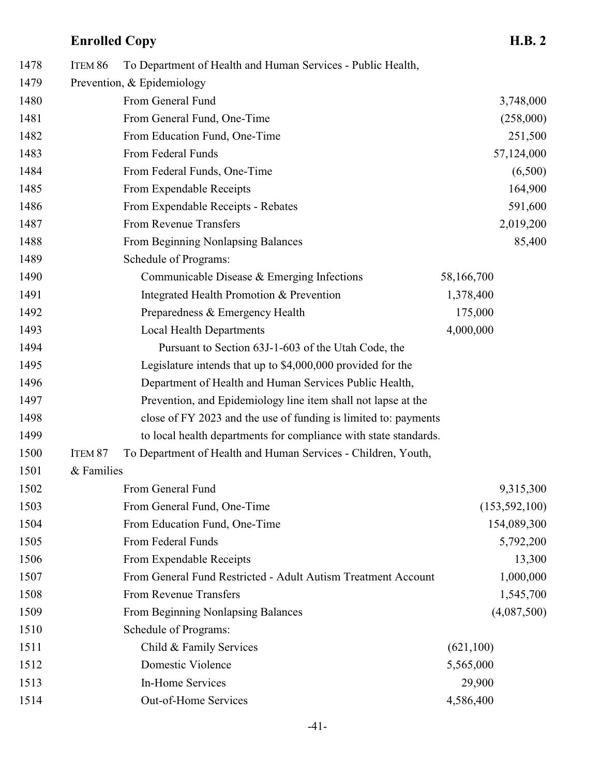| 1478 | ITEM 86    | To Department of Health and Human Services - Public Health,      |                 |
|------|------------|------------------------------------------------------------------|-----------------|
| 1479 |            | Prevention, & Epidemiology                                       |                 |
| 1480 |            | From General Fund                                                | 3,748,000       |
| 1481 |            | From General Fund, One-Time                                      | (258,000)       |
| 1482 |            | From Education Fund, One-Time                                    | 251,500         |
| 1483 |            | From Federal Funds                                               | 57,124,000      |
| 1484 |            | From Federal Funds, One-Time                                     | (6,500)         |
| 1485 |            | From Expendable Receipts                                         | 164,900         |
| 1486 |            | From Expendable Receipts - Rebates                               | 591,600         |
| 1487 |            | From Revenue Transfers                                           | 2,019,200       |
| 1488 |            | From Beginning Nonlapsing Balances                               | 85,400          |
| 1489 |            | Schedule of Programs:                                            |                 |
| 1490 |            | Communicable Disease & Emerging Infections                       | 58,166,700      |
| 1491 |            | Integrated Health Promotion & Prevention                         | 1,378,400       |
| 1492 |            | Preparedness & Emergency Health                                  | 175,000         |
| 1493 |            | <b>Local Health Departments</b>                                  | 4,000,000       |
| 1494 |            | Pursuant to Section 63J-1-603 of the Utah Code, the              |                 |
| 1495 |            | Legislature intends that up to \$4,000,000 provided for the      |                 |
| 1496 |            | Department of Health and Human Services Public Health,           |                 |
| 1497 |            | Prevention, and Epidemiology line item shall not lapse at the    |                 |
| 1498 |            | close of FY 2023 and the use of funding is limited to: payments  |                 |
| 1499 |            | to local health departments for compliance with state standards. |                 |
| 1500 | ITEM 87    | To Department of Health and Human Services - Children, Youth,    |                 |
| 1501 | & Families |                                                                  |                 |
| 1502 |            | From General Fund                                                | 9,315,300       |
| 1503 |            | From General Fund, One-Time                                      | (153, 592, 100) |
| 1504 |            | From Education Fund, One-Time                                    | 154,089,300     |
| 1505 |            | From Federal Funds                                               | 5,792,200       |
| 1506 |            | From Expendable Receipts                                         | 13,300          |
| 1507 |            | From General Fund Restricted - Adult Autism Treatment Account    | 1,000,000       |
| 1508 |            | From Revenue Transfers                                           | 1,545,700       |
| 1509 |            | From Beginning Nonlapsing Balances                               | (4,087,500)     |
| 1510 |            | Schedule of Programs:                                            |                 |
| 1511 |            | Child & Family Services                                          | (621,100)       |
| 1512 |            | Domestic Violence                                                | 5,565,000       |
| 1513 |            | In-Home Services                                                 | 29,900          |
| 1514 |            | Out-of-Home Services                                             | 4,586,400       |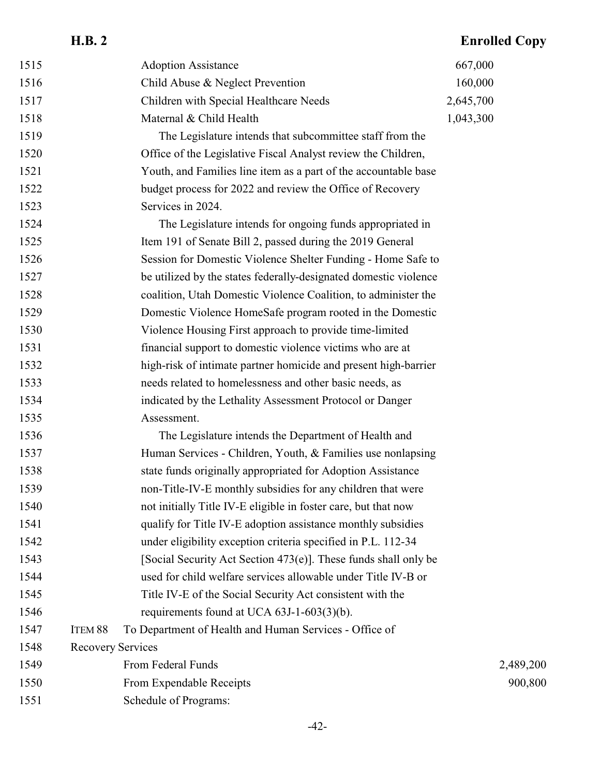|      | <b>H.B. 2</b>            |                                                                  | <b>Enrolled Copy</b> |
|------|--------------------------|------------------------------------------------------------------|----------------------|
| 1515 |                          | <b>Adoption Assistance</b>                                       | 667,000              |
| 1516 |                          | Child Abuse & Neglect Prevention                                 | 160,000              |
| 1517 |                          | Children with Special Healthcare Needs                           | 2,645,700            |
| 1518 |                          | Maternal & Child Health                                          | 1,043,300            |
| 1519 |                          | The Legislature intends that subcommittee staff from the         |                      |
| 1520 |                          | Office of the Legislative Fiscal Analyst review the Children,    |                      |
| 1521 |                          | Youth, and Families line item as a part of the accountable base  |                      |
| 1522 |                          | budget process for 2022 and review the Office of Recovery        |                      |
| 1523 |                          | Services in 2024.                                                |                      |
| 1524 |                          | The Legislature intends for ongoing funds appropriated in        |                      |
| 1525 |                          | Item 191 of Senate Bill 2, passed during the 2019 General        |                      |
| 1526 |                          | Session for Domestic Violence Shelter Funding - Home Safe to     |                      |
| 1527 |                          | be utilized by the states federally-designated domestic violence |                      |
| 1528 |                          | coalition, Utah Domestic Violence Coalition, to administer the   |                      |
| 1529 |                          | Domestic Violence HomeSafe program rooted in the Domestic        |                      |
| 1530 |                          | Violence Housing First approach to provide time-limited          |                      |
| 1531 |                          | financial support to domestic violence victims who are at        |                      |
| 1532 |                          | high-risk of intimate partner homicide and present high-barrier  |                      |
| 1533 |                          | needs related to homelessness and other basic needs, as          |                      |
| 1534 |                          | indicated by the Lethality Assessment Protocol or Danger         |                      |
| 1535 |                          | Assessment.                                                      |                      |
| 1536 |                          | The Legislature intends the Department of Health and             |                      |
| 1537 |                          | Human Services - Children, Youth, & Families use nonlapsing      |                      |
| 1538 |                          | state funds originally appropriated for Adoption Assistance      |                      |
| 1539 |                          | non-Title-IV-E monthly subsidies for any children that were      |                      |
| 1540 |                          | not initially Title IV-E eligible in foster care, but that now   |                      |
| 1541 |                          | qualify for Title IV-E adoption assistance monthly subsidies     |                      |
| 1542 |                          | under eligibility exception criteria specified in P.L. 112-34    |                      |
| 1543 |                          | [Social Security Act Section 473(e)]. These funds shall only be  |                      |
| 1544 |                          | used for child welfare services allowable under Title IV-B or    |                      |
| 1545 |                          | Title IV-E of the Social Security Act consistent with the        |                      |
| 1546 |                          | requirements found at UCA $63J-1-603(3)(b)$ .                    |                      |
| 1547 | ITEM 88                  | To Department of Health and Human Services - Office of           |                      |
| 1548 | <b>Recovery Services</b> |                                                                  |                      |
| 1549 |                          | From Federal Funds                                               | 2,489,200            |
| 1550 |                          | From Expendable Receipts                                         | 900,800              |
| 1551 |                          | Schedule of Programs:                                            |                      |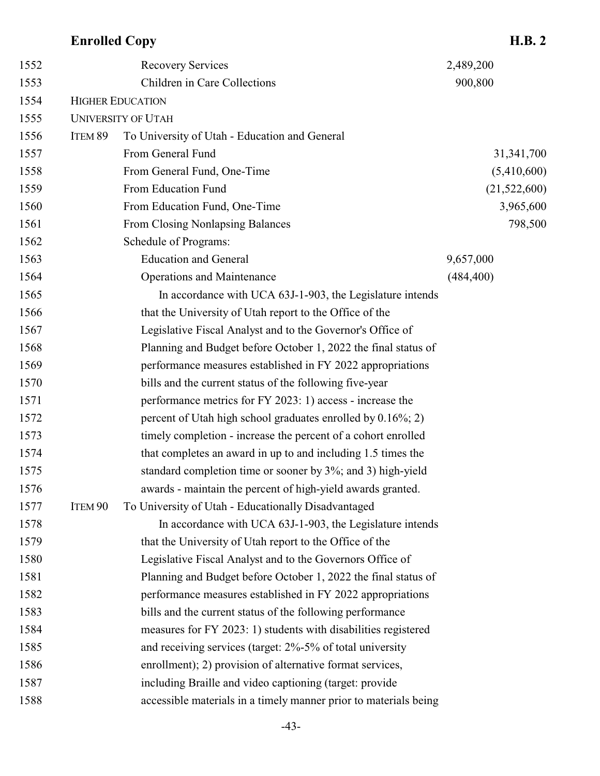| 1554 |                    | <b>HIGHER EDUCATION</b>                                          |              |
|------|--------------------|------------------------------------------------------------------|--------------|
| 1555 |                    | <b>UNIVERSITY OF UTAH</b>                                        |              |
| 1556 | ITEM 89            | To University of Utah - Education and General                    |              |
| 1557 |                    | From General Fund                                                | 31,341,700   |
| 1558 |                    | From General Fund, One-Time                                      | (5,410,600)  |
| 1559 |                    | From Education Fund                                              | (21,522,600) |
| 1560 |                    | From Education Fund, One-Time                                    | 3,965,600    |
| 1561 |                    | From Closing Nonlapsing Balances                                 | 798,500      |
| 1562 |                    | Schedule of Programs:                                            |              |
| 1563 |                    | <b>Education and General</b>                                     | 9,657,000    |
| 1564 |                    | <b>Operations and Maintenance</b>                                | (484, 400)   |
| 1565 |                    | In accordance with UCA 63J-1-903, the Legislature intends        |              |
| 1566 |                    | that the University of Utah report to the Office of the          |              |
| 1567 |                    | Legislative Fiscal Analyst and to the Governor's Office of       |              |
| 1568 |                    | Planning and Budget before October 1, 2022 the final status of   |              |
| 1569 |                    | performance measures established in FY 2022 appropriations       |              |
| 1570 |                    | bills and the current status of the following five-year          |              |
| 1571 |                    | performance metrics for FY 2023: 1) access - increase the        |              |
| 1572 |                    | percent of Utah high school graduates enrolled by 0.16%; 2)      |              |
| 1573 |                    | timely completion - increase the percent of a cohort enrolled    |              |
| 1574 |                    | that completes an award in up to and including 1.5 times the     |              |
| 1575 |                    | standard completion time or sooner by 3%; and 3) high-yield      |              |
| 1576 |                    | awards - maintain the percent of high-yield awards granted.      |              |
| 1577 | ITEM <sub>90</sub> | To University of Utah - Educationally Disadvantaged              |              |
| 1578 |                    | In accordance with UCA 63J-1-903, the Legislature intends        |              |
| 1579 |                    | that the University of Utah report to the Office of the          |              |
| 1580 |                    | Legislative Fiscal Analyst and to the Governors Office of        |              |
| 1581 |                    | Planning and Budget before October 1, 2022 the final status of   |              |
| 1582 |                    | performance measures established in FY 2022 appropriations       |              |
| 1583 |                    | bills and the current status of the following performance        |              |
| 1584 |                    | measures for FY 2023: 1) students with disabilities registered   |              |
| 1585 |                    | and receiving services (target: 2%-5% of total university        |              |
| 1586 |                    | enrollment); 2) provision of alternative format services,        |              |
| 1587 |                    | including Braille and video captioning (target: provide          |              |
| 1588 |                    | accessible materials in a timely manner prior to materials being |              |
|      |                    |                                                                  |              |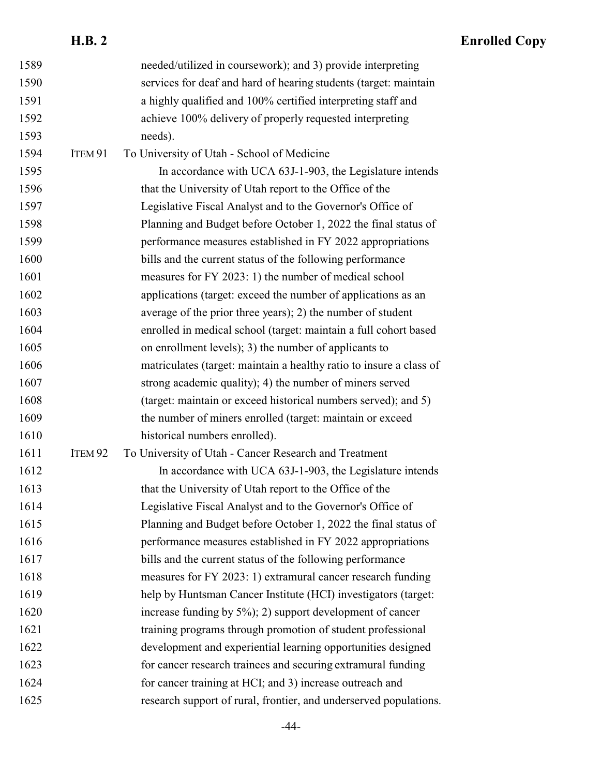|      | <b>H.B. 2</b>      |                                                                     | <b>Enrolled Copy</b> |
|------|--------------------|---------------------------------------------------------------------|----------------------|
| 1589 |                    | needed/utilized in coursework); and 3) provide interpreting         |                      |
| 1590 |                    | services for deaf and hard of hearing students (target: maintain    |                      |
| 1591 |                    | a highly qualified and 100% certified interpreting staff and        |                      |
| 1592 |                    | achieve 100% delivery of properly requested interpreting            |                      |
| 1593 |                    | needs).                                                             |                      |
| 1594 | ITEM 91            | To University of Utah - School of Medicine                          |                      |
| 1595 |                    | In accordance with UCA 63J-1-903, the Legislature intends           |                      |
| 1596 |                    | that the University of Utah report to the Office of the             |                      |
| 1597 |                    | Legislative Fiscal Analyst and to the Governor's Office of          |                      |
| 1598 |                    | Planning and Budget before October 1, 2022 the final status of      |                      |
| 1599 |                    | performance measures established in FY 2022 appropriations          |                      |
| 1600 |                    | bills and the current status of the following performance           |                      |
| 1601 |                    | measures for FY 2023: 1) the number of medical school               |                      |
| 1602 |                    | applications (target: exceed the number of applications as an       |                      |
| 1603 |                    | average of the prior three years); 2) the number of student         |                      |
| 1604 |                    | enrolled in medical school (target: maintain a full cohort based    |                      |
| 1605 |                    | on enrollment levels); 3) the number of applicants to               |                      |
| 1606 |                    | matriculates (target: maintain a healthy ratio to insure a class of |                      |
| 1607 |                    | strong academic quality); 4) the number of miners served            |                      |
| 1608 |                    | (target: maintain or exceed historical numbers served); and 5)      |                      |
| 1609 |                    | the number of miners enrolled (target: maintain or exceed           |                      |
| 1610 |                    | historical numbers enrolled).                                       |                      |
| 1611 | ITEM <sub>92</sub> | To University of Utah - Cancer Research and Treatment               |                      |
| 1612 |                    | In accordance with UCA 63J-1-903, the Legislature intends           |                      |
| 1613 |                    | that the University of Utah report to the Office of the             |                      |
| 1614 |                    | Legislative Fiscal Analyst and to the Governor's Office of          |                      |
| 1615 |                    | Planning and Budget before October 1, 2022 the final status of      |                      |
| 1616 |                    | performance measures established in FY 2022 appropriations          |                      |
| 1617 |                    | bills and the current status of the following performance           |                      |
| 1618 |                    | measures for FY 2023: 1) extramural cancer research funding         |                      |
| 1619 |                    | help by Huntsman Cancer Institute (HCI) investigators (target:      |                      |
| 1620 |                    | increase funding by $5\%$ ); 2) support development of cancer       |                      |
| 1621 |                    | training programs through promotion of student professional         |                      |
| 1622 |                    | development and experiential learning opportunities designed        |                      |
| 1623 |                    | for cancer research trainees and securing extramural funding        |                      |
| 1624 |                    | for cancer training at HCI; and 3) increase outreach and            |                      |
| 1625 |                    | research support of rural, frontier, and underserved populations.   |                      |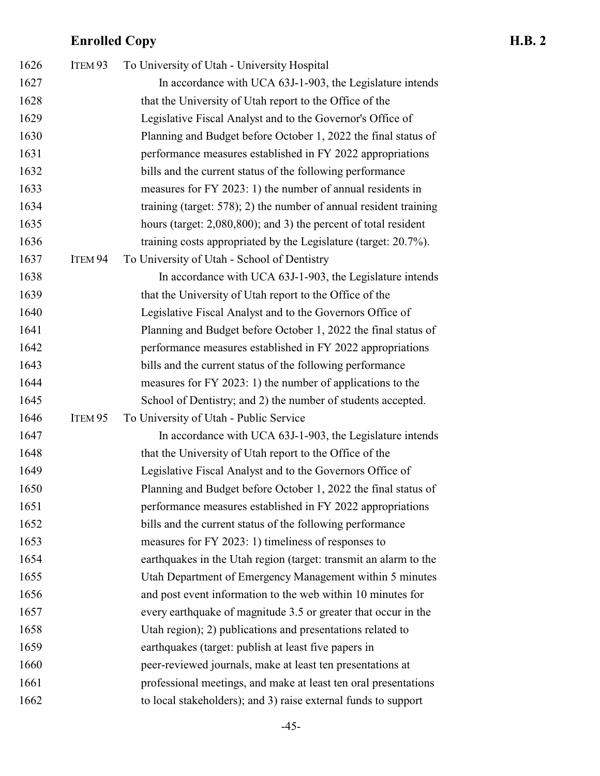| 1626 | ITEM 93 | To University of Utah - University Hospital                          |
|------|---------|----------------------------------------------------------------------|
| 1627 |         | In accordance with UCA 63J-1-903, the Legislature intends            |
| 1628 |         | that the University of Utah report to the Office of the              |
| 1629 |         | Legislative Fiscal Analyst and to the Governor's Office of           |
| 1630 |         | Planning and Budget before October 1, 2022 the final status of       |
| 1631 |         | performance measures established in FY 2022 appropriations           |
| 1632 |         | bills and the current status of the following performance            |
| 1633 |         | measures for FY 2023: 1) the number of annual residents in           |
| 1634 |         | training (target: $578$ ); 2) the number of annual resident training |
| 1635 |         | hours (target: 2,080,800); and 3) the percent of total resident      |
| 1636 |         | training costs appropriated by the Legislature (target: 20.7%).      |
| 1637 | ITEM 94 | To University of Utah - School of Dentistry                          |
| 1638 |         | In accordance with UCA 63J-1-903, the Legislature intends            |
| 1639 |         | that the University of Utah report to the Office of the              |
| 1640 |         | Legislative Fiscal Analyst and to the Governors Office of            |
| 1641 |         | Planning and Budget before October 1, 2022 the final status of       |
| 1642 |         | performance measures established in FY 2022 appropriations           |
| 1643 |         | bills and the current status of the following performance            |
| 1644 |         | measures for FY 2023: 1) the number of applications to the           |
| 1645 |         | School of Dentistry; and 2) the number of students accepted.         |
| 1646 | ITEM 95 | To University of Utah - Public Service                               |
| 1647 |         | In accordance with UCA 63J-1-903, the Legislature intends            |
| 1648 |         | that the University of Utah report to the Office of the              |
| 1649 |         | Legislative Fiscal Analyst and to the Governors Office of            |
| 1650 |         | Planning and Budget before October 1, 2022 the final status of       |
| 1651 |         | performance measures established in FY 2022 appropriations           |
| 1652 |         | bills and the current status of the following performance            |
| 1653 |         | measures for FY 2023: 1) timeliness of responses to                  |
| 1654 |         | earthquakes in the Utah region (target: transmit an alarm to the     |
| 1655 |         | Utah Department of Emergency Management within 5 minutes             |
| 1656 |         | and post event information to the web within 10 minutes for          |
| 1657 |         | every earthquake of magnitude 3.5 or greater that occur in the       |
| 1658 |         | Utah region); 2) publications and presentations related to           |
| 1659 |         | earthquakes (target: publish at least five papers in                 |
| 1660 |         | peer-reviewed journals, make at least ten presentations at           |
| 1661 |         | professional meetings, and make at least ten oral presentations      |
| 1662 |         | to local stakeholders); and 3) raise external funds to support       |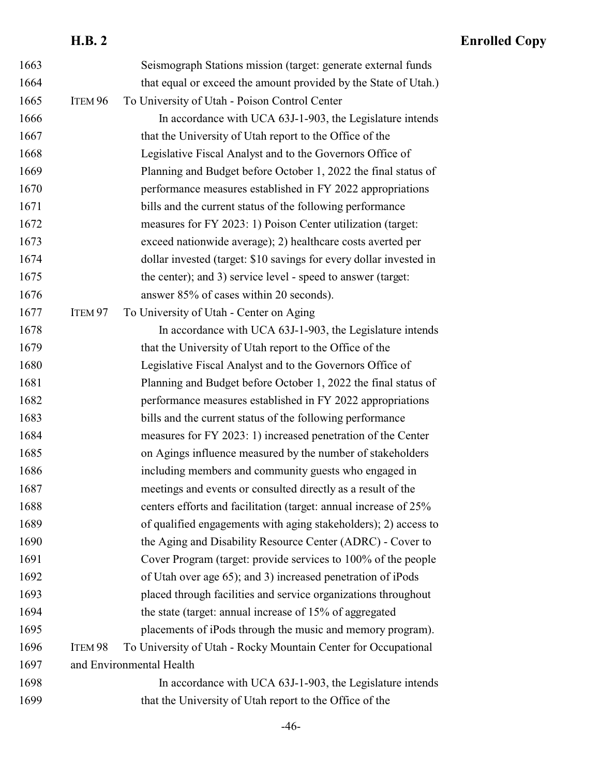### **H.B. 2 Enrolled Copy** Seismograph Stations mission (target: generate external funds that equal or exceed the amount provided by the State of Utah.) ITEM 96 To University of Utah - Poison Control Center In accordance with UCA 63J-1-903, the Legislature intends 1667 that the University of Utah report to the Office of the Legislative Fiscal Analyst and to the Governors Office of Planning and Budget before October 1, 2022 the final status of performance measures established in FY 2022 appropriations bills and the current status of the following performance measures for FY 2023: 1) Poison Center utilization (target: exceed nationwide average); 2) healthcare costs averted per dollar invested (target: \$10 savings for every dollar invested in 1675 the center); and 3) service level - speed to answer (target: answer 85% of cases within 20 seconds). 1677 ITEM 97 To University of Utah - Center on Aging In accordance with UCA 63J-1-903, the Legislature intends 1679 that the University of Utah report to the Office of the Legislative Fiscal Analyst and to the Governors Office of Planning and Budget before October 1, 2022 the final status of performance measures established in FY 2022 appropriations bills and the current status of the following performance measures for FY 2023: 1) increased penetration of the Center on Agings influence measured by the number of stakeholders including members and community guests who engaged in meetings and events or consulted directly as a result of the 1688 centers efforts and facilitation (target: annual increase of 25% of qualified engagements with aging stakeholders); 2) access to the Aging and Disability Resource Center (ADRC) - Cover to Cover Program (target: provide services to 100% of the people of Utah over age 65); and 3) increased penetration of iPods placed through facilities and service organizations throughout 1694 the state (target: annual increase of 15% of aggregated placements of iPods through the music and memory program). ITEM 98 To University of Utah - Rocky Mountain Center for Occupational and Environmental Health In accordance with UCA 63J-1-903, the Legislature intends that the University of Utah report to the Office of the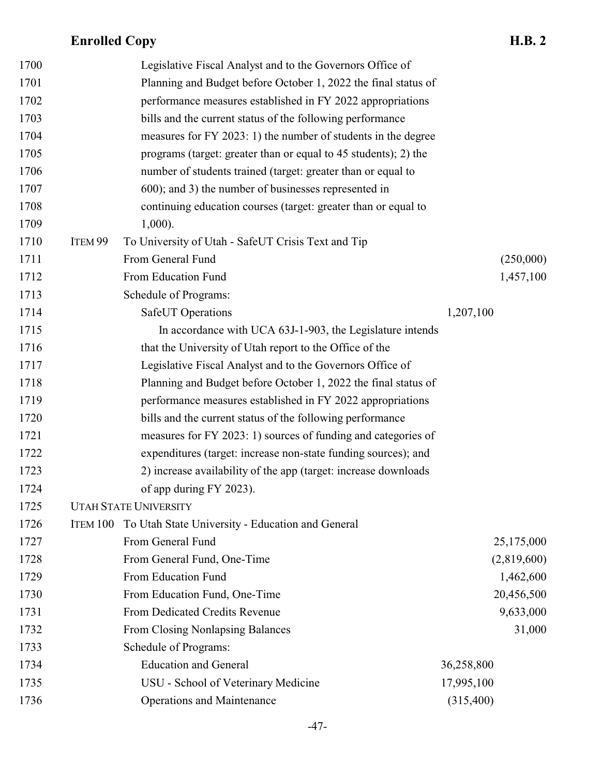| 1700 |          | Legislative Fiscal Analyst and to the Governors Office of       |             |
|------|----------|-----------------------------------------------------------------|-------------|
| 1701 |          | Planning and Budget before October 1, 2022 the final status of  |             |
| 1702 |          | performance measures established in FY 2022 appropriations      |             |
| 1703 |          | bills and the current status of the following performance       |             |
| 1704 |          | measures for FY 2023: 1) the number of students in the degree   |             |
| 1705 |          | programs (target: greater than or equal to 45 students); 2) the |             |
| 1706 |          | number of students trained (target: greater than or equal to    |             |
| 1707 |          | 600); and 3) the number of businesses represented in            |             |
| 1708 |          | continuing education courses (target: greater than or equal to  |             |
| 1709 |          | $1,000$ ).                                                      |             |
| 1710 | ITEM 99  | To University of Utah - SafeUT Crisis Text and Tip              |             |
| 1711 |          | From General Fund                                               | (250,000)   |
| 1712 |          | From Education Fund                                             | 1,457,100   |
| 1713 |          | Schedule of Programs:                                           |             |
| 1714 |          | <b>SafeUT</b> Operations                                        | 1,207,100   |
| 1715 |          | In accordance with UCA 63J-1-903, the Legislature intends       |             |
| 1716 |          | that the University of Utah report to the Office of the         |             |
| 1717 |          | Legislative Fiscal Analyst and to the Governors Office of       |             |
| 1718 |          | Planning and Budget before October 1, 2022 the final status of  |             |
| 1719 |          | performance measures established in FY 2022 appropriations      |             |
| 1720 |          | bills and the current status of the following performance       |             |
| 1721 |          | measures for FY 2023: 1) sources of funding and categories of   |             |
| 1722 |          | expenditures (target: increase non-state funding sources); and  |             |
| 1723 |          | 2) increase availability of the app (target: increase downloads |             |
| 1724 |          | of app during FY 2023).                                         |             |
| 1725 |          | <b>UTAH STATE UNIVERSITY</b>                                    |             |
| 1726 | ITEM 100 | To Utah State University - Education and General                |             |
| 1727 |          | From General Fund                                               | 25,175,000  |
| 1728 |          | From General Fund, One-Time                                     | (2,819,600) |
| 1729 |          | From Education Fund                                             | 1,462,600   |
| 1730 |          | From Education Fund, One-Time                                   | 20,456,500  |
| 1731 |          | From Dedicated Credits Revenue                                  | 9,633,000   |
| 1732 |          | From Closing Nonlapsing Balances                                | 31,000      |
| 1733 |          | Schedule of Programs:                                           |             |
| 1734 |          | <b>Education and General</b>                                    | 36,258,800  |
| 1735 |          | USU - School of Veterinary Medicine                             | 17,995,100  |
| 1736 |          | <b>Operations and Maintenance</b>                               | (315,400)   |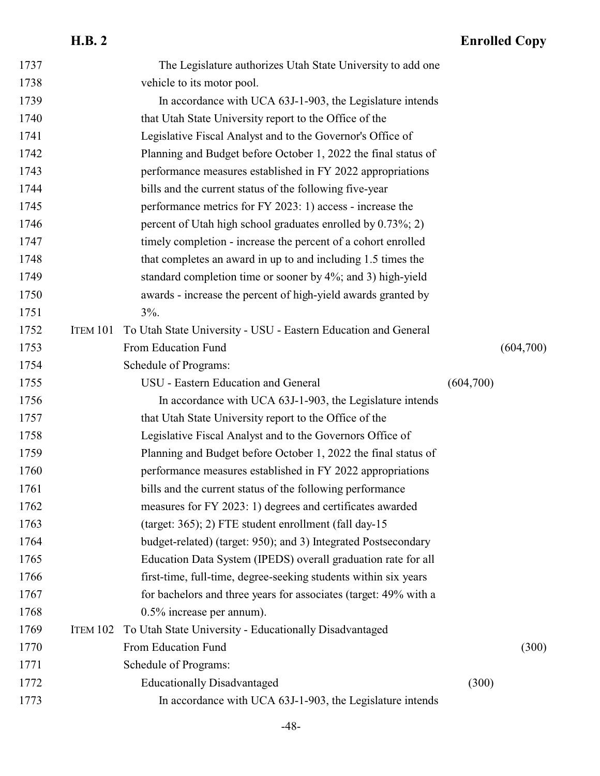|      | <b>H.B. 2</b> |                                                                  |           | <b>Enrolled Copy</b> |
|------|---------------|------------------------------------------------------------------|-----------|----------------------|
| 1737 |               | The Legislature authorizes Utah State University to add one      |           |                      |
| 1738 |               | vehicle to its motor pool.                                       |           |                      |
| 1739 |               | In accordance with UCA 63J-1-903, the Legislature intends        |           |                      |
| 1740 |               | that Utah State University report to the Office of the           |           |                      |
| 1741 |               | Legislative Fiscal Analyst and to the Governor's Office of       |           |                      |
| 1742 |               | Planning and Budget before October 1, 2022 the final status of   |           |                      |
| 1743 |               | performance measures established in FY 2022 appropriations       |           |                      |
| 1744 |               | bills and the current status of the following five-year          |           |                      |
| 1745 |               | performance metrics for FY 2023: 1) access - increase the        |           |                      |
| 1746 |               | percent of Utah high school graduates enrolled by 0.73%; 2)      |           |                      |
| 1747 |               | timely completion - increase the percent of a cohort enrolled    |           |                      |
| 1748 |               | that completes an award in up to and including 1.5 times the     |           |                      |
| 1749 |               | standard completion time or sooner by 4%; and 3) high-yield      |           |                      |
| 1750 |               | awards - increase the percent of high-yield awards granted by    |           |                      |
| 1751 |               | $3\%$ .                                                          |           |                      |
| 1752 | ITEM 101      | To Utah State University - USU - Eastern Education and General   |           |                      |
| 1753 |               | From Education Fund                                              |           | (604,700)            |
| 1754 |               | Schedule of Programs:                                            |           |                      |
| 1755 |               | USU - Eastern Education and General                              | (604,700) |                      |
| 1756 |               | In accordance with UCA 63J-1-903, the Legislature intends        |           |                      |
| 1757 |               | that Utah State University report to the Office of the           |           |                      |
| 1758 |               | Legislative Fiscal Analyst and to the Governors Office of        |           |                      |
| 1759 |               | Planning and Budget before October 1, 2022 the final status of   |           |                      |
| 1760 |               | performance measures established in FY 2022 appropriations       |           |                      |
| 1761 |               | bills and the current status of the following performance        |           |                      |
| 1762 |               | measures for FY 2023: 1) degrees and certificates awarded        |           |                      |
| 1763 |               | (target: 365); 2) FTE student enrollment (fall day-15            |           |                      |
| 1764 |               | budget-related) (target: 950); and 3) Integrated Postsecondary   |           |                      |
| 1765 |               | Education Data System (IPEDS) overall graduation rate for all    |           |                      |
| 1766 |               | first-time, full-time, degree-seeking students within six years  |           |                      |
| 1767 |               | for bachelors and three years for associates (target: 49% with a |           |                      |
| 1768 |               | $0.5\%$ increase per annum).                                     |           |                      |
| 1769 | ITEM 102      | To Utah State University - Educationally Disadvantaged           |           |                      |
| 1770 |               | From Education Fund                                              |           | (300)                |
| 1771 |               | Schedule of Programs:                                            |           |                      |
| 1772 |               | <b>Educationally Disadvantaged</b>                               | (300)     |                      |
| 1773 |               | In accordance with UCA 63J-1-903, the Legislature intends        |           |                      |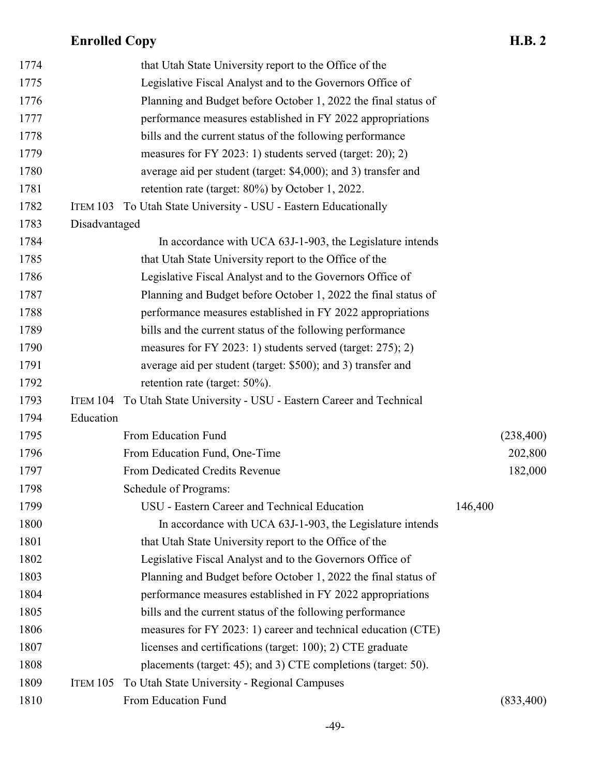| 1774 |               | that Utah State University report to the Office of the         |         |           |
|------|---------------|----------------------------------------------------------------|---------|-----------|
| 1775 |               | Legislative Fiscal Analyst and to the Governors Office of      |         |           |
| 1776 |               | Planning and Budget before October 1, 2022 the final status of |         |           |
| 1777 |               | performance measures established in FY 2022 appropriations     |         |           |
| 1778 |               | bills and the current status of the following performance      |         |           |
| 1779 |               | measures for FY 2023: 1) students served (target: 20); 2)      |         |           |
| 1780 |               | average aid per student (target: \$4,000); and 3) transfer and |         |           |
| 1781 |               | retention rate (target: 80%) by October 1, 2022.               |         |           |
| 1782 | ITEM 103      | To Utah State University - USU - Eastern Educationally         |         |           |
| 1783 | Disadvantaged |                                                                |         |           |
| 1784 |               | In accordance with UCA 63J-1-903, the Legislature intends      |         |           |
| 1785 |               | that Utah State University report to the Office of the         |         |           |
| 1786 |               | Legislative Fiscal Analyst and to the Governors Office of      |         |           |
| 1787 |               | Planning and Budget before October 1, 2022 the final status of |         |           |
| 1788 |               | performance measures established in FY 2022 appropriations     |         |           |
| 1789 |               | bills and the current status of the following performance      |         |           |
| 1790 |               | measures for FY 2023: 1) students served (target: 275); 2)     |         |           |
| 1791 |               | average aid per student (target: \$500); and 3) transfer and   |         |           |
| 1792 |               | retention rate (target: $50\%$ ).                              |         |           |
| 1793 | ITEM 104      | To Utah State University - USU - Eastern Career and Technical  |         |           |
| 1794 | Education     |                                                                |         |           |
| 1795 |               | From Education Fund                                            |         | (238,400) |
| 1796 |               | From Education Fund, One-Time                                  |         | 202,800   |
| 1797 |               | From Dedicated Credits Revenue                                 |         | 182,000   |
| 1798 |               | Schedule of Programs:                                          |         |           |
| 1799 |               | USU - Eastern Career and Technical Education                   | 146,400 |           |
| 1800 |               | In accordance with UCA 63J-1-903, the Legislature intends      |         |           |
| 1801 |               | that Utah State University report to the Office of the         |         |           |
| 1802 |               | Legislative Fiscal Analyst and to the Governors Office of      |         |           |
| 1803 |               | Planning and Budget before October 1, 2022 the final status of |         |           |
| 1804 |               | performance measures established in FY 2022 appropriations     |         |           |
| 1805 |               | bills and the current status of the following performance      |         |           |
| 1806 |               | measures for FY 2023: 1) career and technical education (CTE)  |         |           |
| 1807 |               | licenses and certifications (target: 100); 2) CTE graduate     |         |           |
| 1808 |               | placements (target: 45); and 3) CTE completions (target: 50).  |         |           |
| 1809 | ITEM 105      | To Utah State University - Regional Campuses                   |         |           |
| 1810 |               | From Education Fund                                            |         | (833,400) |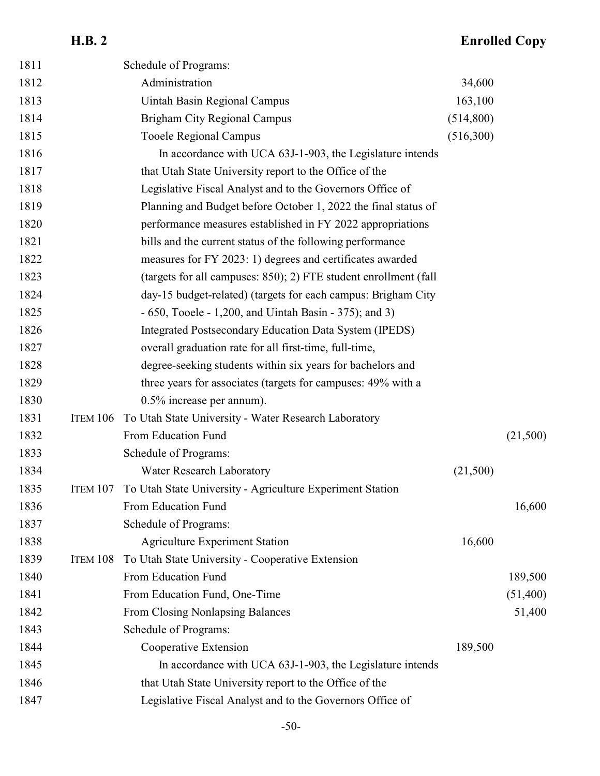# **H.B. 2 Enrolled Copy**

| 1811 |          | Schedule of Programs:                                            |           |          |
|------|----------|------------------------------------------------------------------|-----------|----------|
| 1812 |          | Administration                                                   | 34,600    |          |
| 1813 |          | Uintah Basin Regional Campus                                     | 163,100   |          |
| 1814 |          | Brigham City Regional Campus                                     | (514,800) |          |
| 1815 |          | <b>Tooele Regional Campus</b>                                    | (516,300) |          |
| 1816 |          | In accordance with UCA 63J-1-903, the Legislature intends        |           |          |
| 1817 |          | that Utah State University report to the Office of the           |           |          |
| 1818 |          | Legislative Fiscal Analyst and to the Governors Office of        |           |          |
| 1819 |          | Planning and Budget before October 1, 2022 the final status of   |           |          |
| 1820 |          | performance measures established in FY 2022 appropriations       |           |          |
| 1821 |          | bills and the current status of the following performance        |           |          |
| 1822 |          | measures for FY 2023: 1) degrees and certificates awarded        |           |          |
| 1823 |          | (targets for all campuses: 850); 2) FTE student enrollment (fall |           |          |
| 1824 |          | day-15 budget-related) (targets for each campus: Brigham City    |           |          |
| 1825 |          | $-650$ , Tooele $-1,200$ , and Uintah Basin $-375$ ); and 3)     |           |          |
| 1826 |          | Integrated Postsecondary Education Data System (IPEDS)           |           |          |
| 1827 |          | overall graduation rate for all first-time, full-time,           |           |          |
| 1828 |          | degree-seeking students within six years for bachelors and       |           |          |
| 1829 |          | three years for associates (targets for campuses: 49% with a     |           |          |
| 1830 |          | $0.5\%$ increase per annum).                                     |           |          |
| 1831 | ITEM 106 | To Utah State University - Water Research Laboratory             |           |          |
| 1832 |          | From Education Fund                                              |           | (21,500) |
| 1833 |          | Schedule of Programs:                                            |           |          |
| 1834 |          | Water Research Laboratory                                        | (21,500)  |          |
| 1835 | ITEM 107 | To Utah State University - Agriculture Experiment Station        |           |          |
| 1836 |          | From Education Fund                                              |           | 16,600   |
| 1837 |          | Schedule of Programs:                                            |           |          |
| 1838 |          | <b>Agriculture Experiment Station</b>                            | 16,600    |          |
| 1839 | ITEM 108 | To Utah State University - Cooperative Extension                 |           |          |
| 1840 |          | From Education Fund                                              |           | 189,500  |
| 1841 |          | From Education Fund, One-Time                                    |           | (51,400) |
| 1842 |          | From Closing Nonlapsing Balances                                 |           | 51,400   |
| 1843 |          | Schedule of Programs:                                            |           |          |
| 1844 |          | Cooperative Extension                                            | 189,500   |          |
| 1845 |          | In accordance with UCA 63J-1-903, the Legislature intends        |           |          |
| 1846 |          | that Utah State University report to the Office of the           |           |          |
| 1847 |          | Legislative Fiscal Analyst and to the Governors Office of        |           |          |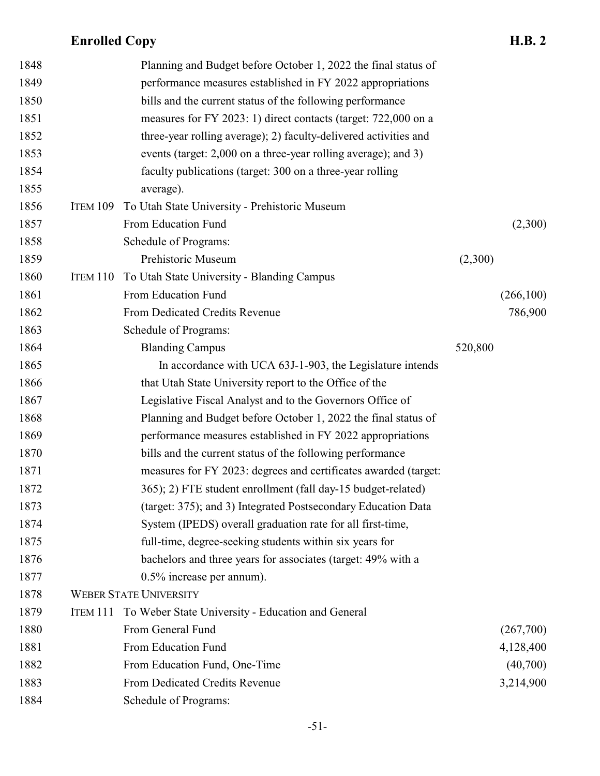| 1848 |          | Planning and Budget before October 1, 2022 the final status of   |         |           |
|------|----------|------------------------------------------------------------------|---------|-----------|
| 1849 |          | performance measures established in FY 2022 appropriations       |         |           |
| 1850 |          | bills and the current status of the following performance        |         |           |
| 1851 |          | measures for FY 2023: 1) direct contacts (target: 722,000 on a   |         |           |
| 1852 |          | three-year rolling average); 2) faculty-delivered activities and |         |           |
| 1853 |          | events (target: 2,000 on a three-year rolling average); and 3)   |         |           |
| 1854 |          | faculty publications (target: 300 on a three-year rolling        |         |           |
| 1855 |          | average).                                                        |         |           |
| 1856 | ITEM 109 | To Utah State University - Prehistoric Museum                    |         |           |
| 1857 |          | From Education Fund                                              |         | (2,300)   |
| 1858 |          | Schedule of Programs:                                            |         |           |
| 1859 |          | Prehistoric Museum                                               | (2,300) |           |
| 1860 | ITEM 110 | To Utah State University - Blanding Campus                       |         |           |
| 1861 |          | From Education Fund                                              |         | (266,100) |
| 1862 |          | From Dedicated Credits Revenue                                   |         | 786,900   |
| 1863 |          | Schedule of Programs:                                            |         |           |
| 1864 |          | <b>Blanding Campus</b>                                           | 520,800 |           |
| 1865 |          | In accordance with UCA 63J-1-903, the Legislature intends        |         |           |
| 1866 |          | that Utah State University report to the Office of the           |         |           |
| 1867 |          | Legislative Fiscal Analyst and to the Governors Office of        |         |           |
| 1868 |          | Planning and Budget before October 1, 2022 the final status of   |         |           |
| 1869 |          | performance measures established in FY 2022 appropriations       |         |           |
| 1870 |          | bills and the current status of the following performance        |         |           |
| 1871 |          | measures for FY 2023: degrees and certificates awarded (target:  |         |           |
| 1872 |          | 365); 2) FTE student enrollment (fall day-15 budget-related)     |         |           |
| 1873 |          | (target: 375); and 3) Integrated Postsecondary Education Data    |         |           |
| 1874 |          | System (IPEDS) overall graduation rate for all first-time,       |         |           |
| 1875 |          | full-time, degree-seeking students within six years for          |         |           |
| 1876 |          | bachelors and three years for associates (target: 49% with a     |         |           |
| 1877 |          | $0.5\%$ increase per annum).                                     |         |           |
| 1878 |          | <b>WEBER STATE UNIVERSITY</b>                                    |         |           |
| 1879 | ITEM 111 | To Weber State University - Education and General                |         |           |
| 1880 |          | From General Fund                                                |         | (267,700) |
| 1881 |          | From Education Fund                                              |         | 4,128,400 |
| 1882 |          | From Education Fund, One-Time                                    |         | (40,700)  |
| 1883 |          | From Dedicated Credits Revenue                                   |         | 3,214,900 |
| 1884 |          | Schedule of Programs:                                            |         |           |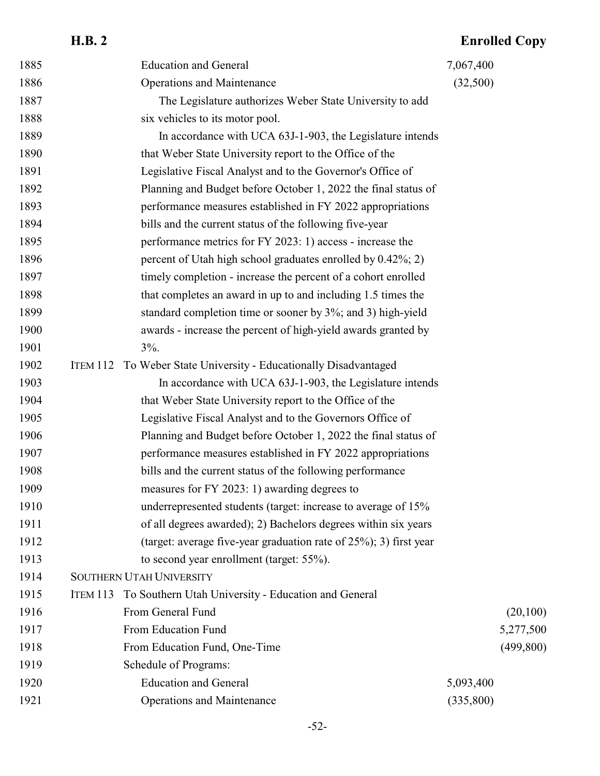### **H.B. 2 Enrolled Copy** 1885 Education and General 7,067,400 Operations and Maintenance (32,500) The Legislature authorizes Weber State University to add 1888 six vehicles to its motor pool. 1889 In accordance with UCA 63J-1-903, the Legislature intends that Weber State University report to the Office of the Legislative Fiscal Analyst and to the Governor's Office of Planning and Budget before October 1, 2022 the final status of performance measures established in FY 2022 appropriations bills and the current status of the following five-year performance metrics for FY 2023: 1) access - increase the 1896 percent of Utah high school graduates enrolled by 0.42%; 2) timely completion - increase the percent of a cohort enrolled that completes an award in up to and including 1.5 times the standard completion time or sooner by 3%; and 3) high-yield awards - increase the percent of high-yield awards granted by  $3\%$ . ITEM 112 To Weber State University - Educationally Disadvantaged In accordance with UCA 63J-1-903, the Legislature intends that Weber State University report to the Office of the Legislative Fiscal Analyst and to the Governors Office of Planning and Budget before October 1, 2022 the final status of performance measures established in FY 2022 appropriations bills and the current status of the following performance measures for FY 2023: 1) awarding degrees to underrepresented students (target: increase to average of 15% of all degrees awarded); 2) Bachelors degrees within six years (target: average five-year graduation rate of 25%); 3) first year to second year enrollment (target: 55%). SOUTHERN UTAH UNIVERSITY ITEM 113 To Southern Utah University - Education and General 1916 From General Fund (20,100) 1917 From Education Fund 5,277,500 From Education Fund, One-Time (499,800) Schedule of Programs: 1920 Education and General 5,093,400 Operations and Maintenance (335,800)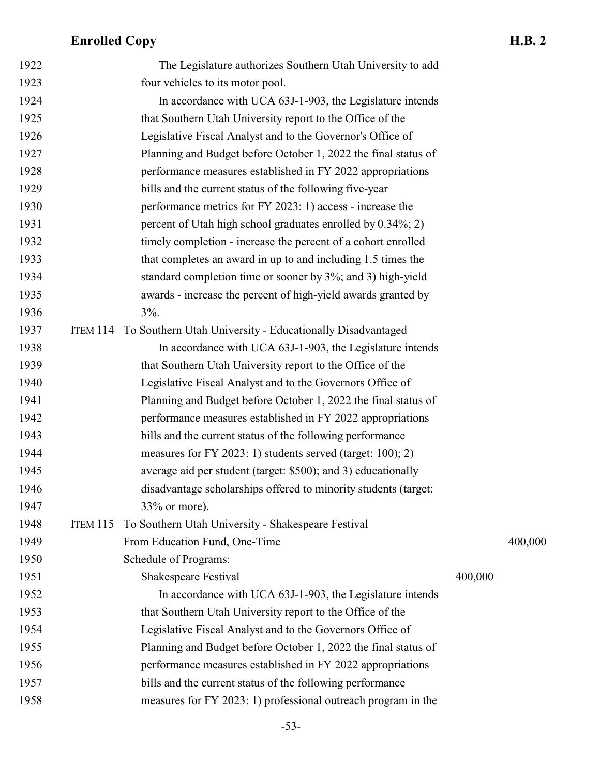| 1922<br>1923<br>1924<br>1925<br>1926 |                 | The Legislature authorizes Southern Utah University to add<br>four vehicles to its motor pool.<br>In accordance with UCA 63J-1-903, the Legislature intends<br>that Southern Utah University report to the Office of the |         |         |
|--------------------------------------|-----------------|--------------------------------------------------------------------------------------------------------------------------------------------------------------------------------------------------------------------------|---------|---------|
|                                      |                 |                                                                                                                                                                                                                          |         |         |
|                                      |                 |                                                                                                                                                                                                                          |         |         |
|                                      |                 |                                                                                                                                                                                                                          |         |         |
|                                      |                 |                                                                                                                                                                                                                          |         |         |
|                                      |                 | Legislative Fiscal Analyst and to the Governor's Office of                                                                                                                                                               |         |         |
| 1927                                 |                 | Planning and Budget before October 1, 2022 the final status of                                                                                                                                                           |         |         |
| 1928                                 |                 | performance measures established in FY 2022 appropriations                                                                                                                                                               |         |         |
| 1929                                 |                 | bills and the current status of the following five-year                                                                                                                                                                  |         |         |
| 1930                                 |                 | performance metrics for FY 2023: 1) access - increase the                                                                                                                                                                |         |         |
| 1931                                 |                 | percent of Utah high school graduates enrolled by 0.34%; 2)                                                                                                                                                              |         |         |
| 1932                                 |                 | timely completion - increase the percent of a cohort enrolled                                                                                                                                                            |         |         |
| 1933                                 |                 | that completes an award in up to and including 1.5 times the                                                                                                                                                             |         |         |
| 1934                                 |                 | standard completion time or sooner by 3%; and 3) high-yield                                                                                                                                                              |         |         |
| 1935                                 |                 | awards - increase the percent of high-yield awards granted by                                                                                                                                                            |         |         |
| 1936                                 |                 | $3\%$ .                                                                                                                                                                                                                  |         |         |
| 1937                                 |                 | ITEM 114 To Southern Utah University - Educationally Disadvantaged                                                                                                                                                       |         |         |
| 1938                                 |                 | In accordance with UCA 63J-1-903, the Legislature intends                                                                                                                                                                |         |         |
| 1939                                 |                 | that Southern Utah University report to the Office of the                                                                                                                                                                |         |         |
| 1940                                 |                 | Legislative Fiscal Analyst and to the Governors Office of                                                                                                                                                                |         |         |
| 1941                                 |                 | Planning and Budget before October 1, 2022 the final status of                                                                                                                                                           |         |         |
| 1942                                 |                 | performance measures established in FY 2022 appropriations                                                                                                                                                               |         |         |
| 1943                                 |                 | bills and the current status of the following performance                                                                                                                                                                |         |         |
| 1944                                 |                 | measures for FY 2023: 1) students served (target: 100); 2)                                                                                                                                                               |         |         |
| 1945                                 |                 | average aid per student (target: \$500); and 3) educationally                                                                                                                                                            |         |         |
| 1946                                 |                 | disadvantage scholarships offered to minority students (target:                                                                                                                                                          |         |         |
| 1947                                 |                 | $33\%$ or more).                                                                                                                                                                                                         |         |         |
| 1948                                 | <b>ITEM 115</b> | To Southern Utah University - Shakespeare Festival                                                                                                                                                                       |         |         |
| 1949                                 |                 | From Education Fund, One-Time                                                                                                                                                                                            |         | 400,000 |
| 1950                                 |                 | Schedule of Programs:                                                                                                                                                                                                    |         |         |
| 1951                                 |                 | Shakespeare Festival                                                                                                                                                                                                     | 400,000 |         |
| 1952                                 |                 | In accordance with UCA 63J-1-903, the Legislature intends                                                                                                                                                                |         |         |
| 1953                                 |                 | that Southern Utah University report to the Office of the                                                                                                                                                                |         |         |
| 1954                                 |                 | Legislative Fiscal Analyst and to the Governors Office of                                                                                                                                                                |         |         |
| 1955                                 |                 | Planning and Budget before October 1, 2022 the final status of                                                                                                                                                           |         |         |
| 1956                                 |                 | performance measures established in FY 2022 appropriations                                                                                                                                                               |         |         |
| 1957                                 |                 | bills and the current status of the following performance                                                                                                                                                                |         |         |
| 1958                                 |                 | measures for FY 2023: 1) professional outreach program in the                                                                                                                                                            |         |         |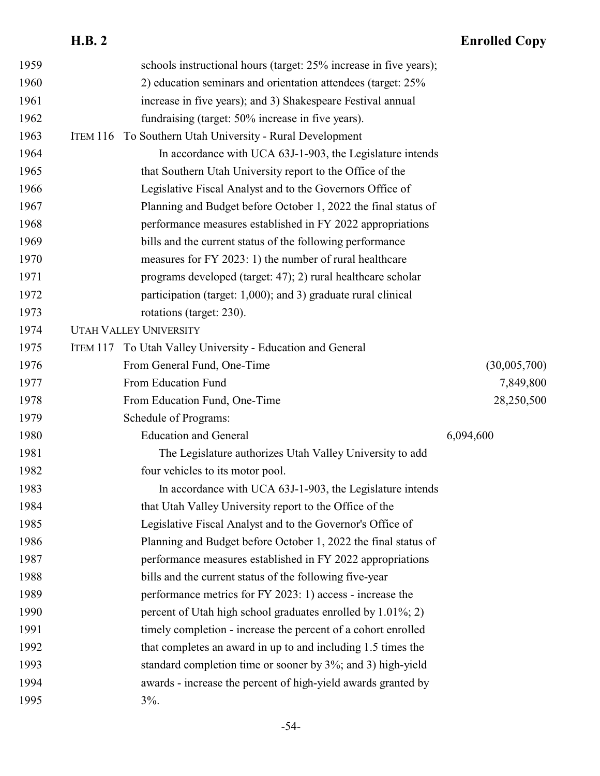| 1959 |                 | schools instructional hours (target: 25% increase in five years); |              |
|------|-----------------|-------------------------------------------------------------------|--------------|
| 1960 |                 | 2) education seminars and orientation attendees (target: 25%      |              |
| 1961 |                 | increase in five years); and 3) Shakespeare Festival annual       |              |
| 1962 |                 | fundraising (target: 50% increase in five years).                 |              |
| 1963 | <b>ITEM 116</b> | To Southern Utah University - Rural Development                   |              |
| 1964 |                 | In accordance with UCA 63J-1-903, the Legislature intends         |              |
| 1965 |                 | that Southern Utah University report to the Office of the         |              |
| 1966 |                 | Legislative Fiscal Analyst and to the Governors Office of         |              |
| 1967 |                 | Planning and Budget before October 1, 2022 the final status of    |              |
| 1968 |                 | performance measures established in FY 2022 appropriations        |              |
| 1969 |                 | bills and the current status of the following performance         |              |
| 1970 |                 | measures for FY 2023: 1) the number of rural healthcare           |              |
| 1971 |                 | programs developed (target: 47); 2) rural healthcare scholar      |              |
| 1972 |                 | participation (target: 1,000); and 3) graduate rural clinical     |              |
| 1973 |                 | rotations (target: 230).                                          |              |
| 1974 |                 | <b>UTAH VALLEY UNIVERSITY</b>                                     |              |
| 1975 | ITEM 117        | To Utah Valley University - Education and General                 |              |
| 1976 |                 | From General Fund, One-Time                                       | (30,005,700) |
| 1977 |                 | From Education Fund                                               | 7,849,800    |
| 1978 |                 | From Education Fund, One-Time                                     | 28,250,500   |
| 1979 |                 | Schedule of Programs:                                             |              |
| 1980 |                 | <b>Education and General</b>                                      | 6,094,600    |
| 1981 |                 | The Legislature authorizes Utah Valley University to add          |              |
| 1982 |                 | four vehicles to its motor pool.                                  |              |
| 1983 |                 | In accordance with UCA 63J-1-903, the Legislature intends         |              |
| 1984 |                 | that Utah Valley University report to the Office of the           |              |
| 1985 |                 | Legislative Fiscal Analyst and to the Governor's Office of        |              |
| 1986 |                 | Planning and Budget before October 1, 2022 the final status of    |              |
| 1987 |                 | performance measures established in FY 2022 appropriations        |              |
| 1988 |                 | bills and the current status of the following five-year           |              |
| 1989 |                 | performance metrics for FY 2023: 1) access - increase the         |              |
| 1990 |                 | percent of Utah high school graduates enrolled by 1.01%; 2)       |              |
| 1991 |                 | timely completion - increase the percent of a cohort enrolled     |              |
| 1992 |                 | that completes an award in up to and including 1.5 times the      |              |
| 1993 |                 | standard completion time or sooner by 3%; and 3) high-yield       |              |
| 1994 |                 | awards - increase the percent of high-yield awards granted by     |              |
| 1995 |                 | $3\%$ .                                                           |              |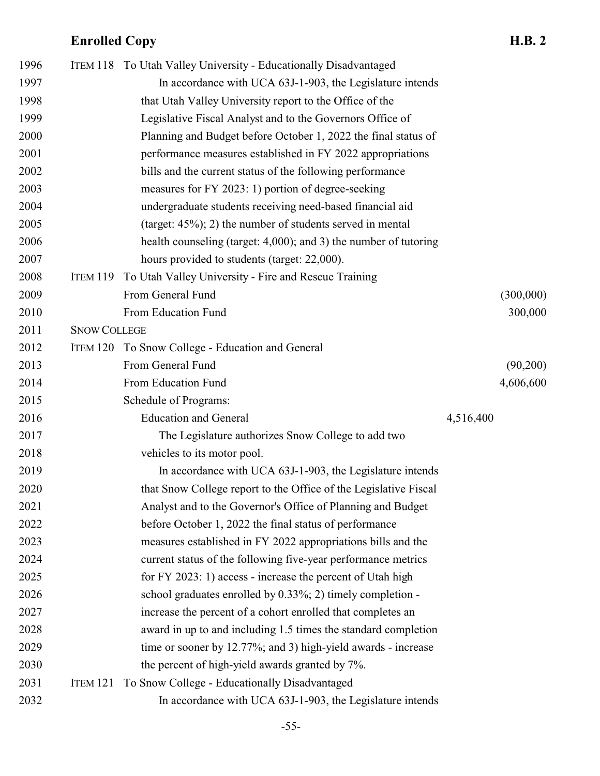| 1996 |                     | ITEM 118 To Utah Valley University - Educationally Disadvantaged |           |           |
|------|---------------------|------------------------------------------------------------------|-----------|-----------|
| 1997 |                     | In accordance with UCA 63J-1-903, the Legislature intends        |           |           |
| 1998 |                     | that Utah Valley University report to the Office of the          |           |           |
| 1999 |                     | Legislative Fiscal Analyst and to the Governors Office of        |           |           |
| 2000 |                     | Planning and Budget before October 1, 2022 the final status of   |           |           |
| 2001 |                     | performance measures established in FY 2022 appropriations       |           |           |
| 2002 |                     | bills and the current status of the following performance        |           |           |
| 2003 |                     | measures for FY 2023: 1) portion of degree-seeking               |           |           |
| 2004 |                     | undergraduate students receiving need-based financial aid        |           |           |
| 2005 |                     | (target: $45\%$ ); 2) the number of students served in mental    |           |           |
| 2006 |                     | health counseling (target: 4,000); and 3) the number of tutoring |           |           |
| 2007 |                     | hours provided to students (target: 22,000).                     |           |           |
| 2008 | <b>ITEM 119</b>     | To Utah Valley University - Fire and Rescue Training             |           |           |
| 2009 |                     | From General Fund                                                |           | (300,000) |
| 2010 |                     | From Education Fund                                              |           | 300,000   |
| 2011 | <b>SNOW COLLEGE</b> |                                                                  |           |           |
| 2012 |                     | ITEM 120 To Snow College - Education and General                 |           |           |
| 2013 |                     | From General Fund                                                |           | (90,200)  |
| 2014 |                     | From Education Fund                                              |           | 4,606,600 |
| 2015 |                     | Schedule of Programs:                                            |           |           |
| 2016 |                     | <b>Education and General</b>                                     | 4,516,400 |           |
| 2017 |                     | The Legislature authorizes Snow College to add two               |           |           |
| 2018 |                     | vehicles to its motor pool.                                      |           |           |
| 2019 |                     | In accordance with UCA 63J-1-903, the Legislature intends        |           |           |
| 2020 |                     | that Snow College report to the Office of the Legislative Fiscal |           |           |
| 2021 |                     | Analyst and to the Governor's Office of Planning and Budget      |           |           |
| 2022 |                     | before October 1, 2022 the final status of performance           |           |           |
| 2023 |                     | measures established in FY 2022 appropriations bills and the     |           |           |
| 2024 |                     | current status of the following five-year performance metrics    |           |           |
| 2025 |                     | for FY 2023: 1) access - increase the percent of Utah high       |           |           |
| 2026 |                     | school graduates enrolled by 0.33%; 2) timely completion -       |           |           |
| 2027 |                     | increase the percent of a cohort enrolled that completes an      |           |           |
| 2028 |                     | award in up to and including 1.5 times the standard completion   |           |           |
|      |                     |                                                                  |           |           |
| 2029 |                     | time or sooner by 12.77%; and 3) high-yield awards - increase    |           |           |
| 2030 |                     | the percent of high-yield awards granted by 7%.                  |           |           |
| 2031 | ITEM 121            | To Snow College - Educationally Disadvantaged                    |           |           |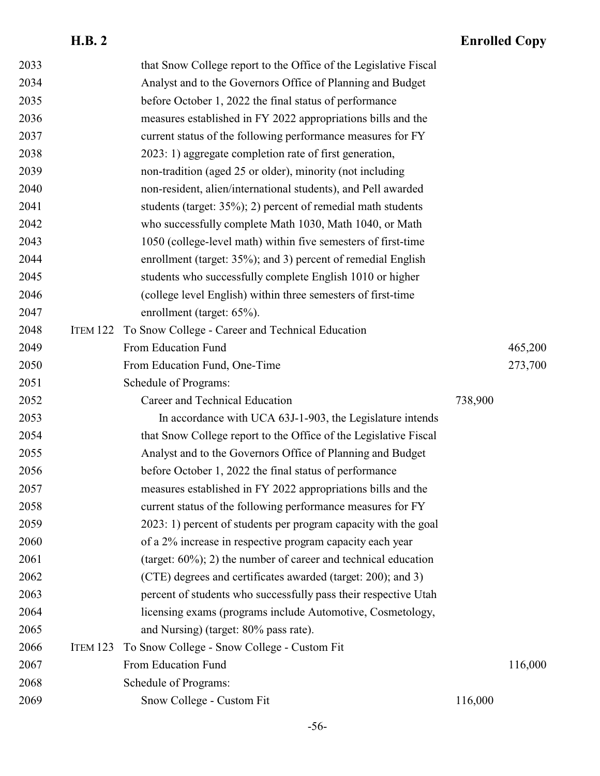| 2033 |                 | that Snow College report to the Office of the Legislative Fiscal   |         |         |
|------|-----------------|--------------------------------------------------------------------|---------|---------|
| 2034 |                 | Analyst and to the Governors Office of Planning and Budget         |         |         |
| 2035 |                 | before October 1, 2022 the final status of performance             |         |         |
| 2036 |                 | measures established in FY 2022 appropriations bills and the       |         |         |
| 2037 |                 | current status of the following performance measures for FY        |         |         |
| 2038 |                 | 2023: 1) aggregate completion rate of first generation,            |         |         |
| 2039 |                 | non-tradition (aged 25 or older), minority (not including          |         |         |
| 2040 |                 | non-resident, alien/international students), and Pell awarded      |         |         |
| 2041 |                 | students (target: 35%); 2) percent of remedial math students       |         |         |
| 2042 |                 | who successfully complete Math 1030, Math 1040, or Math            |         |         |
| 2043 |                 | 1050 (college-level math) within five semesters of first-time      |         |         |
| 2044 |                 | enrollment (target: 35%); and 3) percent of remedial English       |         |         |
| 2045 |                 | students who successfully complete English 1010 or higher          |         |         |
| 2046 |                 | (college level English) within three semesters of first-time       |         |         |
| 2047 |                 | enrollment (target: 65%).                                          |         |         |
| 2048 | ITEM 122        | To Snow College - Career and Technical Education                   |         |         |
| 2049 |                 | From Education Fund                                                |         | 465,200 |
| 2050 |                 | From Education Fund, One-Time                                      |         | 273,700 |
| 2051 |                 | Schedule of Programs:                                              |         |         |
| 2052 |                 | Career and Technical Education                                     | 738,900 |         |
|      |                 |                                                                    |         |         |
| 2053 |                 | In accordance with UCA 63J-1-903, the Legislature intends          |         |         |
| 2054 |                 | that Snow College report to the Office of the Legislative Fiscal   |         |         |
| 2055 |                 | Analyst and to the Governors Office of Planning and Budget         |         |         |
| 2056 |                 | before October 1, 2022 the final status of performance             |         |         |
| 2057 |                 | measures established in FY 2022 appropriations bills and the       |         |         |
| 2058 |                 | current status of the following performance measures for FY        |         |         |
| 2059 |                 | 2023: 1) percent of students per program capacity with the goal    |         |         |
| 2060 |                 | of a 2% increase in respective program capacity each year          |         |         |
| 2061 |                 | (target: $60\%$ ); 2) the number of career and technical education |         |         |
| 2062 |                 | (CTE) degrees and certificates awarded (target: 200); and 3)       |         |         |
| 2063 |                 | percent of students who successfully pass their respective Utah    |         |         |
| 2064 |                 | licensing exams (programs include Automotive, Cosmetology,         |         |         |
| 2065 |                 | and Nursing) (target: 80% pass rate).                              |         |         |
| 2066 | <b>ITEM 123</b> | To Snow College - Snow College - Custom Fit                        |         |         |
| 2067 |                 | From Education Fund                                                |         | 116,000 |
| 2068 |                 | Schedule of Programs:                                              |         |         |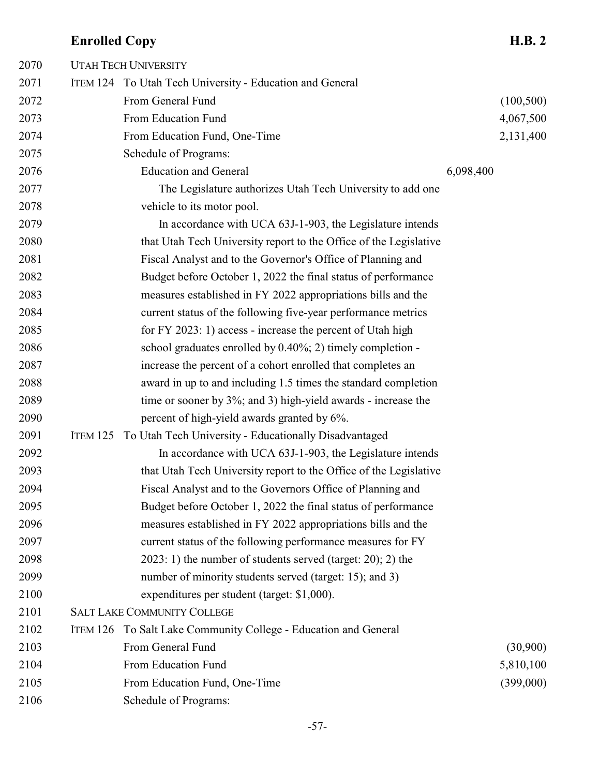### UTAH TECH UNIVERSITY ITEM 124 To Utah Tech University - Education and General From General Fund (100,500) From Education Fund 4,067,500 2074 From Education Fund, One-Time 2,131,400 Schedule of Programs: 2076 Education and General 6,098,400 The Legislature authorizes Utah Tech University to add one vehicle to its motor pool. In accordance with UCA 63J-1-903, the Legislature intends that Utah Tech University report to the Office of the Legislative Fiscal Analyst and to the Governor's Office of Planning and Budget before October 1, 2022 the final status of performance measures established in FY 2022 appropriations bills and the current status of the following five-year performance metrics for FY 2023: 1) access - increase the percent of Utah high school graduates enrolled by 0.40%; 2) timely completion - increase the percent of a cohort enrolled that completes an award in up to and including 1.5 times the standard completion time or sooner by 3%; and 3) high-yield awards - increase the percent of high-yield awards granted by 6%. ITEM 125 To Utah Tech University - Educationally Disadvantaged In accordance with UCA 63J-1-903, the Legislature intends that Utah Tech University report to the Office of the Legislative Fiscal Analyst and to the Governors Office of Planning and Budget before October 1, 2022 the final status of performance measures established in FY 2022 appropriations bills and the current status of the following performance measures for FY 2023: 1) the number of students served (target: 20); 2) the number of minority students served (target: 15); and 3) expenditures per student (target: \$1,000). SALT LAKE COMMUNITY COLLEGE ITEM 126 To Salt Lake Community College - Education and General From General Fund (30,900) 2104 From Education Fund 5,810,100 From Education Fund, One-Time (399,000) Schedule of Programs: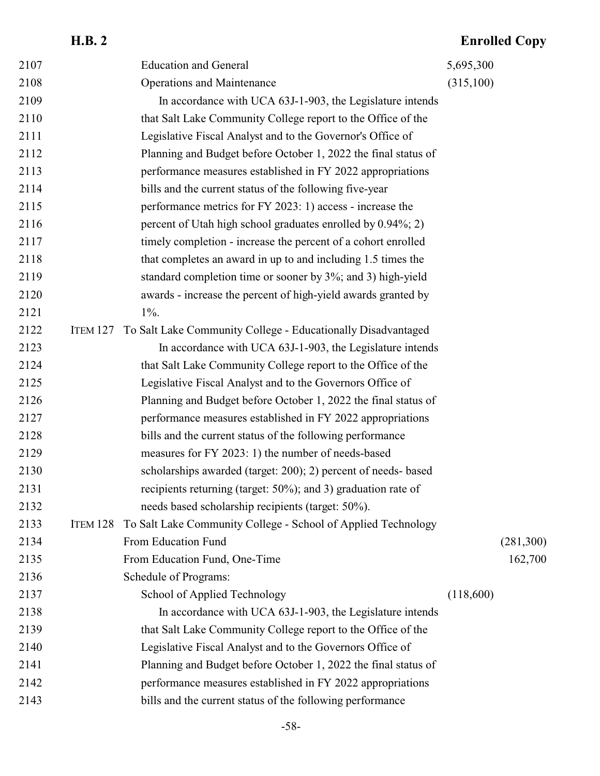### **H.B. 2 Enrolled Copy** 2107 Education and General 5,695,300 Operations and Maintenance (315,100) In accordance with UCA 63J-1-903, the Legislature intends that Salt Lake Community College report to the Office of the Legislative Fiscal Analyst and to the Governor's Office of Planning and Budget before October 1, 2022 the final status of performance measures established in FY 2022 appropriations bills and the current status of the following five-year performance metrics for FY 2023: 1) access - increase the 2116 percent of Utah high school graduates enrolled by 0.94%; 2) timely completion - increase the percent of a cohort enrolled that completes an award in up to and including 1.5 times the standard completion time or sooner by 3%; and 3) high-yield awards - increase the percent of high-yield awards granted by 1%. ITEM 127 To Salt Lake Community College - Educationally Disadvantaged In accordance with UCA 63J-1-903, the Legislature intends that Salt Lake Community College report to the Office of the Legislative Fiscal Analyst and to the Governors Office of Planning and Budget before October 1, 2022 the final status of performance measures established in FY 2022 appropriations bills and the current status of the following performance measures for FY 2023: 1) the number of needs-based scholarships awarded (target: 200); 2) percent of needs- based recipients returning (target: 50%); and 3) graduation rate of needs based scholarship recipients (target: 50%). ITEM 128 To Salt Lake Community College - School of Applied Technology From Education Fund (281,300) From Education Fund, One-Time 162,700 Schedule of Programs: School of Applied Technology (118,600) In accordance with UCA 63J-1-903, the Legislature intends that Salt Lake Community College report to the Office of the Legislative Fiscal Analyst and to the Governors Office of Planning and Budget before October 1, 2022 the final status of performance measures established in FY 2022 appropriations bills and the current status of the following performance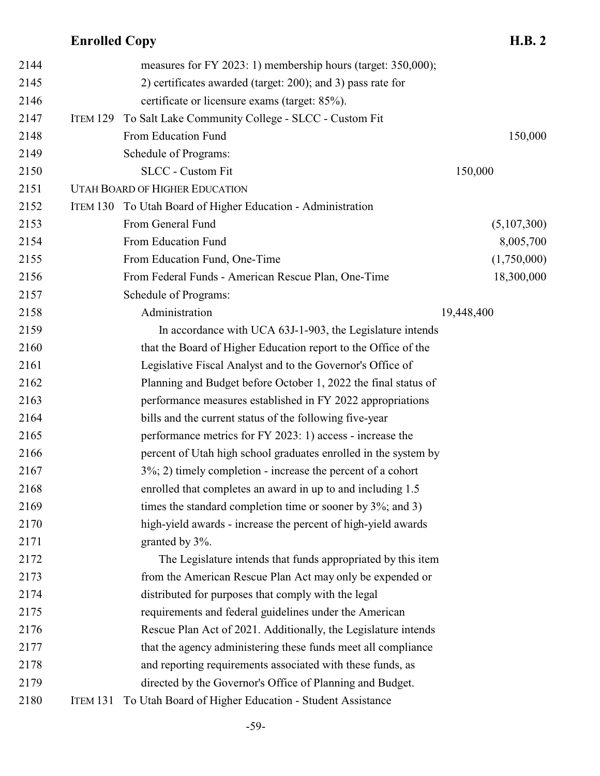| 2144 |                 | measures for FY 2023: 1) membership hours (target: 350,000);    |             |
|------|-----------------|-----------------------------------------------------------------|-------------|
| 2145 |                 | 2) certificates awarded (target: 200); and 3) pass rate for     |             |
| 2146 |                 | certificate or licensure exams (target: 85%).                   |             |
| 2147 | <b>ITEM 129</b> | To Salt Lake Community College - SLCC - Custom Fit              |             |
| 2148 |                 | From Education Fund                                             | 150,000     |
| 2149 |                 | Schedule of Programs:                                           |             |
| 2150 |                 | <b>SLCC</b> - Custom Fit                                        | 150,000     |
| 2151 |                 | <b>UTAH BOARD OF HIGHER EDUCATION</b>                           |             |
| 2152 |                 | ITEM 130 To Utah Board of Higher Education - Administration     |             |
| 2153 |                 | From General Fund                                               | (5,107,300) |
| 2154 |                 | From Education Fund                                             | 8,005,700   |
| 2155 |                 | From Education Fund, One-Time                                   | (1,750,000) |
| 2156 |                 | From Federal Funds - American Rescue Plan, One-Time             | 18,300,000  |
| 2157 |                 | Schedule of Programs:                                           |             |
| 2158 |                 | Administration                                                  | 19,448,400  |
| 2159 |                 | In accordance with UCA 63J-1-903, the Legislature intends       |             |
| 2160 |                 | that the Board of Higher Education report to the Office of the  |             |
| 2161 |                 | Legislative Fiscal Analyst and to the Governor's Office of      |             |
| 2162 |                 | Planning and Budget before October 1, 2022 the final status of  |             |
| 2163 |                 | performance measures established in FY 2022 appropriations      |             |
| 2164 |                 | bills and the current status of the following five-year         |             |
| 2165 |                 | performance metrics for FY 2023: 1) access - increase the       |             |
| 2166 |                 | percent of Utah high school graduates enrolled in the system by |             |
| 2167 |                 | $3\%$ ; 2) timely completion - increase the percent of a cohort |             |
| 2168 |                 | enrolled that completes an award in up to and including 1.5     |             |
| 2169 |                 | times the standard completion time or sooner by $3\%$ ; and 3)  |             |
| 2170 |                 | high-yield awards - increase the percent of high-yield awards   |             |
| 2171 |                 | granted by 3%.                                                  |             |
| 2172 |                 | The Legislature intends that funds appropriated by this item    |             |
| 2173 |                 | from the American Rescue Plan Act may only be expended or       |             |
| 2174 |                 | distributed for purposes that comply with the legal             |             |
| 2175 |                 | requirements and federal guidelines under the American          |             |
| 2176 |                 | Rescue Plan Act of 2021. Additionally, the Legislature intends  |             |
| 2177 |                 | that the agency administering these funds meet all compliance   |             |
| 2178 |                 | and reporting requirements associated with these funds, as      |             |
| 2179 |                 | directed by the Governor's Office of Planning and Budget.       |             |
| 2180 | <b>ITEM 131</b> | To Utah Board of Higher Education - Student Assistance          |             |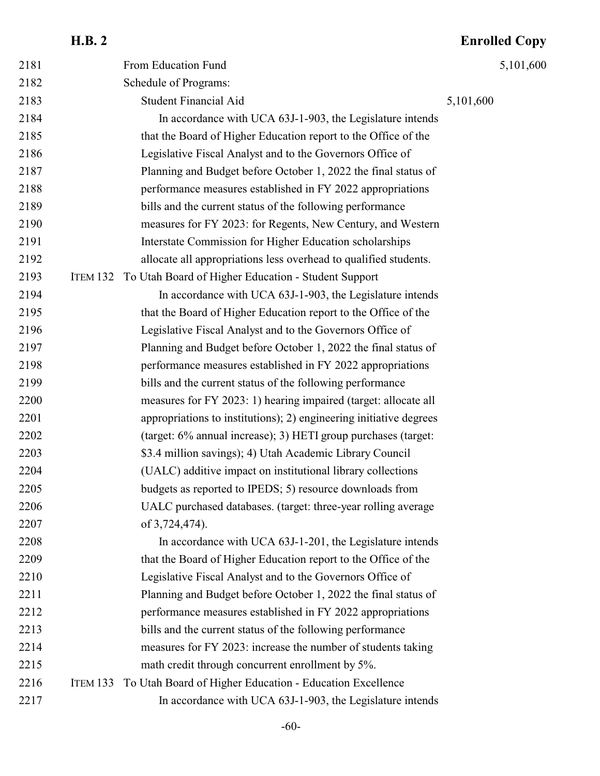|      | <b>H.B. 2</b>   |                                                                    | <b>Enrolled Copy</b> |
|------|-----------------|--------------------------------------------------------------------|----------------------|
| 2181 |                 | From Education Fund                                                | 5,101,600            |
| 2182 |                 | Schedule of Programs:                                              |                      |
| 2183 |                 | <b>Student Financial Aid</b>                                       | 5,101,600            |
| 2184 |                 | In accordance with UCA 63J-1-903, the Legislature intends          |                      |
| 2185 |                 | that the Board of Higher Education report to the Office of the     |                      |
| 2186 |                 | Legislative Fiscal Analyst and to the Governors Office of          |                      |
| 2187 |                 | Planning and Budget before October 1, 2022 the final status of     |                      |
| 2188 |                 | performance measures established in FY 2022 appropriations         |                      |
| 2189 |                 | bills and the current status of the following performance          |                      |
| 2190 |                 | measures for FY 2023: for Regents, New Century, and Western        |                      |
| 2191 |                 | Interstate Commission for Higher Education scholarships            |                      |
| 2192 |                 | allocate all appropriations less overhead to qualified students.   |                      |
| 2193 |                 | ITEM 132 To Utah Board of Higher Education - Student Support       |                      |
| 2194 |                 | In accordance with UCA 63J-1-903, the Legislature intends          |                      |
| 2195 |                 | that the Board of Higher Education report to the Office of the     |                      |
| 2196 |                 | Legislative Fiscal Analyst and to the Governors Office of          |                      |
| 2197 |                 | Planning and Budget before October 1, 2022 the final status of     |                      |
| 2198 |                 | performance measures established in FY 2022 appropriations         |                      |
| 2199 |                 | bills and the current status of the following performance          |                      |
| 2200 |                 | measures for FY 2023: 1) hearing impaired (target: allocate all    |                      |
| 2201 |                 | appropriations to institutions); 2) engineering initiative degrees |                      |
| 2202 |                 | (target: 6% annual increase); 3) HETI group purchases (target:     |                      |
| 2203 |                 | \$3.4 million savings); 4) Utah Academic Library Council           |                      |
| 2204 |                 | (UALC) additive impact on institutional library collections        |                      |
| 2205 |                 | budgets as reported to IPEDS; 5) resource downloads from           |                      |
| 2206 |                 | UALC purchased databases. (target: three-year rolling average      |                      |
| 2207 |                 | of 3,724,474).                                                     |                      |
| 2208 |                 | In accordance with UCA 63J-1-201, the Legislature intends          |                      |
| 2209 |                 | that the Board of Higher Education report to the Office of the     |                      |
| 2210 |                 | Legislative Fiscal Analyst and to the Governors Office of          |                      |
| 2211 |                 | Planning and Budget before October 1, 2022 the final status of     |                      |
| 2212 |                 | performance measures established in FY 2022 appropriations         |                      |
| 2213 |                 | bills and the current status of the following performance          |                      |
| 2214 |                 | measures for FY 2023: increase the number of students taking       |                      |
| 2215 |                 | math credit through concurrent enrollment by 5%.                   |                      |
| 2216 | <b>ITEM 133</b> | To Utah Board of Higher Education - Education Excellence           |                      |
| 2217 |                 | In accordance with UCA 63J-1-903, the Legislature intends          |                      |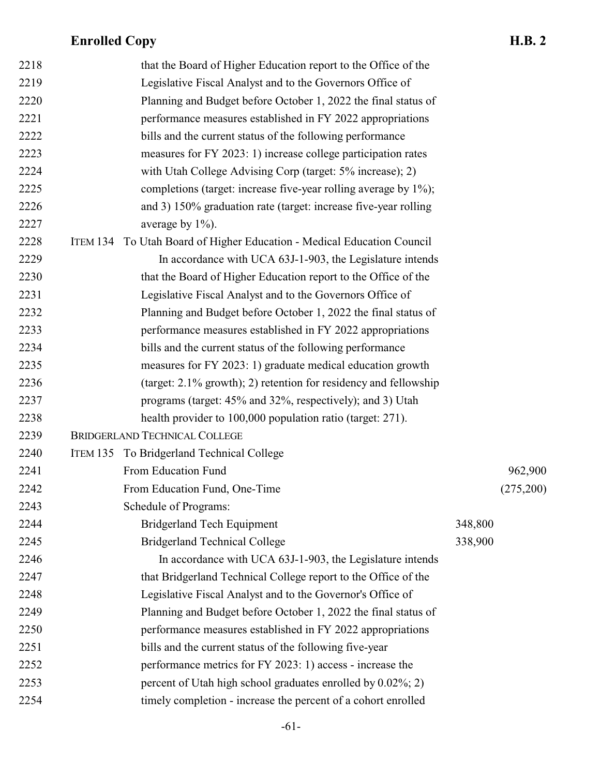| 2218 | that the Board of Higher Education report to the Office of the         |         |           |
|------|------------------------------------------------------------------------|---------|-----------|
| 2219 | Legislative Fiscal Analyst and to the Governors Office of              |         |           |
| 2220 | Planning and Budget before October 1, 2022 the final status of         |         |           |
| 2221 | performance measures established in FY 2022 appropriations             |         |           |
| 2222 | bills and the current status of the following performance              |         |           |
| 2223 | measures for FY 2023: 1) increase college participation rates          |         |           |
| 2224 | with Utah College Advising Corp (target: 5% increase); 2)              |         |           |
| 2225 | completions (target: increase five-year rolling average by 1%);        |         |           |
| 2226 | and 3) 150% graduation rate (target: increase five-year rolling        |         |           |
| 2227 | average by $1\%$ ).                                                    |         |           |
| 2228 | ITEM 134 To Utah Board of Higher Education - Medical Education Council |         |           |
| 2229 | In accordance with UCA 63J-1-903, the Legislature intends              |         |           |
| 2230 | that the Board of Higher Education report to the Office of the         |         |           |
| 2231 | Legislative Fiscal Analyst and to the Governors Office of              |         |           |
| 2232 | Planning and Budget before October 1, 2022 the final status of         |         |           |
| 2233 | performance measures established in FY 2022 appropriations             |         |           |
| 2234 | bills and the current status of the following performance              |         |           |
| 2235 | measures for FY 2023: 1) graduate medical education growth             |         |           |
| 2236 | (target: 2.1% growth); 2) retention for residency and fellowship       |         |           |
| 2237 | programs (target: 45% and 32%, respectively); and 3) Utah              |         |           |
| 2238 | health provider to 100,000 population ratio (target: 271).             |         |           |
| 2239 | <b>BRIDGERLAND TECHNICAL COLLEGE</b>                                   |         |           |
| 2240 | ITEM 135 To Bridgerland Technical College                              |         |           |
| 2241 | From Education Fund                                                    |         | 962,900   |
| 2242 | From Education Fund, One-Time                                          |         | (275,200) |
| 2243 | Schedule of Programs:                                                  |         |           |
| 2244 | <b>Bridgerland Tech Equipment</b>                                      | 348,800 |           |
| 2245 | <b>Bridgerland Technical College</b>                                   | 338,900 |           |
| 2246 | In accordance with UCA 63J-1-903, the Legislature intends              |         |           |
| 2247 | that Bridgerland Technical College report to the Office of the         |         |           |
| 2248 | Legislative Fiscal Analyst and to the Governor's Office of             |         |           |
| 2249 | Planning and Budget before October 1, 2022 the final status of         |         |           |
| 2250 | performance measures established in FY 2022 appropriations             |         |           |
| 2251 | bills and the current status of the following five-year                |         |           |
| 2252 | performance metrics for FY 2023: 1) access - increase the              |         |           |
| 2253 | percent of Utah high school graduates enrolled by 0.02%; 2)            |         |           |
| 2254 | timely completion - increase the percent of a cohort enrolled          |         |           |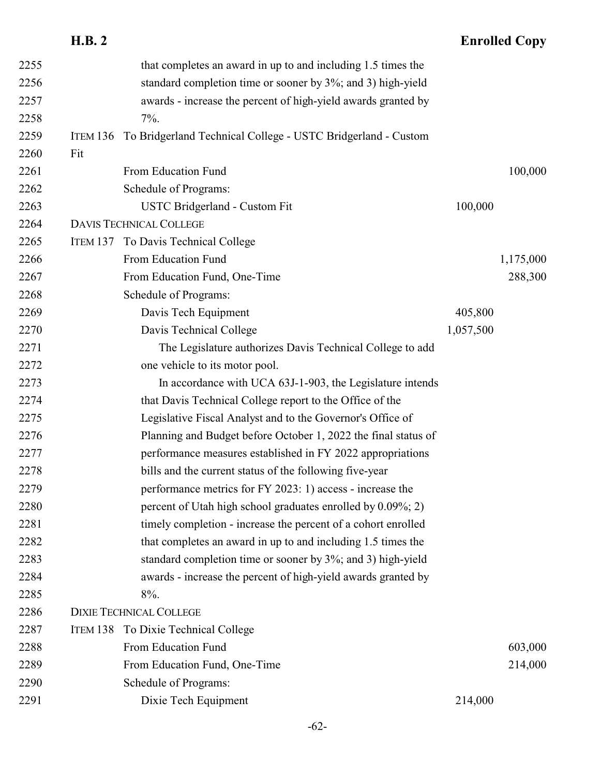|      | <b>H.B. 2</b>   |                                                                |           | <b>Enrolled Copy</b> |
|------|-----------------|----------------------------------------------------------------|-----------|----------------------|
| 2255 |                 | that completes an award in up to and including 1.5 times the   |           |                      |
| 2256 |                 | standard completion time or sooner by 3%; and 3) high-yield    |           |                      |
| 2257 |                 | awards - increase the percent of high-yield awards granted by  |           |                      |
| 2258 |                 | $7\%$ .                                                        |           |                      |
| 2259 | <b>ITEM 136</b> | To Bridgerland Technical College - USTC Bridgerland - Custom   |           |                      |
| 2260 | Fit             |                                                                |           |                      |
| 2261 |                 | From Education Fund                                            |           | 100,000              |
| 2262 |                 | Schedule of Programs:                                          |           |                      |
| 2263 |                 | USTC Bridgerland - Custom Fit                                  | 100,000   |                      |
| 2264 |                 | <b>DAVIS TECHNICAL COLLEGE</b>                                 |           |                      |
| 2265 |                 | ITEM 137 To Davis Technical College                            |           |                      |
| 2266 |                 | From Education Fund                                            |           | 1,175,000            |
| 2267 |                 | From Education Fund, One-Time                                  |           | 288,300              |
| 2268 |                 | Schedule of Programs:                                          |           |                      |
| 2269 |                 | Davis Tech Equipment                                           | 405,800   |                      |
| 2270 |                 | Davis Technical College                                        | 1,057,500 |                      |
| 2271 |                 | The Legislature authorizes Davis Technical College to add      |           |                      |
| 2272 |                 | one vehicle to its motor pool.                                 |           |                      |
| 2273 |                 | In accordance with UCA 63J-1-903, the Legislature intends      |           |                      |
| 2274 |                 | that Davis Technical College report to the Office of the       |           |                      |
| 2275 |                 | Legislative Fiscal Analyst and to the Governor's Office of     |           |                      |
| 2276 |                 | Planning and Budget before October 1, 2022 the final status of |           |                      |
| 2277 |                 | performance measures established in FY 2022 appropriations     |           |                      |
| 2278 |                 | bills and the current status of the following five-year        |           |                      |
| 2279 |                 | performance metrics for FY 2023: 1) access - increase the      |           |                      |
| 2280 |                 | percent of Utah high school graduates enrolled by 0.09%; 2)    |           |                      |
| 2281 |                 | timely completion - increase the percent of a cohort enrolled  |           |                      |
| 2282 |                 | that completes an award in up to and including 1.5 times the   |           |                      |
| 2283 |                 | standard completion time or sooner by 3%; and 3) high-yield    |           |                      |
| 2284 |                 | awards - increase the percent of high-yield awards granted by  |           |                      |
| 2285 |                 | $8%$ .                                                         |           |                      |
| 2286 |                 | <b>DIXIE TECHNICAL COLLEGE</b>                                 |           |                      |
| 2287 | ITEM 138        | To Dixie Technical College                                     |           |                      |
| 2288 |                 | From Education Fund                                            |           | 603,000              |
| 2289 |                 | From Education Fund, One-Time                                  |           | 214,000              |
| 2290 |                 | Schedule of Programs:                                          |           |                      |
| 2291 |                 | Dixie Tech Equipment                                           | 214,000   |                      |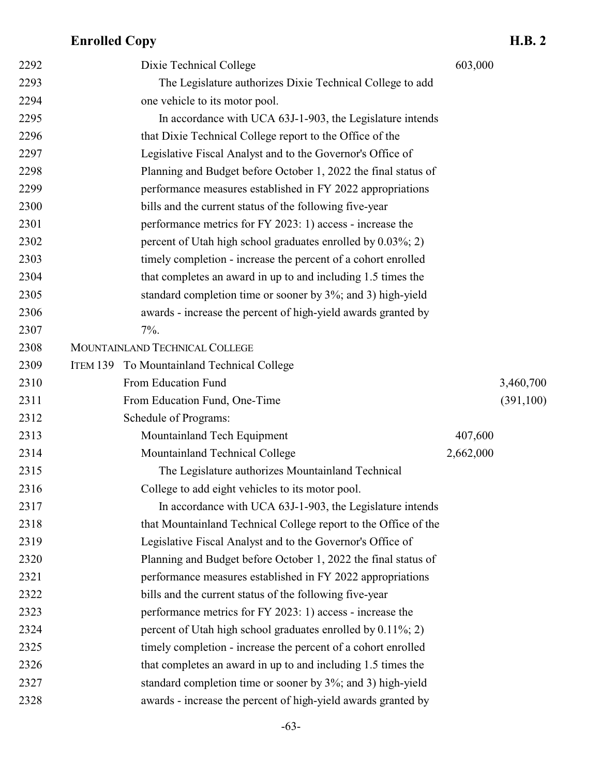| 2292 | Dixie Technical College                                         | 603,000   |            |
|------|-----------------------------------------------------------------|-----------|------------|
| 2293 | The Legislature authorizes Dixie Technical College to add       |           |            |
| 2294 | one vehicle to its motor pool.                                  |           |            |
| 2295 | In accordance with UCA 63J-1-903, the Legislature intends       |           |            |
| 2296 | that Dixie Technical College report to the Office of the        |           |            |
| 2297 | Legislative Fiscal Analyst and to the Governor's Office of      |           |            |
| 2298 | Planning and Budget before October 1, 2022 the final status of  |           |            |
| 2299 | performance measures established in FY 2022 appropriations      |           |            |
| 2300 | bills and the current status of the following five-year         |           |            |
| 2301 | performance metrics for FY 2023: 1) access - increase the       |           |            |
| 2302 | percent of Utah high school graduates enrolled by 0.03%; 2)     |           |            |
| 2303 | timely completion - increase the percent of a cohort enrolled   |           |            |
| 2304 | that completes an award in up to and including 1.5 times the    |           |            |
| 2305 | standard completion time or sooner by 3%; and 3) high-yield     |           |            |
| 2306 | awards - increase the percent of high-yield awards granted by   |           |            |
| 2307 | $7\%$ .                                                         |           |            |
| 2308 | MOUNTAINLAND TECHNICAL COLLEGE                                  |           |            |
| 2309 | ITEM 139 To Mountainland Technical College                      |           |            |
| 2310 | From Education Fund                                             |           | 3,460,700  |
| 2311 | From Education Fund, One-Time                                   |           | (391, 100) |
| 2312 | Schedule of Programs:                                           |           |            |
| 2313 | Mountainland Tech Equipment                                     | 407,600   |            |
| 2314 | Mountainland Technical College                                  | 2,662,000 |            |
| 2315 | The Legislature authorizes Mountainland Technical               |           |            |
| 2316 | College to add eight vehicles to its motor pool.                |           |            |
| 2317 | In accordance with UCA 63J-1-903, the Legislature intends       |           |            |
| 2318 | that Mountainland Technical College report to the Office of the |           |            |
| 2319 | Legislative Fiscal Analyst and to the Governor's Office of      |           |            |
| 2320 | Planning and Budget before October 1, 2022 the final status of  |           |            |
| 2321 | performance measures established in FY 2022 appropriations      |           |            |
| 2322 | bills and the current status of the following five-year         |           |            |
| 2323 | performance metrics for FY 2023: 1) access - increase the       |           |            |
| 2324 | percent of Utah high school graduates enrolled by $0.11\%$ ; 2) |           |            |
| 2325 | timely completion - increase the percent of a cohort enrolled   |           |            |
| 2326 | that completes an award in up to and including 1.5 times the    |           |            |
| 2327 | standard completion time or sooner by 3%; and 3) high-yield     |           |            |
| 2328 | awards - increase the percent of high-yield awards granted by   |           |            |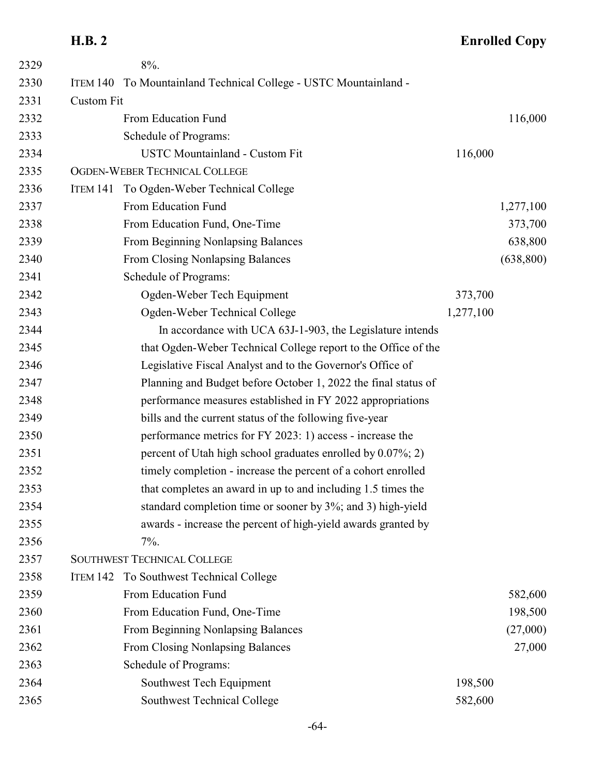# **H.B. 2 Enrolled Copy**

| 2329 |                   | 8%.                                                              |           |            |
|------|-------------------|------------------------------------------------------------------|-----------|------------|
| 2330 |                   | ITEM 140 To Mountainland Technical College - USTC Mountainland - |           |            |
| 2331 | <b>Custom Fit</b> |                                                                  |           |            |
| 2332 |                   | From Education Fund                                              |           | 116,000    |
| 2333 |                   | Schedule of Programs:                                            |           |            |
| 2334 |                   | <b>USTC Mountainland - Custom Fit</b>                            | 116,000   |            |
| 2335 |                   | OGDEN-WEBER TECHNICAL COLLEGE                                    |           |            |
| 2336 | ITEM 141          | To Ogden-Weber Technical College                                 |           |            |
| 2337 |                   | From Education Fund                                              |           | 1,277,100  |
| 2338 |                   | From Education Fund, One-Time                                    |           | 373,700    |
| 2339 |                   | From Beginning Nonlapsing Balances                               |           | 638,800    |
| 2340 |                   | From Closing Nonlapsing Balances                                 |           | (638, 800) |
| 2341 |                   | Schedule of Programs:                                            |           |            |
| 2342 |                   | Ogden-Weber Tech Equipment                                       | 373,700   |            |
| 2343 |                   | Ogden-Weber Technical College                                    | 1,277,100 |            |
| 2344 |                   | In accordance with UCA 63J-1-903, the Legislature intends        |           |            |
| 2345 |                   | that Ogden-Weber Technical College report to the Office of the   |           |            |
| 2346 |                   | Legislative Fiscal Analyst and to the Governor's Office of       |           |            |
| 2347 |                   | Planning and Budget before October 1, 2022 the final status of   |           |            |
| 2348 |                   | performance measures established in FY 2022 appropriations       |           |            |
| 2349 |                   | bills and the current status of the following five-year          |           |            |
| 2350 |                   | performance metrics for FY 2023: 1) access - increase the        |           |            |
| 2351 |                   | percent of Utah high school graduates enrolled by 0.07%; 2)      |           |            |
| 2352 |                   | timely completion - increase the percent of a cohort enrolled    |           |            |
| 2353 |                   | that completes an award in up to and including 1.5 times the     |           |            |
| 2354 |                   | standard completion time or sooner by 3%; and 3) high-yield      |           |            |
| 2355 |                   | awards - increase the percent of high-yield awards granted by    |           |            |
| 2356 |                   | $7\%$ .                                                          |           |            |
| 2357 |                   | <b>SOUTHWEST TECHNICAL COLLEGE</b>                               |           |            |
| 2358 | <b>ITEM 142</b>   | To Southwest Technical College                                   |           |            |
| 2359 |                   | From Education Fund                                              |           | 582,600    |
| 2360 |                   | From Education Fund, One-Time                                    |           | 198,500    |
| 2361 |                   | From Beginning Nonlapsing Balances                               |           | (27,000)   |
| 2362 |                   | From Closing Nonlapsing Balances                                 |           | 27,000     |
| 2363 |                   | Schedule of Programs:                                            |           |            |
| 2364 |                   | Southwest Tech Equipment                                         | 198,500   |            |
| 2365 |                   | Southwest Technical College                                      | 582,600   |            |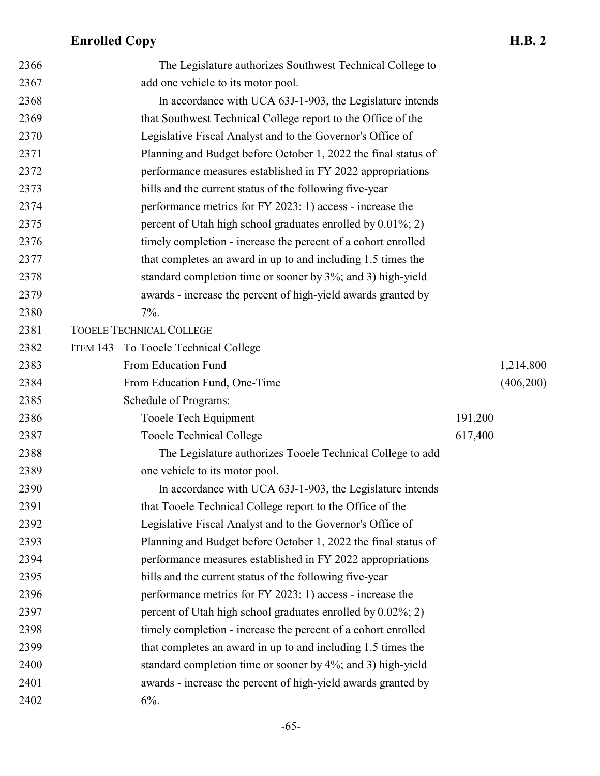| 2366 | The Legislature authorizes Southwest Technical College to       |         |           |
|------|-----------------------------------------------------------------|---------|-----------|
| 2367 | add one vehicle to its motor pool.                              |         |           |
| 2368 | In accordance with UCA 63J-1-903, the Legislature intends       |         |           |
| 2369 | that Southwest Technical College report to the Office of the    |         |           |
| 2370 | Legislative Fiscal Analyst and to the Governor's Office of      |         |           |
| 2371 | Planning and Budget before October 1, 2022 the final status of  |         |           |
| 2372 | performance measures established in FY 2022 appropriations      |         |           |
| 2373 | bills and the current status of the following five-year         |         |           |
| 2374 | performance metrics for FY 2023: 1) access - increase the       |         |           |
| 2375 | percent of Utah high school graduates enrolled by $0.01\%$ ; 2) |         |           |
| 2376 | timely completion - increase the percent of a cohort enrolled   |         |           |
| 2377 | that completes an award in up to and including 1.5 times the    |         |           |
| 2378 | standard completion time or sooner by 3%; and 3) high-yield     |         |           |
| 2379 | awards - increase the percent of high-yield awards granted by   |         |           |
| 2380 | $7\%$ .                                                         |         |           |
| 2381 | <b>TOOELE TECHNICAL COLLEGE</b>                                 |         |           |
| 2382 | ITEM 143 To Tooele Technical College                            |         |           |
| 2383 | From Education Fund                                             |         | 1,214,800 |
| 2384 | From Education Fund, One-Time                                   |         | (406,200) |
| 2385 | Schedule of Programs:                                           |         |           |
| 2386 | Tooele Tech Equipment                                           | 191,200 |           |
| 2387 | <b>Tooele Technical College</b>                                 | 617,400 |           |
| 2388 | The Legislature authorizes Tooele Technical College to add      |         |           |
| 2389 | one vehicle to its motor pool.                                  |         |           |
| 2390 | In accordance with UCA 63J-1-903, the Legislature intends       |         |           |
| 2391 | that Tooele Technical College report to the Office of the       |         |           |
| 2392 | Legislative Fiscal Analyst and to the Governor's Office of      |         |           |
| 2393 | Planning and Budget before October 1, 2022 the final status of  |         |           |
| 2394 | performance measures established in FY 2022 appropriations      |         |           |
| 2395 | bills and the current status of the following five-year         |         |           |
| 2396 | performance metrics for FY 2023: 1) access - increase the       |         |           |
| 2397 | percent of Utah high school graduates enrolled by 0.02%; 2)     |         |           |
| 2398 | timely completion - increase the percent of a cohort enrolled   |         |           |
| 2399 | that completes an award in up to and including 1.5 times the    |         |           |
| 2400 | standard completion time or sooner by 4%; and 3) high-yield     |         |           |
| 2401 | awards - increase the percent of high-yield awards granted by   |         |           |
| 2402 | $6%$ .                                                          |         |           |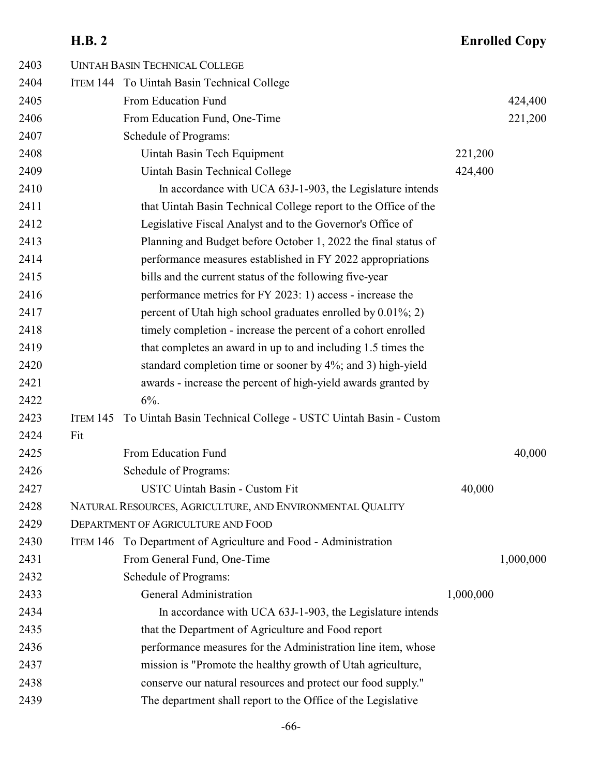# **H.B. 2 Enrolled Copy**

| 2403 |          | <b>UINTAH BASIN TECHNICAL COLLEGE</b>                           |           |           |
|------|----------|-----------------------------------------------------------------|-----------|-----------|
| 2404 |          | ITEM 144 To Uintah Basin Technical College                      |           |           |
| 2405 |          | From Education Fund                                             |           | 424,400   |
| 2406 |          | From Education Fund, One-Time                                   |           | 221,200   |
| 2407 |          | Schedule of Programs:                                           |           |           |
| 2408 |          | Uintah Basin Tech Equipment                                     | 221,200   |           |
| 2409 |          | Uintah Basin Technical College                                  | 424,400   |           |
| 2410 |          | In accordance with UCA 63J-1-903, the Legislature intends       |           |           |
| 2411 |          | that Uintah Basin Technical College report to the Office of the |           |           |
| 2412 |          | Legislative Fiscal Analyst and to the Governor's Office of      |           |           |
| 2413 |          | Planning and Budget before October 1, 2022 the final status of  |           |           |
| 2414 |          | performance measures established in FY 2022 appropriations      |           |           |
| 2415 |          | bills and the current status of the following five-year         |           |           |
| 2416 |          | performance metrics for FY 2023: 1) access - increase the       |           |           |
| 2417 |          | percent of Utah high school graduates enrolled by 0.01%; 2)     |           |           |
| 2418 |          | timely completion - increase the percent of a cohort enrolled   |           |           |
| 2419 |          | that completes an award in up to and including 1.5 times the    |           |           |
| 2420 |          | standard completion time or sooner by 4%; and 3) high-yield     |           |           |
| 2421 |          | awards - increase the percent of high-yield awards granted by   |           |           |
| 2422 |          | $6\%$ .                                                         |           |           |
| 2423 | ITEM 145 | To Uintah Basin Technical College - USTC Uintah Basin - Custom  |           |           |
| 2424 | Fit      |                                                                 |           |           |
| 2425 |          | From Education Fund                                             |           | 40,000    |
| 2426 |          | Schedule of Programs:                                           |           |           |
| 2427 |          | <b>USTC Uintah Basin - Custom Fit</b>                           | 40,000    |           |
| 2428 |          | NATURAL RESOURCES, AGRICULTURE, AND ENVIRONMENTAL QUALITY       |           |           |
| 2429 |          | <b>DEPARTMENT OF AGRICULTURE AND FOOD</b>                       |           |           |
| 2430 |          | ITEM 146 To Department of Agriculture and Food - Administration |           |           |
| 2431 |          | From General Fund, One-Time                                     |           | 1,000,000 |
| 2432 |          | Schedule of Programs:                                           |           |           |
| 2433 |          | <b>General Administration</b>                                   | 1,000,000 |           |
| 2434 |          | In accordance with UCA 63J-1-903, the Legislature intends       |           |           |
| 2435 |          | that the Department of Agriculture and Food report              |           |           |
| 2436 |          | performance measures for the Administration line item, whose    |           |           |
| 2437 |          | mission is "Promote the healthy growth of Utah agriculture,     |           |           |
| 2438 |          | conserve our natural resources and protect our food supply."    |           |           |
| 2439 |          | The department shall report to the Office of the Legislative    |           |           |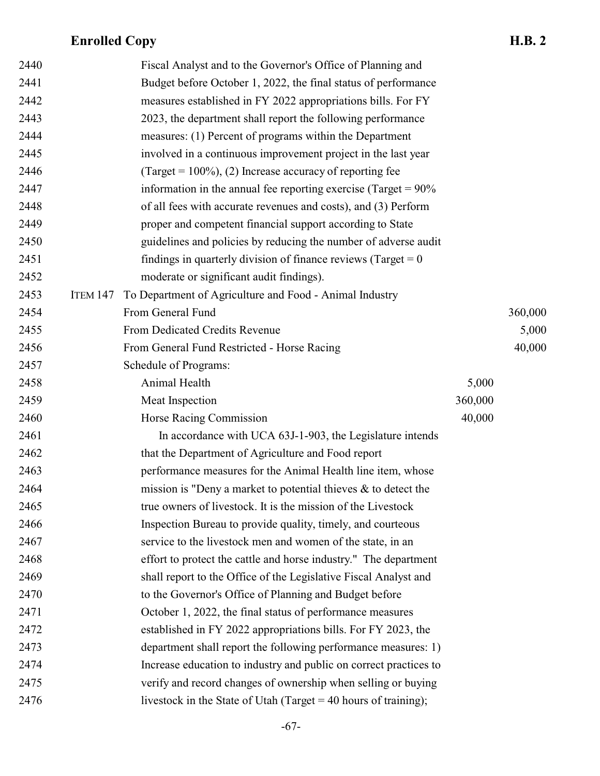| 2440 |                 | Fiscal Analyst and to the Governor's Office of Planning and         |         |         |
|------|-----------------|---------------------------------------------------------------------|---------|---------|
| 2441 |                 | Budget before October 1, 2022, the final status of performance      |         |         |
| 2442 |                 | measures established in FY 2022 appropriations bills. For FY        |         |         |
| 2443 |                 | 2023, the department shall report the following performance         |         |         |
| 2444 |                 | measures: (1) Percent of programs within the Department             |         |         |
| 2445 |                 | involved in a continuous improvement project in the last year       |         |         |
| 2446 |                 | (Target = $100\%$ ), (2) Increase accuracy of reporting fee         |         |         |
| 2447 |                 | information in the annual fee reporting exercise (Target = $90\%$ ) |         |         |
| 2448 |                 | of all fees with accurate revenues and costs), and (3) Perform      |         |         |
| 2449 |                 | proper and competent financial support according to State           |         |         |
| 2450 |                 | guidelines and policies by reducing the number of adverse audit     |         |         |
| 2451 |                 | findings in quarterly division of finance reviews (Target $= 0$     |         |         |
| 2452 |                 | moderate or significant audit findings).                            |         |         |
| 2453 | <b>ITEM 147</b> | To Department of Agriculture and Food - Animal Industry             |         |         |
| 2454 |                 | From General Fund                                                   |         | 360,000 |
| 2455 |                 | From Dedicated Credits Revenue                                      |         | 5,000   |
| 2456 |                 | From General Fund Restricted - Horse Racing                         |         | 40,000  |
| 2457 |                 | Schedule of Programs:                                               |         |         |
| 2458 |                 | Animal Health                                                       | 5,000   |         |
| 2459 |                 | Meat Inspection                                                     | 360,000 |         |
| 2460 |                 | Horse Racing Commission                                             | 40,000  |         |
| 2461 |                 | In accordance with UCA 63J-1-903, the Legislature intends           |         |         |
| 2462 |                 | that the Department of Agriculture and Food report                  |         |         |
| 2463 |                 | performance measures for the Animal Health line item, whose         |         |         |
| 2464 |                 | mission is "Deny a market to potential thieves $\&$ to detect the   |         |         |
| 2465 |                 | true owners of livestock. It is the mission of the Livestock        |         |         |
| 2466 |                 | Inspection Bureau to provide quality, timely, and courteous         |         |         |
| 2467 |                 | service to the livestock men and women of the state, in an          |         |         |
| 2468 |                 | effort to protect the cattle and horse industry." The department    |         |         |
| 2469 |                 | shall report to the Office of the Legislative Fiscal Analyst and    |         |         |
| 2470 |                 | to the Governor's Office of Planning and Budget before              |         |         |
| 2471 |                 | October 1, 2022, the final status of performance measures           |         |         |
| 2472 |                 | established in FY 2022 appropriations bills. For FY 2023, the       |         |         |
| 2473 |                 | department shall report the following performance measures: 1)      |         |         |
| 2474 |                 | Increase education to industry and public on correct practices to   |         |         |
| 2475 |                 | verify and record changes of ownership when selling or buying       |         |         |
| 2476 |                 | livestock in the State of Utah (Target = $40$ hours of training);   |         |         |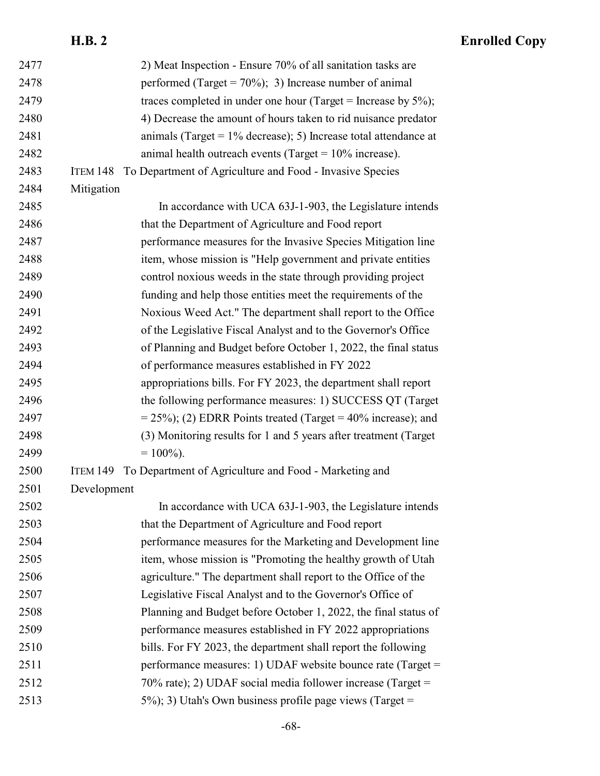| 2477 | 2) Meat Inspection - Ensure 70% of all sanitation tasks are              |
|------|--------------------------------------------------------------------------|
| 2478 | performed (Target = $70\%$ ); 3) Increase number of animal               |
| 2479 | traces completed in under one hour (Target = Increase by $5\%$ );        |
| 2480 | 4) Decrease the amount of hours taken to rid nuisance predator           |
| 2481 | animals (Target = $1\%$ decrease); 5) Increase total attendance at       |
| 2482 | animal health outreach events (Target = $10\%$ increase).                |
| 2483 | To Department of Agriculture and Food - Invasive Species<br>ITEM 148     |
| 2484 | Mitigation                                                               |
| 2485 | In accordance with UCA 63J-1-903, the Legislature intends                |
| 2486 | that the Department of Agriculture and Food report                       |
| 2487 | performance measures for the Invasive Species Mitigation line            |
| 2488 | item, whose mission is "Help government and private entities             |
| 2489 | control noxious weeds in the state through providing project             |
| 2490 | funding and help those entities meet the requirements of the             |
| 2491 | Noxious Weed Act." The department shall report to the Office             |
| 2492 | of the Legislative Fiscal Analyst and to the Governor's Office           |
| 2493 | of Planning and Budget before October 1, 2022, the final status          |
| 2494 | of performance measures established in FY 2022                           |
| 2495 | appropriations bills. For FY 2023, the department shall report           |
| 2496 | the following performance measures: 1) SUCCESS QT (Target                |
| 2497 | $= 25\%$ ; (2) EDRR Points treated (Target = 40% increase); and          |
| 2498 | (3) Monitoring results for 1 and 5 years after treatment (Target)        |
| 2499 | $= 100\%$ ).                                                             |
| 2500 | To Department of Agriculture and Food - Marketing and<br><b>ITEM 149</b> |
| 2501 | Development                                                              |
| 2502 | In accordance with UCA 63J-1-903, the Legislature intends                |
| 2503 | that the Department of Agriculture and Food report                       |
| 2504 | performance measures for the Marketing and Development line              |
| 2505 | item, whose mission is "Promoting the healthy growth of Utah             |
| 2506 | agriculture." The department shall report to the Office of the           |
| 2507 | Legislative Fiscal Analyst and to the Governor's Office of               |
| 2508 | Planning and Budget before October 1, 2022, the final status of          |
| 2509 | performance measures established in FY 2022 appropriations               |
| 2510 | bills. For FY 2023, the department shall report the following            |
| 2511 | performance measures: 1) UDAF website bounce rate (Target =              |
| 2512 | 70% rate); 2) UDAF social media follower increase (Target =              |
| 2513 | $(5\%)$ ; 3) Utah's Own business profile page views (Target =            |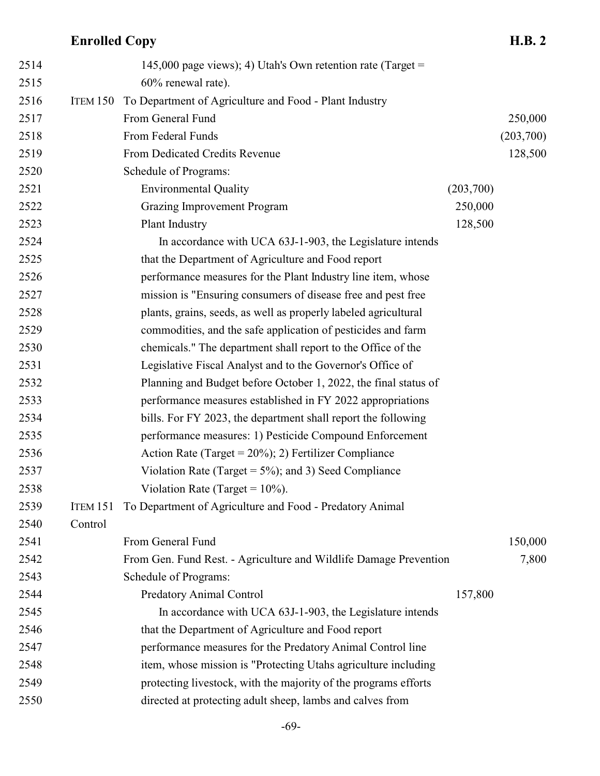| 2514 |                 | 145,000 page views); 4) Utah's Own retention rate (Target =       |           |           |
|------|-----------------|-------------------------------------------------------------------|-----------|-----------|
| 2515 |                 | 60% renewal rate).                                                |           |           |
| 2516 | ITEM 150        | To Department of Agriculture and Food - Plant Industry            |           |           |
| 2517 |                 | From General Fund                                                 |           | 250,000   |
| 2518 |                 | From Federal Funds                                                |           | (203,700) |
| 2519 |                 | From Dedicated Credits Revenue                                    |           | 128,500   |
| 2520 |                 | Schedule of Programs:                                             |           |           |
| 2521 |                 | <b>Environmental Quality</b>                                      | (203,700) |           |
| 2522 |                 | <b>Grazing Improvement Program</b>                                | 250,000   |           |
| 2523 |                 | Plant Industry                                                    | 128,500   |           |
| 2524 |                 | In accordance with UCA 63J-1-903, the Legislature intends         |           |           |
| 2525 |                 | that the Department of Agriculture and Food report                |           |           |
| 2526 |                 | performance measures for the Plant Industry line item, whose      |           |           |
| 2527 |                 | mission is "Ensuring consumers of disease free and pest free      |           |           |
| 2528 |                 | plants, grains, seeds, as well as properly labeled agricultural   |           |           |
| 2529 |                 | commodities, and the safe application of pesticides and farm      |           |           |
| 2530 |                 | chemicals." The department shall report to the Office of the      |           |           |
| 2531 |                 | Legislative Fiscal Analyst and to the Governor's Office of        |           |           |
| 2532 |                 | Planning and Budget before October 1, 2022, the final status of   |           |           |
| 2533 |                 | performance measures established in FY 2022 appropriations        |           |           |
| 2534 |                 | bills. For FY 2023, the department shall report the following     |           |           |
| 2535 |                 | performance measures: 1) Pesticide Compound Enforcement           |           |           |
| 2536 |                 | Action Rate (Target = $20\%$ ); 2) Fertilizer Compliance          |           |           |
| 2537 |                 | Violation Rate (Target = $5\%$ ); and 3) Seed Compliance          |           |           |
| 2538 |                 | Violation Rate (Target = $10\%$ ).                                |           |           |
| 2539 | <b>ITEM 151</b> | To Department of Agriculture and Food - Predatory Animal          |           |           |
| 2540 | Control         |                                                                   |           |           |
| 2541 |                 | From General Fund                                                 |           | 150,000   |
| 2542 |                 | From Gen. Fund Rest. - Agriculture and Wildlife Damage Prevention |           | 7,800     |
| 2543 |                 | Schedule of Programs:                                             |           |           |
| 2544 |                 | <b>Predatory Animal Control</b>                                   | 157,800   |           |
| 2545 |                 | In accordance with UCA 63J-1-903, the Legislature intends         |           |           |
| 2546 |                 | that the Department of Agriculture and Food report                |           |           |
| 2547 |                 | performance measures for the Predatory Animal Control line        |           |           |
| 2548 |                 | item, whose mission is "Protecting Utahs agriculture including    |           |           |
| 2549 |                 | protecting livestock, with the majority of the programs efforts   |           |           |
| 2550 |                 | directed at protecting adult sheep, lambs and calves from         |           |           |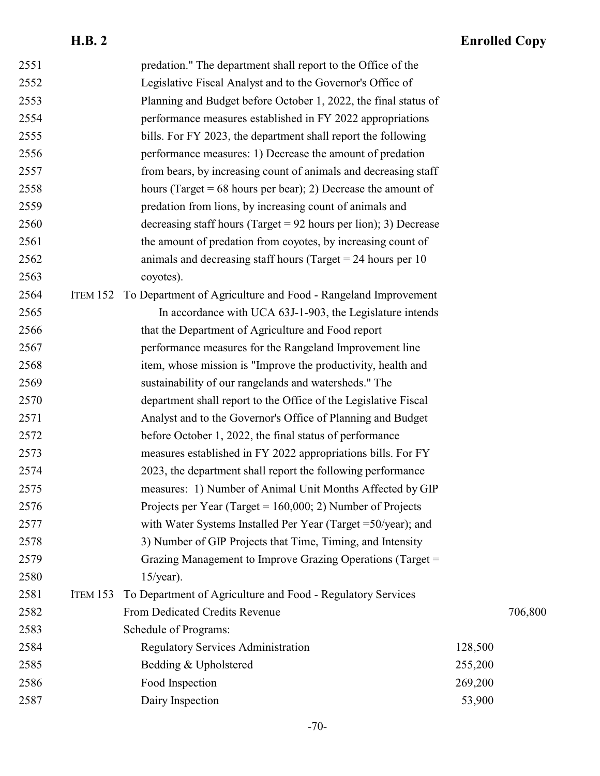| 2551 |                 | predation." The department shall report to the Office of the       |         |         |
|------|-----------------|--------------------------------------------------------------------|---------|---------|
| 2552 |                 | Legislative Fiscal Analyst and to the Governor's Office of         |         |         |
| 2553 |                 | Planning and Budget before October 1, 2022, the final status of    |         |         |
| 2554 |                 | performance measures established in FY 2022 appropriations         |         |         |
| 2555 |                 | bills. For FY 2023, the department shall report the following      |         |         |
| 2556 |                 | performance measures: 1) Decrease the amount of predation          |         |         |
| 2557 |                 | from bears, by increasing count of animals and decreasing staff    |         |         |
| 2558 |                 | hours (Target = $68$ hours per bear); 2) Decrease the amount of    |         |         |
| 2559 |                 | predation from lions, by increasing count of animals and           |         |         |
| 2560 |                 | decreasing staff hours (Target = $92$ hours per lion); 3) Decrease |         |         |
| 2561 |                 | the amount of predation from coyotes, by increasing count of       |         |         |
| 2562 |                 | animals and decreasing staff hours (Target $= 24$ hours per 10     |         |         |
| 2563 |                 | coyotes).                                                          |         |         |
| 2564 | <b>ITEM 152</b> | To Department of Agriculture and Food - Rangeland Improvement      |         |         |
| 2565 |                 | In accordance with UCA 63J-1-903, the Legislature intends          |         |         |
| 2566 |                 | that the Department of Agriculture and Food report                 |         |         |
| 2567 |                 | performance measures for the Rangeland Improvement line            |         |         |
| 2568 |                 | item, whose mission is "Improve the productivity, health and       |         |         |
| 2569 |                 | sustainability of our rangelands and watersheds." The              |         |         |
| 2570 |                 | department shall report to the Office of the Legislative Fiscal    |         |         |
| 2571 |                 | Analyst and to the Governor's Office of Planning and Budget        |         |         |
| 2572 |                 | before October 1, 2022, the final status of performance            |         |         |
| 2573 |                 | measures established in FY 2022 appropriations bills. For FY       |         |         |
| 2574 |                 | 2023, the department shall report the following performance        |         |         |
| 2575 |                 | measures: 1) Number of Animal Unit Months Affected by GIP          |         |         |
| 2576 |                 | Projects per Year (Target = $160,000; 2$ ) Number of Projects      |         |         |
| 2577 |                 | with Water Systems Installed Per Year (Target $=50$ /year); and    |         |         |
| 2578 |                 | 3) Number of GIP Projects that Time, Timing, and Intensity         |         |         |
| 2579 |                 | Grazing Management to Improve Grazing Operations (Target =         |         |         |
| 2580 |                 | $15$ /year).                                                       |         |         |
| 2581 | <b>ITEM 153</b> | To Department of Agriculture and Food - Regulatory Services        |         |         |
| 2582 |                 | From Dedicated Credits Revenue                                     |         | 706,800 |
| 2583 |                 | Schedule of Programs:                                              |         |         |
| 2584 |                 | <b>Regulatory Services Administration</b>                          | 128,500 |         |
| 2585 |                 | Bedding & Upholstered                                              | 255,200 |         |
| 2586 |                 | Food Inspection                                                    | 269,200 |         |
| 2587 |                 | Dairy Inspection                                                   | 53,900  |         |
|      |                 |                                                                    |         |         |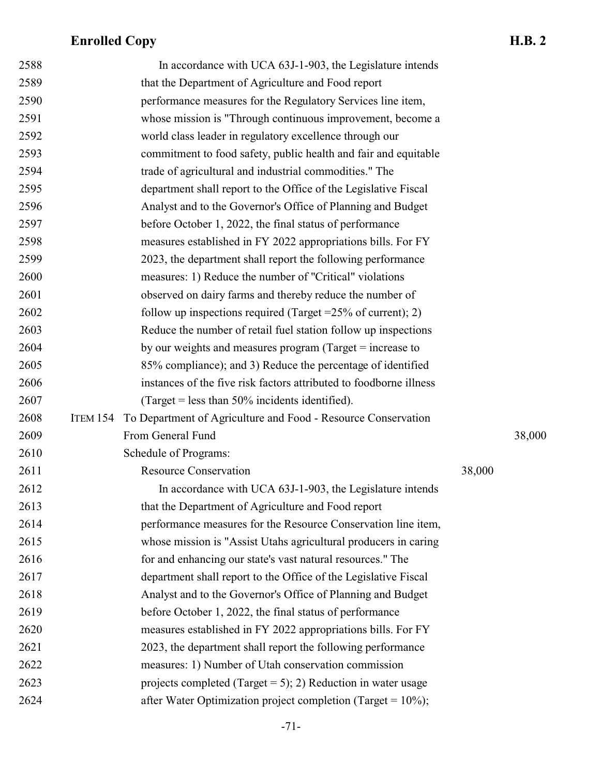| 2588 |                 | In accordance with UCA 63J-1-903, the Legislature intends          |        |        |
|------|-----------------|--------------------------------------------------------------------|--------|--------|
| 2589 |                 | that the Department of Agriculture and Food report                 |        |        |
| 2590 |                 | performance measures for the Regulatory Services line item,        |        |        |
| 2591 |                 | whose mission is "Through continuous improvement, become a         |        |        |
| 2592 |                 | world class leader in regulatory excellence through our            |        |        |
| 2593 |                 | commitment to food safety, public health and fair and equitable    |        |        |
| 2594 |                 | trade of agricultural and industrial commodities." The             |        |        |
| 2595 |                 | department shall report to the Office of the Legislative Fiscal    |        |        |
| 2596 |                 | Analyst and to the Governor's Office of Planning and Budget        |        |        |
| 2597 |                 | before October 1, 2022, the final status of performance            |        |        |
| 2598 |                 | measures established in FY 2022 appropriations bills. For FY       |        |        |
| 2599 |                 | 2023, the department shall report the following performance        |        |        |
| 2600 |                 | measures: 1) Reduce the number of "Critical" violations            |        |        |
| 2601 |                 | observed on dairy farms and thereby reduce the number of           |        |        |
| 2602 |                 | follow up inspections required (Target = $25\%$ of current); 2)    |        |        |
| 2603 |                 | Reduce the number of retail fuel station follow up inspections     |        |        |
| 2604 |                 | by our weights and measures program (Target $=$ increase to        |        |        |
| 2605 |                 | 85% compliance); and 3) Reduce the percentage of identified        |        |        |
| 2606 |                 | instances of the five risk factors attributed to foodborne illness |        |        |
| 2607 |                 | (Target = less than $50\%$ incidents identified).                  |        |        |
| 2608 | <b>ITEM 154</b> | To Department of Agriculture and Food - Resource Conservation      |        |        |
| 2609 |                 | From General Fund                                                  |        | 38,000 |
| 2610 |                 | Schedule of Programs:                                              |        |        |
| 2611 |                 | <b>Resource Conservation</b>                                       | 38,000 |        |
| 2612 |                 | In accordance with UCA 63J-1-903, the Legislature intends          |        |        |
| 2613 |                 | that the Department of Agriculture and Food report                 |        |        |
| 2614 |                 | performance measures for the Resource Conservation line item,      |        |        |
| 2615 |                 | whose mission is "Assist Utahs agricultural producers in caring    |        |        |
| 2616 |                 | for and enhancing our state's vast natural resources." The         |        |        |
| 2617 |                 | department shall report to the Office of the Legislative Fiscal    |        |        |
| 2618 |                 | Analyst and to the Governor's Office of Planning and Budget        |        |        |
| 2619 |                 | before October 1, 2022, the final status of performance            |        |        |
| 2620 |                 | measures established in FY 2022 appropriations bills. For FY       |        |        |
| 2621 |                 | 2023, the department shall report the following performance        |        |        |
| 2622 |                 | measures: 1) Number of Utah conservation commission                |        |        |
| 2623 |                 | projects completed (Target = 5); 2) Reduction in water usage       |        |        |
| 2624 |                 | after Water Optimization project completion (Target = $10\%$ );    |        |        |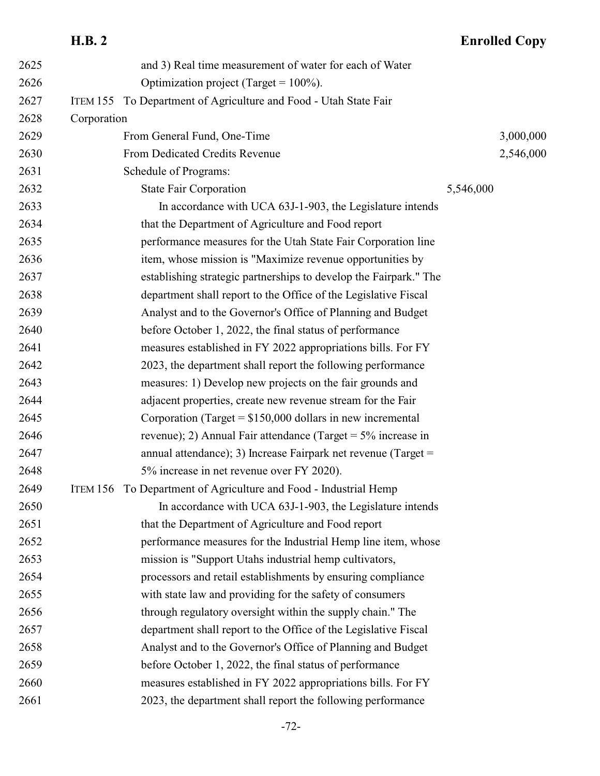### **H.B. 2 Enrolled Copy** and 3) Real time measurement of water for each of Water 2626 **Optimization project** (Target =  $100\%$ ). ITEM 155 To Department of Agriculture and Food - Utah State Fair Corporation 2629 From General Fund, One-Time 3,000,000 From Dedicated Credits Revenue 2,546,000 Schedule of Programs: 2632 State Fair Corporation 5,546,000 In accordance with UCA 63J-1-903, the Legislature intends that the Department of Agriculture and Food report performance measures for the Utah State Fair Corporation line item, whose mission is "Maximize revenue opportunities by establishing strategic partnerships to develop the Fairpark." The department shall report to the Office of the Legislative Fiscal Analyst and to the Governor's Office of Planning and Budget before October 1, 2022, the final status of performance measures established in FY 2022 appropriations bills. For FY 2023, the department shall report the following performance measures: 1) Develop new projects on the fair grounds and adjacent properties, create new revenue stream for the Fair Corporation (Target = \$150,000 dollars in new incremental revenue); 2) Annual Fair attendance (Target = 5% increase in annual attendance); 3) Increase Fairpark net revenue (Target = 5% increase in net revenue over FY 2020). ITEM 156 To Department of Agriculture and Food - Industrial Hemp In accordance with UCA 63J-1-903, the Legislature intends that the Department of Agriculture and Food report performance measures for the Industrial Hemp line item, whose mission is "Support Utahs industrial hemp cultivators, processors and retail establishments by ensuring compliance with state law and providing for the safety of consumers through regulatory oversight within the supply chain." The department shall report to the Office of the Legislative Fiscal Analyst and to the Governor's Office of Planning and Budget before October 1, 2022, the final status of performance measures established in FY 2022 appropriations bills. For FY

2023, the department shall report the following performance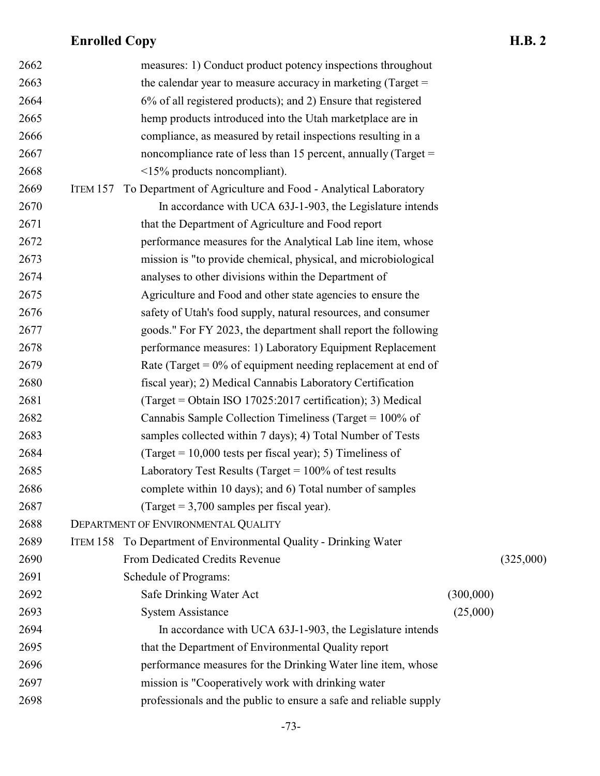| 2662 |                 | measures: 1) Conduct product potency inspections throughout       |           |           |
|------|-----------------|-------------------------------------------------------------------|-----------|-----------|
| 2663 |                 | the calendar year to measure accuracy in marketing (Target $=$    |           |           |
| 2664 |                 | 6% of all registered products); and 2) Ensure that registered     |           |           |
| 2665 |                 | hemp products introduced into the Utah marketplace are in         |           |           |
| 2666 |                 | compliance, as measured by retail inspections resulting in a      |           |           |
| 2667 |                 | noncompliance rate of less than 15 percent, annually (Target $=$  |           |           |
| 2668 |                 | <15% products noncompliant).                                      |           |           |
| 2669 | ITEM 157        | To Department of Agriculture and Food - Analytical Laboratory     |           |           |
| 2670 |                 | In accordance with UCA 63J-1-903, the Legislature intends         |           |           |
| 2671 |                 | that the Department of Agriculture and Food report                |           |           |
| 2672 |                 | performance measures for the Analytical Lab line item, whose      |           |           |
| 2673 |                 | mission is "to provide chemical, physical, and microbiological    |           |           |
| 2674 |                 | analyses to other divisions within the Department of              |           |           |
| 2675 |                 | Agriculture and Food and other state agencies to ensure the       |           |           |
| 2676 |                 | safety of Utah's food supply, natural resources, and consumer     |           |           |
| 2677 |                 | goods." For FY 2023, the department shall report the following    |           |           |
| 2678 |                 | performance measures: 1) Laboratory Equipment Replacement         |           |           |
| 2679 |                 | Rate (Target = $0\%$ of equipment needing replacement at end of   |           |           |
| 2680 |                 | fiscal year); 2) Medical Cannabis Laboratory Certification        |           |           |
| 2681 |                 | (Target = Obtain ISO 17025:2017 certification); 3) Medical        |           |           |
| 2682 |                 | Cannabis Sample Collection Timeliness (Target = $100\%$ of        |           |           |
| 2683 |                 | samples collected within 7 days); 4) Total Number of Tests        |           |           |
| 2684 |                 | (Target = $10,000$ tests per fiscal year); 5) Timeliness of       |           |           |
| 2685 |                 | Laboratory Test Results (Target = $100\%$ of test results         |           |           |
| 2686 |                 | complete within 10 days); and 6) Total number of samples          |           |           |
| 2687 |                 | $\text{(Target} = 3,700 \text{ samples per fiscal year).}$        |           |           |
| 2688 |                 | DEPARTMENT OF ENVIRONMENTAL QUALITY                               |           |           |
| 2689 | <b>ITEM 158</b> | To Department of Environmental Quality - Drinking Water           |           |           |
| 2690 |                 | From Dedicated Credits Revenue                                    |           | (325,000) |
| 2691 |                 | Schedule of Programs:                                             |           |           |
| 2692 |                 | Safe Drinking Water Act                                           | (300,000) |           |
| 2693 |                 | <b>System Assistance</b>                                          | (25,000)  |           |
| 2694 |                 | In accordance with UCA 63J-1-903, the Legislature intends         |           |           |
| 2695 |                 | that the Department of Environmental Quality report               |           |           |
| 2696 |                 | performance measures for the Drinking Water line item, whose      |           |           |
| 2697 |                 | mission is "Cooperatively work with drinking water                |           |           |
| 2698 |                 | professionals and the public to ensure a safe and reliable supply |           |           |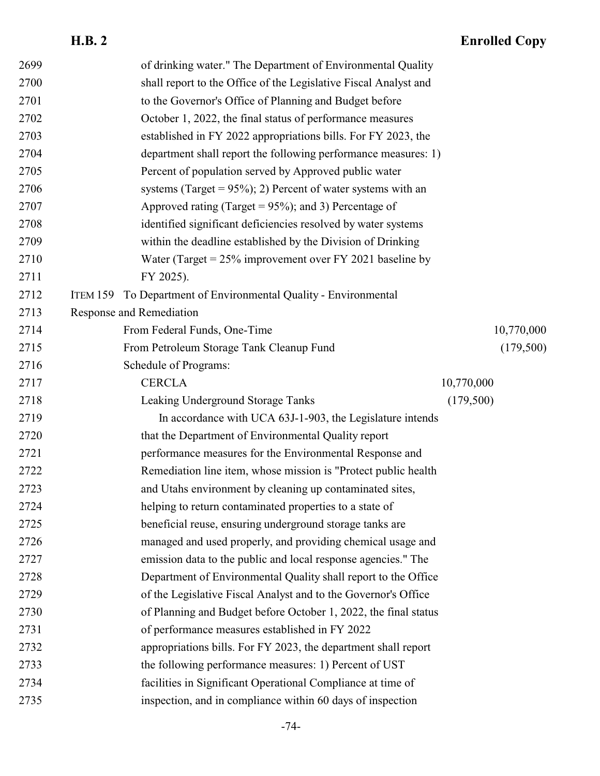| 2699 |          | of drinking water." The Department of Environmental Quality      |            |            |
|------|----------|------------------------------------------------------------------|------------|------------|
| 2700 |          | shall report to the Office of the Legislative Fiscal Analyst and |            |            |
| 2701 |          | to the Governor's Office of Planning and Budget before           |            |            |
| 2702 |          | October 1, 2022, the final status of performance measures        |            |            |
| 2703 |          | established in FY 2022 appropriations bills. For FY 2023, the    |            |            |
| 2704 |          | department shall report the following performance measures: 1)   |            |            |
| 2705 |          | Percent of population served by Approved public water            |            |            |
| 2706 |          | systems (Target = $95\%$ ); 2) Percent of water systems with an  |            |            |
| 2707 |          | Approved rating (Target = $95\%$ ); and 3) Percentage of         |            |            |
| 2708 |          | identified significant deficiencies resolved by water systems    |            |            |
| 2709 |          | within the deadline established by the Division of Drinking      |            |            |
| 2710 |          | Water (Target = $25\%$ improvement over FY 2021 baseline by      |            |            |
| 2711 |          | FY 2025).                                                        |            |            |
| 2712 | ITEM 159 | To Department of Environmental Quality - Environmental           |            |            |
| 2713 |          | Response and Remediation                                         |            |            |
| 2714 |          | From Federal Funds, One-Time                                     |            | 10,770,000 |
| 2715 |          | From Petroleum Storage Tank Cleanup Fund                         |            | (179,500)  |
| 2716 |          | Schedule of Programs:                                            |            |            |
| 2717 |          | <b>CERCLA</b>                                                    | 10,770,000 |            |
| 2718 |          | Leaking Underground Storage Tanks                                | (179,500)  |            |
| 2719 |          | In accordance with UCA 63J-1-903, the Legislature intends        |            |            |
| 2720 |          | that the Department of Environmental Quality report              |            |            |
| 2721 |          | performance measures for the Environmental Response and          |            |            |
| 2722 |          | Remediation line item, whose mission is "Protect public health   |            |            |
| 2723 |          | and Utahs environment by cleaning up contaminated sites,         |            |            |
| 2724 |          | helping to return contaminated properties to a state of          |            |            |
| 2725 |          | beneficial reuse, ensuring underground storage tanks are         |            |            |
| 2726 |          | managed and used properly, and providing chemical usage and      |            |            |
| 2727 |          | emission data to the public and local response agencies." The    |            |            |
| 2728 |          | Department of Environmental Quality shall report to the Office   |            |            |
| 2729 |          | of the Legislative Fiscal Analyst and to the Governor's Office   |            |            |
| 2730 |          | of Planning and Budget before October 1, 2022, the final status  |            |            |
| 2731 |          | of performance measures established in FY 2022                   |            |            |
| 2732 |          | appropriations bills. For FY 2023, the department shall report   |            |            |
| 2733 |          | the following performance measures: 1) Percent of UST            |            |            |
| 2734 |          | facilities in Significant Operational Compliance at time of      |            |            |
| 2735 |          | inspection, and in compliance within 60 days of inspection       |            |            |
|      |          |                                                                  |            |            |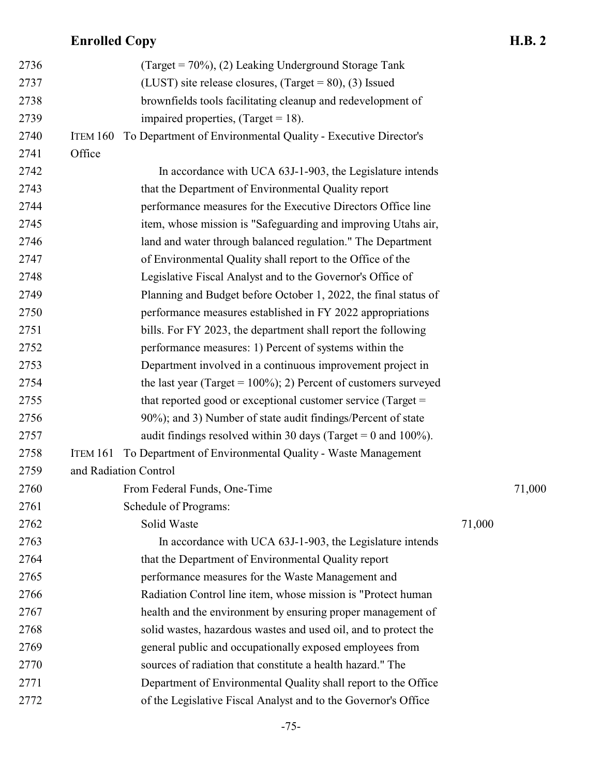| 2736 |                 | (Target = $70\%$ ), (2) Leaking Underground Storage Tank            |        |        |
|------|-----------------|---------------------------------------------------------------------|--------|--------|
| 2737 |                 | (LUST) site release closures, (Target = $80$ ), (3) Issued          |        |        |
| 2738 |                 | brownfields tools facilitating cleanup and redevelopment of         |        |        |
| 2739 |                 | impaired properties, $(Target = 18)$ .                              |        |        |
| 2740 | ITEM 160        | To Department of Environmental Quality - Executive Director's       |        |        |
| 2741 | Office          |                                                                     |        |        |
| 2742 |                 | In accordance with UCA 63J-1-903, the Legislature intends           |        |        |
| 2743 |                 | that the Department of Environmental Quality report                 |        |        |
| 2744 |                 | performance measures for the Executive Directors Office line        |        |        |
| 2745 |                 | item, whose mission is "Safeguarding and improving Utahs air,       |        |        |
| 2746 |                 | land and water through balanced regulation." The Department         |        |        |
| 2747 |                 | of Environmental Quality shall report to the Office of the          |        |        |
| 2748 |                 | Legislative Fiscal Analyst and to the Governor's Office of          |        |        |
| 2749 |                 | Planning and Budget before October 1, 2022, the final status of     |        |        |
| 2750 |                 | performance measures established in FY 2022 appropriations          |        |        |
| 2751 |                 | bills. For FY 2023, the department shall report the following       |        |        |
| 2752 |                 | performance measures: 1) Percent of systems within the              |        |        |
| 2753 |                 | Department involved in a continuous improvement project in          |        |        |
| 2754 |                 | the last year (Target = $100\%$ ); 2) Percent of customers surveyed |        |        |
| 2755 |                 | that reported good or exceptional customer service (Target =        |        |        |
| 2756 |                 | 90%); and 3) Number of state audit findings/Percent of state        |        |        |
| 2757 |                 | audit findings resolved within 30 days (Target = 0 and 100%).       |        |        |
| 2758 | <b>ITEM 161</b> | To Department of Environmental Quality - Waste Management           |        |        |
| 2759 |                 | and Radiation Control                                               |        |        |
| 2760 |                 | From Federal Funds, One-Time                                        |        | 71,000 |
| 2761 |                 | Schedule of Programs:                                               |        |        |
| 2762 |                 | Solid Waste                                                         | 71,000 |        |
| 2763 |                 | In accordance with UCA 63J-1-903, the Legislature intends           |        |        |
| 2764 |                 | that the Department of Environmental Quality report                 |        |        |
| 2765 |                 | performance measures for the Waste Management and                   |        |        |
| 2766 |                 | Radiation Control line item, whose mission is "Protect human        |        |        |
| 2767 |                 | health and the environment by ensuring proper management of         |        |        |
| 2768 |                 | solid wastes, hazardous wastes and used oil, and to protect the     |        |        |
| 2769 |                 | general public and occupationally exposed employees from            |        |        |
| 2770 |                 | sources of radiation that constitute a health hazard." The          |        |        |
| 2771 |                 | Department of Environmental Quality shall report to the Office      |        |        |
| 2772 |                 | of the Legislative Fiscal Analyst and to the Governor's Office      |        |        |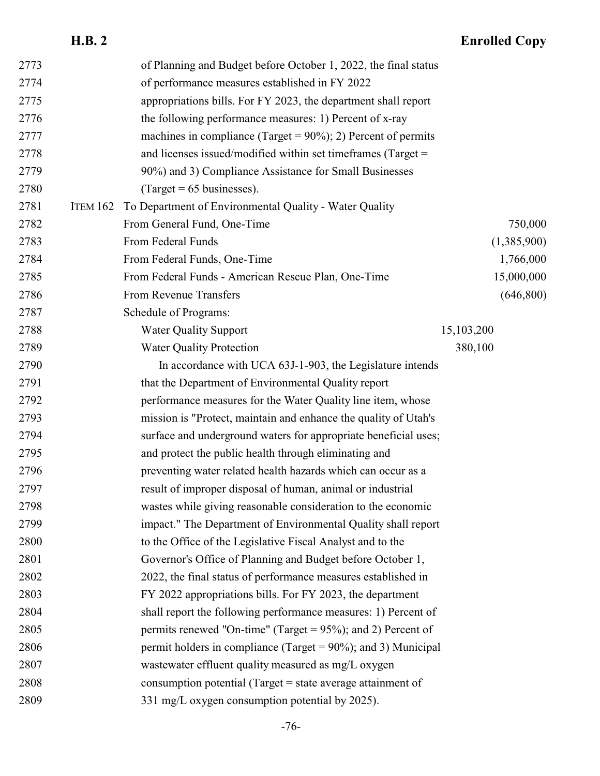| 2773 |                 | of Planning and Budget before October 1, 2022, the final status   |             |
|------|-----------------|-------------------------------------------------------------------|-------------|
| 2774 |                 | of performance measures established in FY 2022                    |             |
| 2775 |                 | appropriations bills. For FY 2023, the department shall report    |             |
| 2776 |                 | the following performance measures: 1) Percent of x-ray           |             |
| 2777 |                 | machines in compliance (Target = $90\%$ ); 2) Percent of permits  |             |
| 2778 |                 | and licenses issued/modified within set timeframes (Target $=$    |             |
| 2779 |                 | 90%) and 3) Compliance Assistance for Small Businesses            |             |
| 2780 |                 | $^{7}$ (Target = 65 businesses).                                  |             |
| 2781 | <b>ITEM 162</b> | To Department of Environmental Quality - Water Quality            |             |
| 2782 |                 | From General Fund, One-Time                                       | 750,000     |
| 2783 |                 | From Federal Funds                                                | (1,385,900) |
| 2784 |                 | From Federal Funds, One-Time                                      | 1,766,000   |
| 2785 |                 | From Federal Funds - American Rescue Plan, One-Time               | 15,000,000  |
| 2786 |                 | From Revenue Transfers                                            | (646,800)   |
| 2787 |                 | Schedule of Programs:                                             |             |
| 2788 |                 | <b>Water Quality Support</b>                                      | 15,103,200  |
| 2789 |                 | <b>Water Quality Protection</b>                                   | 380,100     |
| 2790 |                 | In accordance with UCA 63J-1-903, the Legislature intends         |             |
| 2791 |                 | that the Department of Environmental Quality report               |             |
| 2792 |                 | performance measures for the Water Quality line item, whose       |             |
| 2793 |                 | mission is "Protect, maintain and enhance the quality of Utah's   |             |
| 2794 |                 | surface and underground waters for appropriate beneficial uses;   |             |
| 2795 |                 | and protect the public health through eliminating and             |             |
| 2796 |                 | preventing water related health hazards which can occur as a      |             |
| 2797 |                 | result of improper disposal of human, animal or industrial        |             |
| 2798 |                 | wastes while giving reasonable consideration to the economic      |             |
| 2799 |                 | impact." The Department of Environmental Quality shall report     |             |
| 2800 |                 | to the Office of the Legislative Fiscal Analyst and to the        |             |
| 2801 |                 | Governor's Office of Planning and Budget before October 1,        |             |
| 2802 |                 | 2022, the final status of performance measures established in     |             |
| 2803 |                 | FY 2022 appropriations bills. For FY 2023, the department         |             |
| 2804 |                 | shall report the following performance measures: 1) Percent of    |             |
| 2805 |                 | permits renewed "On-time" (Target = $95\%$ ); and 2) Percent of   |             |
| 2806 |                 | permit holders in compliance (Target = $90\%$ ); and 3) Municipal |             |
| 2807 |                 | wastewater effluent quality measured as mg/L oxygen               |             |
| 2808 |                 | consumption potential (Target $=$ state average attainment of     |             |
| 2809 |                 | 331 mg/L oxygen consumption potential by 2025).                   |             |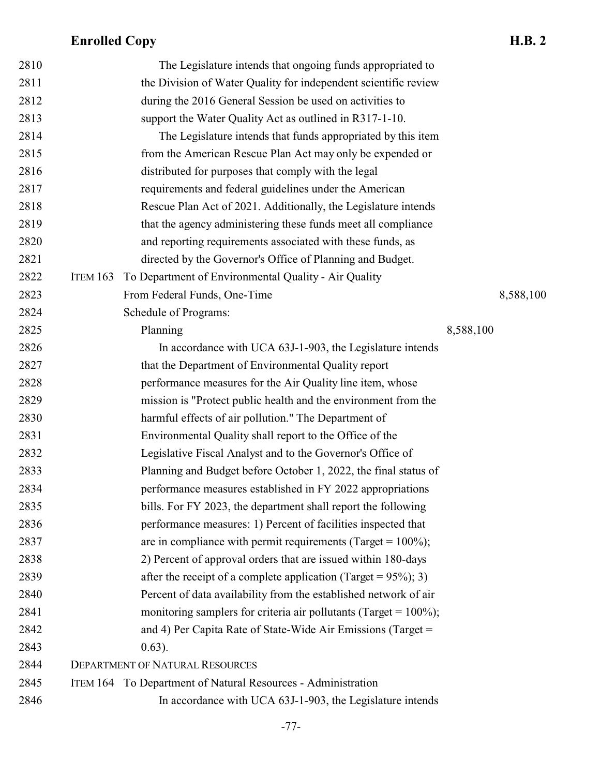| 2810 |                 | The Legislature intends that ongoing funds appropriated to           |           |           |
|------|-----------------|----------------------------------------------------------------------|-----------|-----------|
| 2811 |                 | the Division of Water Quality for independent scientific review      |           |           |
| 2812 |                 | during the 2016 General Session be used on activities to             |           |           |
| 2813 |                 | support the Water Quality Act as outlined in R317-1-10.              |           |           |
| 2814 |                 | The Legislature intends that funds appropriated by this item         |           |           |
| 2815 |                 | from the American Rescue Plan Act may only be expended or            |           |           |
| 2816 |                 | distributed for purposes that comply with the legal                  |           |           |
| 2817 |                 | requirements and federal guidelines under the American               |           |           |
| 2818 |                 | Rescue Plan Act of 2021. Additionally, the Legislature intends       |           |           |
| 2819 |                 | that the agency administering these funds meet all compliance        |           |           |
| 2820 |                 | and reporting requirements associated with these funds, as           |           |           |
| 2821 |                 | directed by the Governor's Office of Planning and Budget.            |           |           |
| 2822 | <b>ITEM 163</b> | To Department of Environmental Quality - Air Quality                 |           |           |
| 2823 |                 | From Federal Funds, One-Time                                         |           | 8,588,100 |
| 2824 |                 | Schedule of Programs:                                                |           |           |
| 2825 |                 | Planning                                                             | 8,588,100 |           |
| 2826 |                 | In accordance with UCA 63J-1-903, the Legislature intends            |           |           |
| 2827 |                 | that the Department of Environmental Quality report                  |           |           |
| 2828 |                 | performance measures for the Air Quality line item, whose            |           |           |
| 2829 |                 | mission is "Protect public health and the environment from the       |           |           |
| 2830 |                 | harmful effects of air pollution." The Department of                 |           |           |
| 2831 |                 | Environmental Quality shall report to the Office of the              |           |           |
| 2832 |                 | Legislative Fiscal Analyst and to the Governor's Office of           |           |           |
| 2833 |                 | Planning and Budget before October 1, 2022, the final status of      |           |           |
| 2834 |                 | performance measures established in FY 2022 appropriations           |           |           |
| 2835 |                 | bills. For FY 2023, the department shall report the following        |           |           |
| 2836 |                 | performance measures: 1) Percent of facilities inspected that        |           |           |
| 2837 |                 | are in compliance with permit requirements (Target = $100\%$ );      |           |           |
| 2838 |                 | 2) Percent of approval orders that are issued within 180-days        |           |           |
| 2839 |                 | after the receipt of a complete application (Target = $95\%$ ); 3)   |           |           |
| 2840 |                 | Percent of data availability from the established network of air     |           |           |
| 2841 |                 | monitoring samplers for criteria air pollutants (Target = $100\%$ ); |           |           |
| 2842 |                 | and 4) Per Capita Rate of State-Wide Air Emissions (Target =         |           |           |
| 2843 |                 | $0.63$ ).                                                            |           |           |
| 2844 |                 | <b>DEPARTMENT OF NATURAL RESOURCES</b>                               |           |           |
| 2845 |                 | ITEM 164 To Department of Natural Resources - Administration         |           |           |
| 2846 |                 | In accordance with UCA 63J-1-903, the Legislature intends            |           |           |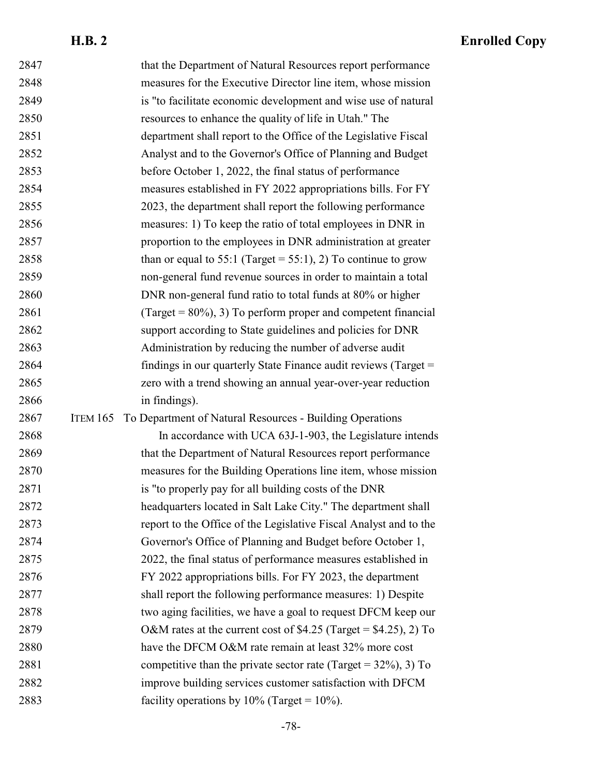| 2847 | that the Department of Natural Resources report performance                 |  |
|------|-----------------------------------------------------------------------------|--|
| 2848 | measures for the Executive Director line item, whose mission                |  |
| 2849 | is "to facilitate economic development and wise use of natural              |  |
| 2850 | resources to enhance the quality of life in Utah." The                      |  |
| 2851 | department shall report to the Office of the Legislative Fiscal             |  |
| 2852 | Analyst and to the Governor's Office of Planning and Budget                 |  |
| 2853 | before October 1, 2022, the final status of performance                     |  |
| 2854 | measures established in FY 2022 appropriations bills. For FY                |  |
| 2855 | 2023, the department shall report the following performance                 |  |
| 2856 | measures: 1) To keep the ratio of total employees in DNR in                 |  |
| 2857 | proportion to the employees in DNR administration at greater                |  |
| 2858 | than or equal to 55:1 (Target = 55:1), 2) To continue to grow               |  |
| 2859 | non-general fund revenue sources in order to maintain a total               |  |
| 2860 | DNR non-general fund ratio to total funds at 80% or higher                  |  |
| 2861 | (Target = $80\%$ ), 3) To perform proper and competent financial            |  |
| 2862 | support according to State guidelines and policies for DNR                  |  |
| 2863 | Administration by reducing the number of adverse audit                      |  |
| 2864 | findings in our quarterly State Finance audit reviews (Target =             |  |
|      | zero with a trend showing an annual year-over-year reduction                |  |
| 2865 |                                                                             |  |
| 2866 | in findings).                                                               |  |
| 2867 | To Department of Natural Resources - Building Operations<br><b>ITEM 165</b> |  |
| 2868 | In accordance with UCA 63J-1-903, the Legislature intends                   |  |
| 2869 | that the Department of Natural Resources report performance                 |  |
| 2870 | measures for the Building Operations line item, whose mission               |  |
| 2871 | is "to properly pay for all building costs of the DNR                       |  |
| 2872 | headquarters located in Salt Lake City." The department shall               |  |
| 2873 | report to the Office of the Legislative Fiscal Analyst and to the           |  |
| 2874 | Governor's Office of Planning and Budget before October 1,                  |  |
| 2875 | 2022, the final status of performance measures established in               |  |
| 2876 | FY 2022 appropriations bills. For FY 2023, the department                   |  |
| 2877 | shall report the following performance measures: 1) Despite                 |  |
| 2878 | two aging facilities, we have a goal to request DFCM keep our               |  |
| 2879 | O&M rates at the current cost of \$4.25 (Target = \$4.25), 2) To            |  |
| 2880 | have the DFCM O&M rate remain at least 32% more cost                        |  |
| 2881 | competitive than the private sector rate (Target = $32\%, 3$ ) To           |  |
| 2882 | improve building services customer satisfaction with DFCM                   |  |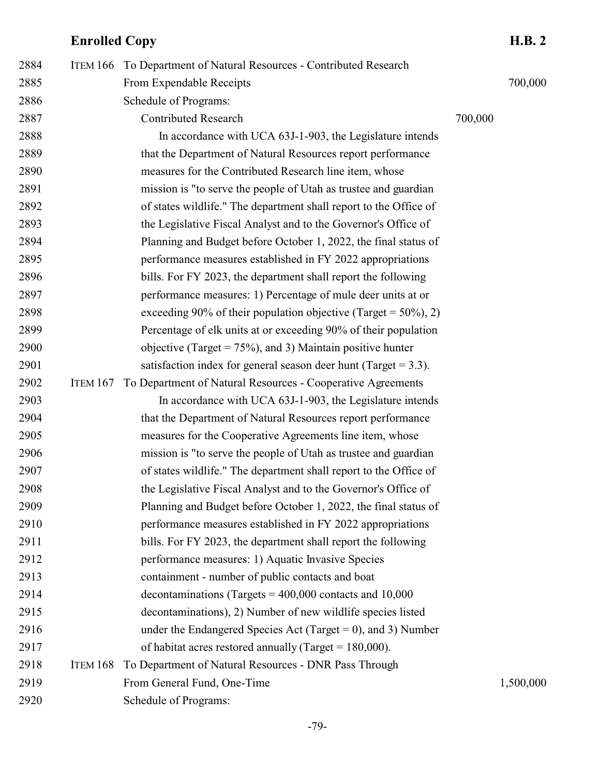| 2884 | <b>ITEM 166</b> | To Department of Natural Resources - Contributed Research          |         |           |
|------|-----------------|--------------------------------------------------------------------|---------|-----------|
| 2885 |                 | From Expendable Receipts                                           |         | 700,000   |
| 2886 |                 | Schedule of Programs:                                              |         |           |
| 2887 |                 | <b>Contributed Research</b>                                        | 700,000 |           |
| 2888 |                 | In accordance with UCA 63J-1-903, the Legislature intends          |         |           |
| 2889 |                 | that the Department of Natural Resources report performance        |         |           |
| 2890 |                 | measures for the Contributed Research line item, whose             |         |           |
| 2891 |                 | mission is "to serve the people of Utah as trustee and guardian    |         |           |
| 2892 |                 | of states wildlife." The department shall report to the Office of  |         |           |
| 2893 |                 | the Legislative Fiscal Analyst and to the Governor's Office of     |         |           |
| 2894 |                 | Planning and Budget before October 1, 2022, the final status of    |         |           |
| 2895 |                 | performance measures established in FY 2022 appropriations         |         |           |
| 2896 |                 | bills. For FY 2023, the department shall report the following      |         |           |
| 2897 |                 | performance measures: 1) Percentage of mule deer units at or       |         |           |
| 2898 |                 | exceeding 90% of their population objective (Target = $50\%, 2$ )  |         |           |
| 2899 |                 | Percentage of elk units at or exceeding 90% of their population    |         |           |
| 2900 |                 | objective (Target = $75\%$ ), and 3) Maintain positive hunter      |         |           |
| 2901 |                 | satisfaction index for general season deer hunt (Target $= 3.3$ ). |         |           |
| 2902 | <b>ITEM 167</b> | To Department of Natural Resources - Cooperative Agreements        |         |           |
| 2903 |                 | In accordance with UCA 63J-1-903, the Legislature intends          |         |           |
| 2904 |                 | that the Department of Natural Resources report performance        |         |           |
| 2905 |                 | measures for the Cooperative Agreements line item, whose           |         |           |
| 2906 |                 | mission is "to serve the people of Utah as trustee and guardian    |         |           |
| 2907 |                 | of states wildlife." The department shall report to the Office of  |         |           |
| 2908 |                 | the Legislative Fiscal Analyst and to the Governor's Office of     |         |           |
| 2909 |                 | Planning and Budget before October 1, 2022, the final status of    |         |           |
| 2910 |                 | performance measures established in FY 2022 appropriations         |         |           |
| 2911 |                 | bills. For FY 2023, the department shall report the following      |         |           |
| 2912 |                 | performance measures: 1) Aquatic Invasive Species                  |         |           |
| 2913 |                 | containment - number of public contacts and boat                   |         |           |
| 2914 |                 | decontaminations (Targets = $400,000$ contacts and 10,000          |         |           |
| 2915 |                 | decontaminations), 2) Number of new wildlife species listed        |         |           |
| 2916 |                 | under the Endangered Species Act (Target = 0), and 3) Number       |         |           |
| 2917 |                 | of habitat acres restored annually (Target = $180,000$ ).          |         |           |
| 2918 | ITEM 168        | To Department of Natural Resources - DNR Pass Through              |         |           |
| 2919 |                 | From General Fund, One-Time                                        |         | 1,500,000 |
| 2920 |                 | Schedule of Programs:                                              |         |           |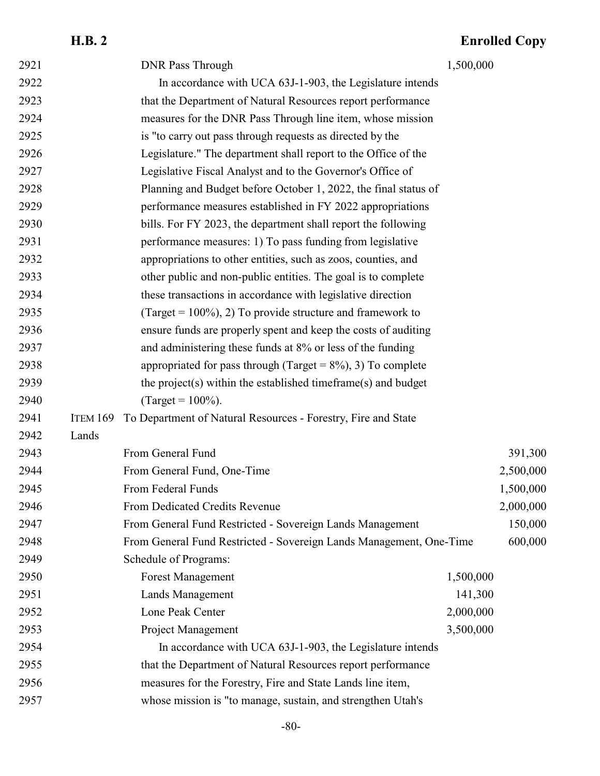## **H.B. 2 Enrolled Copy** 2921 DNR Pass Through 1,500,000 In accordance with UCA 63J-1-903, the Legislature intends that the Department of Natural Resources report performance measures for the DNR Pass Through line item, whose mission is "to carry out pass through requests as directed by the Legislature." The department shall report to the Office of the Legislative Fiscal Analyst and to the Governor's Office of Planning and Budget before October 1, 2022, the final status of performance measures established in FY 2022 appropriations bills. For FY 2023, the department shall report the following performance measures: 1) To pass funding from legislative appropriations to other entities, such as zoos, counties, and other public and non-public entities. The goal is to complete these transactions in accordance with legislative direction 2935 (Target =  $100\%$ ), 2) To provide structure and framework to ensure funds are properly spent and keep the costs of auditing and administering these funds at 8% or less of the funding 2938 appropriated for pass through (Target =  $8\%$ ), 3) To complete

#### 2941 ITEM 169 To Department of Natural Resources - Forestry, Fire and State

the project(s) within the established timeframe(s) and budget

2940 (Target =  $100\%$ ).

| 2942 | Lands |                                                                     |           |           |
|------|-------|---------------------------------------------------------------------|-----------|-----------|
| 2943 |       | From General Fund                                                   |           | 391,300   |
| 2944 |       | From General Fund, One-Time                                         |           | 2,500,000 |
| 2945 |       | From Federal Funds                                                  |           | 1,500,000 |
| 2946 |       | <b>From Dedicated Credits Revenue</b>                               |           | 2,000,000 |
| 2947 |       | From General Fund Restricted - Sovereign Lands Management           |           | 150,000   |
| 2948 |       | From General Fund Restricted - Sovereign Lands Management, One-Time |           | 600,000   |
| 2949 |       | Schedule of Programs:                                               |           |           |
| 2950 |       | <b>Forest Management</b>                                            | 1,500,000 |           |
| 2951 |       | Lands Management                                                    | 141,300   |           |
| 2952 |       | Lone Peak Center                                                    | 2,000,000 |           |
| 2953 |       | Project Management                                                  | 3,500,000 |           |
| 2954 |       | In accordance with UCA 63J-1-903, the Legislature intends           |           |           |
| 2955 |       | that the Department of Natural Resources report performance         |           |           |
| 2956 |       | measures for the Forestry, Fire and State Lands line item,          |           |           |
| 2957 |       | whose mission is "to manage, sustain, and strengthen Utah's         |           |           |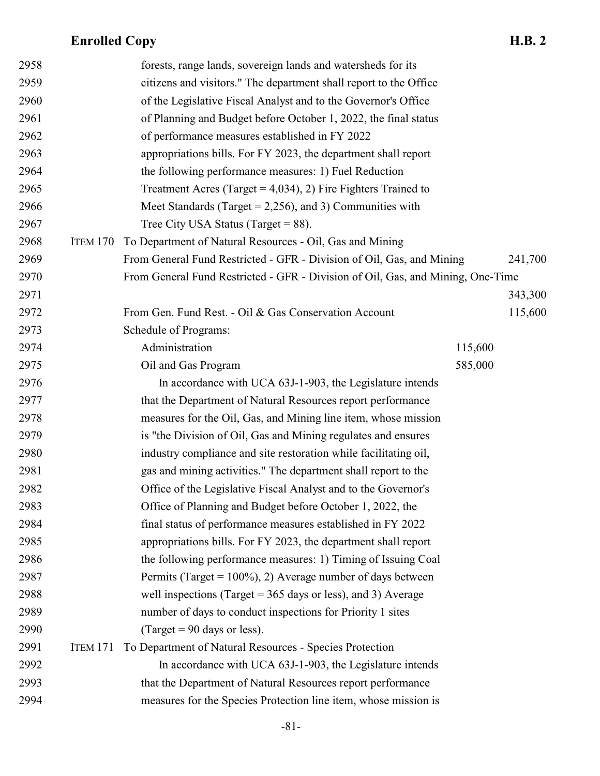| 2958 |                 | forests, range lands, sovereign lands and watersheds for its                    |         |         |
|------|-----------------|---------------------------------------------------------------------------------|---------|---------|
| 2959 |                 | citizens and visitors." The department shall report to the Office               |         |         |
| 2960 |                 | of the Legislative Fiscal Analyst and to the Governor's Office                  |         |         |
| 2961 |                 | of Planning and Budget before October 1, 2022, the final status                 |         |         |
| 2962 |                 | of performance measures established in FY 2022                                  |         |         |
| 2963 |                 | appropriations bills. For FY 2023, the department shall report                  |         |         |
| 2964 |                 | the following performance measures: 1) Fuel Reduction                           |         |         |
| 2965 |                 | Treatment Acres (Target = $4,034$ ), 2) Fire Fighters Trained to                |         |         |
| 2966 |                 | Meet Standards (Target = 2,256), and 3) Communities with                        |         |         |
| 2967 |                 | Tree City USA Status (Target = $88$ ).                                          |         |         |
| 2968 | <b>ITEM 170</b> | To Department of Natural Resources - Oil, Gas and Mining                        |         |         |
| 2969 |                 | From General Fund Restricted - GFR - Division of Oil, Gas, and Mining           |         | 241,700 |
| 2970 |                 | From General Fund Restricted - GFR - Division of Oil, Gas, and Mining, One-Time |         |         |
| 2971 |                 |                                                                                 |         | 343,300 |
| 2972 |                 | From Gen. Fund Rest. - Oil & Gas Conservation Account                           |         | 115,600 |
| 2973 |                 | Schedule of Programs:                                                           |         |         |
| 2974 |                 | Administration                                                                  | 115,600 |         |
| 2975 |                 | Oil and Gas Program                                                             | 585,000 |         |
| 2976 |                 | In accordance with UCA 63J-1-903, the Legislature intends                       |         |         |
| 2977 |                 | that the Department of Natural Resources report performance                     |         |         |
| 2978 |                 | measures for the Oil, Gas, and Mining line item, whose mission                  |         |         |
| 2979 |                 | is "the Division of Oil, Gas and Mining regulates and ensures                   |         |         |
| 2980 |                 | industry compliance and site restoration while facilitating oil,                |         |         |
| 2981 |                 | gas and mining activities." The department shall report to the                  |         |         |
| 2982 |                 | Office of the Legislative Fiscal Analyst and to the Governor's                  |         |         |
| 2983 |                 | Office of Planning and Budget before October 1, 2022, the                       |         |         |
| 2984 |                 | final status of performance measures established in FY 2022                     |         |         |
| 2985 |                 | appropriations bills. For FY 2023, the department shall report                  |         |         |
| 2986 |                 | the following performance measures: 1) Timing of Issuing Coal                   |         |         |
| 2987 |                 | Permits (Target = $100\%$ ), 2) Average number of days between                  |         |         |
| 2988 |                 | well inspections (Target = $365$ days or less), and 3) Average                  |         |         |
| 2989 |                 | number of days to conduct inspections for Priority 1 sites                      |         |         |
| 2990 |                 | (Target = 90 days or less).                                                     |         |         |
| 2991 | ITEM 171        | To Department of Natural Resources - Species Protection                         |         |         |
| 2992 |                 | In accordance with UCA 63J-1-903, the Legislature intends                       |         |         |
| 2993 |                 | that the Department of Natural Resources report performance                     |         |         |
| 2994 |                 | measures for the Species Protection line item, whose mission is                 |         |         |
|      |                 |                                                                                 |         |         |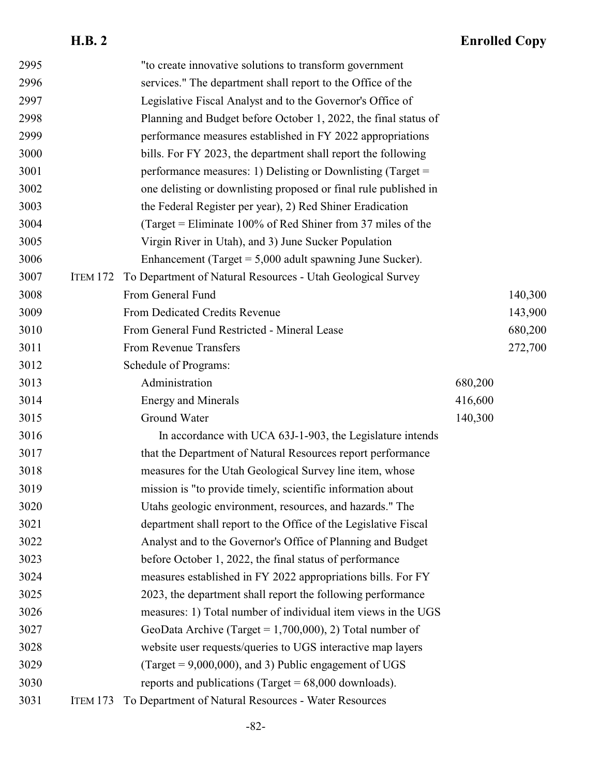| 2995 |                 | "to create innovative solutions to transform government          |         |         |
|------|-----------------|------------------------------------------------------------------|---------|---------|
| 2996 |                 | services." The department shall report to the Office of the      |         |         |
| 2997 |                 | Legislative Fiscal Analyst and to the Governor's Office of       |         |         |
| 2998 |                 | Planning and Budget before October 1, 2022, the final status of  |         |         |
| 2999 |                 | performance measures established in FY 2022 appropriations       |         |         |
| 3000 |                 | bills. For FY 2023, the department shall report the following    |         |         |
| 3001 |                 | performance measures: 1) Delisting or Downlisting (Target =      |         |         |
| 3002 |                 | one delisting or downlisting proposed or final rule published in |         |         |
| 3003 |                 | the Federal Register per year), 2) Red Shiner Eradication        |         |         |
| 3004 |                 | (Target = Eliminate $100\%$ of Red Shiner from 37 miles of the   |         |         |
| 3005 |                 | Virgin River in Utah), and 3) June Sucker Population             |         |         |
| 3006 |                 | Enhancement (Target $= 5,000$ adult spawning June Sucker).       |         |         |
| 3007 | <b>ITEM 172</b> | To Department of Natural Resources - Utah Geological Survey      |         |         |
| 3008 |                 | From General Fund                                                |         | 140,300 |
| 3009 |                 | From Dedicated Credits Revenue                                   |         | 143,900 |
| 3010 |                 | From General Fund Restricted - Mineral Lease                     |         | 680,200 |
| 3011 |                 | From Revenue Transfers                                           |         | 272,700 |
| 3012 |                 | Schedule of Programs:                                            |         |         |
| 3013 |                 | Administration                                                   | 680,200 |         |
| 3014 |                 | <b>Energy and Minerals</b>                                       | 416,600 |         |
| 3015 |                 | Ground Water                                                     | 140,300 |         |
| 3016 |                 | In accordance with UCA 63J-1-903, the Legislature intends        |         |         |
| 3017 |                 | that the Department of Natural Resources report performance      |         |         |
| 3018 |                 | measures for the Utah Geological Survey line item, whose         |         |         |
| 3019 |                 | mission is "to provide timely, scientific information about      |         |         |
| 3020 |                 | Utahs geologic environment, resources, and hazards." The         |         |         |
| 3021 |                 | department shall report to the Office of the Legislative Fiscal  |         |         |
| 3022 |                 | Analyst and to the Governor's Office of Planning and Budget      |         |         |
| 3023 |                 | before October 1, 2022, the final status of performance          |         |         |
| 3024 |                 | measures established in FY 2022 appropriations bills. For FY     |         |         |
| 3025 |                 | 2023, the department shall report the following performance      |         |         |
| 3026 |                 | measures: 1) Total number of individual item views in the UGS    |         |         |
| 3027 |                 | GeoData Archive (Target = $1,700,000$ ), 2) Total number of      |         |         |
| 3028 |                 | website user requests/queries to UGS interactive map layers      |         |         |
| 3029 |                 | (Target = $9,000,000$ ), and 3) Public engagement of UGS         |         |         |
| 3030 |                 | reports and publications (Target = $68,000$ downloads).          |         |         |
| 3031 | <b>ITEM 173</b> | To Department of Natural Resources - Water Resources             |         |         |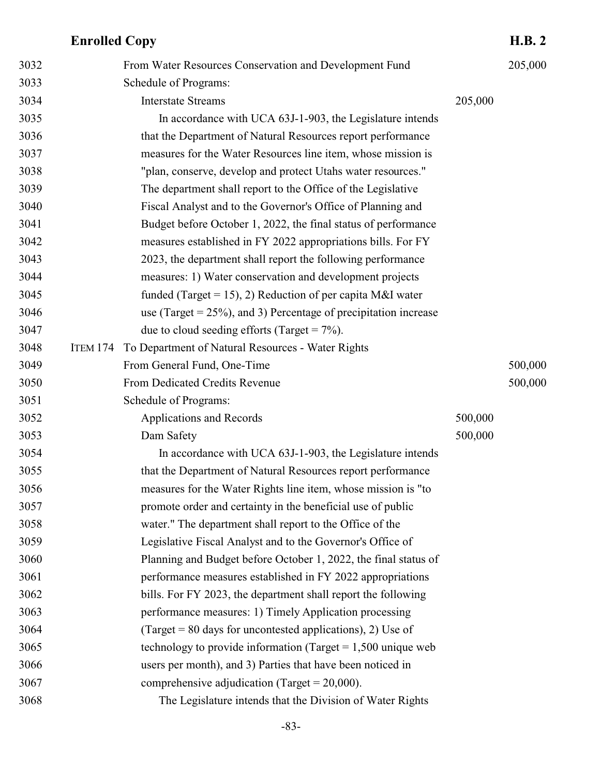| 3032 |                 | From Water Resources Conservation and Development Fund              |         | 205,000 |
|------|-----------------|---------------------------------------------------------------------|---------|---------|
| 3033 |                 | Schedule of Programs:                                               |         |         |
| 3034 |                 | <b>Interstate Streams</b>                                           | 205,000 |         |
| 3035 |                 | In accordance with UCA 63J-1-903, the Legislature intends           |         |         |
| 3036 |                 | that the Department of Natural Resources report performance         |         |         |
| 3037 |                 | measures for the Water Resources line item, whose mission is        |         |         |
| 3038 |                 | "plan, conserve, develop and protect Utahs water resources."        |         |         |
| 3039 |                 | The department shall report to the Office of the Legislative        |         |         |
| 3040 |                 | Fiscal Analyst and to the Governor's Office of Planning and         |         |         |
| 3041 |                 | Budget before October 1, 2022, the final status of performance      |         |         |
| 3042 |                 | measures established in FY 2022 appropriations bills. For FY        |         |         |
| 3043 |                 | 2023, the department shall report the following performance         |         |         |
| 3044 |                 | measures: 1) Water conservation and development projects            |         |         |
| 3045 |                 | funded (Target = 15), 2) Reduction of per capita M&I water          |         |         |
| 3046 |                 | use (Target = $25\%$ ), and 3) Percentage of precipitation increase |         |         |
| 3047 |                 | due to cloud seeding efforts (Target = $7\%$ ).                     |         |         |
| 3048 | <b>ITEM 174</b> | To Department of Natural Resources - Water Rights                   |         |         |
| 3049 |                 | From General Fund, One-Time                                         |         | 500,000 |
| 3050 |                 | From Dedicated Credits Revenue                                      |         | 500,000 |
| 3051 |                 | Schedule of Programs:                                               |         |         |
| 3052 |                 | Applications and Records                                            | 500,000 |         |
| 3053 |                 | Dam Safety                                                          | 500,000 |         |
| 3054 |                 | In accordance with UCA 63J-1-903, the Legislature intends           |         |         |
| 3055 |                 | that the Department of Natural Resources report performance         |         |         |
| 3056 |                 | measures for the Water Rights line item, whose mission is "to       |         |         |
| 3057 |                 | promote order and certainty in the beneficial use of public         |         |         |
| 3058 |                 | water." The department shall report to the Office of the            |         |         |
| 3059 |                 | Legislative Fiscal Analyst and to the Governor's Office of          |         |         |
| 3060 |                 | Planning and Budget before October 1, 2022, the final status of     |         |         |
| 3061 |                 | performance measures established in FY 2022 appropriations          |         |         |
| 3062 |                 | bills. For FY 2023, the department shall report the following       |         |         |
| 3063 |                 | performance measures: 1) Timely Application processing              |         |         |
| 3064 |                 | (Target = $80$ days for uncontested applications), 2) Use of        |         |         |
| 3065 |                 | technology to provide information (Target = $1,500$ unique web      |         |         |
| 3066 |                 | users per month), and 3) Parties that have been noticed in          |         |         |
| 3067 |                 | comprehensive adjudication (Target = $20,000$ ).                    |         |         |
| 3068 |                 | The Legislature intends that the Division of Water Rights           |         |         |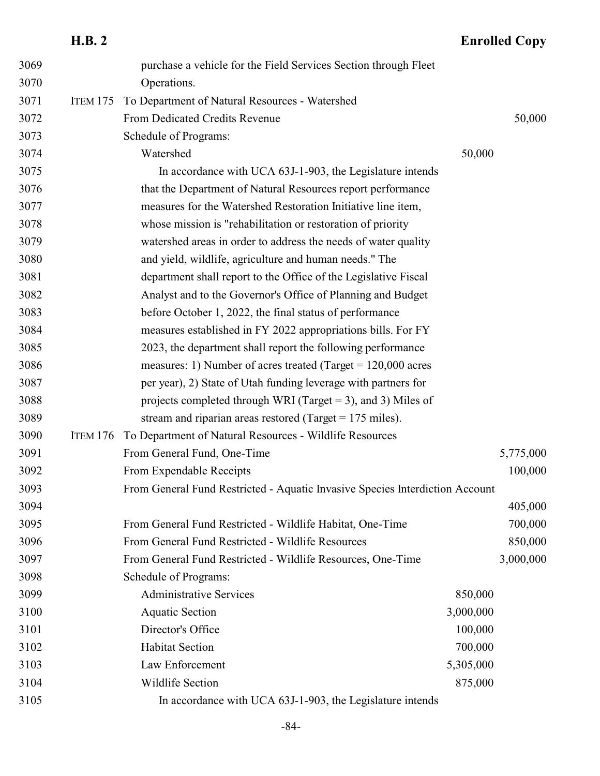|      | <b>H.B. 2</b>   |                                                                              |           | <b>Enrolled Copy</b> |
|------|-----------------|------------------------------------------------------------------------------|-----------|----------------------|
| 3069 |                 | purchase a vehicle for the Field Services Section through Fleet              |           |                      |
| 3070 |                 | Operations.                                                                  |           |                      |
| 3071 | <b>ITEM 175</b> | To Department of Natural Resources - Watershed                               |           |                      |
| 3072 |                 | From Dedicated Credits Revenue                                               |           | 50,000               |
| 3073 |                 | Schedule of Programs:                                                        |           |                      |
| 3074 |                 | Watershed                                                                    | 50,000    |                      |
| 3075 |                 | In accordance with UCA 63J-1-903, the Legislature intends                    |           |                      |
| 3076 |                 | that the Department of Natural Resources report performance                  |           |                      |
| 3077 |                 | measures for the Watershed Restoration Initiative line item,                 |           |                      |
| 3078 |                 | whose mission is "rehabilitation or restoration of priority                  |           |                      |
| 3079 |                 | watershed areas in order to address the needs of water quality               |           |                      |
| 3080 |                 | and yield, wildlife, agriculture and human needs." The                       |           |                      |
| 3081 |                 | department shall report to the Office of the Legislative Fiscal              |           |                      |
| 3082 |                 | Analyst and to the Governor's Office of Planning and Budget                  |           |                      |
| 3083 |                 | before October 1, 2022, the final status of performance                      |           |                      |
| 3084 |                 | measures established in FY 2022 appropriations bills. For FY                 |           |                      |
| 3085 |                 | 2023, the department shall report the following performance                  |           |                      |
| 3086 |                 | measures: 1) Number of acres treated (Target = $120,000$ acres               |           |                      |
| 3087 |                 | per year), 2) State of Utah funding leverage with partners for               |           |                      |
| 3088 |                 | projects completed through WRI (Target = 3), and 3) Miles of                 |           |                      |
| 3089 |                 | stream and riparian areas restored (Target = $175$ miles).                   |           |                      |
| 3090 | <b>ITEM 176</b> | To Department of Natural Resources - Wildlife Resources                      |           |                      |
| 3091 |                 | From General Fund, One-Time                                                  |           | 5,775,000            |
| 3092 |                 | From Expendable Receipts                                                     |           | 100,000              |
| 3093 |                 | From General Fund Restricted - Aquatic Invasive Species Interdiction Account |           |                      |
| 3094 |                 |                                                                              |           | 405,000              |
| 3095 |                 | From General Fund Restricted - Wildlife Habitat, One-Time                    |           | 700,000              |
| 3096 |                 | From General Fund Restricted - Wildlife Resources                            |           | 850,000              |
| 3097 |                 | From General Fund Restricted - Wildlife Resources, One-Time                  |           | 3,000,000            |
| 3098 |                 | Schedule of Programs:                                                        |           |                      |
| 3099 |                 | <b>Administrative Services</b>                                               | 850,000   |                      |
| 3100 |                 | <b>Aquatic Section</b>                                                       | 3,000,000 |                      |
| 3101 |                 | Director's Office                                                            | 100,000   |                      |
| 3102 |                 | <b>Habitat Section</b>                                                       | 700,000   |                      |
| 3103 |                 | Law Enforcement                                                              | 5,305,000 |                      |
| 3104 |                 | Wildlife Section                                                             | 875,000   |                      |
| 3105 |                 | In accordance with UCA 63J-1-903, the Legislature intends                    |           |                      |

#### -84-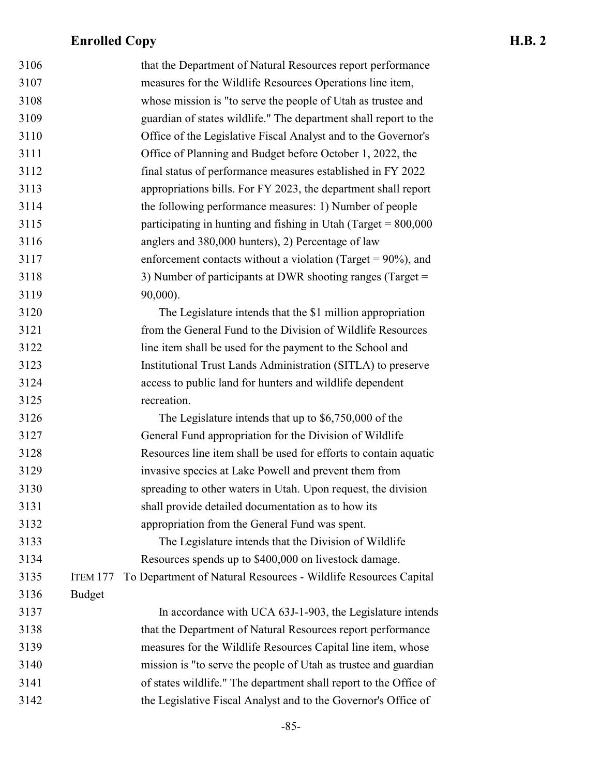| 3106 |               | that the Department of Natural Resources report performance       |
|------|---------------|-------------------------------------------------------------------|
| 3107 |               | measures for the Wildlife Resources Operations line item,         |
| 3108 |               | whose mission is "to serve the people of Utah as trustee and      |
| 3109 |               | guardian of states wildlife." The department shall report to the  |
| 3110 |               | Office of the Legislative Fiscal Analyst and to the Governor's    |
| 3111 |               | Office of Planning and Budget before October 1, 2022, the         |
| 3112 |               | final status of performance measures established in FY 2022       |
| 3113 |               | appropriations bills. For FY 2023, the department shall report    |
| 3114 |               | the following performance measures: 1) Number of people           |
| 3115 |               | participating in hunting and fishing in Utah (Target = $800,000$  |
| 3116 |               | anglers and 380,000 hunters), 2) Percentage of law                |
| 3117 |               | enforcement contacts without a violation (Target = $90\%$ ), and  |
| 3118 |               | 3) Number of participants at DWR shooting ranges (Target =        |
| 3119 |               | 90,000).                                                          |
| 3120 |               | The Legislature intends that the \$1 million appropriation        |
| 3121 |               | from the General Fund to the Division of Wildlife Resources       |
| 3122 |               | line item shall be used for the payment to the School and         |
| 3123 |               | Institutional Trust Lands Administration (SITLA) to preserve      |
| 3124 |               | access to public land for hunters and wildlife dependent          |
| 3125 |               | recreation.                                                       |
| 3126 |               | The Legislature intends that up to $$6,750,000$ of the            |
| 3127 |               | General Fund appropriation for the Division of Wildlife           |
| 3128 |               | Resources line item shall be used for efforts to contain aquatic  |
| 3129 |               | invasive species at Lake Powell and prevent them from             |
| 3130 |               | spreading to other waters in Utah. Upon request, the division     |
| 3131 |               | shall provide detailed documentation as to how its                |
| 3132 |               | appropriation from the General Fund was spent.                    |
| 3133 |               | The Legislature intends that the Division of Wildlife             |
| 3134 |               | Resources spends up to \$400,000 on livestock damage.             |
| 3135 | ITEM 177      | To Department of Natural Resources - Wildlife Resources Capital   |
| 3136 | <b>Budget</b> |                                                                   |
| 3137 |               | In accordance with UCA 63J-1-903, the Legislature intends         |
| 3138 |               | that the Department of Natural Resources report performance       |
| 3139 |               | measures for the Wildlife Resources Capital line item, whose      |
| 3140 |               | mission is "to serve the people of Utah as trustee and guardian   |
| 3141 |               | of states wildlife." The department shall report to the Office of |
| 3142 |               | the Legislative Fiscal Analyst and to the Governor's Office of    |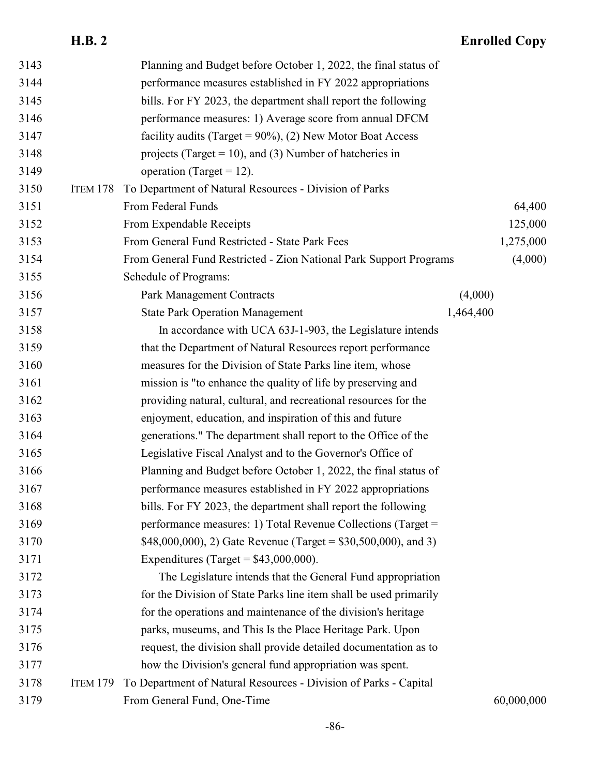| 3143 |                 | Planning and Budget before October 1, 2022, the final status of    |           |            |
|------|-----------------|--------------------------------------------------------------------|-----------|------------|
| 3144 |                 | performance measures established in FY 2022 appropriations         |           |            |
| 3145 |                 | bills. For FY 2023, the department shall report the following      |           |            |
| 3146 |                 | performance measures: 1) Average score from annual DFCM            |           |            |
| 3147 |                 | facility audits (Target = $90\%$ ), (2) New Motor Boat Access      |           |            |
| 3148 |                 | projects (Target = 10), and (3) Number of hatcheries in            |           |            |
| 3149 |                 | operation (Target = $12$ ).                                        |           |            |
| 3150 | ITEM 178        | To Department of Natural Resources - Division of Parks             |           |            |
| 3151 |                 | From Federal Funds                                                 |           | 64,400     |
| 3152 |                 | From Expendable Receipts                                           |           | 125,000    |
| 3153 |                 | From General Fund Restricted - State Park Fees                     |           | 1,275,000  |
| 3154 |                 | From General Fund Restricted - Zion National Park Support Programs |           | (4,000)    |
| 3155 |                 | Schedule of Programs:                                              |           |            |
| 3156 |                 | <b>Park Management Contracts</b>                                   | (4,000)   |            |
| 3157 |                 | <b>State Park Operation Management</b>                             | 1,464,400 |            |
| 3158 |                 | In accordance with UCA 63J-1-903, the Legislature intends          |           |            |
| 3159 |                 | that the Department of Natural Resources report performance        |           |            |
| 3160 |                 | measures for the Division of State Parks line item, whose          |           |            |
| 3161 |                 | mission is "to enhance the quality of life by preserving and       |           |            |
| 3162 |                 | providing natural, cultural, and recreational resources for the    |           |            |
| 3163 |                 | enjoyment, education, and inspiration of this and future           |           |            |
| 3164 |                 | generations." The department shall report to the Office of the     |           |            |
| 3165 |                 | Legislative Fiscal Analyst and to the Governor's Office of         |           |            |
| 3166 |                 | Planning and Budget before October 1, 2022, the final status of    |           |            |
| 3167 |                 | performance measures established in FY 2022 appropriations         |           |            |
| 3168 |                 | bills. For FY 2023, the department shall report the following      |           |            |
| 3169 |                 | performance measures: 1) Total Revenue Collections (Target =       |           |            |
| 3170 |                 | \$48,000,000), 2) Gate Revenue (Target = $$30,500,000$ ), and 3)   |           |            |
| 3171 |                 | Expenditures (Target = $$43,000,000$ ).                            |           |            |
| 3172 |                 | The Legislature intends that the General Fund appropriation        |           |            |
| 3173 |                 | for the Division of State Parks line item shall be used primarily  |           |            |
| 3174 |                 | for the operations and maintenance of the division's heritage      |           |            |
| 3175 |                 | parks, museums, and This Is the Place Heritage Park. Upon          |           |            |
| 3176 |                 | request, the division shall provide detailed documentation as to   |           |            |
| 3177 |                 | how the Division's general fund appropriation was spent.           |           |            |
| 3178 | <b>ITEM 179</b> | To Department of Natural Resources - Division of Parks - Capital   |           |            |
| 3179 |                 | From General Fund, One-Time                                        |           | 60,000,000 |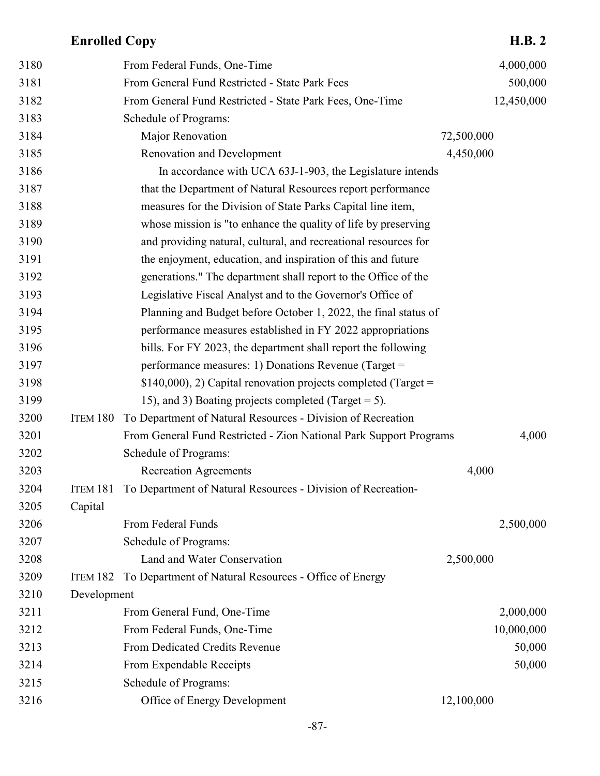| 3180 |             | From Federal Funds, One-Time                                       |            | 4,000,000  |
|------|-------------|--------------------------------------------------------------------|------------|------------|
| 3181 |             | From General Fund Restricted - State Park Fees                     |            | 500,000    |
| 3182 |             | From General Fund Restricted - State Park Fees, One-Time           |            | 12,450,000 |
| 3183 |             | Schedule of Programs:                                              |            |            |
| 3184 |             | Major Renovation                                                   | 72,500,000 |            |
| 3185 |             | Renovation and Development                                         | 4,450,000  |            |
| 3186 |             | In accordance with UCA 63J-1-903, the Legislature intends          |            |            |
|      |             |                                                                    |            |            |
| 3187 |             | that the Department of Natural Resources report performance        |            |            |
| 3188 |             | measures for the Division of State Parks Capital line item,        |            |            |
| 3189 |             | whose mission is "to enhance the quality of life by preserving     |            |            |
| 3190 |             | and providing natural, cultural, and recreational resources for    |            |            |
| 3191 |             | the enjoyment, education, and inspiration of this and future       |            |            |
| 3192 |             | generations." The department shall report to the Office of the     |            |            |
| 3193 |             | Legislative Fiscal Analyst and to the Governor's Office of         |            |            |
| 3194 |             | Planning and Budget before October 1, 2022, the final status of    |            |            |
| 3195 |             | performance measures established in FY 2022 appropriations         |            |            |
| 3196 |             | bills. For FY 2023, the department shall report the following      |            |            |
| 3197 |             | performance measures: 1) Donations Revenue (Target =               |            |            |
| 3198 |             | $$140,000$ , 2) Capital renovation projects completed (Target =    |            |            |
| 3199 |             | 15), and 3) Boating projects completed (Target $= 5$ ).            |            |            |
| 3200 | ITEM 180    | To Department of Natural Resources - Division of Recreation        |            |            |
| 3201 |             | From General Fund Restricted - Zion National Park Support Programs |            | 4,000      |
| 3202 |             | Schedule of Programs:                                              |            |            |
| 3203 |             | <b>Recreation Agreements</b>                                       | 4,000      |            |
| 3204 | ITEM 181    | To Department of Natural Resources - Division of Recreation-       |            |            |
| 3205 | Capital     |                                                                    |            |            |
| 3206 |             | From Federal Funds                                                 |            | 2,500,000  |
| 3207 |             | Schedule of Programs:                                              |            |            |
| 3208 |             | Land and Water Conservation                                        | 2,500,000  |            |
| 3209 | ITEM 182    | To Department of Natural Resources - Office of Energy              |            |            |
| 3210 | Development |                                                                    |            |            |
| 3211 |             | From General Fund, One-Time                                        |            | 2,000,000  |
| 3212 |             | From Federal Funds, One-Time                                       |            | 10,000,000 |
| 3213 |             | From Dedicated Credits Revenue                                     |            | 50,000     |
| 3214 |             | From Expendable Receipts                                           |            | 50,000     |
| 3215 |             | Schedule of Programs:                                              |            |            |
| 3216 |             | Office of Energy Development                                       | 12,100,000 |            |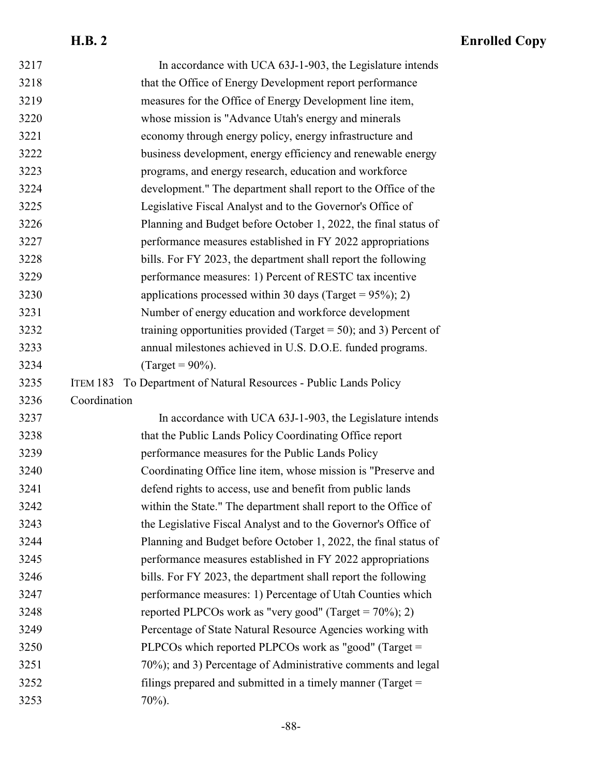| 3217 | In accordance with UCA 63J-1-903, the Legislature intends         |  |
|------|-------------------------------------------------------------------|--|
| 3218 | that the Office of Energy Development report performance          |  |
| 3219 | measures for the Office of Energy Development line item,          |  |
| 3220 | whose mission is "Advance Utah's energy and minerals              |  |
| 3221 | economy through energy policy, energy infrastructure and          |  |
| 3222 | business development, energy efficiency and renewable energy      |  |
| 3223 | programs, and energy research, education and workforce            |  |
| 3224 | development." The department shall report to the Office of the    |  |
| 3225 | Legislative Fiscal Analyst and to the Governor's Office of        |  |
| 3226 | Planning and Budget before October 1, 2022, the final status of   |  |
| 3227 | performance measures established in FY 2022 appropriations        |  |
| 3228 | bills. For FY 2023, the department shall report the following     |  |
| 3229 | performance measures: 1) Percent of RESTC tax incentive           |  |
| 3230 | applications processed within 30 days (Target = $95\%$ ); 2)      |  |
| 3231 | Number of energy education and workforce development              |  |
| 3232 | training opportunities provided (Target = 50); and 3) Percent of  |  |
| 3233 | annual milestones achieved in U.S. D.O.E. funded programs.        |  |
| 3234 | (Target = $90\%$ ).                                               |  |
| 3235 | ITEM 183 To Department of Natural Resources - Public Lands Policy |  |
| 3236 | Coordination                                                      |  |
| 3237 | In accordance with UCA 63J-1-903, the Legislature intends         |  |
| 3238 | that the Public Lands Policy Coordinating Office report           |  |
| 3239 | performance measures for the Public Lands Policy                  |  |
| 3240 | Coordinating Office line item, whose mission is "Preserve and     |  |
| 3241 | defend rights to access, use and benefit from public lands        |  |
| 3242 | within the State." The department shall report to the Office of   |  |
| 3243 | the Legislative Fiscal Analyst and to the Governor's Office of    |  |
| 3244 | Planning and Budget before October 1, 2022, the final status of   |  |
| 3245 | performance measures established in FY 2022 appropriations        |  |
| 3246 | bills. For FY 2023, the department shall report the following     |  |
| 3247 | performance measures: 1) Percentage of Utah Counties which        |  |
| 3248 | reported PLPCOs work as "very good" (Target = $70\%$ ); 2)        |  |
| 3249 | Percentage of State Natural Resource Agencies working with        |  |
| 3250 | PLPCOs which reported PLPCOs work as "good" (Target =             |  |
| 3251 | 70%); and 3) Percentage of Administrative comments and legal      |  |
| 3252 | filings prepared and submitted in a timely manner (Target $=$     |  |
| 3253 | $70\%$ ).                                                         |  |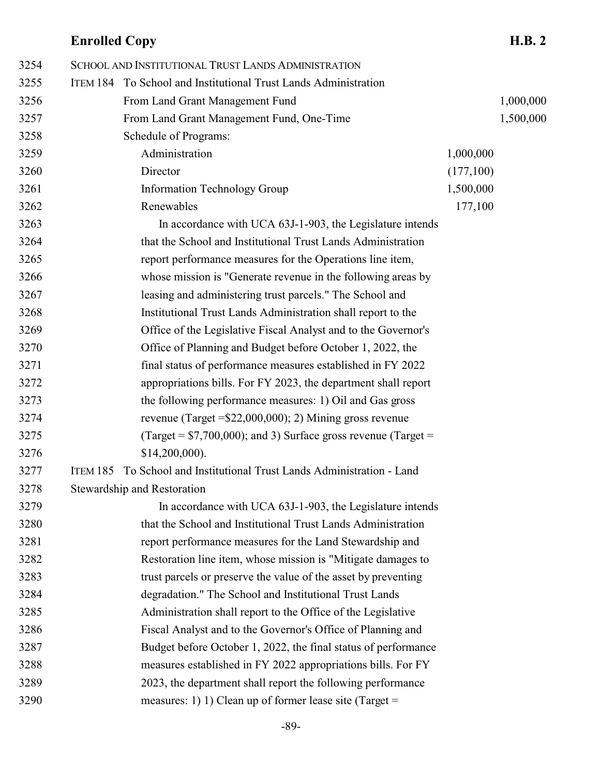| 3254 | SCHOOL AND INSTITUTIONAL TRUST LANDS ADMINISTRATION                    |           |           |
|------|------------------------------------------------------------------------|-----------|-----------|
| 3255 | ITEM 184 To School and Institutional Trust Lands Administration        |           |           |
| 3256 | From Land Grant Management Fund                                        |           | 1,000,000 |
| 3257 | From Land Grant Management Fund, One-Time                              |           | 1,500,000 |
| 3258 | Schedule of Programs:                                                  |           |           |
| 3259 | Administration                                                         | 1,000,000 |           |
| 3260 | Director                                                               | (177,100) |           |
| 3261 | Information Technology Group                                           | 1,500,000 |           |
| 3262 | Renewables                                                             | 177,100   |           |
| 3263 | In accordance with UCA 63J-1-903, the Legislature intends              |           |           |
| 3264 | that the School and Institutional Trust Lands Administration           |           |           |
| 3265 | report performance measures for the Operations line item,              |           |           |
| 3266 | whose mission is "Generate revenue in the following areas by           |           |           |
| 3267 | leasing and administering trust parcels." The School and               |           |           |
| 3268 | Institutional Trust Lands Administration shall report to the           |           |           |
| 3269 | Office of the Legislative Fiscal Analyst and to the Governor's         |           |           |
| 3270 | Office of Planning and Budget before October 1, 2022, the              |           |           |
| 3271 | final status of performance measures established in FY 2022            |           |           |
| 3272 | appropriations bills. For FY 2023, the department shall report         |           |           |
| 3273 | the following performance measures: 1) Oil and Gas gross               |           |           |
| 3274 | revenue (Target = $$22,000,000$ ); 2) Mining gross revenue             |           |           |
| 3275 | (Target = $$7,700,000$ ); and 3) Surface gross revenue (Target =       |           |           |
| 3276 | $$14,200,000$ ).                                                       |           |           |
| 3277 | ITEM 185 To School and Institutional Trust Lands Administration - Land |           |           |
| 3278 | Stewardship and Restoration                                            |           |           |
| 3279 | In accordance with UCA 63J-1-903, the Legislature intends              |           |           |
| 3280 | that the School and Institutional Trust Lands Administration           |           |           |
| 3281 | report performance measures for the Land Stewardship and               |           |           |
| 3282 | Restoration line item, whose mission is "Mitigate damages to           |           |           |
| 3283 | trust parcels or preserve the value of the asset by preventing         |           |           |
| 3284 | degradation." The School and Institutional Trust Lands                 |           |           |
| 3285 | Administration shall report to the Office of the Legislative           |           |           |
| 3286 | Fiscal Analyst and to the Governor's Office of Planning and            |           |           |
| 3287 | Budget before October 1, 2022, the final status of performance         |           |           |
| 3288 | measures established in FY 2022 appropriations bills. For FY           |           |           |
| 3289 | 2023, the department shall report the following performance            |           |           |
| 3290 | measures: 1) 1) Clean up of former lease site (Target =                |           |           |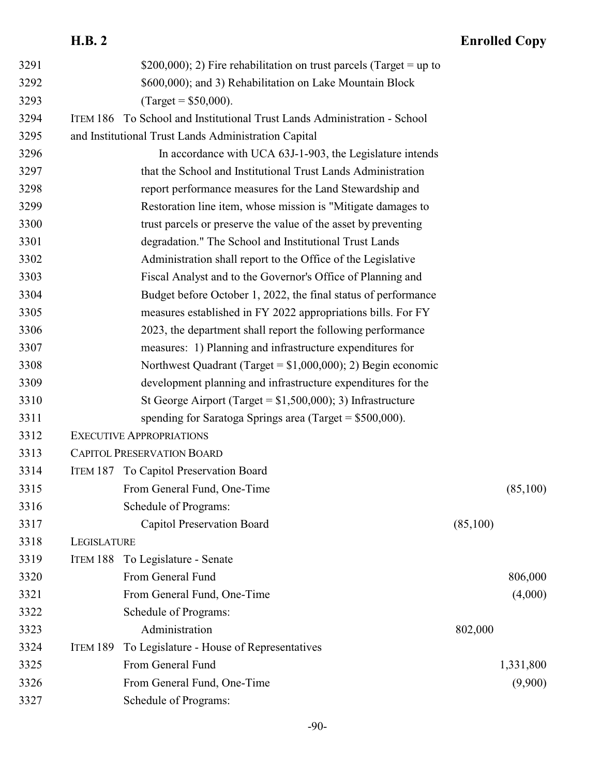| 3291 |             | \$200,000); 2) Fire rehabilitation on trust parcels (Target = up to      |          |           |
|------|-------------|--------------------------------------------------------------------------|----------|-----------|
| 3292 |             | \$600,000); and 3) Rehabilitation on Lake Mountain Block                 |          |           |
| 3293 |             | $^{7}$ arget = \$50,000).                                                |          |           |
| 3294 |             | ITEM 186 To School and Institutional Trust Lands Administration - School |          |           |
| 3295 |             | and Institutional Trust Lands Administration Capital                     |          |           |
| 3296 |             | In accordance with UCA 63J-1-903, the Legislature intends                |          |           |
| 3297 |             | that the School and Institutional Trust Lands Administration             |          |           |
| 3298 |             | report performance measures for the Land Stewardship and                 |          |           |
| 3299 |             | Restoration line item, whose mission is "Mitigate damages to             |          |           |
| 3300 |             | trust parcels or preserve the value of the asset by preventing           |          |           |
| 3301 |             | degradation." The School and Institutional Trust Lands                   |          |           |
| 3302 |             | Administration shall report to the Office of the Legislative             |          |           |
| 3303 |             | Fiscal Analyst and to the Governor's Office of Planning and              |          |           |
| 3304 |             | Budget before October 1, 2022, the final status of performance           |          |           |
| 3305 |             | measures established in FY 2022 appropriations bills. For FY             |          |           |
| 3306 |             | 2023, the department shall report the following performance              |          |           |
| 3307 |             | measures: 1) Planning and infrastructure expenditures for                |          |           |
| 3308 |             | Northwest Quadrant (Target = $$1,000,000$ ); 2) Begin economic           |          |           |
| 3309 |             | development planning and infrastructure expenditures for the             |          |           |
| 3310 |             | St George Airport (Target = $$1,500,000$ ); 3) Infrastructure            |          |           |
| 3311 |             | spending for Saratoga Springs area (Target = $$500,000$ ).               |          |           |
| 3312 |             | <b>EXECUTIVE APPROPRIATIONS</b>                                          |          |           |
| 3313 |             | <b>CAPITOL PRESERVATION BOARD</b>                                        |          |           |
| 3314 |             | ITEM 187 To Capitol Preservation Board                                   |          |           |
| 3315 |             | From General Fund, One-Time                                              |          | (85,100)  |
| 3316 |             | Schedule of Programs:                                                    |          |           |
| 3317 |             | Capitol Preservation Board                                               | (85,100) |           |
| 3318 | LEGISLATURE |                                                                          |          |           |
| 3319 |             | ITEM 188 To Legislature - Senate                                         |          |           |
| 3320 |             | From General Fund                                                        |          | 806,000   |
| 3321 |             | From General Fund, One-Time                                              |          | (4,000)   |
| 3322 |             | Schedule of Programs:                                                    |          |           |
| 3323 |             | Administration                                                           | 802,000  |           |
| 3324 | ITEM 189    | To Legislature - House of Representatives                                |          |           |
| 3325 |             | From General Fund                                                        |          | 1,331,800 |
| 3326 |             | From General Fund, One-Time                                              |          | (9,900)   |
| 3327 |             | Schedule of Programs:                                                    |          |           |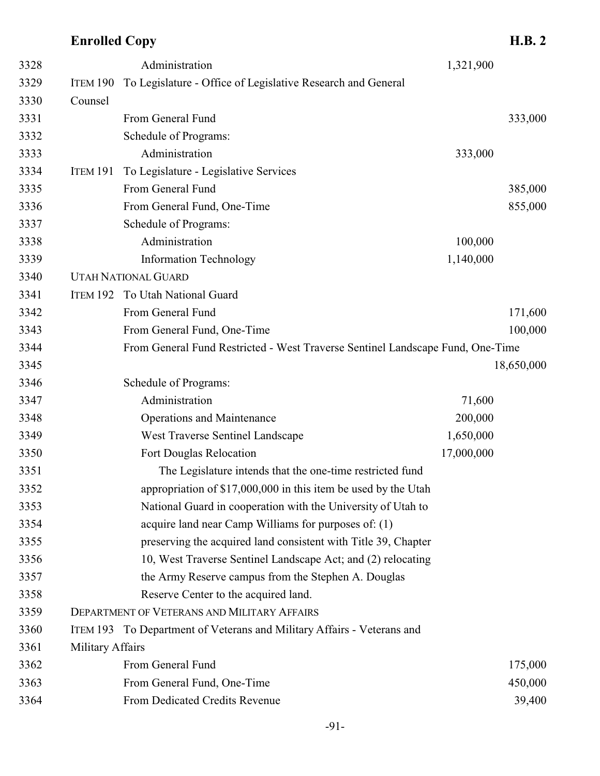| 3328 |                  | Administration                                                                 | 1,321,900  |            |
|------|------------------|--------------------------------------------------------------------------------|------------|------------|
| 3329 | ITEM 190         | To Legislature - Office of Legislative Research and General                    |            |            |
| 3330 | Counsel          |                                                                                |            |            |
| 3331 |                  | From General Fund                                                              |            | 333,000    |
| 3332 |                  | Schedule of Programs:                                                          |            |            |
| 3333 |                  | Administration                                                                 | 333,000    |            |
| 3334 | ITEM 191         | To Legislature - Legislative Services                                          |            |            |
| 3335 |                  | From General Fund                                                              |            | 385,000    |
| 3336 |                  | From General Fund, One-Time                                                    |            | 855,000    |
| 3337 |                  | Schedule of Programs:                                                          |            |            |
| 3338 |                  | Administration                                                                 | 100,000    |            |
| 3339 |                  | <b>Information Technology</b>                                                  | 1,140,000  |            |
| 3340 |                  | <b>UTAH NATIONAL GUARD</b>                                                     |            |            |
| 3341 | <b>ITEM 192</b>  | To Utah National Guard                                                         |            |            |
| 3342 |                  | From General Fund                                                              |            | 171,600    |
| 3343 |                  | From General Fund, One-Time                                                    |            | 100,000    |
| 3344 |                  | From General Fund Restricted - West Traverse Sentinel Landscape Fund, One-Time |            |            |
| 3345 |                  |                                                                                |            | 18,650,000 |
| 3346 |                  | Schedule of Programs:                                                          |            |            |
| 3347 |                  | Administration                                                                 | 71,600     |            |
| 3348 |                  | <b>Operations and Maintenance</b>                                              | 200,000    |            |
| 3349 |                  | West Traverse Sentinel Landscape                                               | 1,650,000  |            |
| 3350 |                  | Fort Douglas Relocation                                                        | 17,000,000 |            |
| 3351 |                  | The Legislature intends that the one-time restricted fund                      |            |            |
| 3352 |                  | appropriation of \$17,000,000 in this item be used by the Utah                 |            |            |
| 3353 |                  | National Guard in cooperation with the University of Utah to                   |            |            |
| 3354 |                  | acquire land near Camp Williams for purposes of: (1)                           |            |            |
| 3355 |                  | preserving the acquired land consistent with Title 39, Chapter                 |            |            |
| 3356 |                  | 10, West Traverse Sentinel Landscape Act; and (2) relocating                   |            |            |
| 3357 |                  | the Army Reserve campus from the Stephen A. Douglas                            |            |            |
| 3358 |                  | Reserve Center to the acquired land.                                           |            |            |
| 3359 |                  | <b>DEPARTMENT OF VETERANS AND MILITARY AFFAIRS</b>                             |            |            |
| 3360 |                  | ITEM 193 To Department of Veterans and Military Affairs - Veterans and         |            |            |
| 3361 | Military Affairs |                                                                                |            |            |
| 3362 |                  | From General Fund                                                              |            | 175,000    |
| 3363 |                  | From General Fund, One-Time                                                    |            | 450,000    |
| 3364 |                  | From Dedicated Credits Revenue                                                 |            | 39,400     |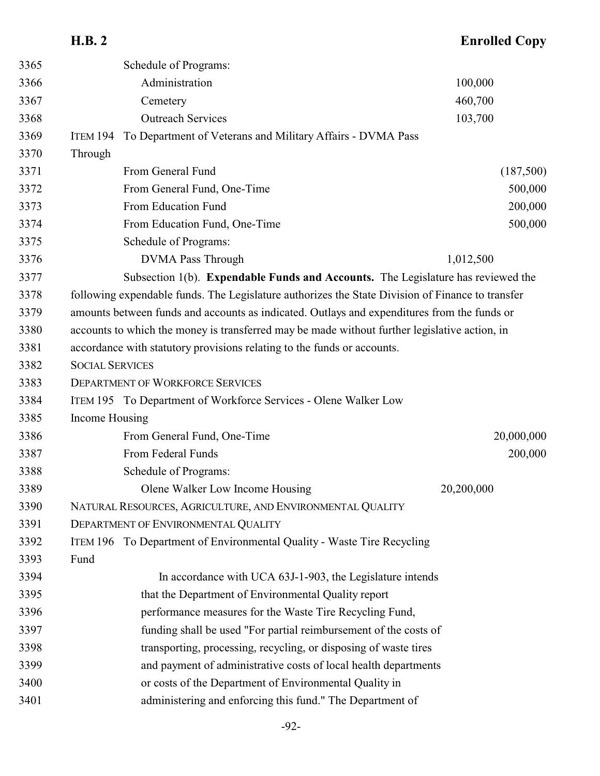|      | <b>H.B. 2</b>                                                                                    | <b>Enrolled Copy</b> |
|------|--------------------------------------------------------------------------------------------------|----------------------|
| 3365 | Schedule of Programs:                                                                            |                      |
| 3366 | Administration                                                                                   | 100,000              |
| 3367 | Cemetery                                                                                         | 460,700              |
| 3368 | <b>Outreach Services</b>                                                                         | 103,700              |
| 3369 | To Department of Veterans and Military Affairs - DVMA Pass<br><b>ITEM 194</b>                    |                      |
| 3370 | Through                                                                                          |                      |
| 3371 | From General Fund                                                                                | (187,500)            |
| 3372 | From General Fund, One-Time                                                                      | 500,000              |
| 3373 | From Education Fund                                                                              | 200,000              |
| 3374 | From Education Fund, One-Time                                                                    | 500,000              |
| 3375 | Schedule of Programs:                                                                            |                      |
| 3376 | <b>DVMA Pass Through</b>                                                                         | 1,012,500            |
| 3377 | Subsection 1(b). <b>Expendable Funds and Accounts.</b> The Legislature has reviewed the          |                      |
| 3378 | following expendable funds. The Legislature authorizes the State Division of Finance to transfer |                      |
| 3379 | amounts between funds and accounts as indicated. Outlays and expenditures from the funds or      |                      |
| 3380 | accounts to which the money is transferred may be made without further legislative action, in    |                      |
| 3381 | accordance with statutory provisions relating to the funds or accounts.                          |                      |
| 3382 | <b>SOCIAL SERVICES</b>                                                                           |                      |
| 3383 | <b>DEPARTMENT OF WORKFORCE SERVICES</b>                                                          |                      |
| 3384 | ITEM 195 To Department of Workforce Services - Olene Walker Low                                  |                      |
| 3385 | Income Housing                                                                                   |                      |
| 3386 | From General Fund, One-Time                                                                      | 20,000,000           |
| 3387 | From Federal Funds                                                                               | 200,000              |
| 3388 | Schedule of Programs:                                                                            |                      |
| 3389 | Olene Walker Low Income Housing                                                                  | 20,200,000           |
| 3390 | NATURAL RESOURCES, AGRICULTURE, AND ENVIRONMENTAL QUALITY                                        |                      |
| 3391 | DEPARTMENT OF ENVIRONMENTAL QUALITY                                                              |                      |
| 3392 | ITEM 196 To Department of Environmental Quality - Waste Tire Recycling                           |                      |
| 3393 | Fund                                                                                             |                      |
| 3394 | In accordance with UCA 63J-1-903, the Legislature intends                                        |                      |
| 3395 | that the Department of Environmental Quality report                                              |                      |
| 3396 | performance measures for the Waste Tire Recycling Fund,                                          |                      |
| 3397 | funding shall be used "For partial reimbursement of the costs of                                 |                      |
| 3398 | transporting, processing, recycling, or disposing of waste tires                                 |                      |
| 3399 | and payment of administrative costs of local health departments                                  |                      |
| 3400 | or costs of the Department of Environmental Quality in                                           |                      |
| 3401 | administering and enforcing this fund." The Department of                                        |                      |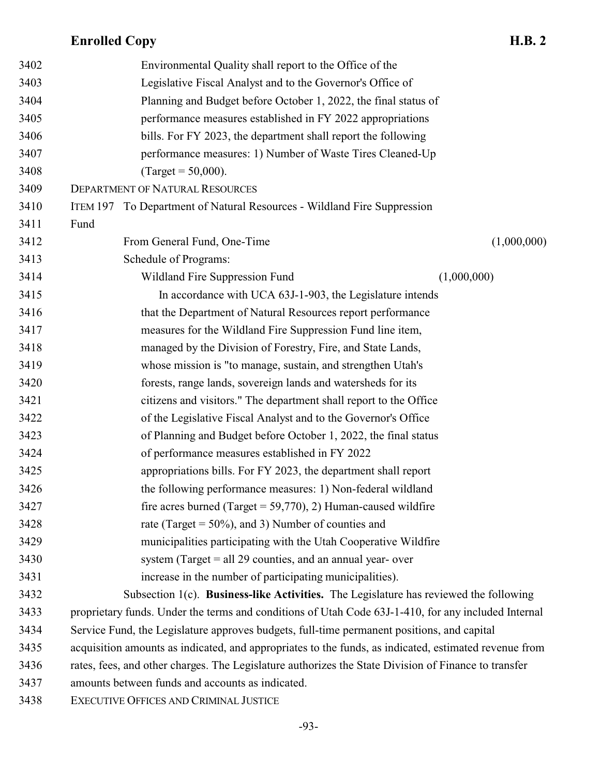| 3402 | Environmental Quality shall report to the Office of the                                               |  |
|------|-------------------------------------------------------------------------------------------------------|--|
| 3403 | Legislative Fiscal Analyst and to the Governor's Office of                                            |  |
| 3404 | Planning and Budget before October 1, 2022, the final status of                                       |  |
| 3405 | performance measures established in FY 2022 appropriations                                            |  |
| 3406 | bills. For FY 2023, the department shall report the following                                         |  |
| 3407 | performance measures: 1) Number of Waste Tires Cleaned-Up                                             |  |
| 3408 | (Target = $50,000$ ).                                                                                 |  |
| 3409 | <b>DEPARTMENT OF NATURAL RESOURCES</b>                                                                |  |
| 3410 | ITEM 197 To Department of Natural Resources - Wildland Fire Suppression                               |  |
| 3411 | Fund                                                                                                  |  |
| 3412 | From General Fund, One-Time<br>(1,000,000)                                                            |  |
| 3413 | Schedule of Programs:                                                                                 |  |
| 3414 | (1,000,000)<br>Wildland Fire Suppression Fund                                                         |  |
| 3415 | In accordance with UCA 63J-1-903, the Legislature intends                                             |  |
| 3416 | that the Department of Natural Resources report performance                                           |  |
| 3417 | measures for the Wildland Fire Suppression Fund line item,                                            |  |
| 3418 | managed by the Division of Forestry, Fire, and State Lands,                                           |  |
| 3419 | whose mission is "to manage, sustain, and strengthen Utah's                                           |  |
| 3420 | forests, range lands, sovereign lands and watersheds for its                                          |  |
| 3421 | citizens and visitors." The department shall report to the Office                                     |  |
| 3422 | of the Legislative Fiscal Analyst and to the Governor's Office                                        |  |
| 3423 | of Planning and Budget before October 1, 2022, the final status                                       |  |
| 3424 | of performance measures established in FY 2022                                                        |  |
| 3425 | appropriations bills. For FY 2023, the department shall report                                        |  |
| 3426 | the following performance measures: 1) Non-federal wildland                                           |  |
| 3427 | fire acres burned (Target = $59,770$ ), 2) Human-caused wildfire                                      |  |
| 3428 | rate (Target = $50\%$ ), and 3) Number of counties and                                                |  |
| 3429 | municipalities participating with the Utah Cooperative Wildfire                                       |  |
| 3430 | system (Target $=$ all 29 counties, and an annual year- over                                          |  |
| 3431 | increase in the number of participating municipalities).                                              |  |
| 3432 | Subsection 1(c). Business-like Activities. The Legislature has reviewed the following                 |  |
| 3433 | proprietary funds. Under the terms and conditions of Utah Code 63J-1-410, for any included Internal   |  |
| 3434 | Service Fund, the Legislature approves budgets, full-time permanent positions, and capital            |  |
| 3435 | acquisition amounts as indicated, and appropriates to the funds, as indicated, estimated revenue from |  |
| 3436 | rates, fees, and other charges. The Legislature authorizes the State Division of Finance to transfer  |  |
| 3437 | amounts between funds and accounts as indicated.                                                      |  |
| 3438 | EXECUTIVE OFFICES AND CRIMINAL JUSTICE                                                                |  |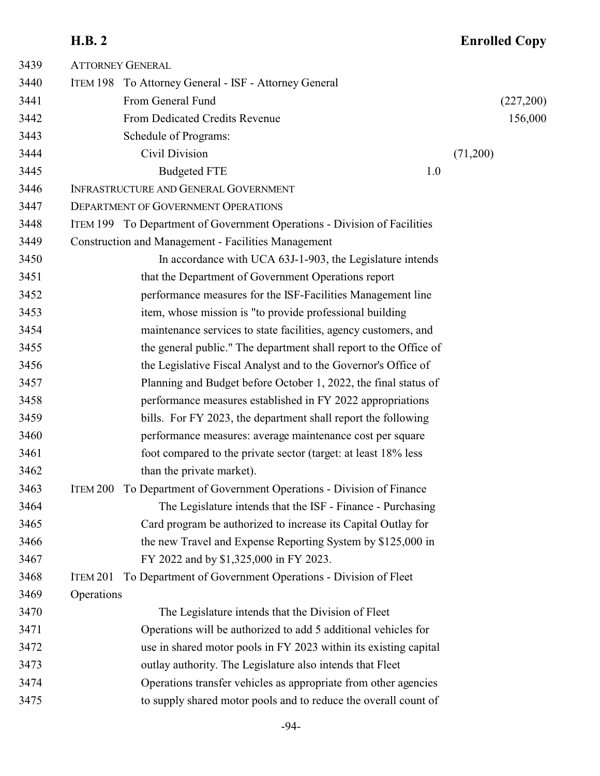| (227,200) |
|-----------|
| 156,000   |
|           |
|           |
|           |
|           |
|           |
|           |
|           |
|           |
|           |
|           |
|           |
|           |
|           |
|           |
|           |
|           |
|           |
|           |
|           |
|           |
|           |
|           |
|           |
|           |
|           |
|           |
|           |
|           |
|           |
|           |
|           |
|           |
|           |
|           |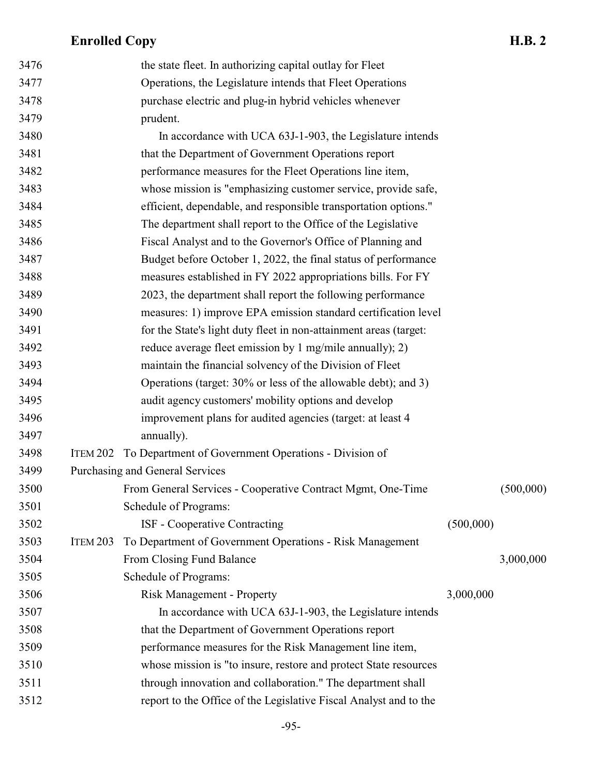| 3476 |                 | the state fleet. In authorizing capital outlay for Fleet          |           |           |
|------|-----------------|-------------------------------------------------------------------|-----------|-----------|
| 3477 |                 | Operations, the Legislature intends that Fleet Operations         |           |           |
| 3478 |                 | purchase electric and plug-in hybrid vehicles whenever            |           |           |
| 3479 |                 | prudent.                                                          |           |           |
| 3480 |                 | In accordance with UCA 63J-1-903, the Legislature intends         |           |           |
| 3481 |                 | that the Department of Government Operations report               |           |           |
| 3482 |                 | performance measures for the Fleet Operations line item,          |           |           |
| 3483 |                 | whose mission is "emphasizing customer service, provide safe,     |           |           |
| 3484 |                 | efficient, dependable, and responsible transportation options."   |           |           |
| 3485 |                 | The department shall report to the Office of the Legislative      |           |           |
| 3486 |                 | Fiscal Analyst and to the Governor's Office of Planning and       |           |           |
| 3487 |                 | Budget before October 1, 2022, the final status of performance    |           |           |
| 3488 |                 | measures established in FY 2022 appropriations bills. For FY      |           |           |
| 3489 |                 | 2023, the department shall report the following performance       |           |           |
| 3490 |                 | measures: 1) improve EPA emission standard certification level    |           |           |
| 3491 |                 | for the State's light duty fleet in non-attainment areas (target: |           |           |
| 3492 |                 | reduce average fleet emission by 1 mg/mile annually); 2)          |           |           |
| 3493 |                 | maintain the financial solvency of the Division of Fleet          |           |           |
| 3494 |                 | Operations (target: 30% or less of the allowable debt); and 3)    |           |           |
| 3495 |                 | audit agency customers' mobility options and develop              |           |           |
| 3496 |                 | improvement plans for audited agencies (target: at least 4        |           |           |
| 3497 |                 | annually).                                                        |           |           |
| 3498 | ITEM 202        | To Department of Government Operations - Division of              |           |           |
| 3499 |                 | Purchasing and General Services                                   |           |           |
| 3500 |                 | From General Services - Cooperative Contract Mgmt, One-Time       |           | (500,000) |
| 3501 |                 | Schedule of Programs:                                             |           |           |
| 3502 |                 | ISF - Cooperative Contracting                                     | (500,000) |           |
| 3503 | <b>ITEM 203</b> | To Department of Government Operations - Risk Management          |           |           |
| 3504 |                 | From Closing Fund Balance                                         |           | 3,000,000 |
| 3505 |                 | Schedule of Programs:                                             |           |           |
| 3506 |                 | <b>Risk Management - Property</b>                                 | 3,000,000 |           |
| 3507 |                 | In accordance with UCA 63J-1-903, the Legislature intends         |           |           |
| 3508 |                 | that the Department of Government Operations report               |           |           |
| 3509 |                 | performance measures for the Risk Management line item,           |           |           |
| 3510 |                 | whose mission is "to insure, restore and protect State resources  |           |           |
| 3511 |                 | through innovation and collaboration." The department shall       |           |           |
| 3512 |                 | report to the Office of the Legislative Fiscal Analyst and to the |           |           |
|      |                 |                                                                   |           |           |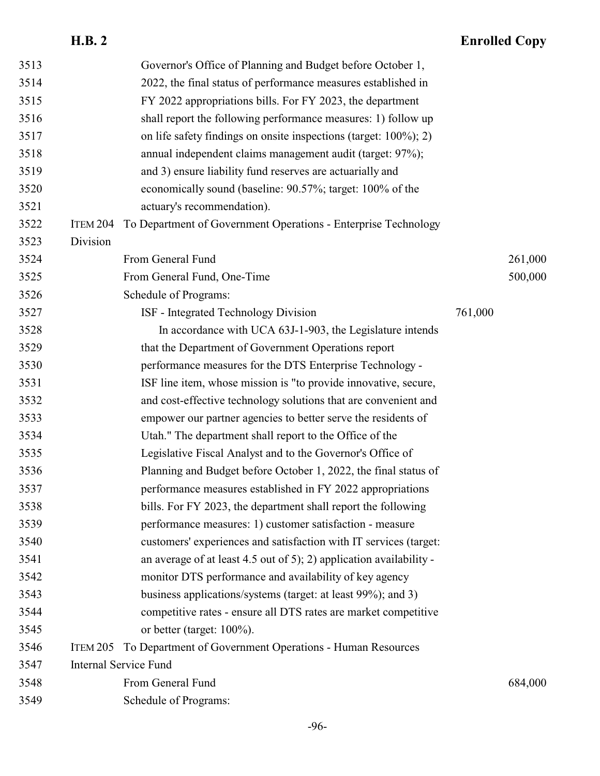| 3513 |                 | Governor's Office of Planning and Budget before October 1,          |         |         |
|------|-----------------|---------------------------------------------------------------------|---------|---------|
| 3514 |                 | 2022, the final status of performance measures established in       |         |         |
| 3515 |                 | FY 2022 appropriations bills. For FY 2023, the department           |         |         |
| 3516 |                 | shall report the following performance measures: 1) follow up       |         |         |
| 3517 |                 | on life safety findings on onsite inspections (target: 100%); 2)    |         |         |
| 3518 |                 | annual independent claims management audit (target: 97%);           |         |         |
| 3519 |                 | and 3) ensure liability fund reserves are actuarially and           |         |         |
| 3520 |                 | economically sound (baseline: 90.57%; target: 100% of the           |         |         |
| 3521 |                 | actuary's recommendation).                                          |         |         |
| 3522 | ITEM 204        | To Department of Government Operations - Enterprise Technology      |         |         |
| 3523 | Division        |                                                                     |         |         |
| 3524 |                 | From General Fund                                                   |         | 261,000 |
| 3525 |                 | From General Fund, One-Time                                         |         | 500,000 |
| 3526 |                 | Schedule of Programs:                                               |         |         |
| 3527 |                 | ISF - Integrated Technology Division                                | 761,000 |         |
| 3528 |                 | In accordance with UCA 63J-1-903, the Legislature intends           |         |         |
| 3529 |                 | that the Department of Government Operations report                 |         |         |
| 3530 |                 | performance measures for the DTS Enterprise Technology -            |         |         |
| 3531 |                 | ISF line item, whose mission is "to provide innovative, secure,     |         |         |
| 3532 |                 | and cost-effective technology solutions that are convenient and     |         |         |
| 3533 |                 | empower our partner agencies to better serve the residents of       |         |         |
| 3534 |                 | Utah." The department shall report to the Office of the             |         |         |
| 3535 |                 | Legislative Fiscal Analyst and to the Governor's Office of          |         |         |
| 3536 |                 | Planning and Budget before October 1, 2022, the final status of     |         |         |
| 3537 |                 | performance measures established in FY 2022 appropriations          |         |         |
| 3538 |                 | bills. For FY 2023, the department shall report the following       |         |         |
| 3539 |                 | performance measures: 1) customer satisfaction - measure            |         |         |
| 3540 |                 | customers' experiences and satisfaction with IT services (target:   |         |         |
| 3541 |                 | an average of at least 4.5 out of 5); 2) application availability - |         |         |
| 3542 |                 | monitor DTS performance and availability of key agency              |         |         |
| 3543 |                 | business applications/systems (target: at least 99%); and 3)        |         |         |
| 3544 |                 | competitive rates - ensure all DTS rates are market competitive     |         |         |
| 3545 |                 | or better (target: $100\%$ ).                                       |         |         |
| 3546 | <b>ITEM 205</b> | To Department of Government Operations - Human Resources            |         |         |
| 3547 |                 | <b>Internal Service Fund</b>                                        |         |         |
| 3548 |                 | From General Fund                                                   |         | 684,000 |
| 3549 |                 | Schedule of Programs:                                               |         |         |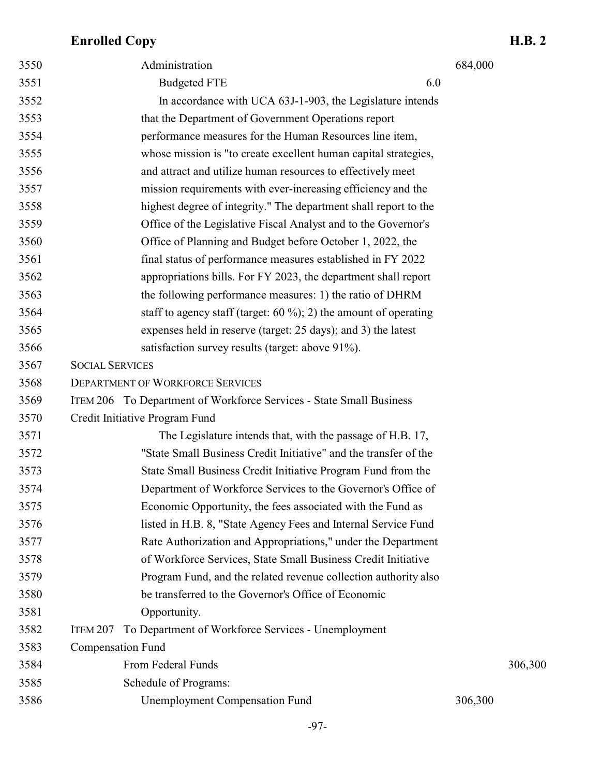| 3550 | Administration                                                      | 684,000 |
|------|---------------------------------------------------------------------|---------|
| 3551 | <b>Budgeted FTE</b><br>6.0                                          |         |
| 3552 | In accordance with UCA 63J-1-903, the Legislature intends           |         |
| 3553 | that the Department of Government Operations report                 |         |
| 3554 | performance measures for the Human Resources line item,             |         |
| 3555 | whose mission is "to create excellent human capital strategies,     |         |
| 3556 | and attract and utilize human resources to effectively meet         |         |
| 3557 | mission requirements with ever-increasing efficiency and the        |         |
| 3558 | highest degree of integrity." The department shall report to the    |         |
| 3559 | Office of the Legislative Fiscal Analyst and to the Governor's      |         |
| 3560 | Office of Planning and Budget before October 1, 2022, the           |         |
| 3561 | final status of performance measures established in FY 2022         |         |
| 3562 | appropriations bills. For FY 2023, the department shall report      |         |
| 3563 | the following performance measures: 1) the ratio of DHRM            |         |
| 3564 | staff to agency staff (target: $60\%$ ); 2) the amount of operating |         |
| 3565 | expenses held in reserve (target: 25 days); and 3) the latest       |         |
| 3566 | satisfaction survey results (target: above 91%).                    |         |
| 3567 | <b>SOCIAL SERVICES</b>                                              |         |
| 3568 | <b>DEPARTMENT OF WORKFORCE SERVICES</b>                             |         |
| 3569 | ITEM 206 To Department of Workforce Services - State Small Business |         |
| 3570 | Credit Initiative Program Fund                                      |         |
| 3571 | The Legislature intends that, with the passage of H.B. 17,          |         |
| 3572 | "State Small Business Credit Initiative" and the transfer of the    |         |
| 3573 | State Small Business Credit Initiative Program Fund from the        |         |
| 3574 | Department of Workforce Services to the Governor's Office of        |         |
| 3575 | Economic Opportunity, the fees associated with the Fund as          |         |
| 3576 | listed in H.B. 8, "State Agency Fees and Internal Service Fund      |         |
| 3577 | Rate Authorization and Appropriations," under the Department        |         |
| 3578 | of Workforce Services, State Small Business Credit Initiative       |         |
| 3579 | Program Fund, and the related revenue collection authority also     |         |
| 3580 | be transferred to the Governor's Office of Economic                 |         |
| 3581 | Opportunity.                                                        |         |
| 3582 | To Department of Workforce Services - Unemployment<br>ITEM 207      |         |
| 3583 | <b>Compensation Fund</b>                                            |         |
| 3584 | From Federal Funds                                                  | 306,300 |
| 3585 | Schedule of Programs:                                               |         |
| 3586 | <b>Unemployment Compensation Fund</b>                               | 306,300 |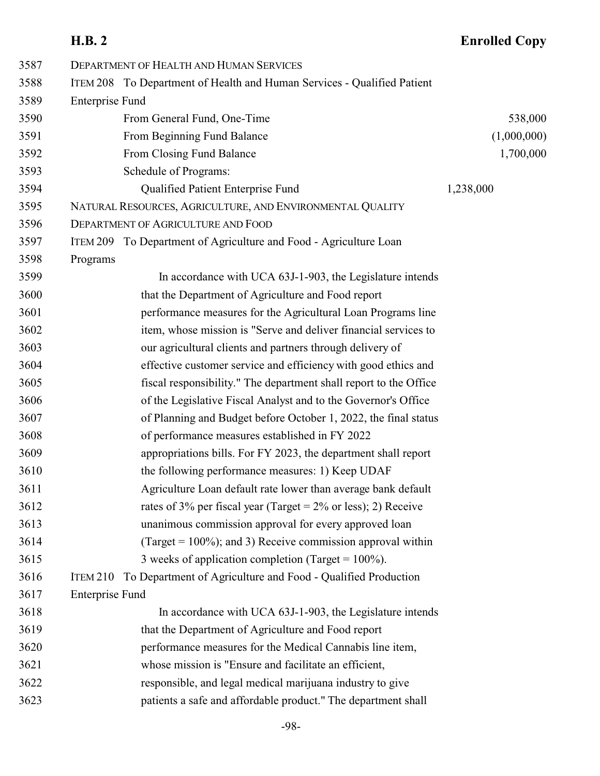| 3587 | <b>DEPARTMENT OF HEALTH AND HUMAN SERVICES</b>                           |             |
|------|--------------------------------------------------------------------------|-------------|
| 3588 | ITEM 208 To Department of Health and Human Services - Qualified Patient  |             |
| 3589 | <b>Enterprise Fund</b>                                                   |             |
| 3590 | From General Fund, One-Time                                              | 538,000     |
| 3591 | From Beginning Fund Balance                                              | (1,000,000) |
| 3592 | From Closing Fund Balance                                                | 1,700,000   |
| 3593 | Schedule of Programs:                                                    |             |
| 3594 | Qualified Patient Enterprise Fund                                        | 1,238,000   |
| 3595 | NATURAL RESOURCES, AGRICULTURE, AND ENVIRONMENTAL QUALITY                |             |
| 3596 | DEPARTMENT OF AGRICULTURE AND FOOD                                       |             |
| 3597 | ITEM 209 To Department of Agriculture and Food - Agriculture Loan        |             |
| 3598 | Programs                                                                 |             |
| 3599 | In accordance with UCA 63J-1-903, the Legislature intends                |             |
| 3600 | that the Department of Agriculture and Food report                       |             |
| 3601 | performance measures for the Agricultural Loan Programs line             |             |
| 3602 | item, whose mission is "Serve and deliver financial services to          |             |
| 3603 | our agricultural clients and partners through delivery of                |             |
| 3604 | effective customer service and efficiency with good ethics and           |             |
| 3605 | fiscal responsibility." The department shall report to the Office        |             |
| 3606 | of the Legislative Fiscal Analyst and to the Governor's Office           |             |
| 3607 | of Planning and Budget before October 1, 2022, the final status          |             |
| 3608 | of performance measures established in FY 2022                           |             |
| 3609 | appropriations bills. For FY 2023, the department shall report           |             |
| 3610 | the following performance measures: 1) Keep UDAF                         |             |
| 3611 | Agriculture Loan default rate lower than average bank default            |             |
| 3612 | rates of 3% per fiscal year (Target = $2\%$ or less); 2) Receive         |             |
| 3613 | unanimous commission approval for every approved loan                    |             |
| 3614 | (Target = $100\%$ ); and 3) Receive commission approval within           |             |
| 3615 | 3 weeks of application completion (Target = $100\%$ ).                   |             |
| 3616 | To Department of Agriculture and Food - Qualified Production<br>ITEM 210 |             |
| 3617 | <b>Enterprise Fund</b>                                                   |             |
| 3618 | In accordance with UCA 63J-1-903, the Legislature intends                |             |
| 3619 | that the Department of Agriculture and Food report                       |             |
| 3620 | performance measures for the Medical Cannabis line item,                 |             |
| 3621 | whose mission is "Ensure and facilitate an efficient,                    |             |
| 3622 | responsible, and legal medical marijuana industry to give                |             |
| 3623 | patients a safe and affordable product." The department shall            |             |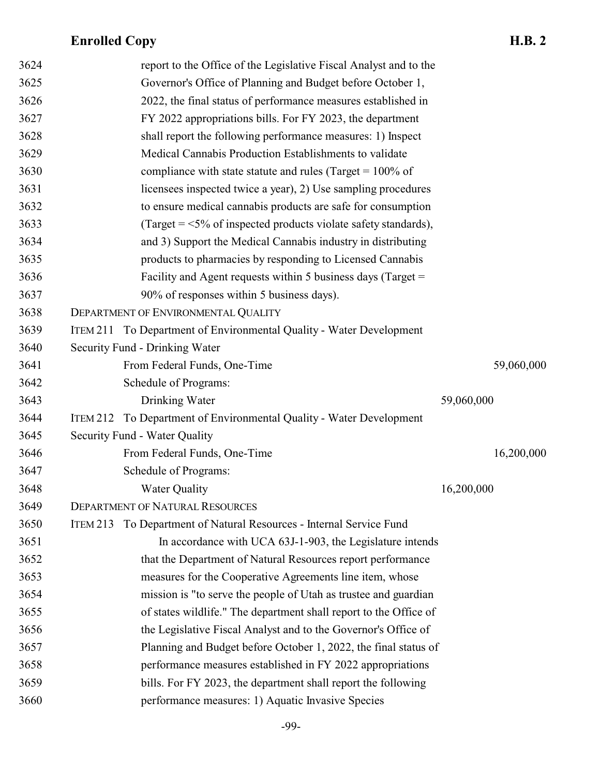| 3624 |          | report to the Office of the Legislative Fiscal Analyst and to the    |            |
|------|----------|----------------------------------------------------------------------|------------|
| 3625 |          | Governor's Office of Planning and Budget before October 1,           |            |
| 3626 |          | 2022, the final status of performance measures established in        |            |
| 3627 |          | FY 2022 appropriations bills. For FY 2023, the department            |            |
| 3628 |          | shall report the following performance measures: 1) Inspect          |            |
| 3629 |          | Medical Cannabis Production Establishments to validate               |            |
| 3630 |          | compliance with state statute and rules (Target = $100\%$ of         |            |
| 3631 |          | licensees inspected twice a year), 2) Use sampling procedures        |            |
| 3632 |          | to ensure medical cannabis products are safe for consumption         |            |
| 3633 |          | (Target = $\leq$ 5% of inspected products violate safety standards), |            |
| 3634 |          | and 3) Support the Medical Cannabis industry in distributing         |            |
| 3635 |          | products to pharmacies by responding to Licensed Cannabis            |            |
| 3636 |          | Facility and Agent requests within 5 business days (Target $=$       |            |
| 3637 |          | 90% of responses within 5 business days).                            |            |
| 3638 |          | DEPARTMENT OF ENVIRONMENTAL QUALITY                                  |            |
| 3639 |          | ITEM 211 To Department of Environmental Quality - Water Development  |            |
| 3640 |          | Security Fund - Drinking Water                                       |            |
| 3641 |          | From Federal Funds, One-Time                                         | 59,060,000 |
| 3642 |          | Schedule of Programs:                                                |            |
| 3643 |          | Drinking Water                                                       | 59,060,000 |
| 3644 | ITEM 212 | To Department of Environmental Quality - Water Development           |            |
| 3645 |          | Security Fund - Water Quality                                        |            |
| 3646 |          | From Federal Funds, One-Time                                         | 16,200,000 |
| 3647 |          | Schedule of Programs:                                                |            |
| 3648 |          | <b>Water Quality</b>                                                 | 16,200,000 |
| 3649 |          | <b>DEPARTMENT OF NATURAL RESOURCES</b>                               |            |
| 3650 | ITEM 213 | To Department of Natural Resources - Internal Service Fund           |            |
| 3651 |          | In accordance with UCA 63J-1-903, the Legislature intends            |            |
| 3652 |          | that the Department of Natural Resources report performance          |            |
| 3653 |          | measures for the Cooperative Agreements line item, whose             |            |
| 3654 |          | mission is "to serve the people of Utah as trustee and guardian      |            |
| 3655 |          | of states wildlife." The department shall report to the Office of    |            |
| 3656 |          | the Legislative Fiscal Analyst and to the Governor's Office of       |            |
| 3657 |          | Planning and Budget before October 1, 2022, the final status of      |            |
| 3658 |          | performance measures established in FY 2022 appropriations           |            |
| 3659 |          | bills. For FY 2023, the department shall report the following        |            |
| 3660 |          | performance measures: 1) Aquatic Invasive Species                    |            |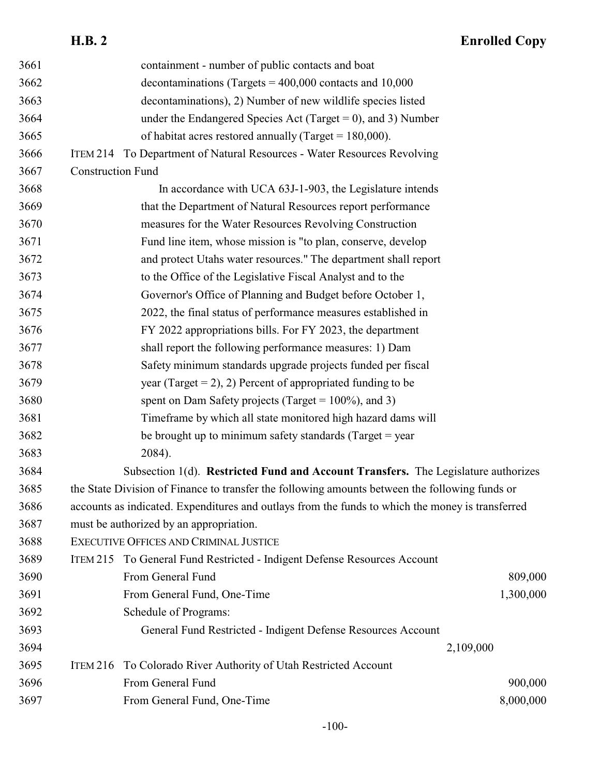|      | <b>H.B. 2</b>            |                                                                                                  | <b>Enrolled Copy</b> |
|------|--------------------------|--------------------------------------------------------------------------------------------------|----------------------|
| 3661 |                          | containment - number of public contacts and boat                                                 |                      |
| 3662 |                          | decontaminations (Targets = $400,000$ contacts and 10,000                                        |                      |
| 3663 |                          | decontaminations), 2) Number of new wildlife species listed                                      |                      |
| 3664 |                          | under the Endangered Species Act (Target = 0), and 3) Number                                     |                      |
| 3665 |                          | of habitat acres restored annually (Target = $180,000$ ).                                        |                      |
| 3666 |                          | ITEM 214 To Department of Natural Resources - Water Resources Revolving                          |                      |
| 3667 | <b>Construction Fund</b> |                                                                                                  |                      |
| 3668 |                          | In accordance with UCA 63J-1-903, the Legislature intends                                        |                      |
| 3669 |                          | that the Department of Natural Resources report performance                                      |                      |
| 3670 |                          | measures for the Water Resources Revolving Construction                                          |                      |
| 3671 |                          | Fund line item, whose mission is "to plan, conserve, develop                                     |                      |
| 3672 |                          | and protect Utahs water resources." The department shall report                                  |                      |
| 3673 |                          | to the Office of the Legislative Fiscal Analyst and to the                                       |                      |
| 3674 |                          | Governor's Office of Planning and Budget before October 1,                                       |                      |
| 3675 |                          | 2022, the final status of performance measures established in                                    |                      |
| 3676 |                          | FY 2022 appropriations bills. For FY 2023, the department                                        |                      |
| 3677 |                          | shall report the following performance measures: 1) Dam                                          |                      |
| 3678 |                          | Safety minimum standards upgrade projects funded per fiscal                                      |                      |
| 3679 |                          | year (Target = 2), 2) Percent of appropriated funding to be                                      |                      |
| 3680 |                          | spent on Dam Safety projects (Target = $100\%$ ), and 3)                                         |                      |
| 3681 |                          | Timeframe by which all state monitored high hazard dams will                                     |                      |
| 3682 |                          | be brought up to minimum safety standards (Target = year                                         |                      |
| 3683 |                          | 2084).                                                                                           |                      |
| 3684 |                          | Subsection 1(d). Restricted Fund and Account Transfers. The Legislature authorizes               |                      |
| 3685 |                          | the State Division of Finance to transfer the following amounts between the following funds or   |                      |
| 3686 |                          | accounts as indicated. Expenditures and outlays from the funds to which the money is transferred |                      |
| 3687 |                          | must be authorized by an appropriation.                                                          |                      |
| 3688 |                          | <b>EXECUTIVE OFFICES AND CRIMINAL JUSTICE</b>                                                    |                      |
| 3689 | <b>ITEM 215</b>          | To General Fund Restricted - Indigent Defense Resources Account                                  |                      |
| 3690 |                          | From General Fund                                                                                | 809,000              |
| 3691 |                          | From General Fund, One-Time                                                                      | 1,300,000            |
| 3692 |                          | Schedule of Programs:                                                                            |                      |
| 3693 |                          | General Fund Restricted - Indigent Defense Resources Account                                     |                      |
| 3694 |                          |                                                                                                  | 2,109,000            |
| 3695 | <b>ITEM 216</b>          | To Colorado River Authority of Utah Restricted Account                                           |                      |
| 3696 |                          | From General Fund                                                                                | 900,000              |
| 3697 |                          | From General Fund, One-Time                                                                      | 8,000,000            |
|      |                          |                                                                                                  |                      |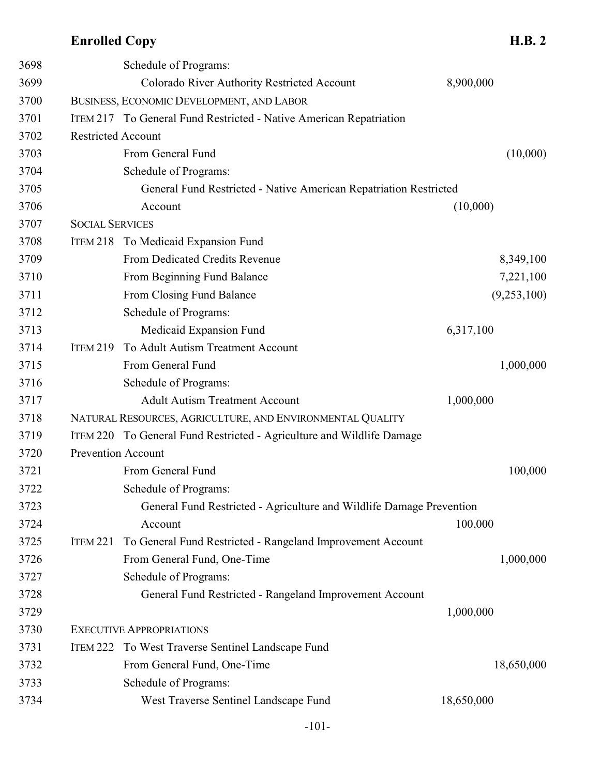| 3698 |                           | Schedule of Programs:                                                 |            |             |
|------|---------------------------|-----------------------------------------------------------------------|------------|-------------|
| 3699 |                           | Colorado River Authority Restricted Account                           | 8,900,000  |             |
| 3700 |                           | BUSINESS, ECONOMIC DEVELOPMENT, AND LABOR                             |            |             |
| 3701 |                           | ITEM 217 To General Fund Restricted - Native American Repatriation    |            |             |
| 3702 | <b>Restricted Account</b> |                                                                       |            |             |
| 3703 |                           | From General Fund                                                     |            | (10,000)    |
| 3704 |                           | Schedule of Programs:                                                 |            |             |
| 3705 |                           | General Fund Restricted - Native American Repatriation Restricted     |            |             |
| 3706 |                           | Account                                                               | (10,000)   |             |
| 3707 | <b>SOCIAL SERVICES</b>    |                                                                       |            |             |
| 3708 | ITEM 218                  | To Medicaid Expansion Fund                                            |            |             |
| 3709 |                           | From Dedicated Credits Revenue                                        |            | 8,349,100   |
| 3710 |                           | From Beginning Fund Balance                                           |            | 7,221,100   |
| 3711 |                           | From Closing Fund Balance                                             |            | (9,253,100) |
| 3712 |                           | Schedule of Programs:                                                 |            |             |
| 3713 |                           | Medicaid Expansion Fund                                               | 6,317,100  |             |
| 3714 | <b>ITEM 219</b>           | To Adult Autism Treatment Account                                     |            |             |
| 3715 |                           | From General Fund                                                     |            | 1,000,000   |
| 3716 |                           | Schedule of Programs:                                                 |            |             |
| 3717 |                           | <b>Adult Autism Treatment Account</b>                                 | 1,000,000  |             |
| 3718 |                           | NATURAL RESOURCES, AGRICULTURE, AND ENVIRONMENTAL QUALITY             |            |             |
| 3719 |                           | ITEM 220 To General Fund Restricted - Agriculture and Wildlife Damage |            |             |
| 3720 | <b>Prevention Account</b> |                                                                       |            |             |
| 3721 |                           | From General Fund                                                     |            | 100,000     |
| 3722 |                           | Schedule of Programs:                                                 |            |             |
| 3723 |                           | General Fund Restricted - Agriculture and Wildlife Damage Prevention  |            |             |
| 3724 |                           | Account                                                               | 100,000    |             |
| 3725 | <b>ITEM 221</b>           | To General Fund Restricted - Rangeland Improvement Account            |            |             |
| 3726 |                           | From General Fund, One-Time                                           |            | 1,000,000   |
| 3727 |                           | Schedule of Programs:                                                 |            |             |
| 3728 |                           | General Fund Restricted - Rangeland Improvement Account               |            |             |
| 3729 |                           |                                                                       | 1,000,000  |             |
| 3730 |                           | <b>EXECUTIVE APPROPRIATIONS</b>                                       |            |             |
| 3731 |                           | ITEM 222 To West Traverse Sentinel Landscape Fund                     |            |             |
| 3732 |                           | From General Fund, One-Time                                           |            | 18,650,000  |
| 3733 |                           | Schedule of Programs:                                                 |            |             |
| 3734 |                           | West Traverse Sentinel Landscape Fund                                 | 18,650,000 |             |
|      |                           |                                                                       |            |             |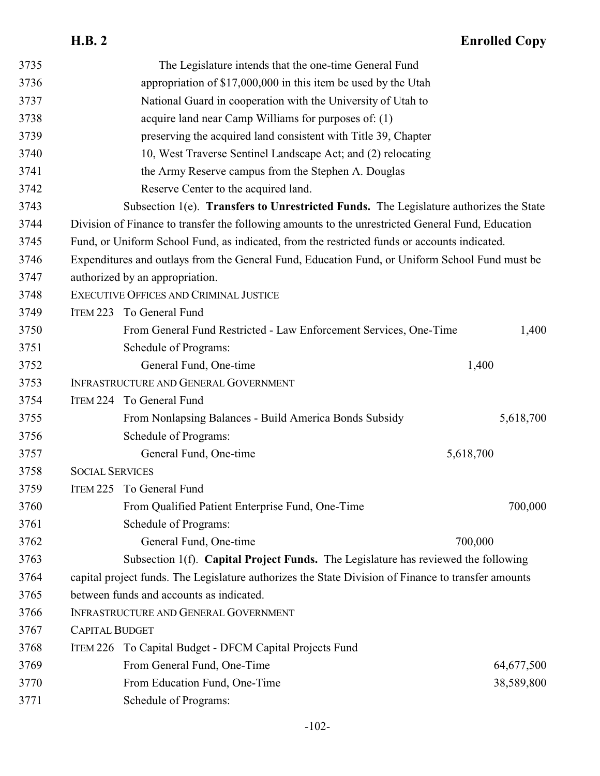| 3735 |                                                                                                | The Legislature intends that the one-time General Fund                                              |            |
|------|------------------------------------------------------------------------------------------------|-----------------------------------------------------------------------------------------------------|------------|
| 3736 | appropriation of \$17,000,000 in this item be used by the Utah                                 |                                                                                                     |            |
| 3737 | National Guard in cooperation with the University of Utah to                                   |                                                                                                     |            |
| 3738 |                                                                                                | acquire land near Camp Williams for purposes of: (1)                                                |            |
| 3739 |                                                                                                | preserving the acquired land consistent with Title 39, Chapter                                      |            |
| 3740 |                                                                                                | 10, West Traverse Sentinel Landscape Act; and (2) relocating                                        |            |
| 3741 |                                                                                                | the Army Reserve campus from the Stephen A. Douglas                                                 |            |
| 3742 |                                                                                                | Reserve Center to the acquired land.                                                                |            |
| 3743 |                                                                                                | Subsection 1(e). Transfers to Unrestricted Funds. The Legislature authorizes the State              |            |
| 3744 |                                                                                                | Division of Finance to transfer the following amounts to the unrestricted General Fund, Education   |            |
| 3745 |                                                                                                | Fund, or Uniform School Fund, as indicated, from the restricted funds or accounts indicated.        |            |
| 3746 | Expenditures and outlays from the General Fund, Education Fund, or Uniform School Fund must be |                                                                                                     |            |
| 3747 |                                                                                                | authorized by an appropriation.                                                                     |            |
| 3748 |                                                                                                | EXECUTIVE OFFICES AND CRIMINAL JUSTICE                                                              |            |
| 3749 |                                                                                                | ITEM 223 To General Fund                                                                            |            |
| 3750 |                                                                                                | From General Fund Restricted - Law Enforcement Services, One-Time                                   | 1,400      |
| 3751 |                                                                                                | Schedule of Programs:                                                                               |            |
| 3752 |                                                                                                | General Fund, One-time                                                                              | 1,400      |
| 3753 |                                                                                                | INFRASTRUCTURE AND GENERAL GOVERNMENT                                                               |            |
| 3754 |                                                                                                | ITEM 224 To General Fund                                                                            |            |
| 3755 |                                                                                                | From Nonlapsing Balances - Build America Bonds Subsidy                                              | 5,618,700  |
| 3756 |                                                                                                | Schedule of Programs:                                                                               |            |
| 3757 |                                                                                                | General Fund, One-time                                                                              | 5,618,700  |
| 3758 | <b>SOCIAL SERVICES</b>                                                                         |                                                                                                     |            |
| 3759 |                                                                                                | ITEM 225 To General Fund                                                                            |            |
| 3760 |                                                                                                | From Qualified Patient Enterprise Fund, One-Time                                                    | 700,000    |
| 3761 |                                                                                                | Schedule of Programs:                                                                               |            |
| 3762 |                                                                                                | General Fund, One-time                                                                              | 700,000    |
| 3763 |                                                                                                | Subsection 1(f). Capital Project Funds. The Legislature has reviewed the following                  |            |
| 3764 |                                                                                                | capital project funds. The Legislature authorizes the State Division of Finance to transfer amounts |            |
| 3765 |                                                                                                | between funds and accounts as indicated.                                                            |            |
| 3766 |                                                                                                | INFRASTRUCTURE AND GENERAL GOVERNMENT                                                               |            |
| 3767 | <b>CAPITAL BUDGET</b>                                                                          |                                                                                                     |            |
| 3768 |                                                                                                | ITEM 226 To Capital Budget - DFCM Capital Projects Fund                                             |            |
| 3769 |                                                                                                | From General Fund, One-Time                                                                         | 64,677,500 |
| 3770 |                                                                                                | From Education Fund, One-Time                                                                       | 38,589,800 |
| 3771 |                                                                                                | Schedule of Programs:                                                                               |            |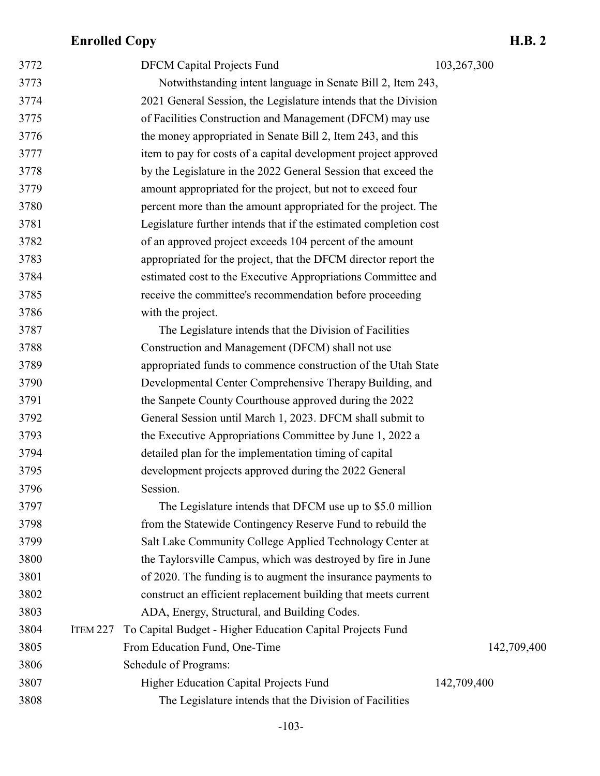| 3772 |          | <b>DFCM Capital Projects Fund</b>                                 | 103,267,300 |
|------|----------|-------------------------------------------------------------------|-------------|
| 3773 |          | Notwithstanding intent language in Senate Bill 2, Item 243,       |             |
| 3774 |          | 2021 General Session, the Legislature intends that the Division   |             |
| 3775 |          | of Facilities Construction and Management (DFCM) may use          |             |
| 3776 |          | the money appropriated in Senate Bill 2, Item 243, and this       |             |
| 3777 |          | item to pay for costs of a capital development project approved   |             |
| 3778 |          | by the Legislature in the 2022 General Session that exceed the    |             |
| 3779 |          | amount appropriated for the project, but not to exceed four       |             |
| 3780 |          | percent more than the amount appropriated for the project. The    |             |
| 3781 |          | Legislature further intends that if the estimated completion cost |             |
| 3782 |          | of an approved project exceeds 104 percent of the amount          |             |
| 3783 |          | appropriated for the project, that the DFCM director report the   |             |
| 3784 |          | estimated cost to the Executive Appropriations Committee and      |             |
| 3785 |          | receive the committee's recommendation before proceeding          |             |
| 3786 |          | with the project.                                                 |             |
| 3787 |          | The Legislature intends that the Division of Facilities           |             |
| 3788 |          | Construction and Management (DFCM) shall not use                  |             |
| 3789 |          | appropriated funds to commence construction of the Utah State     |             |
| 3790 |          | Developmental Center Comprehensive Therapy Building, and          |             |
| 3791 |          | the Sanpete County Courthouse approved during the 2022            |             |
| 3792 |          | General Session until March 1, 2023. DFCM shall submit to         |             |
| 3793 |          | the Executive Appropriations Committee by June 1, 2022 a          |             |
| 3794 |          | detailed plan for the implementation timing of capital            |             |
| 3795 |          | development projects approved during the 2022 General             |             |
| 3796 |          | Session.                                                          |             |
| 3797 |          | The Legislature intends that DFCM use up to \$5.0 million         |             |
| 3798 |          | from the Statewide Contingency Reserve Fund to rebuild the        |             |
| 3799 |          | Salt Lake Community College Applied Technology Center at          |             |
| 3800 |          | the Taylorsville Campus, which was destroyed by fire in June      |             |
| 3801 |          | of 2020. The funding is to augment the insurance payments to      |             |
| 3802 |          | construct an efficient replacement building that meets current    |             |
| 3803 |          | ADA, Energy, Structural, and Building Codes.                      |             |
| 3804 | ITEM 227 | To Capital Budget - Higher Education Capital Projects Fund        |             |
| 3805 |          | From Education Fund, One-Time                                     | 142,709,400 |
| 3806 |          | Schedule of Programs:                                             |             |
| 3807 |          | <b>Higher Education Capital Projects Fund</b>                     | 142,709,400 |
| 3808 |          | The Legislature intends that the Division of Facilities           |             |